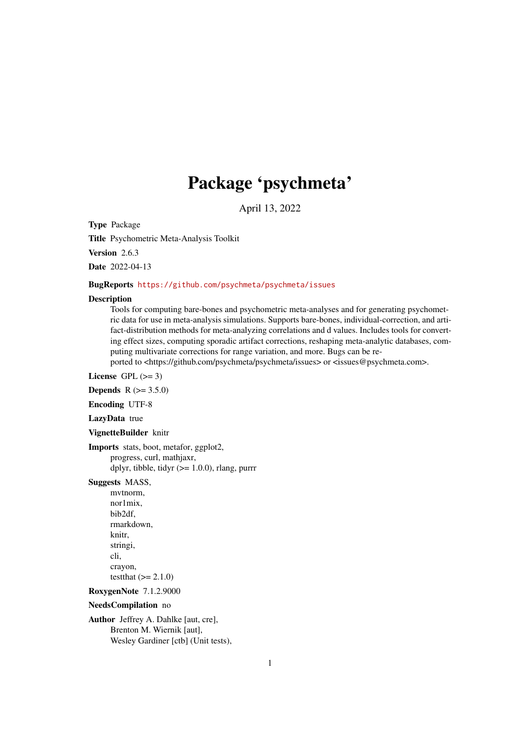# Package 'psychmeta'

April 13, 2022

Type Package

Title Psychometric Meta-Analysis Toolkit

Version 2.6.3

Date 2022-04-13

### BugReports <https://github.com/psychmeta/psychmeta/issues>

#### Description

Tools for computing bare-bones and psychometric meta-analyses and for generating psychometric data for use in meta-analysis simulations. Supports bare-bones, individual-correction, and artifact-distribution methods for meta-analyzing correlations and d values. Includes tools for converting effect sizes, computing sporadic artifact corrections, reshaping meta-analytic databases, computing multivariate corrections for range variation, and more. Bugs can be re-

ported to <https://github.com/psychmeta/psychmeta/issues> or <issues@psychmeta.com>.

License GPL  $(>= 3)$ 

**Depends** R  $(>= 3.5.0)$ 

Encoding UTF-8

LazyData true

### VignetteBuilder knitr

Imports stats, boot, metafor, ggplot2, progress, curl, mathjaxr, dplyr, tibble, tidyr  $(>= 1.0.0)$ , rlang, purrr

### Suggests MASS,

mvtnorm, nor1mix, bib2df, rmarkdown, knitr, stringi, cli, crayon, testthat  $(>= 2.1.0)$ 

RoxygenNote 7.1.2.9000

#### NeedsCompilation no

Author Jeffrey A. Dahlke [aut, cre], Brenton M. Wiernik [aut], Wesley Gardiner [ctb] (Unit tests),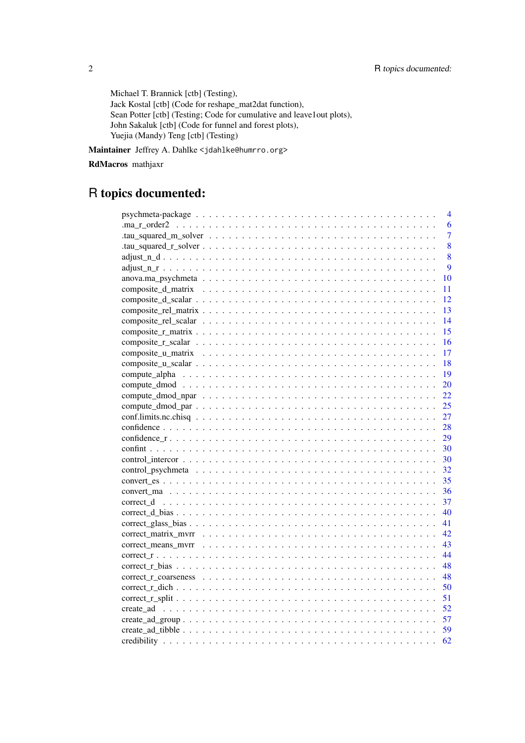Michael T. Brannick [ctb] (Testing), Jack Kostal [ctb] (Code for reshape\_mat2dat function), Sean Potter [ctb] (Testing; Code for cumulative and leave1out plots), John Sakaluk [ctb] (Code for funnel and forest plots), Yuejia (Mandy) Teng [ctb] (Testing)

Maintainer Jeffrey A. Dahlke <jdahlke@humrro.org>

### RdMacros mathjaxr

## R topics documented:

|                                                                                                                                          | $\overline{4}$ |
|------------------------------------------------------------------------------------------------------------------------------------------|----------------|
|                                                                                                                                          | 6              |
|                                                                                                                                          | $\overline{7}$ |
|                                                                                                                                          | 8              |
|                                                                                                                                          | 8              |
|                                                                                                                                          | 9              |
|                                                                                                                                          | 10             |
|                                                                                                                                          | 11             |
|                                                                                                                                          | 12             |
|                                                                                                                                          | 13             |
|                                                                                                                                          | 14             |
|                                                                                                                                          | 15             |
|                                                                                                                                          | 16             |
|                                                                                                                                          | 17             |
|                                                                                                                                          | 18             |
|                                                                                                                                          | 19             |
|                                                                                                                                          | 20             |
|                                                                                                                                          | 22             |
|                                                                                                                                          | 25             |
|                                                                                                                                          | 27             |
|                                                                                                                                          | 28             |
|                                                                                                                                          | 29             |
|                                                                                                                                          | 30             |
|                                                                                                                                          | 30             |
|                                                                                                                                          | 32             |
|                                                                                                                                          | 35             |
|                                                                                                                                          | 36             |
|                                                                                                                                          | 37             |
|                                                                                                                                          | 40             |
|                                                                                                                                          | 41             |
|                                                                                                                                          | 42             |
|                                                                                                                                          | 43             |
|                                                                                                                                          | 44             |
| $correct_r_bias \dots \dots \dots \dots \dots \dots \dots \dots \dots \dots \dots \dots \dots \dots \dots \dots \dots \dots$             | 48             |
| $correct_r_{\text{r}} \text{coarseness} \dots \dots \dots \dots \dots \dots \dots \dots \dots \dots \dots \dots \dots \dots \dots \dots$ | 48             |
|                                                                                                                                          | 50             |
|                                                                                                                                          | 51             |
|                                                                                                                                          |                |
|                                                                                                                                          |                |
|                                                                                                                                          | 59             |
|                                                                                                                                          | 62             |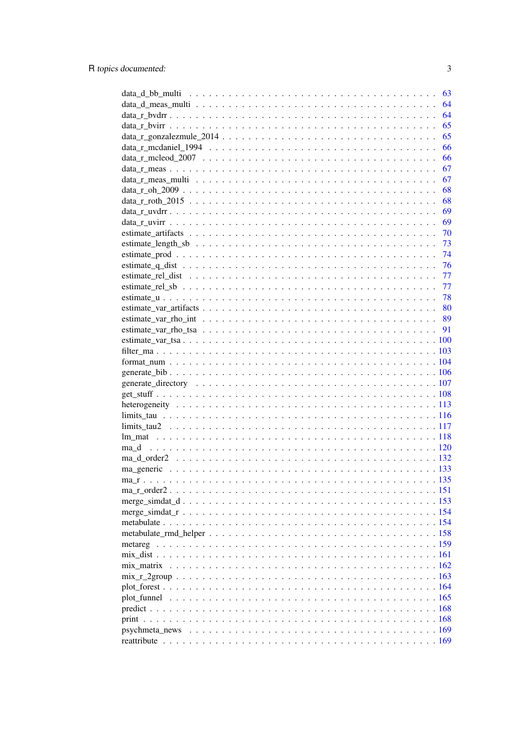| 63               |
|------------------|
| 64               |
| 64               |
| 65               |
| 65               |
| 66               |
| 66               |
| 67               |
| 67               |
| 68               |
| 68               |
| 69               |
|                  |
|                  |
|                  |
|                  |
|                  |
|                  |
|                  |
|                  |
|                  |
|                  |
|                  |
|                  |
|                  |
|                  |
|                  |
|                  |
|                  |
|                  |
|                  |
|                  |
|                  |
|                  |
|                  |
| $ma_d$ order2132 |
|                  |
|                  |
|                  |
|                  |
|                  |
|                  |
|                  |
|                  |
|                  |
|                  |
|                  |
|                  |
|                  |
|                  |
|                  |
|                  |
|                  |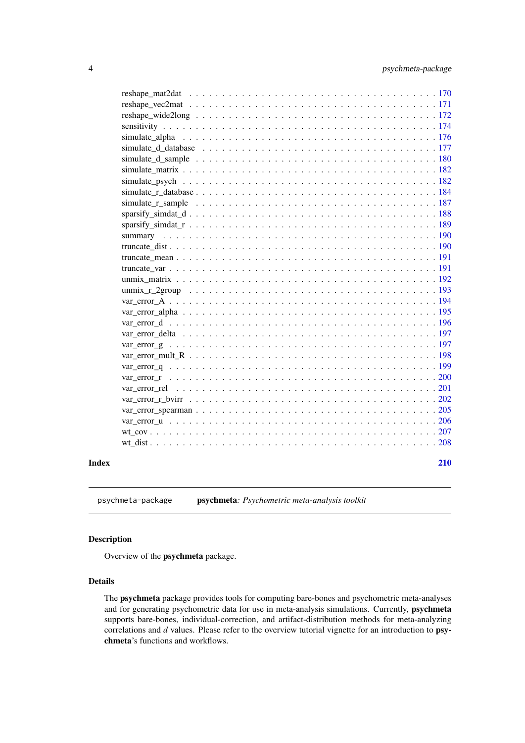<span id="page-3-0"></span>

| Index | 210 |
|-------|-----|
|       |     |
|       |     |
|       |     |
|       |     |
|       |     |
|       |     |
|       |     |
|       |     |
|       |     |
|       |     |
|       |     |
|       |     |
|       |     |
|       |     |
|       |     |
|       |     |
|       |     |
|       |     |
|       |     |
|       |     |
|       |     |
|       |     |
|       |     |
|       |     |
|       |     |
|       |     |
|       |     |
|       |     |
|       |     |
|       |     |
|       |     |
|       |     |
|       |     |

psychmeta-package psychmeta*: Psychometric meta-analysis toolkit*

### Description

Overview of the psychmeta package.

### Details

The psychmeta package provides tools for computing bare-bones and psychometric meta-analyses and for generating psychometric data for use in meta-analysis simulations. Currently, psychmeta supports bare-bones, individual-correction, and artifact-distribution methods for meta-analyzing correlations and *d* values. Please refer to the overview tutorial vignette for an introduction to psychmeta's functions and workflows.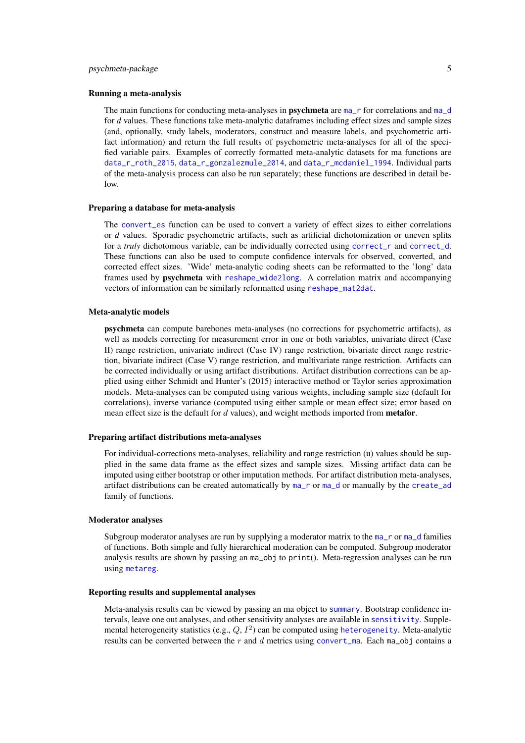#### psychmeta-package 5

#### Running a meta-analysis

The main functions for conducting meta-analyses in **psychmeta** are [ma\\_r](#page-134-1) for correlations and [ma\\_d](#page-119-1) for *d* values. These functions take meta-analytic dataframes including effect sizes and sample sizes (and, optionally, study labels, moderators, construct and measure labels, and psychometric artifact information) and return the full results of psychometric meta-analyses for all of the specified variable pairs. Examples of correctly formatted meta-analytic datasets for ma functions are [data\\_r\\_roth\\_2015](#page-67-1), [data\\_r\\_gonzalezmule\\_2014](#page-64-1), and [data\\_r\\_mcdaniel\\_1994](#page-65-1). Individual parts of the meta-analysis process can also be run separately; these functions are described in detail below.

#### Preparing a database for meta-analysis

The [convert\\_es](#page-34-1) function can be used to convert a variety of effect sizes to either correlations or *d* values. Sporadic psychometric artifacts, such as artificial dichotomization or uneven splits for a *truly* dichotomous variable, can be individually corrected using [correct\\_r](#page-43-1) and [correct\\_d](#page-36-1). These functions can also be used to compute confidence intervals for observed, converted, and corrected effect sizes. 'Wide' meta-analytic coding sheets can be reformatted to the 'long' data frames used by psychmeta with [reshape\\_wide2long](#page-171-1). A correlation matrix and accompanying vectors of information can be similarly reformatted using [reshape\\_mat2dat](#page-169-1).

#### Meta-analytic models

psychmeta can compute barebones meta-analyses (no corrections for psychometric artifacts), as well as models correcting for measurement error in one or both variables, univariate direct (Case II) range restriction, univariate indirect (Case IV) range restriction, bivariate direct range restriction, bivariate indirect (Case V) range restriction, and multivariate range restriction. Artifacts can be corrected individually or using artifact distributions. Artifact distribution corrections can be applied using either Schmidt and Hunter's (2015) interactive method or Taylor series approximation models. Meta-analyses can be computed using various weights, including sample size (default for correlations), inverse variance (computed using either sample or mean effect size; error based on mean effect size is the default for *d* values), and weight methods imported from metafor.

#### Preparing artifact distributions meta-analyses

For individual-corrections meta-analyses, reliability and range restriction (u) values should be supplied in the same data frame as the effect sizes and sample sizes. Missing artifact data can be imputed using either bootstrap or other imputation methods. For artifact distribution meta-analyses, artifact distributions can be created automatically by [ma\\_r](#page-134-1) or [ma\\_d](#page-119-1) or manually by the [create\\_ad](#page-51-1) family of functions.

#### Moderator analyses

Subgroup moderator analyses are run by supplying a moderator matrix to the  $ma<sub>-</sub>$  or  $ma<sub>-</sub>$  d families of functions. Both simple and fully hierarchical moderation can be computed. Subgroup moderator analysis results are shown by passing an ma\_obj to print(). Meta-regression analyses can be run using [metareg](#page-158-1).

### Reporting results and supplemental analyses

Meta-analysis results can be viewed by passing an ma object to [summary](#page-189-1). Bootstrap confidence intervals, leave one out analyses, and other sensitivity analyses are available in [sensitivity](#page-173-1). Supplemental [heterogeneity](#page-112-1) statistics (e.g.,  $Q$ ,  $I^2$ ) can be computed using heterogeneity. Meta-analytic results can be converted between the  $r$  and  $d$  metrics using [convert\\_ma](#page-35-1). Each ma\_obj contains a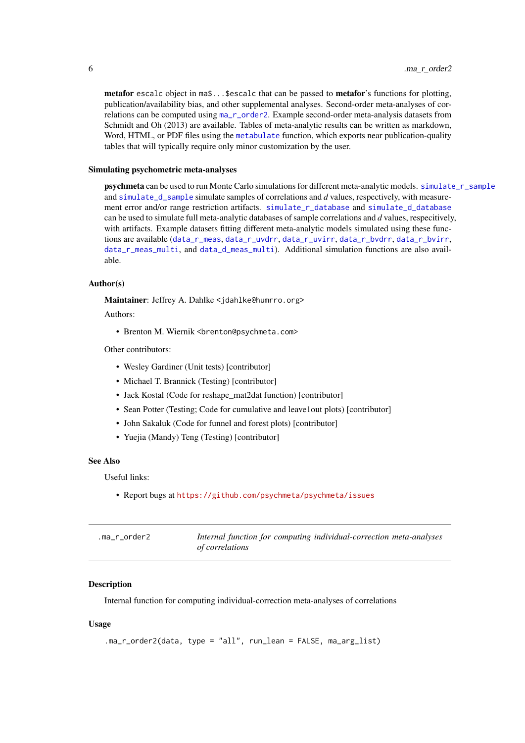<span id="page-5-0"></span>metafor escalc object in ma\$...\$escalc that can be passed to metafor's functions for plotting, publication/availability bias, and other supplemental analyses. Second-order meta-analyses of correlations can be computed using [ma\\_r\\_order2](#page-150-1). Example second-order meta-analysis datasets from Schmidt and Oh (2013) are available. Tables of meta-analytic results can be written as markdown, Word, HTML, or PDF files using the [metabulate](#page-153-1) function, which exports near publication-quality tables that will typically require only minor customization by the user.

#### Simulating psychometric meta-analyses

psychmeta can be used to run Monte Carlo simulations for different meta-analytic models. [simulate\\_r\\_sample](#page-186-1) and [simulate\\_d\\_sample](#page-179-1) simulate samples of correlations and *d* values, respectively, with measurement error and/or range restriction artifacts. [simulate\\_r\\_database](#page-183-1) and [simulate\\_d\\_database](#page-176-1) can be used to simulate full meta-analytic databases of sample correlations and *d* values, respecitively, with artifacts. Example datasets fitting different meta-analytic models simulated using these functions are available ([data\\_r\\_meas](#page-66-1), [data\\_r\\_uvdrr](#page-68-1), [data\\_r\\_uvirr](#page-68-2), [data\\_r\\_bvdrr](#page-63-1), [data\\_r\\_bvirr](#page-64-2), [data\\_r\\_meas\\_multi](#page-66-2), and [data\\_d\\_meas\\_multi](#page-63-2)). Additional simulation functions are also available.

#### Author(s)

Maintainer: Jeffrey A. Dahlke <jdahlke@humrro.org>

Authors:

• Brenton M. Wiernik <brenton@psychmeta.com>

Other contributors:

- Wesley Gardiner (Unit tests) [contributor]
- Michael T. Brannick (Testing) [contributor]
- Jack Kostal (Code for reshape\_mat2dat function) [contributor]
- Sean Potter (Testing; Code for cumulative and leave1out plots) [contributor]
- John Sakaluk (Code for funnel and forest plots) [contributor]
- Yuejia (Mandy) Teng (Testing) [contributor]

### See Also

Useful links:

• Report bugs at <https://github.com/psychmeta/psychmeta/issues>

| .ma_r_order2 | Internal function for computing individual-correction meta-analyses |
|--------------|---------------------------------------------------------------------|
|              | <i>of correlations</i>                                              |

#### **Description**

Internal function for computing individual-correction meta-analyses of correlations

#### Usage

```
.ma_r_order2(data, type = "all", run_lean = FALSE, ma_arg_list)
```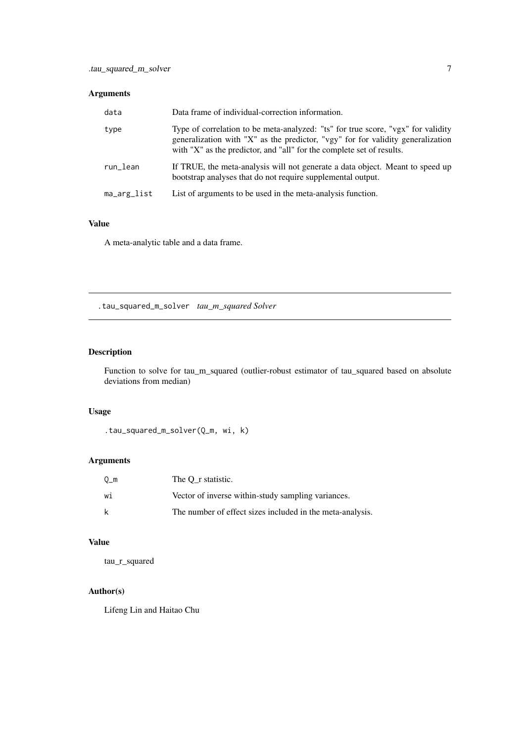### <span id="page-6-0"></span>Arguments

| data        | Data frame of individual-correction information.                                                                                                                                                                                             |
|-------------|----------------------------------------------------------------------------------------------------------------------------------------------------------------------------------------------------------------------------------------------|
| type        | Type of correlation to be meta-analyzed: "ts" for true score, "vgx" for validity<br>generalization with "X" as the predictor, "vgy" for for validity generalization<br>with "X" as the predictor, and "all" for the complete set of results. |
| run_lean    | If TRUE, the meta-analysis will not generate a data object. Meant to speed up<br>bootstrap analyses that do not require supplemental output.                                                                                                 |
| ma_arg_list | List of arguments to be used in the meta-analysis function.                                                                                                                                                                                  |

### Value

A meta-analytic table and a data frame.

.tau\_squared\_m\_solver *tau\_m\_squared Solver*

### Description

Function to solve for tau\_m\_squared (outlier-robust estimator of tau\_squared based on absolute deviations from median)

### Usage

```
.tau_squared_m_solver(Q_m, wi, k)
```
### Arguments

| $Q_m$ | The O r statistic.                                        |
|-------|-----------------------------------------------------------|
| wi    | Vector of inverse within-study sampling variances.        |
| k     | The number of effect sizes included in the meta-analysis. |

### Value

tau\_r\_squared

### Author(s)

Lifeng Lin and Haitao Chu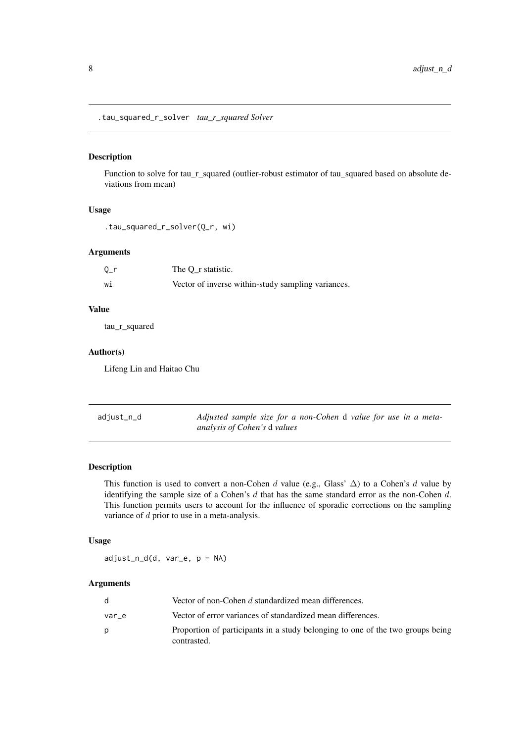<span id="page-7-0"></span>.tau\_squared\_r\_solver *tau\_r\_squared Solver*

### Description

Function to solve for tau\_r\_squared (outlier-robust estimator of tau\_squared based on absolute deviations from mean)

### Usage

```
.tau_squared_r_solver(Q_r, wi)
```
#### Arguments

| $0-r$ | The O r statistic.                                 |
|-------|----------------------------------------------------|
| W1    | Vector of inverse within-study sampling variances. |

#### Value

tau\_r\_squared

### Author(s)

Lifeng Lin and Haitao Chu

| adjust_n_d | Adjusted sample size for a non-Cohen d value for use in a meta- |
|------------|-----------------------------------------------------------------|
|            | analysis of Cohen's d values                                    |

### Description

This function is used to convert a non-Cohen d value (e.g., Glass'  $\Delta$ ) to a Cohen's d value by identifying the sample size of a Cohen's d that has the same standard error as the non-Cohen d. This function permits users to account for the influence of sporadic corrections on the sampling variance of d prior to use in a meta-analysis.

### Usage

adjust\_n\_d(d, var\_e, p = NA)

| d.    | Vector of non-Cohen d standardized mean differences.                                          |
|-------|-----------------------------------------------------------------------------------------------|
| var e | Vector of error variances of standardized mean differences.                                   |
| D     | Proportion of participants in a study belonging to one of the two groups being<br>contrasted. |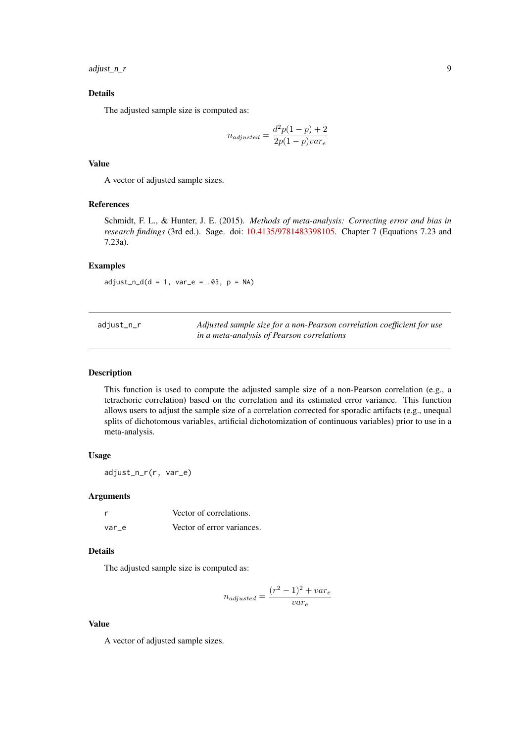<span id="page-8-0"></span>adjust\_n\_r 9

### Details

The adjusted sample size is computed as:

$$
n_{adjusted} = \frac{d^2p(1-p) + 2}{2p(1-p)var_e}
$$

### Value

A vector of adjusted sample sizes.

### References

Schmidt, F. L., & Hunter, J. E. (2015). *Methods of meta-analysis: Correcting error and bias in research findings* (3rd ed.). Sage. doi: [10.4135/9781483398105.](https://doi.org/10.4135/9781483398105) Chapter 7 (Equations 7.23 and 7.23a).

### Examples

 $adjust_n_d(d = 1, var_e = .03, p = NA)$ 

| adjust_n_r | Adjusted sample size for a non-Pearson correlation coefficient for use |
|------------|------------------------------------------------------------------------|
|            | in a meta-analysis of Pearson correlations                             |

#### Description

This function is used to compute the adjusted sample size of a non-Pearson correlation (e.g., a tetrachoric correlation) based on the correlation and its estimated error variance. This function allows users to adjust the sample size of a correlation corrected for sporadic artifacts (e.g., unequal splits of dichotomous variables, artificial dichotomization of continuous variables) prior to use in a meta-analysis.

### Usage

adjust\_n\_r(r, var\_e)

### Arguments

|       | Vector of correlations.    |
|-------|----------------------------|
| var e | Vector of error variances. |

### Details

The adjusted sample size is computed as:

$$
n_{adjusted} = \frac{(r^2 - 1)^2 + var_e}{var_e}
$$

### Value

A vector of adjusted sample sizes.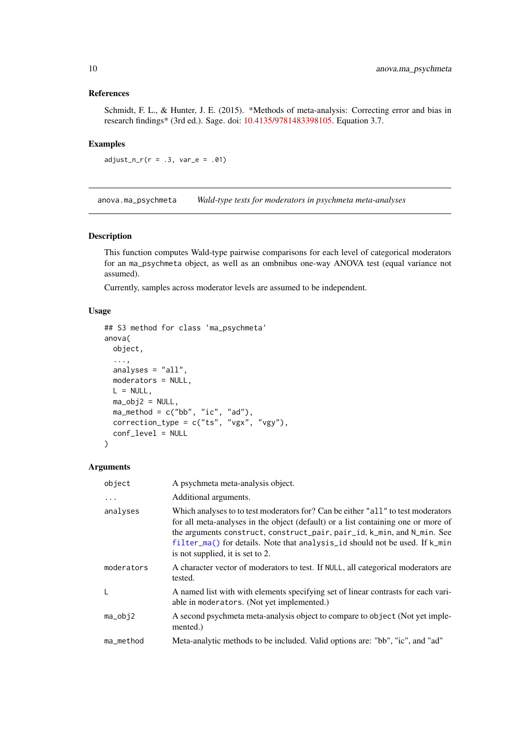### <span id="page-9-0"></span>References

Schmidt, F. L., & Hunter, J. E. (2015). \*Methods of meta-analysis: Correcting error and bias in research findings\* (3rd ed.). Sage. doi: [10.4135/9781483398105.](https://doi.org/10.4135/9781483398105) Equation 3.7.

### Examples

 $adjust_n_r(r = .3, var_e = .01)$ 

anova.ma\_psychmeta *Wald-type tests for moderators in psychmeta meta-analyses*

### Description

This function computes Wald-type pairwise comparisons for each level of categorical moderators for an ma\_psychmeta object, as well as an ombnibus one-way ANOVA test (equal variance not assumed).

Currently, samples across moderator levels are assumed to be independent.

#### Usage

```
## S3 method for class 'ma_psychmeta'
anova(
  object,
  ...,
  analyses = "all",
  moderators = NULL,
  L = NULL,ma_obj2 = NULL,ma_method = c("bb", "ic", "ad"),correction_type = c("ts", "vgx", "vgy"),conf_level = NULL
\lambda
```

| object     | A psychmeta meta-analysis object.                                                                                                                                                                                                                                                                                                                                   |
|------------|---------------------------------------------------------------------------------------------------------------------------------------------------------------------------------------------------------------------------------------------------------------------------------------------------------------------------------------------------------------------|
| $\cdots$   | Additional arguments.                                                                                                                                                                                                                                                                                                                                               |
| analyses   | Which analyses to to test moderators for? Can be either "all" to test moderators<br>for all meta-analyses in the object (default) or a list containing one or more of<br>the arguments construct, construct_pair, pair_id, k_min, and N_min. See<br>filter_ma() for details. Note that analysis_id should not be used. If k_min<br>is not supplied, it is set to 2. |
| moderators | A character vector of moderators to test. If NULL, all categorical moderators are<br>tested.                                                                                                                                                                                                                                                                        |
| L          | A named list with with elements specifying set of linear contrasts for each vari-<br>able in moderators. (Not yet implemented.)                                                                                                                                                                                                                                     |
| $ma_obj2$  | A second psychmeta meta-analysis object to compare to object (Not yet imple-<br>mented.)                                                                                                                                                                                                                                                                            |
| ma_method  | Meta-analytic methods to be included. Valid options are: "bb", "ic", and "ad"                                                                                                                                                                                                                                                                                       |
|            |                                                                                                                                                                                                                                                                                                                                                                     |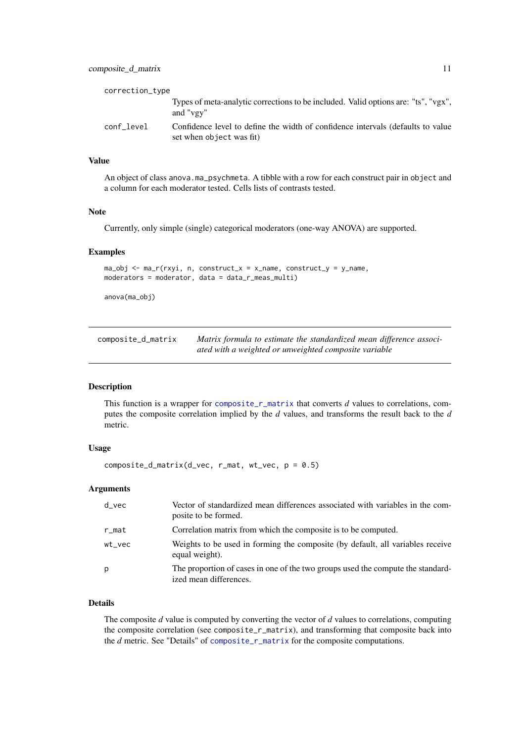<span id="page-10-0"></span>

| correction_type |                                                                                                             |
|-----------------|-------------------------------------------------------------------------------------------------------------|
|                 | Types of meta-analytic corrections to be included. Valid options are: "ts", "vgx",<br>and "vgy"             |
| conf level      | Confidence level to define the width of confidence intervals (defaults to value<br>set when object was fit) |

### Value

An object of class anova.ma\_psychmeta. A tibble with a row for each construct pair in object and a column for each moderator tested. Cells lists of contrasts tested.

#### Note

Currently, only simple (single) categorical moderators (one-way ANOVA) are supported.

#### Examples

```
ma_obj \leq ma_r(rxyi, n, construct_x = x_name, construct_y = y_name,moderators = moderator, data = data_r_meas_multi)
```
anova(ma\_obj)

| composite_d_matrix | Matrix formula to estimate the standardized mean difference associ- |
|--------------------|---------------------------------------------------------------------|
|                    | ated with a weighted or unweighted composite variable               |

### Description

This function is a wrapper for [composite\\_r\\_matrix](#page-14-1) that converts *d* values to correlations, computes the composite correlation implied by the *d* values, and transforms the result back to the *d* metric.

#### Usage

```
composite_d_matrix(d_vec, r_mat, wt_vec, p = 0.5)
```
### Arguments

| d vec  | Vector of standardized mean differences associated with variables in the com-<br>posite to be formed.     |
|--------|-----------------------------------------------------------------------------------------------------------|
| r_mat  | Correlation matrix from which the composite is to be computed.                                            |
| wt_vec | Weights to be used in forming the composite (by default, all variables receive<br>equal weight).          |
| p      | The proportion of cases in one of the two groups used the compute the standard-<br>ized mean differences. |

### Details

The composite *d* value is computed by converting the vector of *d* values to correlations, computing the composite correlation (see composite\_r\_matrix), and transforming that composite back into the *d* metric. See "Details" of [composite\\_r\\_matrix](#page-14-1) for the composite computations.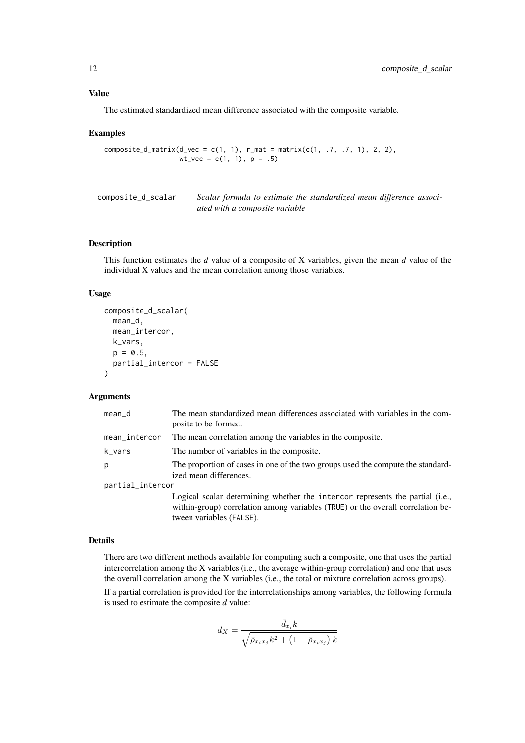#### Value

The estimated standardized mean difference associated with the composite variable.

#### Examples

```
composite_d_matrix(d_vec = c(1, 1), r_mat = matrix(c(1, .7, .7, 1), 2, 2),
                   wt\_vec = c(1, 1), p = .5)
```

| composite_d_scalar | Scalar formula to estimate the standardized mean difference associ- |
|--------------------|---------------------------------------------------------------------|
|                    | ated with a composite variable                                      |

#### Description

This function estimates the *d* value of a composite of X variables, given the mean *d* value of the individual X values and the mean correlation among those variables.

### Usage

```
composite_d_scalar(
  mean_d,
  mean_intercor,
  k_vars,
  p = 0.5,
  partial_intercor = FALSE
)
```
### Arguments

| mean_d           | The mean standardized mean differences associated with variables in the com-<br>posite to be formed.                                                                                         |
|------------------|----------------------------------------------------------------------------------------------------------------------------------------------------------------------------------------------|
| mean_intercor    | The mean correlation among the variables in the composite.                                                                                                                                   |
| k_vars           | The number of variables in the composite.                                                                                                                                                    |
| р                | The proportion of cases in one of the two groups used the compute the standard-<br>ized mean differences.                                                                                    |
| partial_intercor |                                                                                                                                                                                              |
|                  | Logical scalar determining whether the intercor represents the partial (i.e.,<br>within-group) correlation among variables (TRUE) or the overall correlation be-<br>tween variables (FALSE). |

### Details

There are two different methods available for computing such a composite, one that uses the partial intercorrelation among the X variables (i.e., the average within-group correlation) and one that uses the overall correlation among the X variables (i.e., the total or mixture correlation across groups).

If a partial correlation is provided for the interrelationships among variables, the following formula is used to estimate the composite *d* value:

$$
d_X=\frac{\bar d_{x_i}k}{\sqrt{\bar\rho_{x_ix_j}k^2+\left(1-\bar\rho_{x_ix_j}\right)k}}
$$

<span id="page-11-0"></span>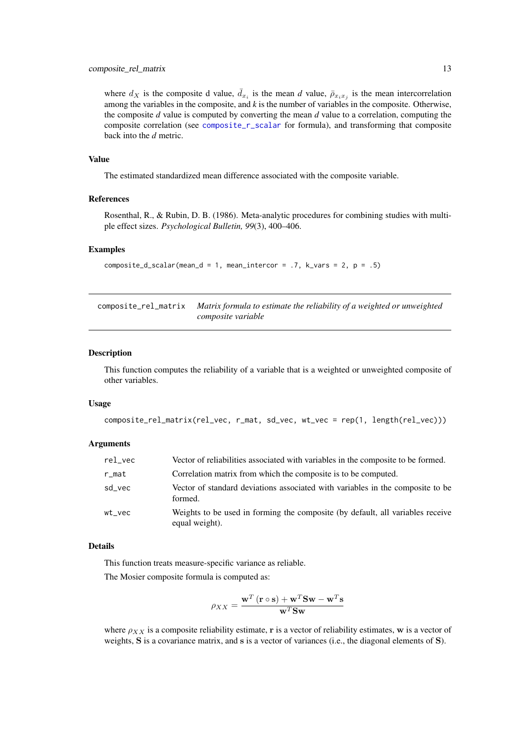#### <span id="page-12-0"></span>composite\_rel\_matrix 13

where  $d_X$  is the composite d value,  $\bar{d}_{x_i}$  is the mean *d* value,  $\bar{p}_{x_i x_j}$  is the mean intercorrelation among the variables in the composite, and *k* is the number of variables in the composite. Otherwise, the composite *d* value is computed by converting the mean *d* value to a correlation, computing the composite correlation (see [composite\\_r\\_scalar](#page-15-1) for formula), and transforming that composite back into the *d* metric.

### Value

The estimated standardized mean difference associated with the composite variable.

### References

Rosenthal, R., & Rubin, D. B. (1986). Meta-analytic procedures for combining studies with multiple effect sizes. *Psychological Bulletin, 99*(3), 400–406.

#### Examples

```
composite_d_scalar(mean_d = 1, mean_intercor = .7, k_vars = 2, p = .5)
```
composite\_rel\_matrix *Matrix formula to estimate the reliability of a weighted or unweighted composite variable*

### Description

This function computes the reliability of a variable that is a weighted or unweighted composite of other variables.

#### Usage

```
composite_rel_matrix(rel_vec, r_mat, sd_vec, wt_vec = rep(1, length(rel_vec)))
```
#### Arguments

| rel_vec | Vector of reliabilities associated with variables in the composite to be formed.                 |
|---------|--------------------------------------------------------------------------------------------------|
| r_mat   | Correlation matrix from which the composite is to be computed.                                   |
| sd vec  | Vector of standard deviations associated with variables in the composite to be<br>formed.        |
| wt vec  | Weights to be used in forming the composite (by default, all variables receive<br>equal weight). |

### Details

This function treats measure-specific variance as reliable.

The Mosier composite formula is computed as:

$$
\rho_{XX} = \frac{\mathbf{w}^T (\mathbf{r} \circ \mathbf{s}) + \mathbf{w}^T \mathbf{S} \mathbf{w} - \mathbf{w}^T \mathbf{s}}{\mathbf{w}^T \mathbf{S} \mathbf{w}}
$$

where  $\rho_{XX}$  is a composite reliability estimate, r is a vector of reliability estimates, w is a vector of weights, S is a covariance matrix, and s is a vector of variances (i.e., the diagonal elements of S).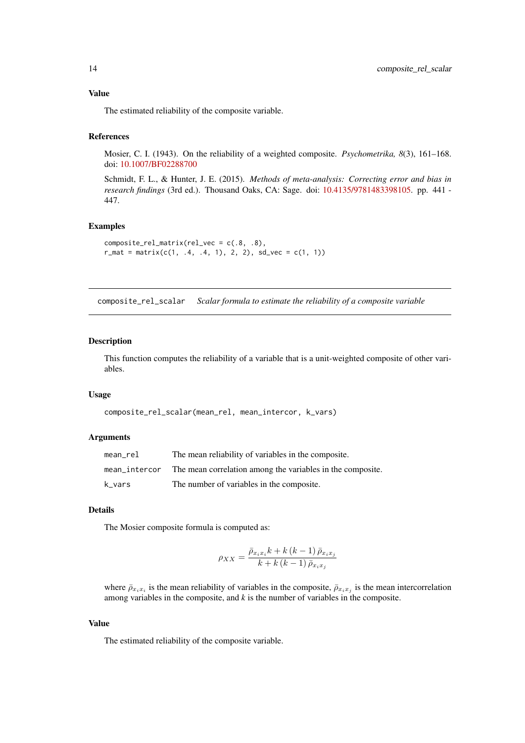The estimated reliability of the composite variable.

#### References

Mosier, C. I. (1943). On the reliability of a weighted composite. *Psychometrika, 8*(3), 161–168. doi: [10.1007/BF02288700](https://doi.org/10.1007/BF02288700)

Schmidt, F. L., & Hunter, J. E. (2015). *Methods of meta-analysis: Correcting error and bias in research findings* (3rd ed.). Thousand Oaks, CA: Sage. doi: [10.4135/9781483398105.](https://doi.org/10.4135/9781483398105) pp. 441 - 447.

### Examples

```
composite_{\text{matrix} (rel_{\text{v}} = c(.8, .8))r_{\text{mat}} = \text{matrix}(c(1, .4, .4, 1), 2, 2), sd_{\text{v}ec} = c(1, 1))
```
composite\_rel\_scalar *Scalar formula to estimate the reliability of a composite variable*

#### Description

This function computes the reliability of a variable that is a unit-weighted composite of other variables.

### Usage

```
composite_rel_scalar(mean_rel, mean_intercor, k_vars)
```
#### Arguments

| mean rel      | The mean reliability of variables in the composite.        |
|---------------|------------------------------------------------------------|
| mean intercor | The mean correlation among the variables in the composite. |
| k vars        | The number of variables in the composite.                  |

#### Details

The Mosier composite formula is computed as:

$$
\rho_{XX} = \frac{\bar{\rho}_{x_ix_i}k + k(k-1)\,\bar{\rho}_{x_ix_j}}{k + k(k-1)\,\bar{\rho}_{x_ix_j}}
$$

where  $\bar{\rho}_{x_ix_i}$  is the mean reliability of variables in the composite,  $\bar{\rho}_{x_ix_j}$  is the mean intercorrelation among variables in the composite, and *k* is the number of variables in the composite.

### Value

The estimated reliability of the composite variable.

<span id="page-13-0"></span>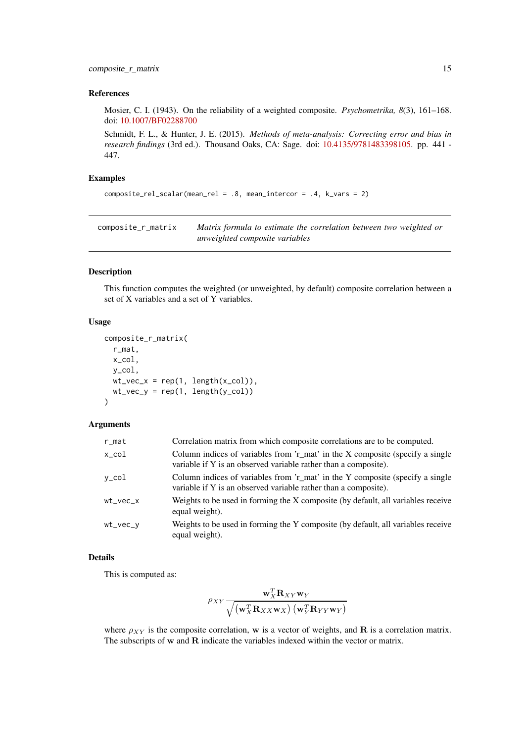#### <span id="page-14-0"></span>composite\_r\_matrix 15

#### References

Mosier, C. I. (1943). On the reliability of a weighted composite. *Psychometrika, 8*(3), 161–168. doi: [10.1007/BF02288700](https://doi.org/10.1007/BF02288700)

Schmidt, F. L., & Hunter, J. E. (2015). *Methods of meta-analysis: Correcting error and bias in research findings* (3rd ed.). Thousand Oaks, CA: Sage. doi: [10.4135/9781483398105.](https://doi.org/10.4135/9781483398105) pp. 441 - 447.

### Examples

```
composite_rel_scalar(mean_rel = .8, mean_intercor = .4, k_vars = 2)
```
<span id="page-14-1"></span>composite\_r\_matrix *Matrix formula to estimate the correlation between two weighted or unweighted composite variables*

#### Description

This function computes the weighted (or unweighted, by default) composite correlation between a set of X variables and a set of Y variables.

#### Usage

```
composite_r_matrix(
  r_mat,
  x_col,
  y_col,
  wt\_vec_x = rep(1, length(x_col)),wt\_vec_y = rep(1, length(y_col))\lambda
```
#### Arguments

| $r$ _mat    | Correlation matrix from which composite correlations are to be computed.                                                                         |
|-------------|--------------------------------------------------------------------------------------------------------------------------------------------------|
| x_col       | Column indices of variables from 'r_mat' in the X composite (specify a single<br>variable if Y is an observed variable rather than a composite). |
| y_col       | Column indices of variables from 'r_mat' in the Y composite (specify a single<br>variable if Y is an observed variable rather than a composite). |
| wt vec x    | Weights to be used in forming the X composite (by default, all variables receive<br>equal weight).                                               |
| $wt\_vec_v$ | Weights to be used in forming the Y composite (by default, all variables receive<br>equal weight).                                               |

### Details

This is computed as:

$$
\rho_{XY}\frac{\mathbf{w}_X^T\mathbf{R}_{XY}\mathbf{w}_Y}{\sqrt{\left(\mathbf{w}_X^T\mathbf{R}_{XX}\mathbf{w}_X\right)\left(\mathbf{w}_Y^T\mathbf{R}_{YY}\mathbf{w}_Y\right)}}
$$

where  $\rho_{XY}$  is the composite correlation, w is a vector of weights, and **R** is a correlation matrix. The subscripts of w and R indicate the variables indexed within the vector or matrix.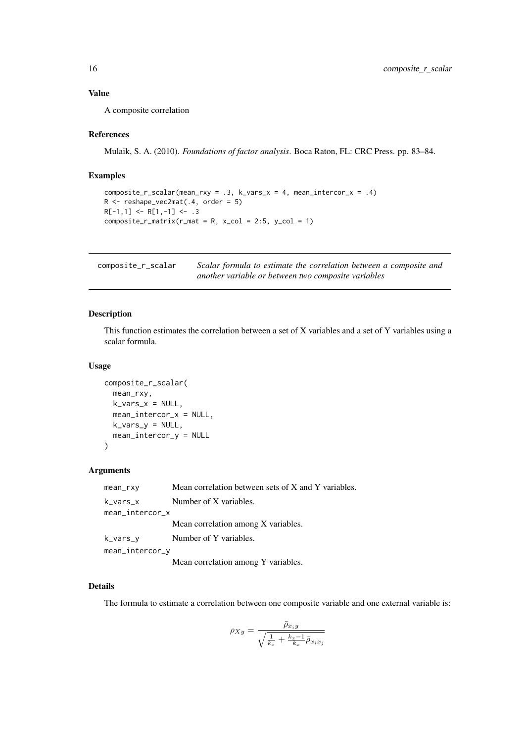#### <span id="page-15-0"></span>Value

A composite correlation

### References

Mulaik, S. A. (2010). *Foundations of factor analysis*. Boca Raton, FL: CRC Press. pp. 83–84.

#### Examples

```
composite_r_scalar(mean_rxy = .3, k_vars_x = 4, mean_intercor_x = .4)
R <- reshape_vec2mat(.4, order = 5)
R[-1,1] <- R[1,-1] <- .3
composite_r_matrix(r_matrix = R, x_col = 2:5, y_col = 1)
```
<span id="page-15-1"></span>composite\_r\_scalar *Scalar formula to estimate the correlation between a composite and another variable or between two composite variables*

### Description

This function estimates the correlation between a set of X variables and a set of Y variables using a scalar formula.

#### Usage

```
composite_r_scalar(
 mean_rxy,
 k vars x = NULL.
 mean_intercor_x = NULL,
 k_vars_y = NULL,mean_intercor_y = NULL
)
```
#### Arguments

| mean_rxy        | Mean correlation between sets of X and Y variables. |
|-----------------|-----------------------------------------------------|
| k_vars_x        | Number of X variables.                              |
| mean_intercor_x |                                                     |
|                 | Mean correlation among X variables.                 |
| k_vars_y        | Number of Y variables.                              |
| mean_intercor_y |                                                     |
|                 |                                                     |

Mean correlation among Y variables.

### Details

The formula to estimate a correlation between one composite variable and one external variable is:

$$
\rho_{Xy} = \frac{\bar{\rho}_{x_iy}}{\sqrt{\frac{1}{k_x} + \frac{k_x - 1}{k_x} \bar{\rho}_{x_i x_j}}}
$$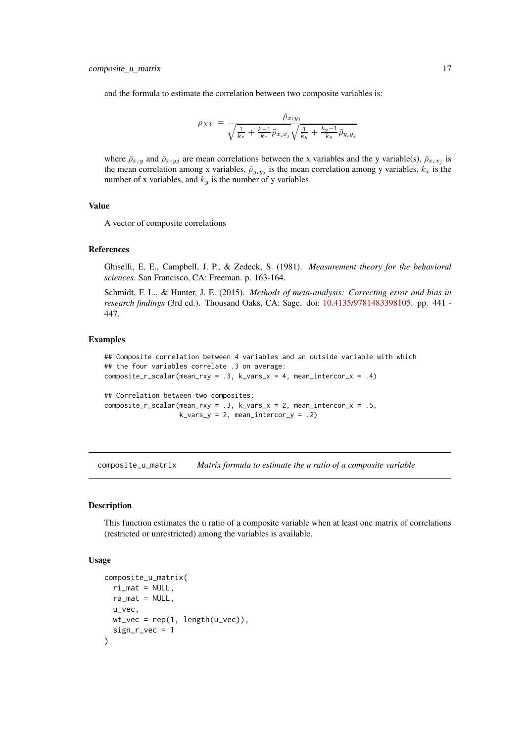<span id="page-16-0"></span>and the formula to estimate the correlation between two composite variables is:

$$
\rho_{XY} = \frac{\bar{\rho}_{x_i y_j}}{\sqrt{\frac{1}{k_x} + \frac{k-1}{k_x} \bar{\rho}_{x_i x_j}} \sqrt{\frac{1}{k_y} + \frac{k_y - 1}{k_y} \bar{\rho}_{y_i y_j}}}
$$

where  $\bar{\rho}_{x_iy}$  and  $\bar{\rho}_{x_iy_j}$  are mean correlations between the x variables and the y variable(s),  $\bar{\rho}_{x_ix_j}$  is the mean correlation among x variables,  $\bar{\rho}_{y_i y_j}$  is the mean correlation among y variables,  $k_x$  is the number of x variables, and  $k_y$  is the number of y variables.

### Value

A vector of composite correlations

#### References

Ghiselli, E. E., Campbell, J. P., & Zedeck, S. (1981). *Measurement theory for the behavioral sciences*. San Francisco, CA: Freeman. p. 163-164.

Schmidt, F. L., & Hunter, J. E. (2015). *Methods of meta-analysis: Correcting error and bias in research findings* (3rd ed.). Thousand Oaks, CA: Sage. doi: [10.4135/9781483398105.](https://doi.org/10.4135/9781483398105) pp. 441 - 447.

#### Examples

```
## Composite correlation between 4 variables and an outside variable with which
## the four variables correlate .3 on average:
composite_r_scalar(mean_rxy = .3, k_vars_x = 4, mean_intercor_x = .4)
## Correlation between two composites:
composite_r_scalar(mean_rxy = .3, k_vars_x = 2, mean_intercor_x = .5,
```
composite\_u\_matrix *Matrix formula to estimate the u ratio of a composite variable*

 $k_vars_y = 2$ , mean\_intercor\_y = .2)

### Description

This function estimates the u ratio of a composite variable when at least one matrix of correlations (restricted or unrestricted) among the variables is available.

### Usage

```
composite_u_matrix(
  ri\_mat = NULL,ra\_mat = NULL,u_vec,
  wt\_vec = rep(1, length(u\_vec)),sign_r\_vec = 1)
```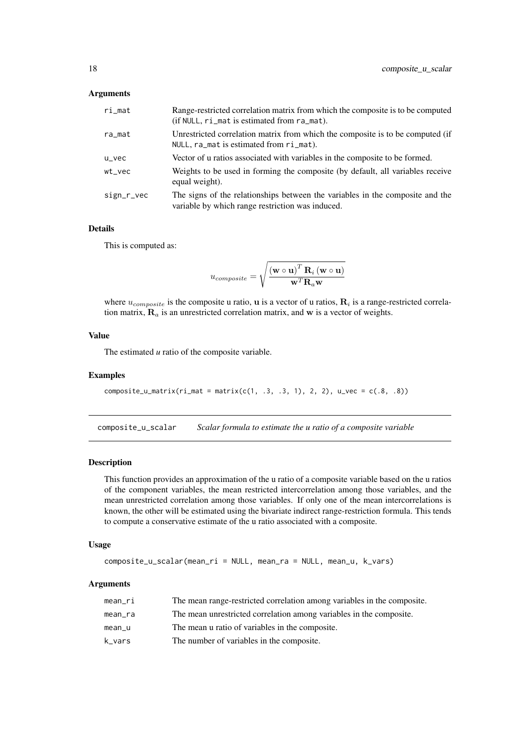#### <span id="page-17-0"></span>Arguments

| ri_mat     | Range-restricted correlation matrix from which the composite is to be computed<br>(if NULL, ri_mat is estimated from ra_mat).     |
|------------|-----------------------------------------------------------------------------------------------------------------------------------|
| ra_mat     | Unrestricted correlation matrix from which the composite is to be computed (if<br>$NULL, r a$ mat is estimated from $ri$ mat).    |
| u_vec      | Vector of u ratios associated with variables in the composite to be formed.                                                       |
| wt_vec     | Weights to be used in forming the composite (by default, all variables receive<br>equal weight).                                  |
| sign_r_vec | The signs of the relationships between the variables in the composite and the<br>variable by which range restriction was induced. |

### Details

This is computed as:

$$
u_{composite} = \sqrt {{{\left( {\mathbf{w} \circ \mathbf{u}} \right)}^T}\mathbf{R}_i \left( {\mathbf{w} \circ \mathbf{u}} \right)} \over {\mathbf{w}^T\mathbf{R}_a \mathbf{w}}}
$$

where  $u_{composite}$  is the composite u ratio, u is a vector of u ratios,  $\mathbf{R}_i$  is a range-restricted correlation matrix,  $\mathbf{R}_a$  is an unrestricted correlation matrix, and w is a vector of weights.

#### Value

The estimated *u* ratio of the composite variable.

#### Examples

```
composite_u_matrix(ri_mat = matrix(c(1, .3, .3, 1), 2, 2), u_vec = c(.8, .8))
```
composite\_u\_scalar *Scalar formula to estimate the u ratio of a composite variable*

#### Description

This function provides an approximation of the u ratio of a composite variable based on the u ratios of the component variables, the mean restricted intercorrelation among those variables, and the mean unrestricted correlation among those variables. If only one of the mean intercorrelations is known, the other will be estimated using the bivariate indirect range-restriction formula. This tends to compute a conservative estimate of the u ratio associated with a composite.

### Usage

```
composite_u_scalar(mean_ri = NULL, mean_ra = NULL, mean_u, k_vars)
```

| mean_ri | The mean range-restricted correlation among variables in the composite. |
|---------|-------------------------------------------------------------------------|
| mean_ra | The mean unrestricted correlation among variables in the composite.     |
| mean_u  | The mean u ratio of variables in the composite.                         |
| k vars  | The number of variables in the composite.                               |
|         |                                                                         |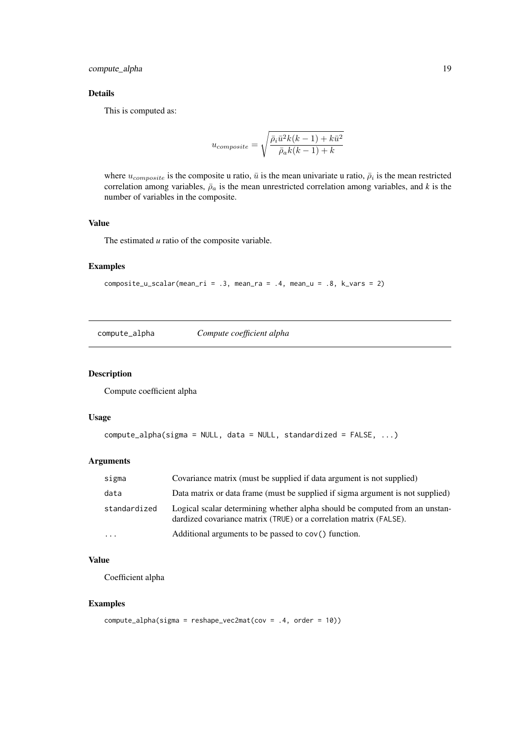### <span id="page-18-0"></span>Details

This is computed as:

$$
u_{composite} = \sqrt{\frac{\bar{\rho}_i \bar{u}^2 k(k-1) + k \bar{u}^2}{\bar{\rho}_a k(k-1) + k}}
$$

where  $u_{composite}$  is the composite u ratio,  $\bar{u}$  is the mean univariate u ratio,  $\bar{\rho}_i$  is the mean restricted correlation among variables,  $\bar{\rho}_a$  is the mean unrestricted correlation among variables, and *k* is the number of variables in the composite.

### Value

The estimated *u* ratio of the composite variable.

### Examples

```
composite_u_scalar(mean_ri = .3, mean_ra = .4, mean_u = .8, k_vars = 2)
```
compute\_alpha *Compute coefficient alpha*

### Description

Compute coefficient alpha

#### Usage

```
compute_alpha(sigma = NULL, data = NULL, standardized = FALSE, ...)
```
#### Arguments

| sigma        | Covariance matrix (must be supplied if data argument is not supplied)                                                                             |
|--------------|---------------------------------------------------------------------------------------------------------------------------------------------------|
| data         | Data matrix or data frame (must be supplied if sigma argument is not supplied)                                                                    |
| standardized | Logical scalar determining whether alpha should be computed from an unstan-<br>dardized covariance matrix (TRUE) or a correlation matrix (FALSE). |
| $\cdots$     | Additional arguments to be passed to cov() function.                                                                                              |

### Value

Coefficient alpha

### Examples

```
compute_alpha(sigma = reshape_vec2mat(cov = .4, order = 10))
```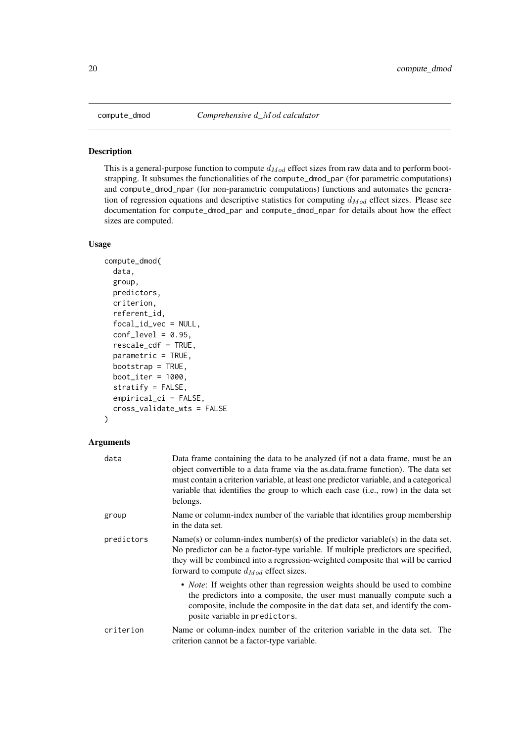#### Description

This is a general-purpose function to compute  $d_{Mod}$  effect sizes from raw data and to perform bootstrapping. It subsumes the functionalities of the compute\_dmod\_par (for parametric computations) and compute\_dmod\_npar (for non-parametric computations) functions and automates the generation of regression equations and descriptive statistics for computing  $d_{Mod}$  effect sizes. Please see documentation for compute\_dmod\_par and compute\_dmod\_npar for details about how the effect sizes are computed.

### Usage

```
compute_dmod(
  data,
  group,
  predictors,
  criterion,
  referent_id,
  focal_id_vec = NULL,
  conf\_level = 0.95,
  rescale_cdf = TRUE,
  parametric = TRUE,
  bootstrap = TRUE,
  boot\_iter = 1000,stratify = FALSE,
  empirical_ci = FALSE,
  cross_validate_wts = FALSE
)
```

| data       | Data frame containing the data to be analyzed (if not a data frame, must be an<br>object convertible to a data frame via the as data frame function). The data set<br>must contain a criterion variable, at least one predictor variable, and a categorical<br>variable that identifies the group to which each case (i.e., row) in the data set<br>belongs. |
|------------|--------------------------------------------------------------------------------------------------------------------------------------------------------------------------------------------------------------------------------------------------------------------------------------------------------------------------------------------------------------|
| group      | Name or column-index number of the variable that identifies group membership<br>in the data set.                                                                                                                                                                                                                                                             |
| predictors | Name(s) or column-index number(s) of the predictor variable(s) in the data set.<br>No predictor can be a factor-type variable. If multiple predictors are specified,<br>they will be combined into a regression-weighted composite that will be carried<br>forward to compute $d_{Mod}$ effect sizes.                                                        |
|            | • <i>Note</i> : If weights other than regression weights should be used to combine<br>the predictors into a composite, the user must manually compute such a<br>composite, include the composite in the dat data set, and identify the com-<br>posite variable in predictors.                                                                                |
| criterion  | Name or column-index number of the criterion variable in the data set. The<br>criterion cannot be a factor-type variable.                                                                                                                                                                                                                                    |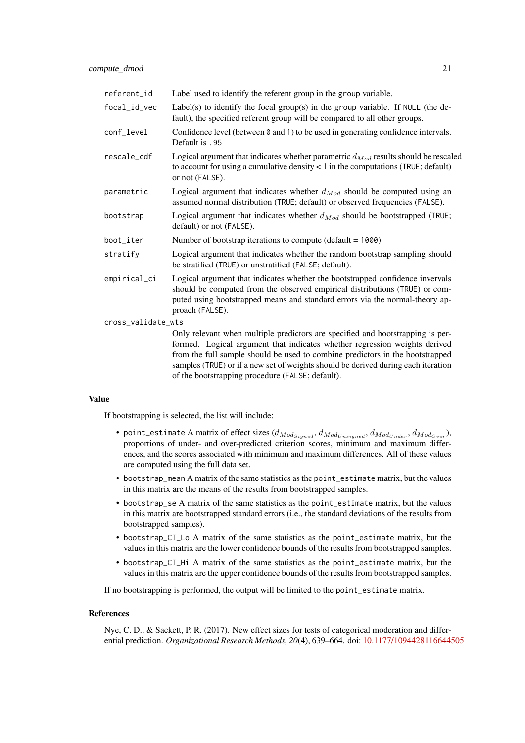| referent_id        | Label used to identify the referent group in the group variable.                                                                                                                                                                                                                                                                                                                       |  |
|--------------------|----------------------------------------------------------------------------------------------------------------------------------------------------------------------------------------------------------------------------------------------------------------------------------------------------------------------------------------------------------------------------------------|--|
| focal_id_vec       | Label(s) to identify the focal group(s) in the group variable. If NULL (the de-<br>fault), the specified referent group will be compared to all other groups.                                                                                                                                                                                                                          |  |
| conf_level         | Confidence level (between $\theta$ and 1) to be used in generating confidence intervals.<br>Default is .95                                                                                                                                                                                                                                                                             |  |
| rescale_cdf        | Logical argument that indicates whether parametric $d_{Mod}$ results should be rescaled<br>to account for using a cumulative density $< 1$ in the computations (TRUE; default)<br>or not (FALSE).                                                                                                                                                                                      |  |
| parametric         | Logical argument that indicates whether $d_{Mod}$ should be computed using an<br>assumed normal distribution (TRUE; default) or observed frequencies (FALSE).                                                                                                                                                                                                                          |  |
| bootstrap          | Logical argument that indicates whether $d_{Mod}$ should be bootstrapped (TRUE;<br>default) or not (FALSE).                                                                                                                                                                                                                                                                            |  |
| boot_iter          | Number of bootstrap iterations to compute (default $= 1000$ ).                                                                                                                                                                                                                                                                                                                         |  |
| stratify           | Logical argument that indicates whether the random bootstrap sampling should<br>be stratified (TRUE) or unstratified (FALSE; default).                                                                                                                                                                                                                                                 |  |
| empirical_ci       | Logical argument that indicates whether the bootstrapped confidence invervals<br>should be computed from the observed empirical distributions (TRUE) or com-<br>puted using bootstrapped means and standard errors via the normal-theory ap-<br>proach (FALSE).                                                                                                                        |  |
| cross_validate_wts |                                                                                                                                                                                                                                                                                                                                                                                        |  |
|                    | Only relevant when multiple predictors are specified and bootstrapping is per-<br>formed. Logical argument that indicates whether regression weights derived<br>from the full sample should be used to combine predictors in the bootstrapped<br>samples (TRUE) or if a new set of weights should be derived during each iteration<br>of the bootstrapping procedure (FALSE; default). |  |

#### Value

If bootstrapping is selected, the list will include:

- point\_estimate A matrix of effect sizes  $(d_{Mod_{Signed}}, d_{Mod_{Unsigned}}, d_{Mod_{Under}}, d_{Mod_{Over}})$ , proportions of under- and over-predicted criterion scores, minimum and maximum differences, and the scores associated with minimum and maximum differences. All of these values are computed using the full data set.
- bootstrap\_mean A matrix of the same statistics as the point\_estimate matrix, but the values in this matrix are the means of the results from bootstrapped samples.
- bootstrap\_se A matrix of the same statistics as the point\_estimate matrix, but the values in this matrix are bootstrapped standard errors (i.e., the standard deviations of the results from bootstrapped samples).
- bootstrap CI Lo A matrix of the same statistics as the point estimate matrix, but the values in this matrix are the lower confidence bounds of the results from bootstrapped samples.
- bootstrap\_CI\_Hi A matrix of the same statistics as the point\_estimate matrix, but the values in this matrix are the upper confidence bounds of the results from bootstrapped samples.

If no bootstrapping is performed, the output will be limited to the point\_estimate matrix.

#### References

Nye, C. D., & Sackett, P. R. (2017). New effect sizes for tests of categorical moderation and differential prediction. *Organizational Research Methods, 20*(4), 639–664. doi: [10.1177/1094428116644505](https://doi.org/10.1177/1094428116644505)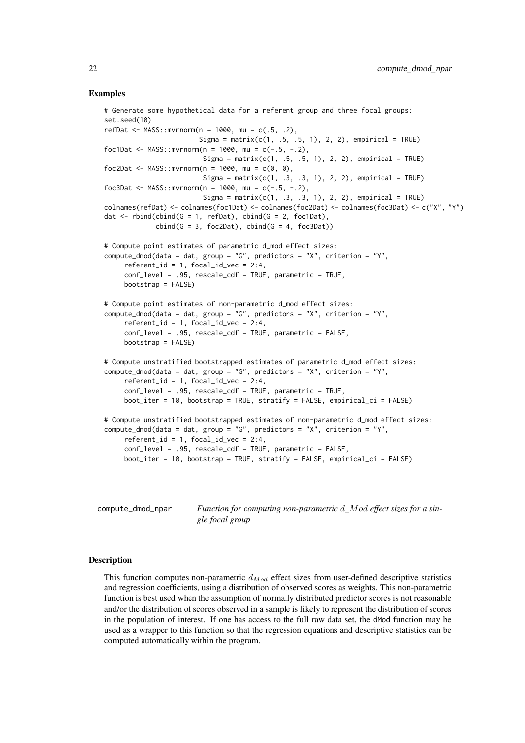#### Examples

```
# Generate some hypothetical data for a referent group and three focal groups:
set.seed(10)
refDat <- MASS::mvrnorm(n = 1000, \text{mu} = c(.5, .2),Sigma = matrix(c(1, .5, .5, 1), 2, 2), empirical = TRUE)
foc1Dat <- MASS::mvrnorm(n = 1000, mu = c(-.5, -.2),
                         Sigma = matrix(c(1, .5, .5, 1), 2, 2), empirical = TRUE)
foc2Dat <- MASS::mvrnorm(n = 1000, mu = c(0, 0),
                         Sigma = matrix(c(1, .3, .3, 1), 2, 2), empirical = TRUE)
foc3Dat <- MASS::mvrnorm(n = 1000, mu = c(-.5, -.2),
                         Sigma = matrix(c(1, .3, .3, 1), 2, 2), empirical = TRUE)
colnames(refDat) <- colnames(foc1Dat) <- colnames(foc2Dat) <- colnames(foc3Dat) <- c("X", "Y")
dat \le rbind(cbind(G = 1, refDat), cbind(G = 2, foc1Dat),
             cbind(G = 3, foc2Dat), cbind(G = 4, foc3Dat))# Compute point estimates of parametric d_mod effect sizes:
compute_dmod(data = dat, group = "G", predictors = "X", criterion = "Y",
     referent_id = 1, focal_id\_vec = 2:4,
     conf_level = .95, rescale_cdf = TRUE, parametric = TRUE,
    bootstrap = FALSE)
# Compute point estimates of non-parametric d_mod effect sizes:
compute_dmod(data = dat, group = "G", predictors = "X", criterion = "Y",
     referent_id = 1, focal_id\_vec = 2:4,
     conf_level = .95, rescale_cdf = TRUE, parametric = FALSE,
    bootstrap = FALSE)
# Compute unstratified bootstrapped estimates of parametric d_mod effect sizes:
compute_dmod(data = dat, group = "G", predictors = "X", criterion = "Y",
     referent_id = 1, focal_id\_vec = 2:4,
     conf_level = .95, rescale_cdf = TRUE, parametric = TRUE,
     boot_iter = 10, bootstrap = TRUE, stratify = FALSE, empirical_ci = FALSE)
# Compute unstratified bootstrapped estimates of non-parametric d_mod effect sizes:
compute_dmod(data = dat, group = "G", predictors = "X", criterion = "Y",
     referent_id = 1, focal_id\_vec = 2:4,
     conf_level = .95, rescale_cdf = TRUE, parametric = FALSE,
    boot_iter = 10, bootstrap = TRUE, stratify = FALSE, empirical_ci = FALSE)
```
compute\_dmod\_npar *Function for computing non-parametric* d*\_*Mod *effect sizes for a single focal group*

### **Description**

This function computes non-parametric  $d_{Mod}$  effect sizes from user-defined descriptive statistics and regression coefficients, using a distribution of observed scores as weights. This non-parametric function is best used when the assumption of normally distributed predictor scores is not reasonable and/or the distribution of scores observed in a sample is likely to represent the distribution of scores in the population of interest. If one has access to the full raw data set, the dMod function may be used as a wrapper to this function so that the regression equations and descriptive statistics can be computed automatically within the program.

<span id="page-21-0"></span>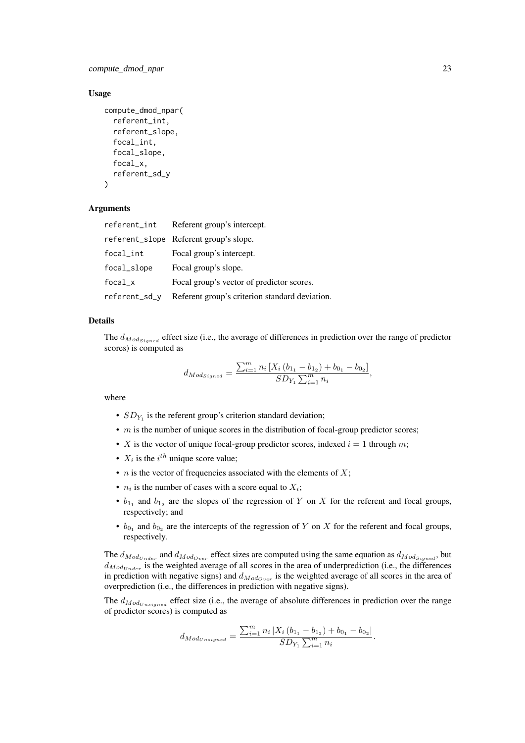compute\_dmod\_npar 23

#### Usage

```
compute_dmod_npar(
  referent_int,
  referent_slope,
  focal_int,
  focal_slope,
  focal_x,
  referent_sd_y
)
```
#### Arguments

| referent_int            | Referent group's intercept.                    |
|-------------------------|------------------------------------------------|
|                         | referent_slope Referent group's slope.         |
| $focal$ <sub>_int</sub> | Focal group's intercept.                       |
| focal_slope             | Focal group's slope.                           |
| $focal_x$               | Focal group's vector of predictor scores.      |
| referent_sd_y           | Referent group's criterion standard deviation. |

### Details

The  $d_{Mod_{Signed}}$  effect size (i.e., the average of differences in prediction over the range of predictor scores) is computed as

$$
d_{Modsigned} = \frac{\sum_{i=1}^{m} n_i \left[ X_i \left( b_{1_1} - b_{1_2} \right) + b_{0_1} - b_{0_2} \right]}{SD_{Y_1} \sum_{i=1}^{m} n_i},
$$

where

- $SD_{Y_1}$  is the referent group's criterion standard deviation;
- $\bullet$  m is the number of unique scores in the distribution of focal-group predictor scores;
- X is the vector of unique focal-group predictor scores, indexed  $i = 1$  through m;
- $X_i$  is the  $i^{th}$  unique score value;
- *n* is the vector of frequencies associated with the elements of  $X$ ;
- $n_i$  is the number of cases with a score equal to  $X_i$ ;
- $b_{1_1}$  and  $b_{1_2}$  are the slopes of the regression of Y on X for the referent and focal groups, respectively; and
- $b_{0_1}$  and  $b_{0_2}$  are the intercepts of the regression of Y on X for the referent and focal groups, respectively.

The  $d_{Mod_{Under}}$  and  $d_{Mod_{Over}}$  effect sizes are computed using the same equation as  $d_{Mod_{Single}}$ , but  $d_{Mod_{Under}}$  is the weighted average of all scores in the area of underprediction (i.e., the differences in prediction with negative signs) and  $d_{Mod_{Over}}$  is the weighted average of all scores in the area of overprediction (i.e., the differences in prediction with negative signs).

The  $d_{ModUnsigned}$  effect size (i.e., the average of absolute differences in prediction over the range of predictor scores) is computed as

$$
d_{Mod_{Unsigned}} = \frac{\sum_{i=1}^{m} n_i |X_i (b_{1_1} - b_{1_2}) + b_{0_1} - b_{0_2}|}{SD_{Y_1} \sum_{i=1}^{m} n_i}.
$$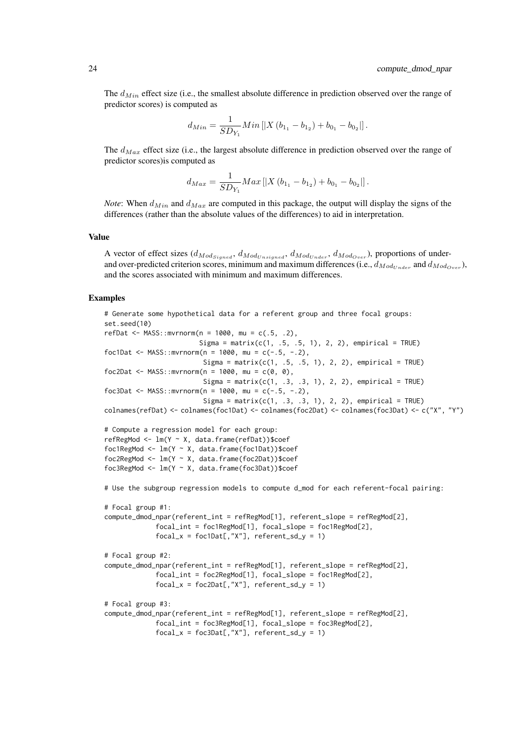The  $d_{Min}$  effect size (i.e., the smallest absolute difference in prediction observed over the range of predictor scores) is computed as

$$
d_{Min} = \frac{1}{SD_{Y_1}} Min\left[|X(b_{1_1} - b_{1_2}) + b_{0_1} - b_{0_2}|\right].
$$

The  $d_{Max}$  effect size (i.e., the largest absolute difference in prediction observed over the range of predictor scores)is computed as

$$
d_{Max} = \frac{1}{SD_{Y_1}} Max \left[ |X (b_{1_1} - b_{1_2}) + b_{0_1} - b_{0_2}| \right].
$$

*Note*: When  $d_{Min}$  and  $d_{Max}$  are computed in this package, the output will display the signs of the differences (rather than the absolute values of the differences) to aid in interpretation.

#### Value

A vector of effect sizes  $(d_{ModSigned}, d_{ModUnsigned}, d_{ModUnder}, d_{ModUver})$ , proportions of underand over-predicted criterion scores, minimum and maximum differences (i.e.,  $d_{Mod_{Under}}$  and  $d_{Mod_{Over}}$ ), and the scores associated with minimum and maximum differences.

#### Examples

```
# Generate some hypothetical data for a referent group and three focal groups:
set.seed(10)
refDat <- MASS::mvrnorm(n = 1000, mu = c(.5, .2),
                        Sigma = matrix(c(1, .5, .5, 1), 2, 2), empirical = TRUE)
foc1Dat <- MASS::mvrnorm(n = 1000, mu = c(-.5, -.2),
                         Sigma = matrix(c(1, .5, .5, 1), 2, 2), empirical = TRUE)
foc2Dat <- MASS::mvrnorm(n = 1000, mu = c(0, 0),
                         Sigma = matrix(c(1, .3, .3, 1), 2, 2), empirical = TRUE)
foc3Dat <- MASS::mvrnorm(n = 1000, mu = c(-.5, -.2),
                         Sigma = matrix(c(1, .3, .3, 1), 2, 2), empirical = TRUE)
colnames(refDat) <- colnames(foc1Dat) <- colnames(foc2Dat) <- colnames(foc3Dat) <- c("X", "Y")
# Compute a regression model for each group:
refRegMod <- lm(Y ~ X, data.frame(refDat))$coef
foc1RegMod <- lm(Y ~ X, data.frame(foc1Dat))$coef
foc2RegMod <- lm(Y ~ X, data.frame(foc2Dat))$coef
foc3RegMod <- lm(Y ~ X, data.frame(foc3Dat))$coef
# Use the subgroup regression models to compute d_mod for each referent-focal pairing:
# Focal group #1:
compute_dmod_npar(referent_int = refRegMod[1], referent_slope = refRegMod[2],
             focal_int = foc1RegMod[1], focal_slope = foc1RegMod[2],
             focal_x = foc1Dat[, "X"], referent_sd_y = 1)
# Focal group #2:
compute_dmod_npar(referent_int = refRegMod[1], referent_slope = refRegMod[2],
             focal_int = foc2RegMod[1], focal_slope = foc1RegMod[2],
             focal_x = foc2Dat[, "X"], referent_sd_y = 1)
# Focal group #3:
compute_dmod_npar(referent_int = refRegMod[1], referent_slope = refRegMod[2],
             focal_int = foc3RegMod[1], focal_slope = foc3RegMod[2],
             focal_x = foc3Dat[, "X"], referent_sd_y = 1)
```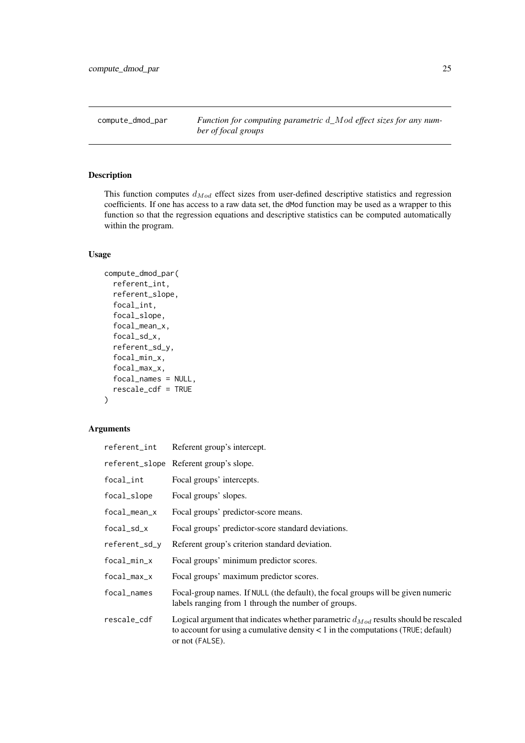<span id="page-24-0"></span>compute\_dmod\_par *Function for computing parametric* d*\_*Mod *effect sizes for any number of focal groups*

### Description

This function computes  $d_{Mod}$  effect sizes from user-defined descriptive statistics and regression coefficients. If one has access to a raw data set, the dMod function may be used as a wrapper to this function so that the regression equations and descriptive statistics can be computed automatically within the program.

### Usage

```
compute_dmod_par(
  referent_int,
  referent_slope,
  focal_int,
  focal_slope,
  focal_mean_x,
  focal_sd_x,
  referent_sd_y,
  focal_min_x,
  focal_max_x,
  focal_names = NULL,
  rescale_cdf = TRUE
)
```

|                | referent_int Referent group's intercept.                                                                                                                                                          |
|----------------|---------------------------------------------------------------------------------------------------------------------------------------------------------------------------------------------------|
|                | referent_slope Referent group's slope.                                                                                                                                                            |
| focal_int      | Focal groups' intercepts.                                                                                                                                                                         |
| focal_slope    | Focal groups' slopes.                                                                                                                                                                             |
| focal_mean_x   | Focal groups' predictor-score means.                                                                                                                                                              |
| focal_sd_x     | Focal groups' predictor-score standard deviations.                                                                                                                                                |
| referent_sd_y  | Referent group's criterion standard deviation.                                                                                                                                                    |
| $focal\_min_x$ | Focal groups' minimum predictor scores.                                                                                                                                                           |
| focal_max_x    | Focal groups' maximum predictor scores.                                                                                                                                                           |
| focal_names    | Focal-group names. If NULL (the default), the focal groups will be given numeric<br>labels ranging from 1 through the number of groups.                                                           |
| rescale_cdf    | Logical argument that indicates whether parametric $d_{Mod}$ results should be rescaled<br>to account for using a cumulative density $< 1$ in the computations (TRUE; default)<br>or not (FALSE). |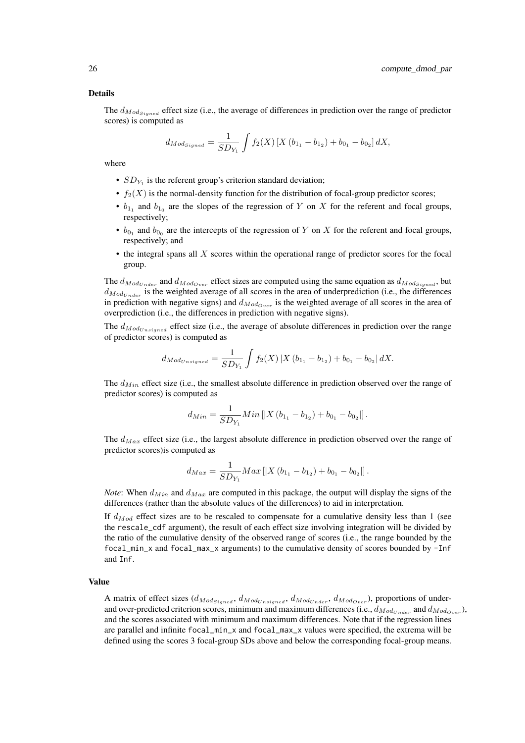#### Details

The  $d_{Mod_{Sined}}$  effect size (i.e., the average of differences in prediction over the range of predictor scores) is computed as

$$
d_{Mod_{Signed}} = \frac{1}{SD_{Y_1}} \int f_2(X) \left[ X \left( b_{1_1} - b_{1_2} \right) + b_{0_1} - b_{0_2} \right] dX,
$$

where

- $SD_{Y_1}$  is the referent group's criterion standard deviation;
- $f_2(X)$  is the normal-density function for the distribution of focal-group predictor scores;
- $b_{1_1}$  and  $b_{1_0}$  are the slopes of the regression of Y on X for the referent and focal groups, respectively;
- $b_{0_1}$  and  $b_{0_0}$  are the intercepts of the regression of Y on X for the referent and focal groups, respectively; and
- $\bullet$  the integral spans all X scores within the operational range of predictor scores for the focal group.

The  $d_{ModUnder}$  and  $d_{ModOver}$  effect sizes are computed using the same equation as  $d_{ModSingle}$ , but  $d_{Mod <sub>under</sub>}$  is the weighted average of all scores in the area of underprediction (i.e., the differences in prediction with negative signs) and  $d_{Mod_{Over}}$  is the weighted average of all scores in the area of overprediction (i.e., the differences in prediction with negative signs).

The  $d_{Mod_{Unsigned}}$  effect size (i.e., the average of absolute differences in prediction over the range of predictor scores) is computed as

$$
d_{Mod_{Unsigned}} = \frac{1}{SD_{Y_1}} \int f_2(X) \left| X(b_{1_1} - b_{1_2}) + b_{0_1} - b_{0_2} \right| dX.
$$

The  $d_{Min}$  effect size (i.e., the smallest absolute difference in prediction observed over the range of predictor scores) is computed as

$$
d_{Min} = \frac{1}{SD_{Y_1}} Min\left[|X(b_{1_1} - b_{1_2}) + b_{0_1} - b_{0_2}|\right].
$$

The  $d_{Max}$  effect size (i.e., the largest absolute difference in prediction observed over the range of predictor scores)is computed as

$$
d_{Max} = \frac{1}{SD_{Y_1}} Max \left[ |X (b_{1_1} - b_{1_2}) + b_{0_1} - b_{0_2}| \right].
$$

*Note*: When  $d_{Min}$  and  $d_{Max}$  are computed in this package, the output will display the signs of the differences (rather than the absolute values of the differences) to aid in interpretation.

If  $d_{Mod}$  effect sizes are to be rescaled to compensate for a cumulative density less than 1 (see the rescale cdf argument), the result of each effect size involving integration will be divided by the ratio of the cumulative density of the observed range of scores (i.e., the range bounded by the focal\_min\_x and focal\_max\_x arguments) to the cumulative density of scores bounded by -Inf and Inf.

#### Value

A matrix of effect sizes  $(d_{ModSigned}, d_{Mod_{Unsigned}}, d_{Mod_{Under}}, d_{Mod_{Over}})$ , proportions of underand over-predicted criterion scores, minimum and maximum differences (i.e.,  $d_{Mod_{Under}}$  and  $d_{Mod_{Over}}$ ), and the scores associated with minimum and maximum differences. Note that if the regression lines are parallel and infinite focal\_min\_x and focal\_max\_x values were specified, the extrema will be defined using the scores 3 focal-group SDs above and below the corresponding focal-group means.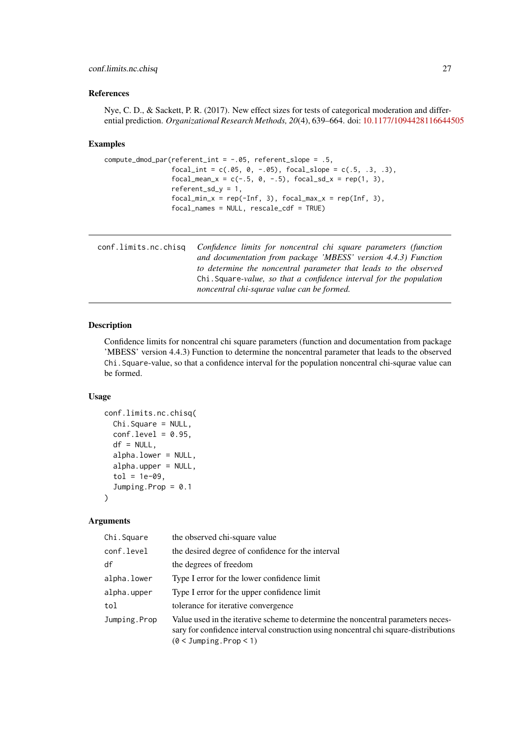#### <span id="page-26-0"></span>conf.limits.nc.chisq 27

#### References

Nye, C. D., & Sackett, P. R. (2017). New effect sizes for tests of categorical moderation and differential prediction. *Organizational Research Methods, 20*(4), 639–664. doi: [10.1177/1094428116644505](https://doi.org/10.1177/1094428116644505)

### Examples

```
compute_dmod_par(referent_int = -.05, referent_slope = .5,
                 focal(int = c(.05, 0, -.05), focal_slope = c(.5, .3, .3),focal_mean_x = c(-.5, 0, -.5), focal_sdx = rep(1, 3),referent_s d_y = 1,
                 focal\_min_x = rep(-Inf, 3), focal\_max_x = rep(Inf, 3),focal_names = NULL, rescale_cdf = TRUE)
```
conf.limits.nc.chisq *Confidence limits for noncentral chi square parameters (function and documentation from package 'MBESS' version 4.4.3) Function to determine the noncentral parameter that leads to the observed* Chi.Square*-value, so that a confidence interval for the population noncentral chi-squrae value can be formed.*

### Description

Confidence limits for noncentral chi square parameters (function and documentation from package 'MBESS' version 4.4.3) Function to determine the noncentral parameter that leads to the observed Chi.Square-value, so that a confidence interval for the population noncentral chi-squrae value can be formed.

#### Usage

```
conf.limits.nc.chisq(
  Chi.Square = NULL,
  conf. level = 0.95,
  df = NULL,alpha.lower = NULL,
  alpha.upper = NULL,
  tol = 1e-09,Jumping.Prop = 0.1
\lambda
```

| Chi.Square   | the observed chi-square value                                                                                                                                                                        |
|--------------|------------------------------------------------------------------------------------------------------------------------------------------------------------------------------------------------------|
| conf.level   | the desired degree of confidence for the interval                                                                                                                                                    |
| df           | the degrees of freedom                                                                                                                                                                               |
| alpha.lower  | Type I error for the lower confidence limit                                                                                                                                                          |
| alpha.upper  | Type I error for the upper confidence limit                                                                                                                                                          |
| tol          | tolerance for iterative convergence                                                                                                                                                                  |
| Jumping.Prop | Value used in the iterative scheme to determine the noncentral parameters neces-<br>sary for confidence interval construction using noncentral chi square-distributions<br>$(0 < J$ umping.Prop < 1) |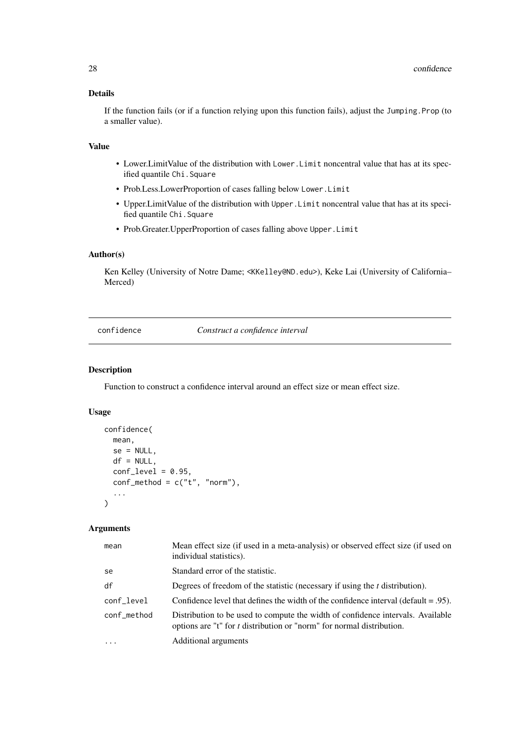### Details

If the function fails (or if a function relying upon this function fails), adjust the Jumping.Prop (to a smaller value).

### Value

- Lower.LimitValue of the distribution with Lower.Limit noncentral value that has at its specified quantile Chi.Square
- Prob.Less.LowerProportion of cases falling below Lower.Limit
- Upper.LimitValue of the distribution with Upper.Limit noncentral value that has at its specified quantile Chi.Square
- Prob.Greater.UpperProportion of cases falling above Upper.Limit

#### Author(s)

Ken Kelley (University of Notre Dame; <KKelley@ND.edu>), Keke Lai (University of California– Merced)

confidence *Construct a confidence interval*

#### Description

Function to construct a confidence interval around an effect size or mean effect size.

### Usage

```
confidence(
  mean,
  se = NULL,
  df = NULL,
  conf\_level = 0.95,
  conf\_method = c("t", "norm"),
   ...
)
```

| mean              | Mean effect size (if used in a meta-analysis) or observed effect size (if used on<br>individual statistics).                                             |
|-------------------|----------------------------------------------------------------------------------------------------------------------------------------------------------|
| se                | Standard error of the statistic.                                                                                                                         |
| df                | Degrees of freedom of the statistic (necessary if using the $t$ distribution).                                                                           |
| conf_level        | Confidence level that defines the width of the confidence interval (default $= .95$ ).                                                                   |
| conf_method       | Distribution to be used to compute the width of confidence intervals. Available<br>options are "t" for t distribution or "norm" for normal distribution. |
| $\cdot\cdot\cdot$ | Additional arguments                                                                                                                                     |

<span id="page-27-0"></span>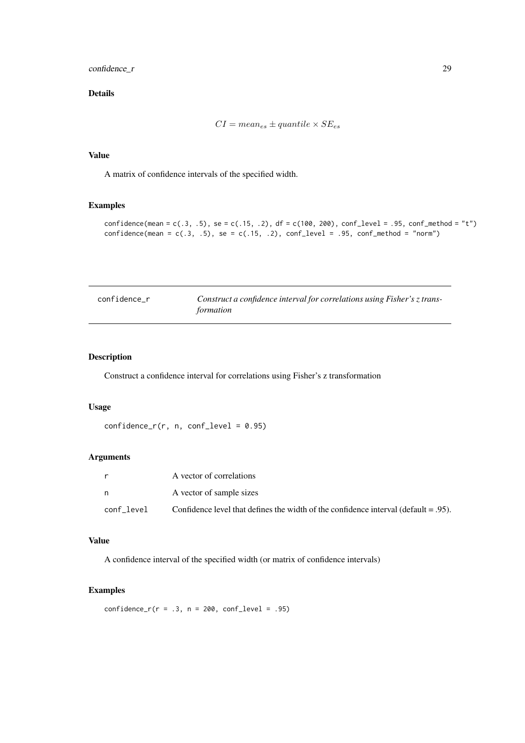#### <span id="page-28-0"></span>confidence\_r 29

### Details

$$
CI = mean_{es} \pm quantile \times SE_{es}
$$

#### Value

A matrix of confidence intervals of the specified width.

### Examples

```
confidence(mean = c(.3, .5), se = c(.15, .2), df = c(100, 200), conf_level = .95, conf_method = "t")
confidence(\text{mean} = c(.3, .5), \text{ se} = c(.15, .2), \text{conf\_level} = .95, \text{conf\_method} = "norm")
```

| confidence r | Construct a confidence interval for correlations using Fisher's z trans- |
|--------------|--------------------------------------------------------------------------|
|              | formation                                                                |

### Description

Construct a confidence interval for correlations using Fisher's z transformation

### Usage

```
confidence_r(r, n, conf\_level = 0.95)
```
### Arguments

| r.         | A vector of correlations                                                               |
|------------|----------------------------------------------------------------------------------------|
| n.         | A vector of sample sizes                                                               |
| conf level | Confidence level that defines the width of the confidence interval (default $= .95$ ). |

### Value

A confidence interval of the specified width (or matrix of confidence intervals)

### Examples

 $confidence_r(r = .3, n = 200, conf\_level = .95)$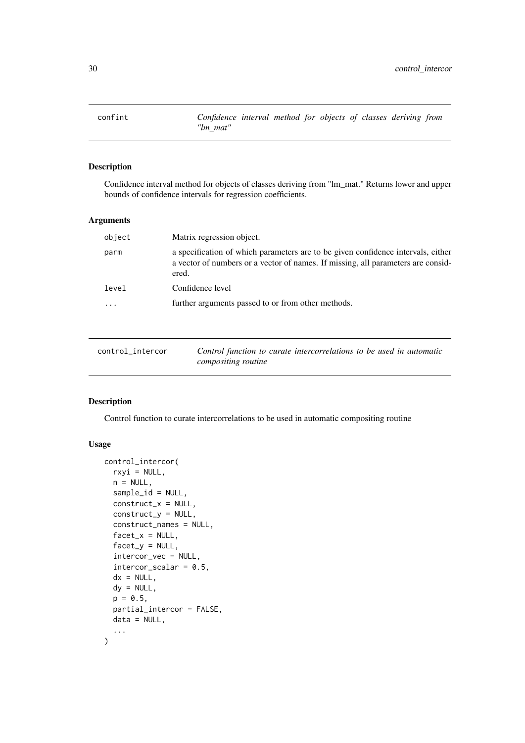<span id="page-29-0"></span>

### Description

Confidence interval method for objects of classes deriving from "lm\_mat." Returns lower and upper bounds of confidence intervals for regression coefficients.

### Arguments

| object | Matrix regression object.                                                                                                                                                     |
|--------|-------------------------------------------------------------------------------------------------------------------------------------------------------------------------------|
| parm   | a specification of which parameters are to be given confidence intervals, either<br>a vector of numbers or a vector of names. If missing, all parameters are consid-<br>ered. |
| level  | Confidence level                                                                                                                                                              |
|        | further arguments passed to or from other methods.                                                                                                                            |

control\_intercor *Control function to curate intercorrelations to be used in automatic compositing routine*

### Description

Control function to curate intercorrelations to be used in automatic compositing routine

### Usage

```
control_intercor(
  rxyi = NULL,n = NULL,sample_id = NULL,
  construct_x = NULL,construct_y = NULL,
  construct_names = NULL,
  factor_x = NULL,factor_y = NULL,intercor_vec = NULL,
  intercor\_scalar = 0.5,
  dx = NULL,dy = NULL,p = 0.5,
  partial_intercor = FALSE,
  data = NULL,
  ...
)
```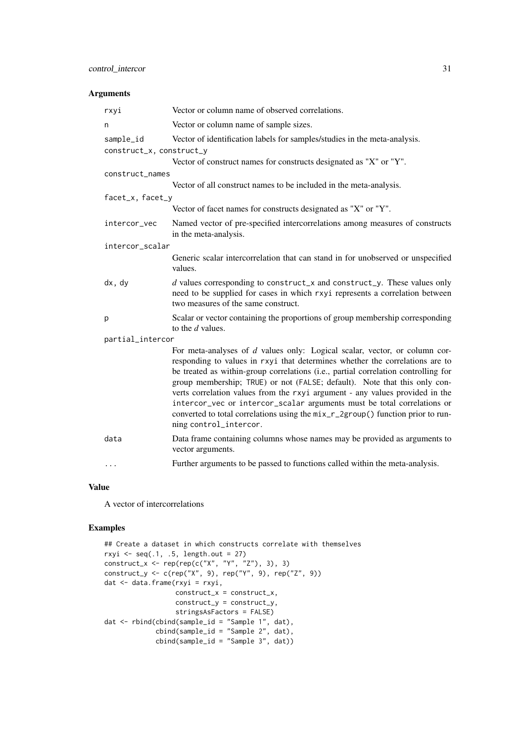### control\_intercor 31

### Arguments

| rxyi                     | Vector or column name of observed correlations.                                                                                                                                                                                                                                                                                                                                                                                                                                                                                                                                                       |
|--------------------------|-------------------------------------------------------------------------------------------------------------------------------------------------------------------------------------------------------------------------------------------------------------------------------------------------------------------------------------------------------------------------------------------------------------------------------------------------------------------------------------------------------------------------------------------------------------------------------------------------------|
| n                        | Vector or column name of sample sizes.                                                                                                                                                                                                                                                                                                                                                                                                                                                                                                                                                                |
| sample_id                | Vector of identification labels for samples/studies in the meta-analysis.                                                                                                                                                                                                                                                                                                                                                                                                                                                                                                                             |
| construct_x, construct_y |                                                                                                                                                                                                                                                                                                                                                                                                                                                                                                                                                                                                       |
|                          | Vector of construct names for constructs designated as "X" or "Y".                                                                                                                                                                                                                                                                                                                                                                                                                                                                                                                                    |
| construct_names          |                                                                                                                                                                                                                                                                                                                                                                                                                                                                                                                                                                                                       |
|                          | Vector of all construct names to be included in the meta-analysis.                                                                                                                                                                                                                                                                                                                                                                                                                                                                                                                                    |
| facet_x, facet_y         |                                                                                                                                                                                                                                                                                                                                                                                                                                                                                                                                                                                                       |
|                          | Vector of facet names for constructs designated as "X" or "Y".                                                                                                                                                                                                                                                                                                                                                                                                                                                                                                                                        |
| intercor_vec             | Named vector of pre-specified intercorrelations among measures of constructs<br>in the meta-analysis.                                                                                                                                                                                                                                                                                                                                                                                                                                                                                                 |
| intercor_scalar          |                                                                                                                                                                                                                                                                                                                                                                                                                                                                                                                                                                                                       |
|                          | Generic scalar intercorrelation that can stand in for unobserved or unspecified<br>values.                                                                                                                                                                                                                                                                                                                                                                                                                                                                                                            |
| dx, dy                   | $d$ values corresponding to construct_x and construct_y. These values only<br>need to be supplied for cases in which rxyi represents a correlation between<br>two measures of the same construct.                                                                                                                                                                                                                                                                                                                                                                                                     |
| p                        | Scalar or vector containing the proportions of group membership corresponding<br>to the $d$ values.                                                                                                                                                                                                                                                                                                                                                                                                                                                                                                   |
| partial_intercor         |                                                                                                                                                                                                                                                                                                                                                                                                                                                                                                                                                                                                       |
|                          | For meta-analyses of d values only: Logical scalar, vector, or column cor-<br>responding to values in rxyi that determines whether the correlations are to<br>be treated as within-group correlations (i.e., partial correlation controlling for<br>group membership; TRUE) or not (FALSE; default). Note that this only con-<br>verts correlation values from the rxyi argument - any values provided in the<br>intercor_vec or intercor_scalar arguments must be total correlations or<br>converted to total correlations using the mix_r_2group() function prior to run-<br>ning control_intercor. |
| data                     | Data frame containing columns whose names may be provided as arguments to<br>vector arguments.                                                                                                                                                                                                                                                                                                                                                                                                                                                                                                        |
| $\cdots$                 | Further arguments to be passed to functions called within the meta-analysis.                                                                                                                                                                                                                                                                                                                                                                                                                                                                                                                          |
|                          |                                                                                                                                                                                                                                                                                                                                                                                                                                                                                                                                                                                                       |

### Value

A vector of intercorrelations

### Examples

```
## Create a dataset in which constructs correlate with themselves
rxyi \leq seq(.1, .5, length.out = 27)
construct_x <- rep(rep(c("X", "Y", "Z"), 3), 3)
construct_y <- c(rep("X", 9), rep("Y", 9), rep("Z", 9))
dat <- data.frame(rxyi = rxyi,
                  construct_x = construct_x,construct_y = construct_y,
                  stringsAsFactors = FALSE)
dat <- rbind(cbind(sample_id = "Sample 1", dat),
             cbind(sample_id = "Sample 2", dat),
             cbind(sample_id = "Sample 3", dat))
```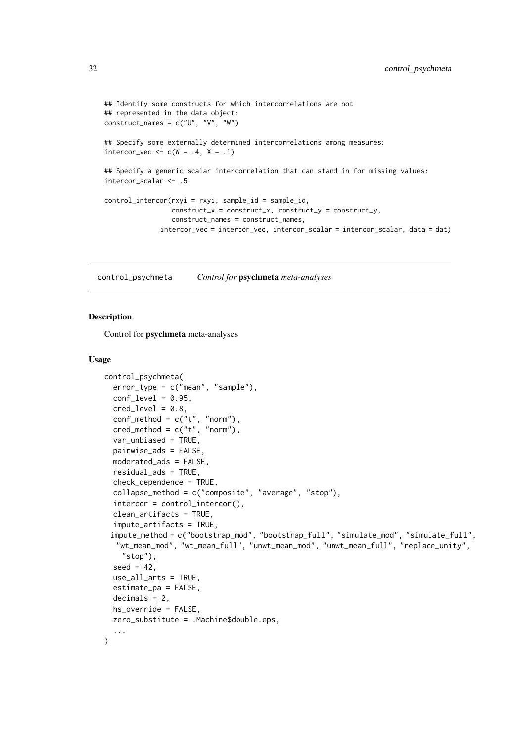```
## Identify some constructs for which intercorrelations are not
## represented in the data object:
construct_names = c("U", "V", "W")## Specify some externally determined intercorrelations among measures:
intercor\_vec \leftarrow c(W = .4, X = .1)## Specify a generic scalar intercorrelation that can stand in for missing values:
intercor_scalar <- .5
control_intercor(rxyi = rxyi, sample_id = sample_id,
                 construct_x = construct_x, construct_y = construct_y,construct_names = construct_names,
              intercor_vec = intercor_vec, intercor_scalar = intercor_scalar, data = dat)
```
control\_psychmeta *Control for* psychmeta *meta-analyses*

#### **Description**

Control for psychmeta meta-analyses

### Usage

```
control_psychmeta(
  error_type = c("mean", "sample"),
  conf\_level = 0.95,
  cred\_level = 0.8,
  conf\_method = c("t", "norm"),\text{cred\_method} = c("t", "norm"),var_unbiased = TRUE,
  pairwise_ads = FALSE,
  moderated_ads = FALSE,
  residual_ads = TRUE,
  check_dependence = TRUE,
  collapse_method = c("composite", "average", "stop"),
  intercor = control_intercor(),
  clean_artifacts = TRUE,
  impute_artifacts = TRUE,
 impute_method = c("bootstrap_mod", "bootstrap_full", "simulate_mod", "simulate_full",
  "wt_mean_mod", "wt_mean_full", "unwt_mean_mod", "unwt_mean_full", "replace_unity",
    "stop"),
  seed = 42,
  use_all_arts = TRUE,
  estimate_pa = FALSE,
  decimals = 2,
  hs_override = FALSE,
  zero_substitute = .Machine$double.eps,
  ...
)
```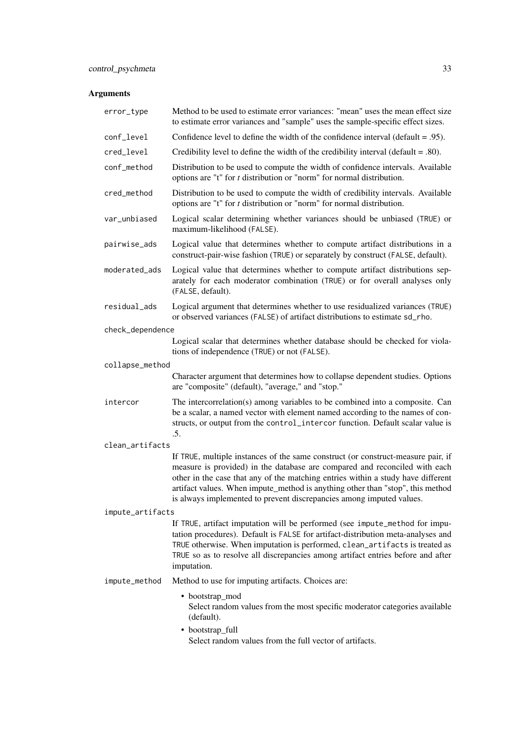| error_type       | Method to be used to estimate error variances: "mean" uses the mean effect size<br>to estimate error variances and "sample" uses the sample-specific effect sizes.                                                                                                                                                                                                                                           |
|------------------|--------------------------------------------------------------------------------------------------------------------------------------------------------------------------------------------------------------------------------------------------------------------------------------------------------------------------------------------------------------------------------------------------------------|
| conf_level       | Confidence level to define the width of the confidence interval ( $\delta$ = .95).                                                                                                                                                                                                                                                                                                                           |
| cred_level       | Credibility level to define the width of the credibility interval (default $= .80$ ).                                                                                                                                                                                                                                                                                                                        |
| conf_method      | Distribution to be used to compute the width of confidence intervals. Available<br>options are "t" for $t$ distribution or "norm" for normal distribution.                                                                                                                                                                                                                                                   |
| cred_method      | Distribution to be used to compute the width of credibility intervals. Available<br>options are "t" for $t$ distribution or "norm" for normal distribution.                                                                                                                                                                                                                                                  |
| var_unbiased     | Logical scalar determining whether variances should be unbiased (TRUE) or<br>maximum-likelihood (FALSE).                                                                                                                                                                                                                                                                                                     |
| pairwise_ads     | Logical value that determines whether to compute artifact distributions in a<br>construct-pair-wise fashion (TRUE) or separately by construct (FALSE, default).                                                                                                                                                                                                                                              |
| moderated_ads    | Logical value that determines whether to compute artifact distributions sep-<br>arately for each moderator combination (TRUE) or for overall analyses only<br>(FALSE, default).                                                                                                                                                                                                                              |
| residual_ads     | Logical argument that determines whether to use residualized variances (TRUE)<br>or observed variances (FALSE) of artifact distributions to estimate sd_rho.                                                                                                                                                                                                                                                 |
| check_dependence |                                                                                                                                                                                                                                                                                                                                                                                                              |
|                  | Logical scalar that determines whether database should be checked for viola-<br>tions of independence (TRUE) or not (FALSE).                                                                                                                                                                                                                                                                                 |
| collapse_method  |                                                                                                                                                                                                                                                                                                                                                                                                              |
|                  | Character argument that determines how to collapse dependent studies. Options<br>are "composite" (default), "average," and "stop."                                                                                                                                                                                                                                                                           |
| intercor         | The intercorrelation(s) among variables to be combined into a composite. Can<br>be a scalar, a named vector with element named according to the names of con-<br>structs, or output from the control_intercor function. Default scalar value is<br>.5.                                                                                                                                                       |
| clean_artifacts  |                                                                                                                                                                                                                                                                                                                                                                                                              |
|                  | If TRUE, multiple instances of the same construct (or construct-measure pair, if<br>measure is provided) in the database are compared and reconciled with each<br>other in the case that any of the matching entries within a study have different<br>artifact values. When impute_method is anything other than "stop", this method<br>is always implemented to prevent discrepancies among imputed values. |
| impute_artifacts |                                                                                                                                                                                                                                                                                                                                                                                                              |
|                  | If TRUE, artifact imputation will be performed (see impute_method for impu-<br>tation procedures). Default is FALSE for artifact-distribution meta-analyses and<br>TRUE otherwise. When imputation is performed, clean_artifacts is treated as<br>TRUE so as to resolve all discrepancies among artifact entries before and after<br>imputation.                                                             |
| impute_method    | Method to use for imputing artifacts. Choices are:                                                                                                                                                                                                                                                                                                                                                           |
|                  | • bootstrap_mod<br>Select random values from the most specific moderator categories available<br>(default).<br>• bootstrap_full                                                                                                                                                                                                                                                                              |
|                  | Select random values from the full vector of artifacts.                                                                                                                                                                                                                                                                                                                                                      |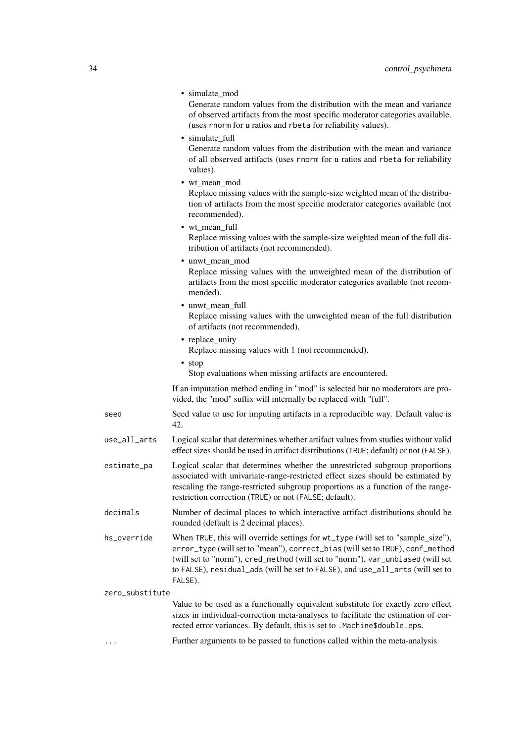|                 | • simulate_mod<br>Generate random values from the distribution with the mean and variance<br>of observed artifacts from the most specific moderator categories available.<br>(uses rnorm for u ratios and rbeta for reliability values).                                                                                                       |
|-----------------|------------------------------------------------------------------------------------------------------------------------------------------------------------------------------------------------------------------------------------------------------------------------------------------------------------------------------------------------|
|                 | • simulate_full<br>Generate random values from the distribution with the mean and variance<br>of all observed artifacts (uses rnorm for u ratios and rbeta for reliability<br>values).                                                                                                                                                         |
|                 | • wt mean mod<br>Replace missing values with the sample-size weighted mean of the distribu-<br>tion of artifacts from the most specific moderator categories available (not<br>recommended).                                                                                                                                                   |
|                 | • wt_mean_full<br>Replace missing values with the sample-size weighted mean of the full dis-<br>tribution of artifacts (not recommended).                                                                                                                                                                                                      |
|                 | · unwt_mean_mod<br>Replace missing values with the unweighted mean of the distribution of<br>artifacts from the most specific moderator categories available (not recom-<br>mended).                                                                                                                                                           |
|                 | • unwt_mean_full<br>Replace missing values with the unweighted mean of the full distribution<br>of artifacts (not recommended).                                                                                                                                                                                                                |
|                 | • replace_unity<br>Replace missing values with 1 (not recommended).                                                                                                                                                                                                                                                                            |
|                 | • stop<br>Stop evaluations when missing artifacts are encountered.                                                                                                                                                                                                                                                                             |
|                 | If an imputation method ending in "mod" is selected but no moderators are pro-<br>vided, the "mod" suffix will internally be replaced with "full".                                                                                                                                                                                             |
| seed            | Seed value to use for imputing artifacts in a reproducible way. Default value is<br>42.                                                                                                                                                                                                                                                        |
| use_all_arts    | Logical scalar that determines whether artifact values from studies without valid<br>effect sizes should be used in artifact distributions (TRUE; default) or not (FALSE).                                                                                                                                                                     |
| estimate_pa     | Logical scalar that determines whether the unrestricted subgroup proportions<br>associated with univariate-range-restricted effect sizes should be estimated by<br>rescaling the range-restricted subgroup proportions as a function of the range-<br>restriction correction (TRUE) or not (FALSE; default).                                   |
| decimals        | Number of decimal places to which interactive artifact distributions should be<br>rounded (default is 2 decimal places).                                                                                                                                                                                                                       |
| hs_override     | When TRUE, this will override settings for wt_type (will set to "sample_size"),<br>error_type (will set to "mean"), correct_bias (will set to TRUE), conf_method<br>(will set to "norm"), cred_method (will set to "norm"), var_unbiased (will set<br>to FALSE), residual_ads (will be set to FALSE), and use_all_arts (will set to<br>FALSE). |
| zero_substitute |                                                                                                                                                                                                                                                                                                                                                |
|                 | Value to be used as a functionally equivalent substitute for exactly zero effect<br>sizes in individual-correction meta-analyses to facilitate the estimation of cor-<br>rected error variances. By default, this is set to . Machine\$double.eps.                                                                                             |
| .               | Further arguments to be passed to functions called within the meta-analysis.                                                                                                                                                                                                                                                                   |
|                 |                                                                                                                                                                                                                                                                                                                                                |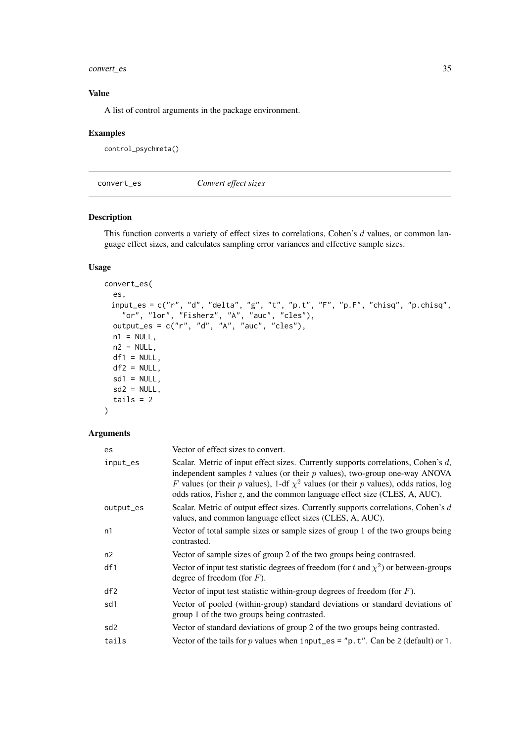#### <span id="page-34-0"></span>convert\_es 35

### Value

A list of control arguments in the package environment.

#### Examples

```
control_psychmeta()
```
<span id="page-34-1"></span>convert\_es *Convert effect sizes*

### Description

This function converts a variety of effect sizes to correlations, Cohen's d values, or common language effect sizes, and calculates sampling error variances and effective sample sizes.

### Usage

```
convert_es(
  es,
 input_es = c("r", "d", "delta", "g", "t", "p.t", "F", "p.F", "chisq", "p.chisq",
    "or", "lor", "Fisherz", "A", "auc", "cles"),
  output_es = c("r", "d", "A", "auc", "cles"),
  n1 = NULL,
  n2 = NULL,df1 = NULL,df2 = NULL,sd1 = NULL,sd2 = NULL,tails = 2\lambda
```

| es              | Vector of effect sizes to convert.                                                                                                                                                                                                                                                                                                           |  |
|-----------------|----------------------------------------------------------------------------------------------------------------------------------------------------------------------------------------------------------------------------------------------------------------------------------------------------------------------------------------------|--|
| input_es        | Scalar. Metric of input effect sizes. Currently supports correlations, Cohen's d,<br>independent samples $t$ values (or their $p$ values), two-group one-way ANOVA<br>F values (or their p values), 1-df $\chi^2$ values (or their p values), odds ratios, log<br>odds ratios, Fisher z, and the common language effect size (CLES, A, AUC). |  |
| output_es       | Scalar. Metric of output effect sizes. Currently supports correlations, Cohen's d<br>values, and common language effect sizes (CLES, A, AUC).                                                                                                                                                                                                |  |
| n1              | Vector of total sample sizes or sample sizes of group 1 of the two groups being<br>contrasted.                                                                                                                                                                                                                                               |  |
| n2              | Vector of sample sizes of group 2 of the two groups being contrasted.                                                                                                                                                                                                                                                                        |  |
| df1             | Vector of input test statistic degrees of freedom (for t and $\chi^2$ ) or between-groups<br>degree of freedom (for $F$ ).                                                                                                                                                                                                                   |  |
| df2             | Vector of input test statistic within-group degrees of freedom (for $F$ ).                                                                                                                                                                                                                                                                   |  |
| sd1             | Vector of pooled (within-group) standard deviations or standard deviations of<br>group 1 of the two groups being contrasted.                                                                                                                                                                                                                 |  |
| sd <sub>2</sub> | Vector of standard deviations of group 2 of the two groups being contrasted.                                                                                                                                                                                                                                                                 |  |
| tails           | Vector of the tails for p values when input_es = " $p \cdot t$ ". Can be 2 (default) or 1.                                                                                                                                                                                                                                                   |  |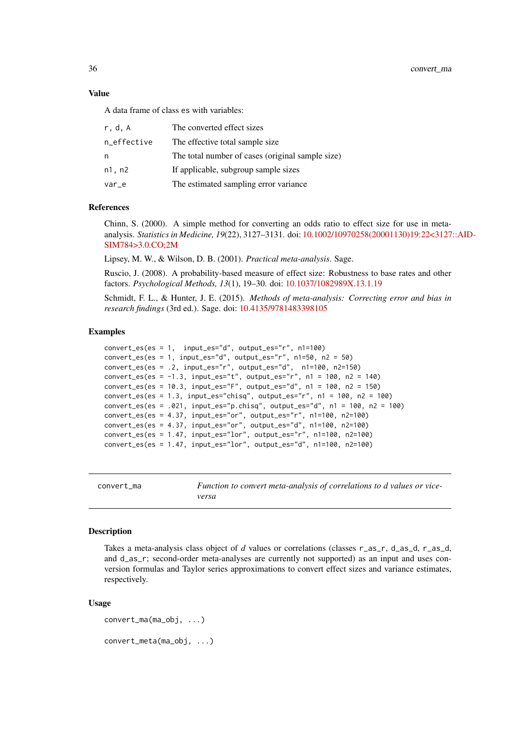36 convert\_ma

#### Value

A data frame of class es with variables:

| r.d.A       | The converted effect sizes                       |
|-------------|--------------------------------------------------|
| n_effective | The effective total sample size.                 |
| n           | The total number of cases (original sample size) |
| n1, n2      | If applicable, subgroup sample sizes             |
| var_e       | The estimated sampling error variance            |

#### References

Chinn, S. (2000). A simple method for converting an odds ratio to effect size for use in metaanalysis. *Statistics in Medicine, 19*(22), 3127–3131. doi: [10.1002/10970258\(20001130\)19:22<3127](https://doi.org/10.1002/1097-0258(20001130)19:22<3127::AID-SIM784>3.0.CO;2-M)::AID-[SIM784>3.0.CO;2M](https://doi.org/10.1002/1097-0258(20001130)19:22<3127::AID-SIM784>3.0.CO;2-M)

Lipsey, M. W., & Wilson, D. B. (2001). *Practical meta-analysis*. Sage.

Ruscio, J. (2008). A probability-based measure of effect size: Robustness to base rates and other factors. *Psychological Methods, 13*(1), 19–30. doi: [10.1037/1082989X.13.1.19](https://doi.org/10.1037/1082-989X.13.1.19)

Schmidt, F. L., & Hunter, J. E. (2015). *Methods of meta-analysis: Correcting error and bias in research findings* (3rd ed.). Sage. doi: [10.4135/9781483398105](https://doi.org/10.4135/9781483398105)

#### Examples

```
convert_es(es = 1, input_es="d", output_es="r", n1=100)
convert_es(es = 1, input_es="d", output_es="r", n1=50, n2 = 50)
convert_es(es = .2, input_es="r", output_es="d", n1=100, n2=150)
convert_es(es = -1.3, input_es="t", output_es="r", n1 = 100, n2 = 140)
convert_es(es = 10.3, input_es="F", output_es="d", n1 = 100, n2 = 150)
convert_es(es = 1.3, input_es="chisq", output_es="r", n1 = 100, n2 = 100)
convert\_es(es = .021, input\_es="p.chisq", output_se="d", n1 = 100, n2 = 100)convert_es(es = 4.37, input_es="or", output_es="r", n1=100, n2=100)
convert_es(es = 4.37, input_es="or", output_es="d", n1=100, n2=100)
convert_e s (es = 4.37, input_e s = "or", output_e s = "d", n1=100, n2=100)<br>convert_es(es = 1.47, input_es="lor", output_es="r", n1=100, n2=100)
convert_es(es = 1.47, input_es="lor", output_es="d", n1=100, n2=100)
```
<span id="page-35-1"></span>convert\_ma *Function to convert meta-analysis of correlations to d values or viceversa*

#### Description

Takes a meta-analysis class object of *d* values or correlations (classes r\_as\_r, d\_as\_d, r\_as\_d, and d\_as\_r; second-order meta-analyses are currently not supported) as an input and uses conversion formulas and Taylor series approximations to convert effect sizes and variance estimates, respectively.

### Usage

convert\_ma(ma\_obj, ...) convert\_meta(ma\_obj, ...)

<span id="page-35-0"></span>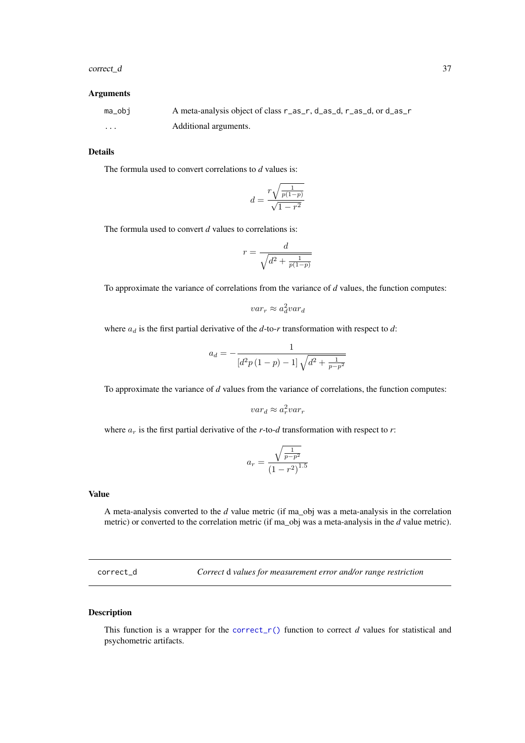#### correct\_d 37

# Arguments

| ma_obi   | A meta-analysis object of class r_as_r, d_as_d, r_as_d, or d_as_r |
|----------|-------------------------------------------------------------------|
| $\cdots$ | Additional arguments.                                             |

## Details

The formula used to convert correlations to *d* values is:

$$
d = \frac{r\sqrt{\frac{1}{p(1-p)}}}{\sqrt{1-r^2}}
$$

The formula used to convert *d* values to correlations is:

$$
r = \frac{d}{\sqrt{d^2 + \frac{1}{p(1-p)}}}
$$

d

To approximate the variance of correlations from the variance of *d* values, the function computes:

$$
var_r \approx a_d^2 var_d
$$

where  $a_d$  is the first partial derivative of the  $d$ -to- $r$  transformation with respect to  $d$ :

$$
a_d = -\frac{1}{[d^2p(1-p)-1]\sqrt{d^2+\frac{1}{p-p^2}}}
$$

To approximate the variance of *d* values from the variance of correlations, the function computes:

$$
var_d \approx a_r^2 var_r
$$

where  $a_r$  is the first partial derivative of the *r*-to-*d* transformation with respect to *r*:

$$
a_r = \frac{\sqrt{\frac{1}{p - p^2}}}{\left(1 - r^2\right)^{1.5}}
$$

### Value

A meta-analysis converted to the *d* value metric (if ma\_obj was a meta-analysis in the correlation metric) or converted to the correlation metric (if ma\_obj was a meta-analysis in the *d* value metric).

correct\_d *Correct* d *values for measurement error and/or range restriction*

## Description

This function is a wrapper for the correct<sub>r</sub>() function to correct *d* values for statistical and psychometric artifacts.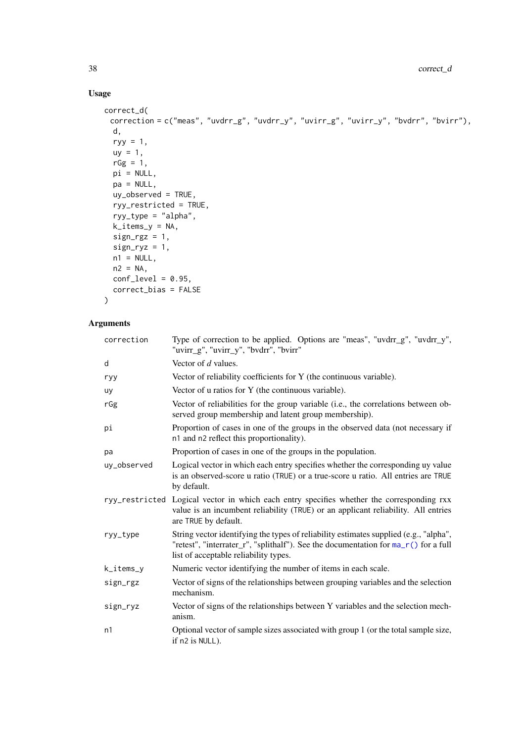# Usage

```
correct_d(
 correction = c("meas", "uvdrr_g", "uvdrr_y", "uvirr_g", "uvirr_y", "bvdrr", "bvirr"),
 d,
  ryy = 1,
  uy = 1,
  rGg = 1,
  pi = NULL,pa = NULL,uy_observed = TRUE,
  ryy_restricted = TRUE,
  ryy_type = "alpha",
  k_items_y = NA,
  sign\_rgz = 1,
  sign_{ryz} = 1,
  n1 = NULL,n2 = NA,
  conf\_level = 0.95,
  correct_bias = FALSE
)
```

| correction  | Type of correction to be applied. Options are "meas", "uvdrr_g", "uvdrr_y",<br>"uvirr_g", "uvirr_y", "bvdrr", "bvirr"                                                                                                 |  |
|-------------|-----------------------------------------------------------------------------------------------------------------------------------------------------------------------------------------------------------------------|--|
| d           | Vector of d values.                                                                                                                                                                                                   |  |
| ryy         | Vector of reliability coefficients for Y (the continuous variable).                                                                                                                                                   |  |
| uy          | Vector of u ratios for Y (the continuous variable).                                                                                                                                                                   |  |
| rGg         | Vector of reliabilities for the group variable (i.e., the correlations between ob-<br>served group membership and latent group membership).                                                                           |  |
| pi          | Proportion of cases in one of the groups in the observed data (not necessary if<br>n1 and n2 reflect this proportionality).                                                                                           |  |
| pa          | Proportion of cases in one of the groups in the population.                                                                                                                                                           |  |
| uy_observed | Logical vector in which each entry specifies whether the corresponding uy value<br>is an observed-score u ratio (TRUE) or a true-score u ratio. All entries are TRUE<br>by default.                                   |  |
|             | ryy_restricted Logical vector in which each entry specifies whether the corresponding rxx<br>value is an incumbent reliability (TRUE) or an applicant reliability. All entries<br>are TRUE by default.                |  |
| ryy_type    | String vector identifying the types of reliability estimates supplied (e.g., "alpha",<br>"retest", "interrater_r", "splithalf"). See the documentation for ma_r() for a full<br>list of acceptable reliability types. |  |
| k_items_y   | Numeric vector identifying the number of items in each scale.                                                                                                                                                         |  |
| sign_rgz    | Vector of signs of the relationships between grouping variables and the selection<br>mechanism.                                                                                                                       |  |
| sign_ryz    | Vector of signs of the relationships between Y variables and the selection mech-<br>anism.                                                                                                                            |  |
| n1          | Optional vector of sample sizes associated with group 1 (or the total sample size,<br>if n2 is NULL).                                                                                                                 |  |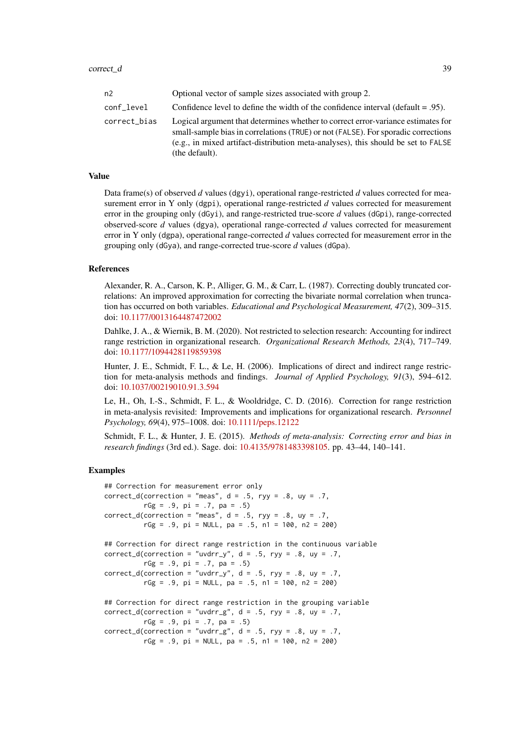#### correct\_d 39

| n2           | Optional vector of sample sizes associated with group 2.                                                                                                                                                                                                                     |  |
|--------------|------------------------------------------------------------------------------------------------------------------------------------------------------------------------------------------------------------------------------------------------------------------------------|--|
| conf level   | Confidence level to define the width of the confidence interval (default $= .95$ ).                                                                                                                                                                                          |  |
| correct_bias | Logical argument that determines whether to correct error-variance estimates for<br>small-sample bias in correlations (TRUE) or not (FALSE). For sporadic corrections<br>(e.g., in mixed artifact-distribution meta-analyses), this should be set to FALSE<br>(the default). |  |

#### Value

Data frame(s) of observed *d* values (dgyi), operational range-restricted *d* values corrected for measurement error in Y only (dgpi), operational range-restricted *d* values corrected for measurement error in the grouping only (dGyi), and range-restricted true-score *d* values (dGpi), range-corrected observed-score *d* values (dgya), operational range-corrected *d* values corrected for measurement error in Y only (dgpa), operational range-corrected *d* values corrected for measurement error in the grouping only (dGya), and range-corrected true-score *d* values (dGpa).

#### References

Alexander, R. A., Carson, K. P., Alliger, G. M., & Carr, L. (1987). Correcting doubly truncated correlations: An improved approximation for correcting the bivariate normal correlation when truncation has occurred on both variables. *Educational and Psychological Measurement, 47*(2), 309–315. doi: [10.1177/0013164487472002](https://doi.org/10.1177/0013164487472002)

Dahlke, J. A., & Wiernik, B. M. (2020). Not restricted to selection research: Accounting for indirect range restriction in organizational research. *Organizational Research Methods, 23*(4), 717–749. doi: [10.1177/1094428119859398](https://doi.org/10.1177/1094428119859398)

Hunter, J. E., Schmidt, F. L., & Le, H. (2006). Implications of direct and indirect range restriction for meta-analysis methods and findings. *Journal of Applied Psychology, 91*(3), 594–612. doi: [10.1037/00219010.91.3.594](https://doi.org/10.1037/0021-9010.91.3.594)

Le, H., Oh, I.-S., Schmidt, F. L., & Wooldridge, C. D. (2016). Correction for range restriction in meta-analysis revisited: Improvements and implications for organizational research. *Personnel Psychology, 69*(4), 975–1008. doi: [10.1111/peps.12122](https://doi.org/10.1111/peps.12122)

Schmidt, F. L., & Hunter, J. E. (2015). *Methods of meta-analysis: Correcting error and bias in research findings* (3rd ed.). Sage. doi: [10.4135/9781483398105.](https://doi.org/10.4135/9781483398105) pp. 43–44, 140–141.

#### Examples

```
## Correction for measurement error only
correct_d(correction = "meas", d = .5, ryy = .8, uy = .7,rGg = .9, pi = .7, pa = .5)
correct_d(correction = "meas", d = .5, ryy = .8, uy = .7,
         rGg = .9, pi = NULL, pa = .5, n1 = 100, n2 = 200)
## Correction for direct range restriction in the continuous variable
correct_d(correction = "uvdrr_y", d = .5, ryy = .8, uy = .7,rGg = .9, pi = .7, pa = .5)
correct_d(correction = "uvdrr_y", d = .5, ryy = .8, uy = .7,rGg = .9, pi = NULL, pa = .5, n1 = 100, n2 = 200)
## Correction for direct range restriction in the grouping variable
correct_d(correction = "uvdrr_g", d = .5, ryy = .8, uy = .7,rGg = .9, pi = .7, pa = .5)
correct_d(correction = "uvdrr_g", d = .5, ryy = .8, uy = .7,rGg = .9, pi = NULL, pa = .5, n1 = 100, n2 = 200)
```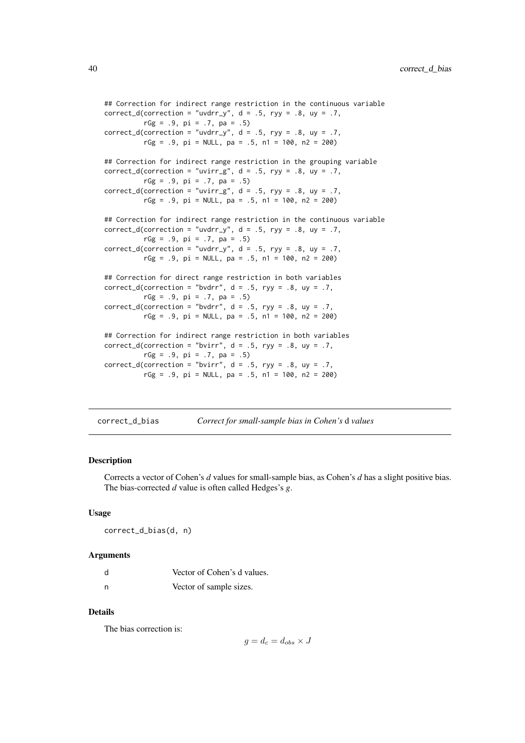```
## Correction for indirect range restriction in the continuous variable
correct_d(correction = "uvdrr_y", d = .5, ryy = .8, uy = .7,rGg = .9, pi = .7, pa = .5)
correct_d(correction = "uvdrr_v", d = .5, ryy = .8, uy = .7,rGg = .9, pi = NULL, pa = .5, n1 = 100, n2 = 200)
## Correction for indirect range restriction in the grouping variable
correct_d(correction = "uvirr_g", d = .5, ryy = .8, uy = .7,rGg = .9, pi = .7, pa = .5)
correct_d(correction = "uvirr_g", d = .5, ryy = .8, uy = .7,
          rGg = .9, pi = NULL, pa = .5, n1 = 100, n2 = 200)
## Correction for indirect range restriction in the continuous variable
correct_d(correction = "uvdrr_y", d = .5, ryy = .8, uy = .7,
          rGg = .9, pi = .7, pa = .5)
correct_d(correction = "uvdrr_y", d = .5, ryy = .8, uy = .7,rGg = .9, pi = NULL, pa = .5, n1 = 100, n2 = 200)
## Correction for direct range restriction in both variables
correct_d(correction = "bvdrr", d = .5, ryy = .8, uy = .7,
         rGg = .9, pi = .7, pa = .5)
correct_d(correction = "bvdrr", d = .5, ryy = .8, uy = .7,rGg = .9, pi = NULL, pa = .5, n1 = 100, n2 = 200)
## Correction for indirect range restriction in both variables
correct_d(correction = "bvirr", d = .5, ryy = .8, uy = .7,
          rGg = .9, pi = .7, pa = .5)
correct_d(correction = "bvirr", d = .5, ryy = .8, uy = .7,
         rGg = .9, pi = NULL, pa = .5, n1 = 100, n2 = 200)
```

| correct_d_bias | Correct for small-sample bias in Cohen's d values |
|----------------|---------------------------------------------------|
|----------------|---------------------------------------------------|

Corrects a vector of Cohen's *d* values for small-sample bias, as Cohen's *d* has a slight positive bias. The bias-corrected *d* value is often called Hedges's *g*.

#### Usage

```
correct_d_bias(d, n)
```
### Arguments

| d | Vector of Cohen's d values. |
|---|-----------------------------|
| n | Vector of sample sizes.     |

### Details

The bias correction is:

$$
g = d_c = d_{obs} \times J
$$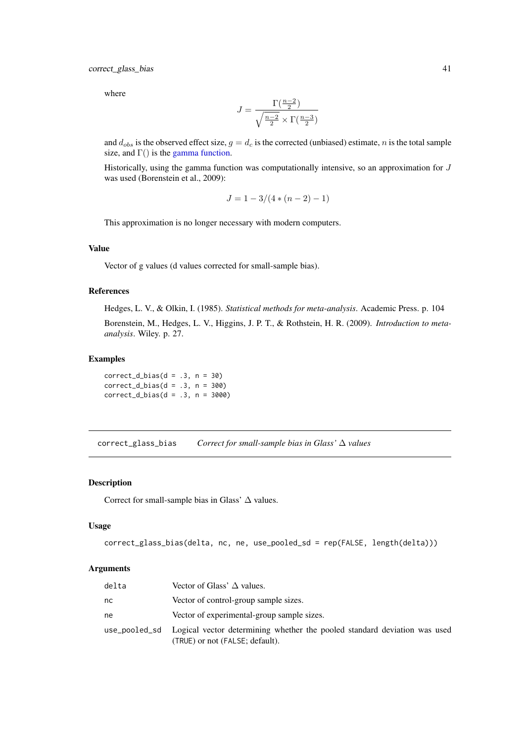where

$$
J = \frac{\Gamma(\frac{n-2}{2})}{\sqrt{\frac{n-2}{2}} \times \Gamma(\frac{n-3}{2})}
$$

and  $d_{obs}$  is the observed effect size,  $g = d_c$  is the corrected (unbiased) estimate, n is the total sample size, and  $\Gamma$ () is the [gamma function.](#page-0-0)

Historically, using the gamma function was computationally intensive, so an approximation for  $J$ was used (Borenstein et al., 2009):

$$
J = 1 - 3/(4*(n-2) - 1)
$$

This approximation is no longer necessary with modern computers.

# Value

Vector of g values (d values corrected for small-sample bias).

#### References

Hedges, L. V., & Olkin, I. (1985). *Statistical methods for meta-analysis*. Academic Press. p. 104

Borenstein, M., Hedges, L. V., Higgins, J. P. T., & Rothstein, H. R. (2009). *Introduction to metaanalysis*. Wiley. p. 27.

### Examples

 $correct_d_bias(d = .3, n = 30)$  $correct_d_bias(d = .3, n = 300)$  $correct_d_bias(d = .3, n = 3000)$ 

correct\_glass\_bias *Correct for small-sample bias in Glass'* ∆ *values*

## Description

Correct for small-sample bias in Glass'  $\Delta$  values.

### Usage

```
correct_glass_bias(delta, nc, ne, use_pooled_sd = rep(FALSE, length(delta)))
```

| delta | Vector of Glass' $\Delta$ values.                                                                                          |
|-------|----------------------------------------------------------------------------------------------------------------------------|
| nc    | Vector of control-group sample sizes.                                                                                      |
| ne    | Vector of experimental-group sample sizes.                                                                                 |
|       | use_pooled_sd Logical vector determining whether the pooled standard deviation was used<br>(TRUE) or not (FALSE; default). |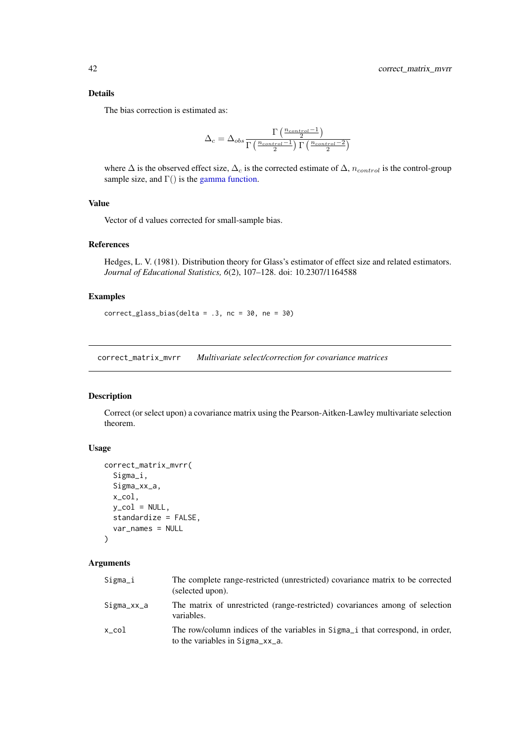### Details

The bias correction is estimated as:

$$
\Delta_{c}=\Delta_{obs}\frac{\Gamma\left(\frac{n_{control}-1}{2}\right)}{\Gamma\left(\frac{n_{control}-1}{2}\right)\Gamma\left(\frac{n_{control}-2}{2}\right)}
$$

where  $\Delta$  is the observed effect size,  $\Delta_c$  is the corrected estimate of  $\Delta$ ,  $n_{control}$  is the control-group sample size, and  $\Gamma$ () is the [gamma function.](#page-0-0)

## Value

Vector of d values corrected for small-sample bias.

### References

Hedges, L. V. (1981). Distribution theory for Glass's estimator of effect size and related estimators. *Journal of Educational Statistics, 6*(2), 107–128. doi: 10.2307/1164588

## Examples

correct\_glass\_bias(delta = .3, nc = 30, ne = 30)

correct\_matrix\_mvrr *Multivariate select/correction for covariance matrices*

#### Description

Correct (or select upon) a covariance matrix using the Pearson-Aitken-Lawley multivariate selection theorem.

## Usage

```
correct_matrix_mvrr(
  Sigma_i,
  Sigma_xx_a,
  x_col,
  y_{col} = NULL,
  standardize = FALSE,
  var_names = NULL
)
```

| Sigma_i    | The complete range-restricted (unrestricted) covariance matrix to be corrected<br>(selected upon).                                                |
|------------|---------------------------------------------------------------------------------------------------------------------------------------------------|
| Sigma_xx_a | The matrix of unrestricted (range-restricted) covariances among of selection<br>variables.                                                        |
| x col      | The row/column indices of the variables in Sigma <sub>l</sub> that correspond, in order,<br>to the variables in $Sigma_{\text{Z}X_{\text{-}}a}$ . |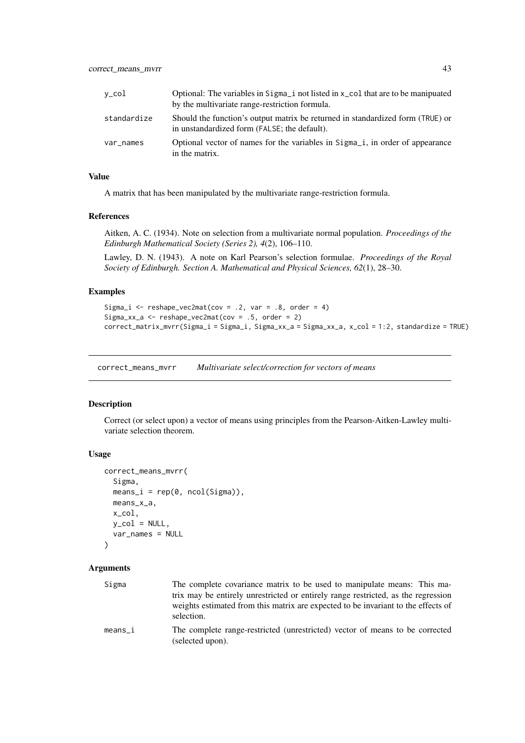| y_col       | Optional: The variables in $Sigma_i$ not listed in $x_{\text{col}}$ that are to be manipuated<br>by the multivariate range-restriction formula. |
|-------------|-------------------------------------------------------------------------------------------------------------------------------------------------|
| standardize | Should the function's output matrix be returned in standardized form (TRUE) or<br>in unstandardized form (FALSE; the default).                  |
| var_names   | Optional vector of names for the variables in Sigma <sub>nd</sub> i, in order of appearance<br>in the matrix.                                   |

### Value

A matrix that has been manipulated by the multivariate range-restriction formula.

### References

Aitken, A. C. (1934). Note on selection from a multivariate normal population. *Proceedings of the Edinburgh Mathematical Society (Series 2), 4*(2), 106–110.

Lawley, D. N. (1943). A note on Karl Pearson's selection formulae. *Proceedings of the Royal Society of Edinburgh. Section A. Mathematical and Physical Sciences, 62*(1), 28–30.

### Examples

```
Sigma_i \leq reshape_vec2mat(cov = .2, var = .8, order = 4)
Sigma_xx_a \leq reshape_vec2mat(cov = .5, order = 2)
correct_matrix_mvrr(Sigma_i = Sigma_i, Sigma_xx_a = Sigma_xx_a, x_col = 1:2, standardize = TRUE)
```
correct\_means\_mvrr *Multivariate select/correction for vectors of means*

### Description

Correct (or select upon) a vector of means using principles from the Pearson-Aitken-Lawley multivariate selection theorem.

## Usage

```
correct_means_mvrr(
  Sigma,
  means_i = rep(0, ncol(Sigma)),means_x_a,
  x_col,
  y_{col} = NULL,
  var_names = NULL
\lambda
```
#### Arguments

| Sigma   | The complete covariance matrix to be used to manipulate means: This ma-                         |
|---------|-------------------------------------------------------------------------------------------------|
|         | trix may be entirely unrestricted or entirely range restricted, as the regression               |
|         | weights estimated from this matrix are expected to be invariant to the effects of<br>selection. |
| means i | The complete range-restricted (unrestricted) vector of means to be corrected                    |

means\_i The complete range-restricted (unrestricted) vector of means to be corrected (selected upon).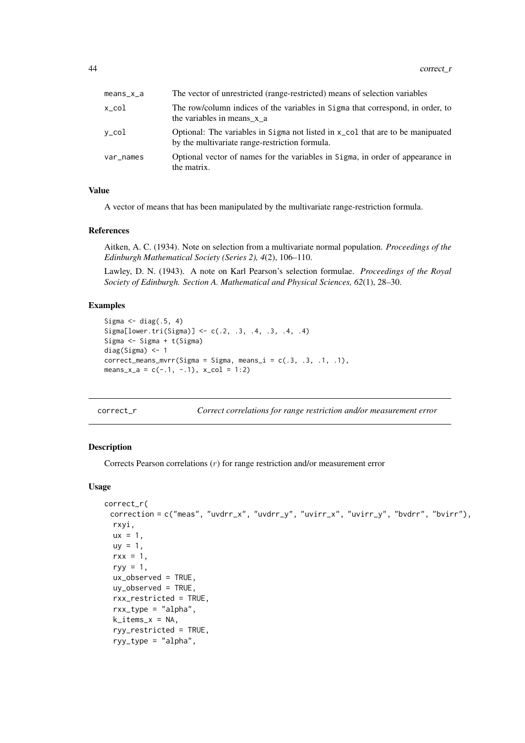| $meanS_X_a$     | The vector of unrestricted (range-restricted) means of selection variables                                                                  |
|-----------------|---------------------------------------------------------------------------------------------------------------------------------------------|
| x_col           | The row/column indices of the variables in Sigma that correspond, in order, to<br>the variables in means x a                                |
| $v_{\rm c}$ col | Optional: The variables in Sigma not listed in x <sub>col</sub> that are to be manipuated<br>by the multivariate range-restriction formula. |
| var_names       | Optional vector of names for the variables in Sigma, in order of appearance in<br>the matrix.                                               |

### Value

A vector of means that has been manipulated by the multivariate range-restriction formula.

### References

Aitken, A. C. (1934). Note on selection from a multivariate normal population. *Proceedings of the Edinburgh Mathematical Society (Series 2), 4*(2), 106–110.

Lawley, D. N. (1943). A note on Karl Pearson's selection formulae. *Proceedings of the Royal Society of Edinburgh. Section A. Mathematical and Physical Sciences, 62*(1), 28–30.

## Examples

```
Sigma \leq diag(.5, 4)
Sigma[lower.tri(Sigma)] <- c(.2, .3, .4, .3, .4, .4)
Sigma <- Sigma + t(Sigma)
diag(Sigma) <- 1
correct\_means\_mvrr(Sigma = Sigma, means_i = c(.3, .3, .1, .1),means_x_a = c(-.1, -.1), x_col = 1:2)
```
<span id="page-43-0"></span>correct\_r *Correct correlations for range restriction and/or measurement error*

#### Description

Corrects Pearson correlations (r) for range restriction and/or measurement error

## Usage

```
correct_r(
 correction = c("meas", "uvdrr_x", "uvdrr_y", "uvirr_x", "uvirr_y", "bvdrr", "bvirr"),
  rxyi,
  ux = 1,
  uy = 1,
  rxx = 1,
  ryy = 1,
  ux_observed = TRUE,
  uy_observed = TRUE,
  rxx_restricted = TRUE,
  rxx_type = "alpha",
  k\_items_x = NA,
  ryy_restricted = TRUE,
  ryy_type = "alpha",
```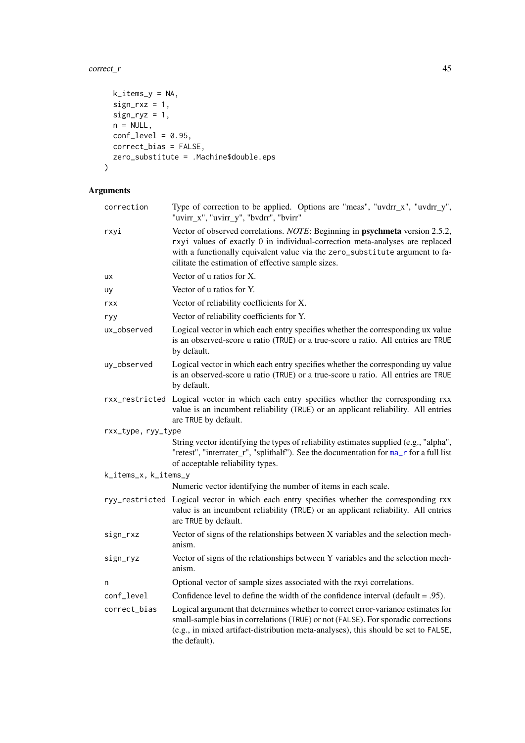### $correct_r$  45

```
k\_items_y = NA,
  sign_r xz = 1,
 sign_{ryz} = 1,
 n = NULL,conf\_level = 0.95,
 correct_bias = FALSE,
 zero_substitute = .Machine$double.eps
\lambda
```

| correction           | Type of correction to be applied. Options are "meas", "uvdrr_x", "uvdrr_y",<br>"uvirr_x", "uvirr_y", "bvdrr", "bvirr"                                                                                                                                                                              |  |
|----------------------|----------------------------------------------------------------------------------------------------------------------------------------------------------------------------------------------------------------------------------------------------------------------------------------------------|--|
| rxyi                 | Vector of observed correlations. NOTE: Beginning in psychmeta version 2.5.2,<br>rxyi values of exactly 0 in individual-correction meta-analyses are replaced<br>with a functionally equivalent value via the zero_substitute argument to fa-<br>cilitate the estimation of effective sample sizes. |  |
| ux                   | Vector of u ratios for X.                                                                                                                                                                                                                                                                          |  |
| uy                   | Vector of u ratios for Y.                                                                                                                                                                                                                                                                          |  |
| rxx                  | Vector of reliability coefficients for X.                                                                                                                                                                                                                                                          |  |
| ryy                  | Vector of reliability coefficients for Y.                                                                                                                                                                                                                                                          |  |
| ux_observed          | Logical vector in which each entry specifies whether the corresponding ux value<br>is an observed-score u ratio (TRUE) or a true-score u ratio. All entries are TRUE<br>by default.                                                                                                                |  |
| uy_observed          | Logical vector in which each entry specifies whether the corresponding uy value<br>is an observed-score u ratio (TRUE) or a true-score u ratio. All entries are TRUE<br>by default.                                                                                                                |  |
|                      | rxx_restricted Logical vector in which each entry specifies whether the corresponding rxx<br>value is an incumbent reliability (TRUE) or an applicant reliability. All entries<br>are TRUE by default.                                                                                             |  |
| rxx_type, ryy_type   |                                                                                                                                                                                                                                                                                                    |  |
|                      | String vector identifying the types of reliability estimates supplied (e.g., "alpha",<br>"retest", "interrater_r", "splithalf"). See the documentation for ma_r for a full list<br>of acceptable reliability types.                                                                                |  |
| k_items_x, k_items_y |                                                                                                                                                                                                                                                                                                    |  |
|                      | Numeric vector identifying the number of items in each scale.                                                                                                                                                                                                                                      |  |
|                      | ryy_restricted Logical vector in which each entry specifies whether the corresponding rxx<br>value is an incumbent reliability (TRUE) or an applicant reliability. All entries<br>are TRUE by default.                                                                                             |  |
| sign_rxz             | Vector of signs of the relationships between X variables and the selection mech-<br>anism.                                                                                                                                                                                                         |  |
| sign_ryz             | Vector of signs of the relationships between Y variables and the selection mech-<br>anism.                                                                                                                                                                                                         |  |
| n                    | Optional vector of sample sizes associated with the rxyi correlations.                                                                                                                                                                                                                             |  |
| conf_level           | Confidence level to define the width of the confidence interval (default = $.95$ ).                                                                                                                                                                                                                |  |
| correct_bias         | Logical argument that determines whether to correct error-variance estimates for<br>small-sample bias in correlations (TRUE) or not (FALSE). For sporadic corrections<br>(e.g., in mixed artifact-distribution meta-analyses), this should be set to FALSE,<br>the default).                       |  |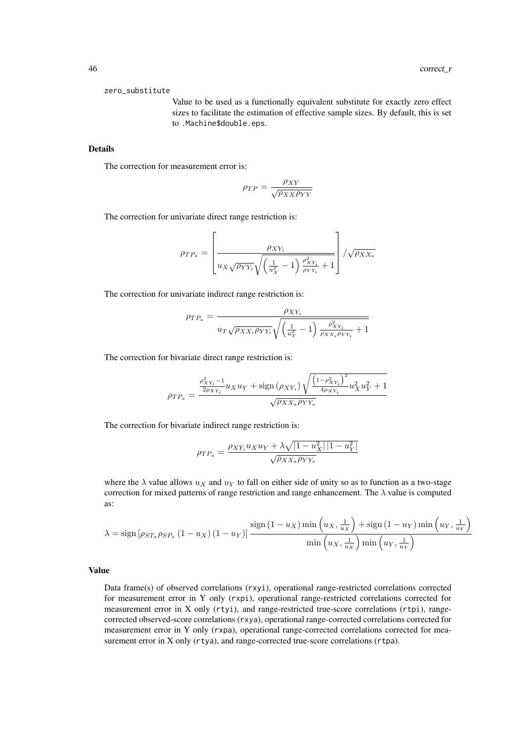#### zero\_substitute

Value to be used as a functionally equivalent substitute for exactly zero effect sizes to facilitate the estimation of effective sample sizes. By default, this is set to .Machine\$double.eps.

## Details

The correction for measurement error is:

$$
\rho_{TP} = \frac{\rho_{XY}}{\sqrt{\rho_{XX}\rho_{YY}}}
$$

The correction for univariate direct range restriction is:

$$
\rho_{TP_a} = \left[ \frac{\rho_{XY_i}}{u_X \sqrt{\rho_{YY_i}} \sqrt{\left(\frac{1}{u_X^2} - 1\right) \frac{\rho_{XY_i}^2}{\rho_{YY_i}} + 1}} \right] / \sqrt{\rho_{XX_a}}
$$

The correction for univariate indirect range restriction is:

$$
\rho_{TP_a} = \frac{\rho_{XY_i}}{u_T \sqrt{\rho_{XX_i} \rho_{YY_i}} \sqrt{\left(\frac{1}{u_T^2} - 1\right) \frac{\rho_{XY_i}^2}{\rho_{XX_i} \rho_{YY_i}} + 1}}
$$

The correction for bivariate direct range restriction is:

$$
\rho_{TP_a} = \frac{\frac{\rho_{XY_i}^2 - 1}{2\rho_{XY_i}} u_X u_Y + \text{sign}(\rho_{XY_i}) \sqrt{\frac{\left(1 - \rho_{XY_i}^2\right)^2}{4\rho_{XY_i}} u_X^2 u_Y^2 + 1}}{\sqrt{\rho_{XX_a} \rho_{YY_a}}}
$$

The correction for bivariate indirect range restriction is:

$$
\rho_{TP_a} = \frac{\rho_{XY_i} u_X u_Y + \lambda \sqrt{|1 - u_X^2| |1 - u_Y^2|}}{\sqrt{\rho_{XX_a} \rho_{YY_a}}}
$$

where the  $\lambda$  value allows  $u_x$  and  $u_y$  to fall on either side of unity so as to function as a two-stage correction for mixed patterns of range restriction and range enhancement. The  $\lambda$  value is computed as:

$$
\lambda = \text{sign}\left[\rho_{ST_a}\rho_{SP_a}\left(1-u_X\right)\left(1-u_Y\right)\right] \frac{\text{sign}\left(1-u_X\right) \text{min}\left(u_X, \frac{1}{u_X}\right) + \text{sign}\left(1-u_Y\right) \text{min}\left(u_Y, \frac{1}{u_Y}\right)}{\text{min}\left(u_X, \frac{1}{u_X}\right) \text{min}\left(u_Y, \frac{1}{u_Y}\right)}
$$

### Value

Data frame(s) of observed correlations (rxyi), operational range-restricted correlations corrected for measurement error in Y only (rxpi), operational range-restricted correlations corrected for measurement error in X only (rtyi), and range-restricted true-score correlations (rtpi), rangecorrected observed-score correlations (rxya), operational range-corrected correlations corrected for measurement error in Y only (rxpa), operational range-corrected correlations corrected for measurement error in X only (rtya), and range-corrected true-score correlations (rtpa).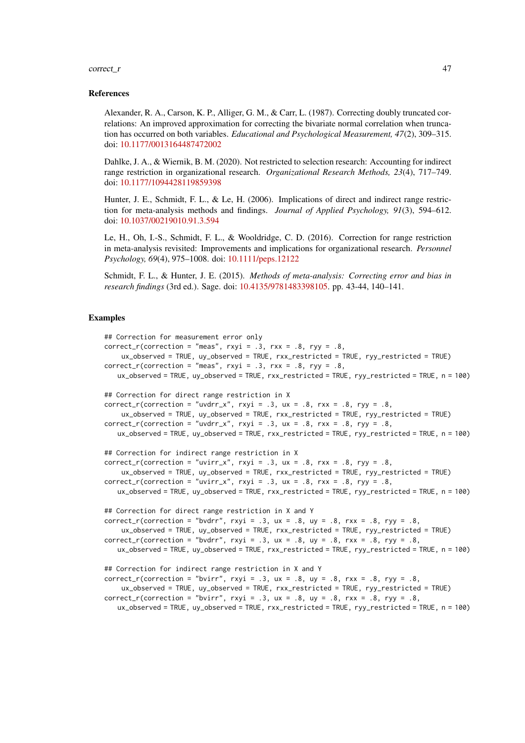#### $correct_r$  47

#### References

Alexander, R. A., Carson, K. P., Alliger, G. M., & Carr, L. (1987). Correcting doubly truncated correlations: An improved approximation for correcting the bivariate normal correlation when truncation has occurred on both variables. *Educational and Psychological Measurement, 47*(2), 309–315. doi: [10.1177/0013164487472002](https://doi.org/10.1177/0013164487472002)

Dahlke, J. A., & Wiernik, B. M. (2020). Not restricted to selection research: Accounting for indirect range restriction in organizational research. *Organizational Research Methods, 23*(4), 717–749. doi: [10.1177/1094428119859398](https://doi.org/10.1177/1094428119859398)

Hunter, J. E., Schmidt, F. L., & Le, H. (2006). Implications of direct and indirect range restriction for meta-analysis methods and findings. *Journal of Applied Psychology, 91*(3), 594–612. doi: [10.1037/00219010.91.3.594](https://doi.org/10.1037/0021-9010.91.3.594)

Le, H., Oh, I.-S., Schmidt, F. L., & Wooldridge, C. D. (2016). Correction for range restriction in meta-analysis revisited: Improvements and implications for organizational research. *Personnel Psychology, 69*(4), 975–1008. doi: [10.1111/peps.12122](https://doi.org/10.1111/peps.12122)

Schmidt, F. L., & Hunter, J. E. (2015). *Methods of meta-analysis: Correcting error and bias in research findings* (3rd ed.). Sage. doi: [10.4135/9781483398105.](https://doi.org/10.4135/9781483398105) pp. 43-44, 140–141.

### Examples

```
## Correction for measurement error only
correct_r(correction = "meas", rxyi = .3, rxx = .8, ryy = .8,ux_observed = TRUE, uy_observed = TRUE, rxx_restricted = TRUE, ryy_restricted = TRUE)
correct_r(correctin = "meas", rxyi = .3, rxx = .8, ryy = .8,ux_observed = TRUE, uy_observed = TRUE, rxx_restricted = TRUE, ryy_restricted = TRUE, n = 100)
## Correction for direct range restriction in X
correct_r(correction = "uvdrr_x", rxyi = .3, ux = .8, rxx = .8, ryy = .8,ux_observed = TRUE, uy_observed = TRUE, rxx_restricted = TRUE, ryy_restricted = TRUE)
correct_r(correction = "uvdrr_x", rxyi = .3, ux = .8, rxx = .8, ryy = .8,
   ux_observed = TRUE, uy_observed = TRUE, rxx_restricted = TRUE, ryy_restricted = TRUE, n = 100)
## Correction for indirect range restriction in X
correct_r(correction = "uvirr_x", rxyi = .3, ux = .8, rxx = .8, ryy = .8,
    ux_observed = TRUE, uy_observed = TRUE, rxx_restricted = TRUE, ryy_restricted = TRUE)
correct_r(correction = "uvirr_x", rxyi = .3, ux = .8, rxx = .8, ryy = .8,
   ux_observed = TRUE, uy_observed = TRUE, rxx_restricted = TRUE, ryy_restricted = TRUE, n = 100)
## Correction for direct range restriction in X and Y
correct_r(correction = "bvdrr", rxyi = .3, ux = .8, uy = .8, rxx = .8, ryy = .8,
    ux_observed = TRUE, uy_observed = TRUE, rxx_restricted = TRUE, ryy_restricted = TRUE)
correct_r(correction = "bvdrr", rxyi = .3, ux = .8, uy = .8, rxx = .8, ryy = .8,
   ux_observed = TRUE, uy_observed = TRUE, rxx_restricted = TRUE, ryy_restricted = TRUE, n = 100)
## Correction for indirect range restriction in X and Y
correct_r(correctin = "bvirr", rxyi = .3, ux = .8, uy = .8, rxx = .8, ryy = .8,ux_observed = TRUE, uy_observed = TRUE, rxx_restricted = TRUE, ryy_restricted = TRUE)
correct_r(correction = "bvirr", rxyi = .3, ux = .8, uy = .8, rxx = .8, ryy = .8,
   ux_observed = TRUE, uy_observed = TRUE, rxx_restricted = TRUE, ryy_restricted = TRUE, n = 100)
```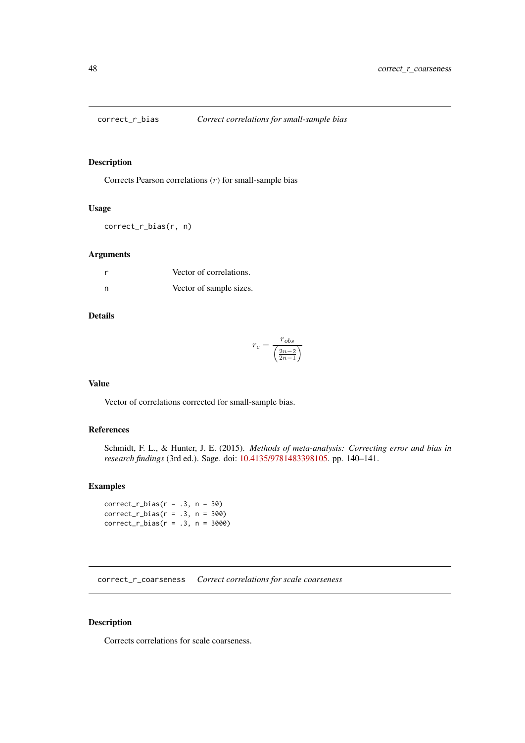Corrects Pearson correlations  $(r)$  for small-sample bias

### Usage

correct\_r\_bias(r, n)

### Arguments

|     | Vector of correlations. |
|-----|-------------------------|
| - n | Vector of sample sizes. |

# Details

$$
r_c = \frac{r_{obs}}{\left(\frac{2n-2}{2n-1}\right)}
$$

## Value

Vector of correlations corrected for small-sample bias.

# References

Schmidt, F. L., & Hunter, J. E. (2015). *Methods of meta-analysis: Correcting error and bias in research findings* (3rd ed.). Sage. doi: [10.4135/9781483398105.](https://doi.org/10.4135/9781483398105) pp. 140–141.

## Examples

 $correct_r\_bias(r = .3, n = 30)$  $correct_r\_bias(r = .3, n = 300)$  $correct_r\_bias(r = .3, n = 3000)$ 

correct\_r\_coarseness *Correct correlations for scale coarseness*

# Description

Corrects correlations for scale coarseness.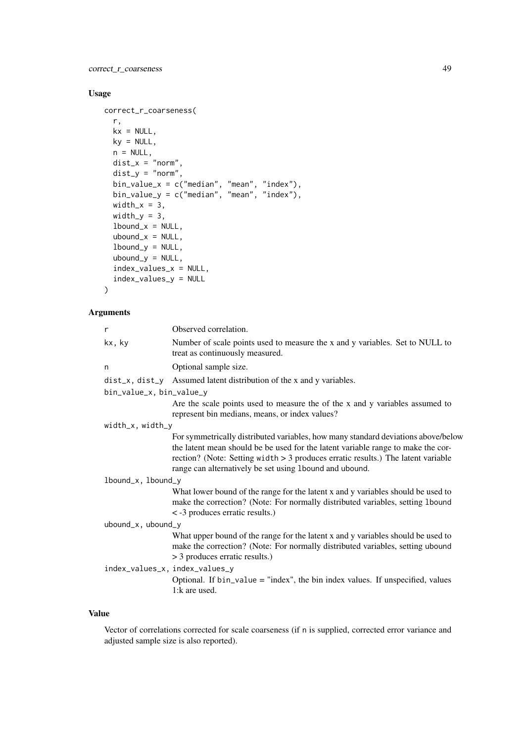correct\_r\_coarseness 49

# Usage

```
correct_r_coarseness(
  r,
  kx = NULL,ky = NULL,n = NULL,dist_x = "norm",dist_y = "norm",bin_value_x = c("median", "mean", "index"),
  bin_value_y = c("median", "mean", "index"),
  width_x = 3,
  width_y = 3,
  1bound_x = NULL,
  ubound_x = NULL,1bound_y = NULL,
  ubound_y = NULL,index_values_x = NULL,
  index_values_y = NULL
)
```
# Arguments

| r                              | Observed correlation.                                                                                                                                                                                                                                                                                                  |
|--------------------------------|------------------------------------------------------------------------------------------------------------------------------------------------------------------------------------------------------------------------------------------------------------------------------------------------------------------------|
| kx, ky                         | Number of scale points used to measure the x and y variables. Set to NULL to<br>treat as continuously measured.                                                                                                                                                                                                        |
| n                              | Optional sample size.                                                                                                                                                                                                                                                                                                  |
|                                | $dist_x$ , $dist_y$ Assumed latent distribution of the x and y variables.                                                                                                                                                                                                                                              |
| bin_value_x, bin_value_y       |                                                                                                                                                                                                                                                                                                                        |
|                                | Are the scale points used to measure the of the x and y variables assumed to<br>represent bin medians, means, or index values?                                                                                                                                                                                         |
| width_x, width_y               |                                                                                                                                                                                                                                                                                                                        |
|                                | For symmetrically distributed variables, how many standard deviations above/below<br>the latent mean should be be used for the latent variable range to make the cor-<br>rection? (Note: Setting width $> 3$ produces erratic results.) The latent variable<br>range can alternatively be set using 1bound and ubound. |
| lbound_x, lbound_y             |                                                                                                                                                                                                                                                                                                                        |
|                                | What lower bound of the range for the latent x and y variables should be used to<br>make the correction? (Note: For normally distributed variables, setting 1bound<br>< -3 produces erratic results.)                                                                                                                  |
| ubound_x, ubound_y             |                                                                                                                                                                                                                                                                                                                        |
| index_values_x, index_values_y | What upper bound of the range for the latent x and y variables should be used to<br>make the correction? (Note: For normally distributed variables, setting ubound<br>> 3 produces erratic results.)<br>Optional. If $bin_value = "index", the bin index values.$ If unspecified, values                               |
|                                | 1:k are used.                                                                                                                                                                                                                                                                                                          |

# Value

Vector of correlations corrected for scale coarseness (if n is supplied, corrected error variance and adjusted sample size is also reported).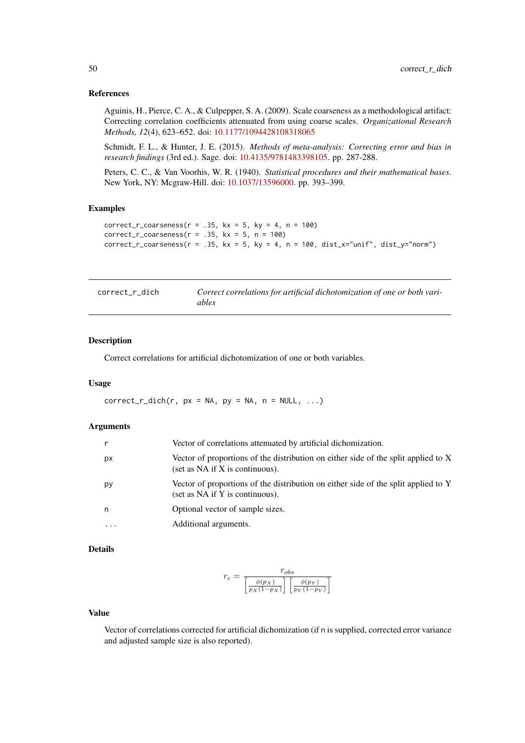#### References

Aguinis, H., Pierce, C. A., & Culpepper, S. A. (2009). Scale coarseness as a methodological artifact: Correcting correlation coefficients attenuated from using coarse scales. *Organizational Research Methods, 12*(4), 623–652. doi: [10.1177/1094428108318065](https://doi.org/10.1177/1094428108318065)

Schmidt, F. L., & Hunter, J. E. (2015). *Methods of meta-analysis: Correcting error and bias in research findings* (3rd ed.). Sage. doi: [10.4135/9781483398105.](https://doi.org/10.4135/9781483398105) pp. 287-288.

Peters, C. C., & Van Voorhis, W. R. (1940). *Statistical procedures and their mathematical bases*. New York, NY: Mcgraw-Hill. doi: [10.1037/13596000.](https://doi.org/10.1037/13596-000) pp. 393–399.

### Examples

```
correct_r_coarseness(r = .35, kx = 5, ky = 4, n = 100)
correct_r_{coarseness(r = .35, kx = 5, n = 100)correct_r_{coarseness(r = .35, kx = 5, ky = 4, n = 100, dist_x = "unit", dist_y = "norm")
```

| correct_r_dich | Correct correlations for artificial dichotomization of one or both vari- |
|----------------|--------------------------------------------------------------------------|
|                | ables                                                                    |

### Description

Correct correlations for artificial dichotomization of one or both variables.

### Usage

 $correct_r\_dich(r, px = NA, py = NA, n = NULL, ...)$ 

#### Arguments

|          | Vector of correlations attenuated by artificial dichomization.                                                            |
|----------|---------------------------------------------------------------------------------------------------------------------------|
| рx       | Vector of proportions of the distribution on either side of the split applied to X<br>(set as $NA$ if $X$ is continuous). |
| рy       | Vector of proportions of the distribution on either side of the split applied to Y<br>(set as NA if Y is continuous).     |
| n        | Optional vector of sample sizes.                                                                                          |
| $\cdots$ | Additional arguments.                                                                                                     |

#### Details

$$
r_c = \frac{r_{obs}}{\left[\frac{\phi(p_X)}{p_X(1-p_X)}\right] \left[\frac{\phi(p_Y)}{p_Y(1-p_Y)}\right]}
$$

### Value

Vector of correlations corrected for artificial dichomization (if n is supplied, corrected error variance and adjusted sample size is also reported).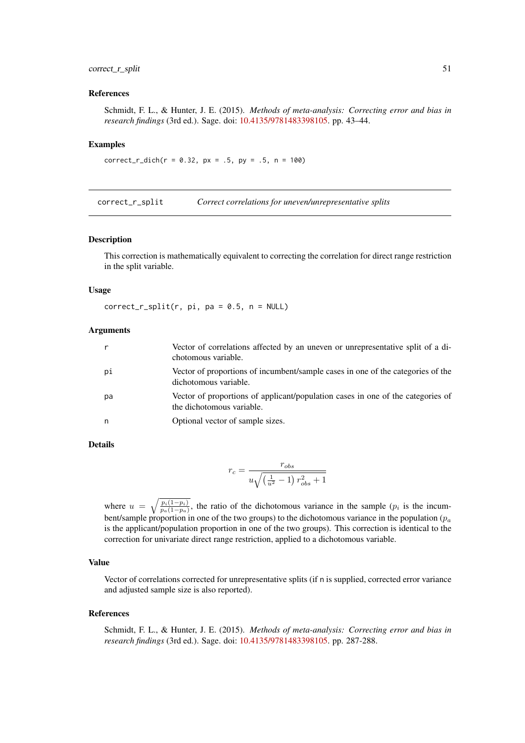### correct\_r\_split 51

#### References

Schmidt, F. L., & Hunter, J. E. (2015). *Methods of meta-analysis: Correcting error and bias in research findings* (3rd ed.). Sage. doi: [10.4135/9781483398105.](https://doi.org/10.4135/9781483398105) pp. 43–44.

## Examples

 $correct_r\_dich(r = 0.32, px = .5, py = .5, n = 100)$ 

correct\_r\_split *Correct correlations for uneven/unrepresentative splits*

#### Description

This correction is mathematically equivalent to correcting the correlation for direct range restriction in the split variable.

#### Usage

 $correct_r_split(r, pi, pa = 0.5, n = NULL)$ 

#### Arguments

|    | Vector of correlations affected by an uneven or unrepresentative split of a di-<br>chotomous variable.       |
|----|--------------------------------------------------------------------------------------------------------------|
| рi | Vector of proportions of incumbent/sample cases in one of the categories of the<br>dichotomous variable.     |
| рa | Vector of proportions of applicant/population cases in one of the categories of<br>the dichotomous variable. |
| n, | Optional vector of sample sizes.                                                                             |

#### Details

$$
r_c = \frac{r_{obs}}{u\sqrt{\left(\frac{1}{u^2} - 1\right)r_{obs}^2 + 1}}
$$

where  $u = \sqrt{\frac{p_i(1-p_i)}{p_a(1-p_a)}}$ , the ratio of the dichotomous variance in the sample ( $p_i$  is the incumbent/sample proportion in one of the two groups) to the dichotomous variance in the population ( $p_a$ ) is the applicant/population proportion in one of the two groups). This correction is identical to the correction for univariate direct range restriction, applied to a dichotomous variable.

## Value

Vector of correlations corrected for unrepresentative splits (if n is supplied, corrected error variance and adjusted sample size is also reported).

#### References

Schmidt, F. L., & Hunter, J. E. (2015). *Methods of meta-analysis: Correcting error and bias in research findings* (3rd ed.). Sage. doi: [10.4135/9781483398105.](https://doi.org/10.4135/9781483398105) pp. 287-288.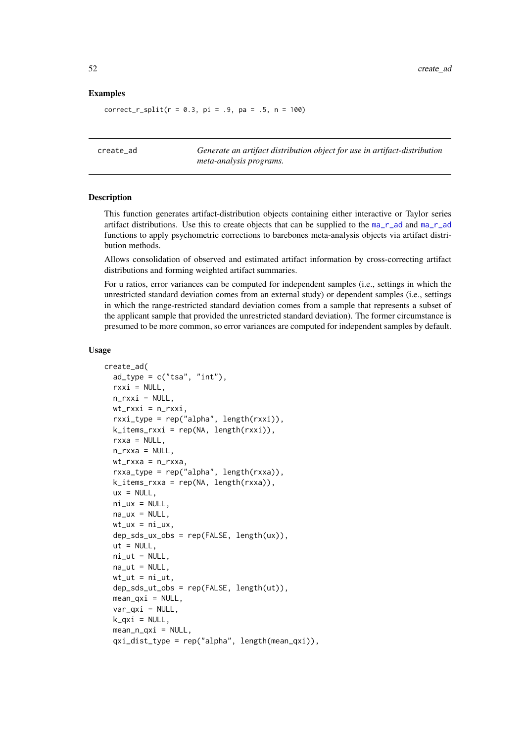### Examples

 $correct_r_split(r = 0.3, pi = .9, pa = .5, n = 100)$ 

create\_ad *Generate an artifact distribution object for use in artifact-distribution meta-analysis programs.*

#### Description

This function generates artifact-distribution objects containing either interactive or Taylor series artifact distributions. Use this to create objects that can be supplied to the [ma\\_r\\_ad](#page-134-1) and [ma\\_r\\_ad](#page-134-1) functions to apply psychometric corrections to barebones meta-analysis objects via artifact distribution methods.

Allows consolidation of observed and estimated artifact information by cross-correcting artifact distributions and forming weighted artifact summaries.

For u ratios, error variances can be computed for independent samples (i.e., settings in which the unrestricted standard deviation comes from an external study) or dependent samples (i.e., settings in which the range-restricted standard deviation comes from a sample that represents a subset of the applicant sample that provided the unrestricted standard deviation). The former circumstance is presumed to be more common, so error variances are computed for independent samples by default.

#### Usage

```
create_ad(
  ad_{type} = c("tsa", "int"),rxxi = NULL,n_rxxi = NULL,wt_rxxi = n_rxxi,rxxi_type = rep("alpha", length(rxxi)),
  k_iitems_rxxi = rep(NA, length(rxxi)),
  rxxa = NULL,n rxxa = NULL.
  wt_rxxa = n_rxxa,
  rxxa_type = rep("alpha", length(rxxa)),
  k_iitems_rxxa = rep(NA, length(rxxa)),
  ux = NULL.
  ni\_ux = NULL,na_ux = NULL,wt_lux = ni_lux,dep_sds_ux_obs = rep(FALSE, length(ux)),
  ut = NULL,ni\_ut = NULL,
  na_{ut} = NULL,
  wt_{-}ut = ni_{-}ut,
  dep_sds_ut_obs = rep(FALSE, length(ut)),
  mean_qxi = NULL,var_qxi = NULL,k_qxi = NULL,mean_n_qxi = NULL,
  qxi_dist_type = rep("alpha", length(mean_qxi)),
```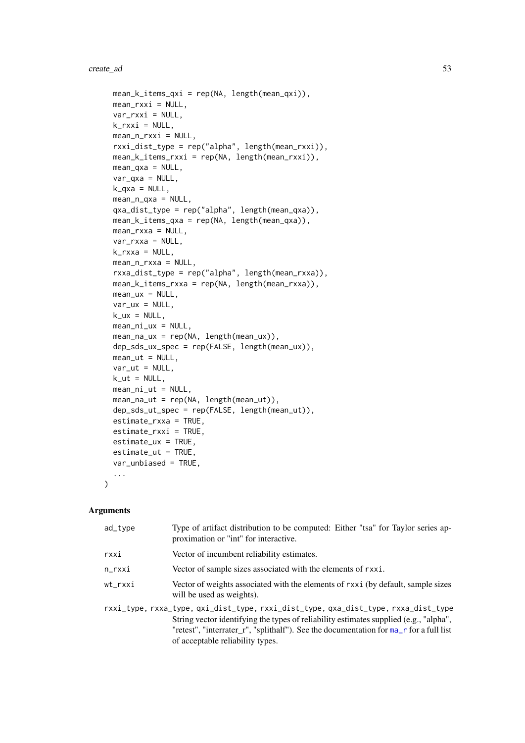#### create\_ad 53

```
mean_k_items_qxi = rep(NA, length(mean_qxi)),
  mean_rxxi = NULL,
  var_rxxi = NULL,
  k_rxi = NULL,
  mean_n_rxxi = NULL,rxxi_dist_type = rep("alpha", length(mean_rxxi)),
  mean_k_items_rxxi = rep(NA, length(mean_rxxi)),
  mean_{\text{axa}} = NULL,var_qxa = NULL,
  k_{\text{y}}a = NULL,
  mean_n_qxa = NULL,
  qxa_dist_type = rep("alpha", length(mean_qxa)),
  mean_k_items_qxa = rep(NA, length(mean_qxa)),
  mean_rxxa = NULL,
  var_rxxa = NULL,
  k_rxxa = NULL,
  mean_n_rxxa = NULL,
  rxxa_dist_type = rep("alpha", length(mean_rxxa)),
  mean_k_items_rxxa = rep(NA, length(mean_rxxa)),
  mean_lux = NULL,var_{ux} = NULL,
  k_ux = NULL,mean_ni_ux = NULL,
  mean_na_ux = rep(NA, length(mean_ux)),
  dep_sds_ux_spec = rep(FALSE, length(mean_ux)),
  mean\_ut = NULL,var_{ut} = NULL,
  k_{-}ut = NULL,mean\_ni\_ut = NULL,mean_na_ut = rep(NA, length(mean_ut)),
  dep_sds_ut_spec = rep(FALSE, length(mean_ut)),
  estimate_rxxa = TRUE,
  estimate_rxxi = TRUE,
  estimate_ux = TRUE,
  estimate_ut = TRUE,
  var_unbiased = TRUE,
  ...
)
```

| ad_type | Type of artifact distribution to be computed: Either "tsa" for Taylor series ap-<br>proximation or "int" for interactive.                                                                                                                                                                                 |
|---------|-----------------------------------------------------------------------------------------------------------------------------------------------------------------------------------------------------------------------------------------------------------------------------------------------------------|
| rxxi    | Vector of incumbent reliability estimates.                                                                                                                                                                                                                                                                |
| n_rxxi  | Vector of sample sizes associated with the elements of rxxi.                                                                                                                                                                                                                                              |
| wt_rxxi | Vector of weights associated with the elements of rxxi (by default, sample sizes<br>will be used as weights).                                                                                                                                                                                             |
|         | rxxi_type, rxxa_type, qxi_dist_type, rxxi_dist_type, qxa_dist_type, rxxa_dist_type<br>String vector identifying the types of reliability estimates supplied (e.g., "alpha",<br>"retest", "interrater_r", "splithalf"). See the documentation for ma_r for a full list<br>of acceptable reliability types. |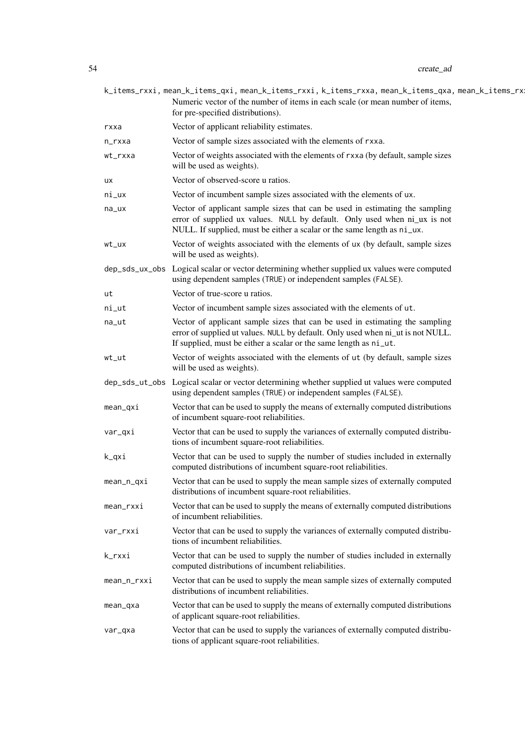|             | k_items_rxxi, mean_k_items_qxi, mean_k_items_rxxi, k_items_rxxa, mean_k_items_qxa, mean_k_items_rx!<br>Numeric vector of the number of items in each scale (or mean number of items,<br>for pre-specified distributions).            |
|-------------|--------------------------------------------------------------------------------------------------------------------------------------------------------------------------------------------------------------------------------------|
| rxxa        | Vector of applicant reliability estimates.                                                                                                                                                                                           |
| n_rxxa      | Vector of sample sizes associated with the elements of rxxa.                                                                                                                                                                         |
| wt_rxxa     | Vector of weights associated with the elements of rxxa (by default, sample sizes<br>will be used as weights).                                                                                                                        |
| ux          | Vector of observed-score u ratios.                                                                                                                                                                                                   |
| ni_ux       | Vector of incumbent sample sizes associated with the elements of ux.                                                                                                                                                                 |
| na_ux       | Vector of applicant sample sizes that can be used in estimating the sampling<br>error of supplied ux values. NULL by default. Only used when ni_ux is not<br>NULL. If supplied, must be either a scalar or the same length as ni_ux. |
| wt_ux       | Vector of weights associated with the elements of ux (by default, sample sizes<br>will be used as weights).                                                                                                                          |
|             | dep_sds_ux_obs Logical scalar or vector determining whether supplied ux values were computed<br>using dependent samples (TRUE) or independent samples (FALSE).                                                                       |
| ut          | Vector of true-score u ratios.                                                                                                                                                                                                       |
| ni_ut       | Vector of incumbent sample sizes associated with the elements of ut.                                                                                                                                                                 |
| na_ut       | Vector of applicant sample sizes that can be used in estimating the sampling<br>error of supplied ut values. NULL by default. Only used when ni_ut is not NULL.<br>If supplied, must be either a scalar or the same length as ni_ut. |
| wt_ut       | Vector of weights associated with the elements of ut (by default, sample sizes<br>will be used as weights).                                                                                                                          |
|             | dep_sds_ut_obs Logical scalar or vector determining whether supplied ut values were computed<br>using dependent samples (TRUE) or independent samples (FALSE).                                                                       |
| $mean_qxi$  | Vector that can be used to supply the means of externally computed distributions<br>of incumbent square-root reliabilities.                                                                                                          |
| var_qxi     | Vector that can be used to supply the variances of externally computed distribu-<br>tions of incumbent square-root reliabilities.                                                                                                    |
| k_qxi       | Vector that can be used to supply the number of studies included in externally<br>computed distributions of incumbent square-root reliabilities.                                                                                     |
| mean_n_qxi  | Vector that can be used to supply the mean sample sizes of externally computed<br>distributions of incumbent square-root reliabilities.                                                                                              |
| mean_rxxi   | Vector that can be used to supply the means of externally computed distributions<br>of incumbent reliabilities.                                                                                                                      |
| var_rxxi    | Vector that can be used to supply the variances of externally computed distribu-<br>tions of incumbent reliabilities.                                                                                                                |
| k_rxxi      | Vector that can be used to supply the number of studies included in externally<br>computed distributions of incumbent reliabilities.                                                                                                 |
| mean_n_rxxi | Vector that can be used to supply the mean sample sizes of externally computed<br>distributions of incumbent reliabilities.                                                                                                          |
| mean_qxa    | Vector that can be used to supply the means of externally computed distributions<br>of applicant square-root reliabilities.                                                                                                          |
| var_qxa     | Vector that can be used to supply the variances of externally computed distribu-<br>tions of applicant square-root reliabilities.                                                                                                    |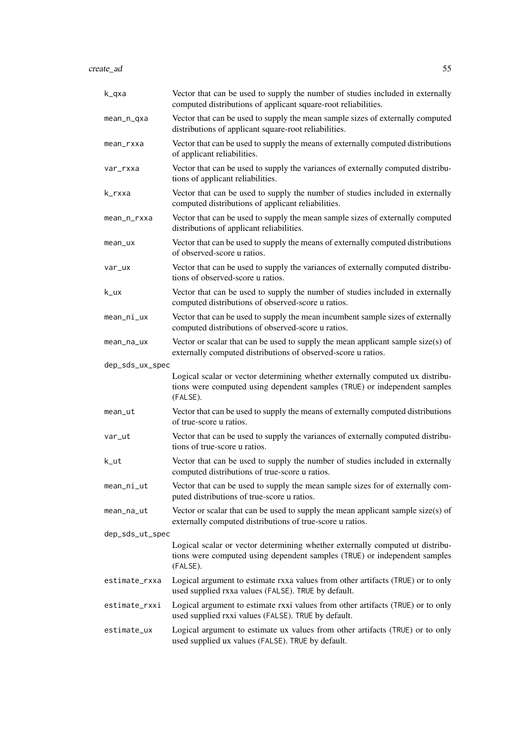create\_ad 55

| k_qxa           | Vector that can be used to supply the number of studies included in externally<br>computed distributions of applicant square-root reliabilities.                       |
|-----------------|------------------------------------------------------------------------------------------------------------------------------------------------------------------------|
| mean_n_qxa      | Vector that can be used to supply the mean sample sizes of externally computed<br>distributions of applicant square-root reliabilities.                                |
| mean_rxxa       | Vector that can be used to supply the means of externally computed distributions<br>of applicant reliabilities.                                                        |
| var_rxxa        | Vector that can be used to supply the variances of externally computed distribu-<br>tions of applicant reliabilities.                                                  |
| k_rxxa          | Vector that can be used to supply the number of studies included in externally<br>computed distributions of applicant reliabilities.                                   |
| mean_n_rxxa     | Vector that can be used to supply the mean sample sizes of externally computed<br>distributions of applicant reliabilities.                                            |
| mean_ux         | Vector that can be used to supply the means of externally computed distributions<br>of observed-score u ratios.                                                        |
| var_ux          | Vector that can be used to supply the variances of externally computed distribu-<br>tions of observed-score u ratios.                                                  |
| k_ux            | Vector that can be used to supply the number of studies included in externally<br>computed distributions of observed-score u ratios.                                   |
| mean_ni_ux      | Vector that can be used to supply the mean incumbent sample sizes of externally<br>computed distributions of observed-score u ratios.                                  |
| mean_na_ux      | Vector or scalar that can be used to supply the mean applicant sample size(s) of<br>externally computed distributions of observed-score u ratios.                      |
| dep_sds_ux_spec |                                                                                                                                                                        |
|                 | Logical scalar or vector determining whether externally computed ux distribu-<br>tions were computed using dependent samples (TRUE) or independent samples<br>(FALSE). |
| mean_ut         | Vector that can be used to supply the means of externally computed distributions<br>of true-score u ratios.                                                            |
| var_ut          | Vector that can be used to supply the variances of externally computed distribu-<br>tions of true-score u ratios.                                                      |
| k_ut            | Vector that can be used to supply the number of studies included in externally<br>computed distributions of true-score u ratios.                                       |
| mean_ni_ut      | Vector that can be used to supply the mean sample sizes for of externally com-<br>puted distributions of true-score u ratios.                                          |
| mean_na_ut      | Vector or scalar that can be used to supply the mean applicant sample size(s) of<br>externally computed distributions of true-score u ratios.                          |
| dep_sds_ut_spec |                                                                                                                                                                        |
|                 | Logical scalar or vector determining whether externally computed ut distribu-<br>tions were computed using dependent samples (TRUE) or independent samples<br>(FALSE). |
| estimate_rxxa   | Logical argument to estimate rxxa values from other artifacts (TRUE) or to only                                                                                        |
| estimate_rxxi   | used supplied rxxa values (FALSE). TRUE by default.                                                                                                                    |
|                 | Logical argument to estimate rxxi values from other artifacts (TRUE) or to only<br>used supplied rxxi values (FALSE). TRUE by default.                                 |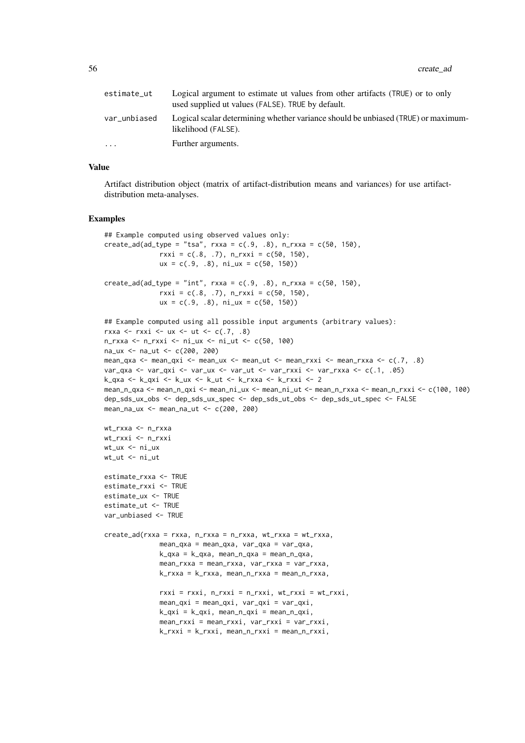56 create\_ad **b** create\_ad **b** create\_ad **b** create\_ad **b** create\_ad **b** create\_ad **b** create\_ad **b** create\_ad **b** create\_ad **b** create\_ad **b** create\_ad **b** create\_ad **b** create\_ad **b** create\_ad **b** create\_ad **b** create\_ad

| estimate_ut  | Logical argument to estimate ut values from other artifacts (TRUE) or to only<br>used supplied ut values (FALSE). TRUE by default. |
|--------------|------------------------------------------------------------------------------------------------------------------------------------|
| var_unbiased | Logical scalar determining whether variance should be unbiased (TRUE) or maximum-<br>likelihood (FALSE).                           |
| $\ddotsc$    | Further arguments.                                                                                                                 |

#### Value

Artifact distribution object (matrix of artifact-distribution means and variances) for use artifactdistribution meta-analyses.

#### Examples

```
## Example computed using observed values only:
create\_add\_type = "tsa", rxxa = c(.9, .8), n_rxxx = c(50, 150),rxxi = c(.8, .7), n_rxxi = c(50, 150),ux = c(.9, .8), ni_ux = c(50, 150))create\_ad(ad\_type = "int", rxxa = c(.9, .8), n_rxxx = c(50, 150),rxxi = c(.8, .7), n_rxxi = c(50, 150),ux = c(.9, .8), ni_ux = c(50, 150))## Example computed using all possible input arguments (arbitrary values):
rxxa <- rxxi <- ux <- ut <- c(.7, .8)n_rxxa <- n_rxxi <- ni_ux <- ni_ut <- c(50, 100)
na_ux <- na_ut <- c(200, 200)
mean_qxa <- mean_qxi <- mean_ux <- mean_ut <- mean_rxxi <- mean_rxxa <- c(.7, .8)
var_qxa <- var_qxi <- var_ux <- var_ut <- var_rxxi <- var_rxxa <- c(.1, .05)
k_qxa <- k_qxi <- k_ux <- k_ut <- k_rxxa <- k_rxxi <- 2
mean_n_qxa <- mean_n_qxi <- mean_ni_ux <- mean_ni_ut <- mean_n_rxxa <- mean_n_rxxi <- c(100, 100)
dep_sds_ux_obs <- dep_sds_ux_spec <- dep_sds_ut_obs <- dep_sds_ut_spec <- FALSE
mean_na_ux <- mean_na_ut <- c(200, 200)
wt_rxxa <- n_rxxa
wt_rxxi <- n_rxxi
wt_u x \leq n i_u xwt_ut <- ni_ut
estimate_rxxa <- TRUE
estimate_rxxi <- TRUE
estimate_ux <- TRUE
estimate_ut <- TRUE
var_unbiased <- TRUE
create_ad(rxxa = rxxa, n_rxxa = n_rxxa, wt_rxxa = wt_rxxa,
              mean_qxa = mean_qxa, var_qxa = var_qxa,
              k_qxa = k_qxa, mean_n_qxa = mean_n_qxa,
              mean_rxxa = mean_rxxa, var_rxxa = var_rxxa,
              k_rxxa = k_rxxa, mean_n_rxxa = mean_n_rxxa,
              rxxi = rxxi, n_rxxi = n_rxxi, wt_rxxi = wt_rxxi,
              mean_qxi = mean_qxi, var_qxi = var_qxi,
              k_qxi = k_qxi, mean_n_qxi = mean_n_qxi,
              mean_rxxi = mean_rxxi, var_rxxi = var_rxxi,
              k_rxxi = k_rxxi, mean_n_rxxi = mean_n_rxxi,
```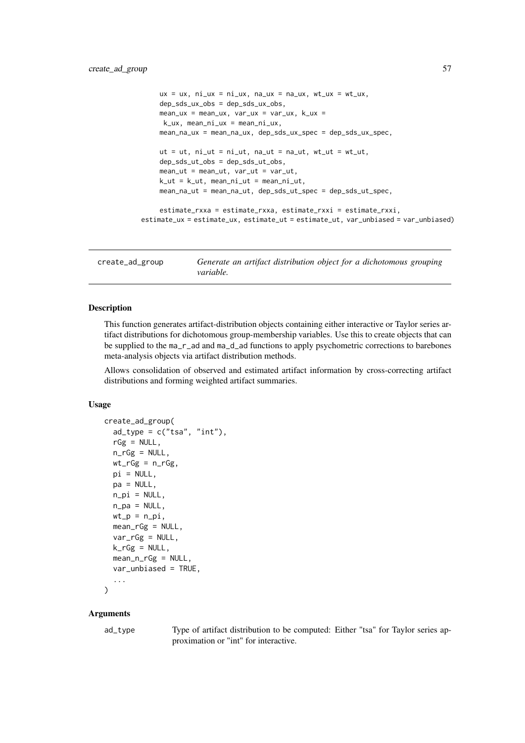```
ux = ux, ni\_ux = ni\_ux, na\_ux = na_ux, wt\_ux = wt\_ux,
    dep_sds_ux_obs = dep_sds_ux_obs,
    mean_u x = mean_u x, var_u x = var_u x, k_u x =k_ux, mean_ni_ux = mean_ni_ux,
    mean_na_ux = mean_na_ux, dep_sds_ux_spec = dep_sds_ux_spec,
    ut = ut, ni_{ut} = ni_{ut}, na_{ut} = na_{ut}, wt_{ut} = wt_{ut},
    dep_sds_ut_obs = dep_sds_ut_obs,mean_{ut} = mean_{ut}, var_ut = var_ut,
    k ut = k ut, mean ni ut = mean ni ut,
    mean_na_ut = mean_na_ut, dep_sds_ut_spec = dep_sds_ut_spec,
    estimate_rxxa = estimate_rxxa, estimate_rxxi = estimate_rxxi,
estimate_ux = estimate_ux, estimate_ut = estimate_ut, var_unbiased = var_unbiased)
```
create\_ad\_group *Generate an artifact distribution object for a dichotomous grouping variable.*

### Description

This function generates artifact-distribution objects containing either interactive or Taylor series artifact distributions for dichotomous group-membership variables. Use this to create objects that can be supplied to the ma\_r\_ad and ma\_d\_ad functions to apply psychometric corrections to barebones meta-analysis objects via artifact distribution methods.

Allows consolidation of observed and estimated artifact information by cross-correcting artifact distributions and forming weighted artifact summaries.

## Usage

```
create_ad_group(
  ad_type = c("tsa", "int"),
  rGg = NULL,n_rGg = NULL,wt_rGg = n_rGg,
  pi = NULL,
  pa = NULL,n_pi = NULL,
  n_pa = NULL,
  wt_p = n_pi,
  mean_rGg = NULL,
  var_rGg = NULL,
  k_rGg = NULL,mean_n_rGg = NULL,
  var_unbiased = TRUE,
  ...
)
```
#### Arguments

ad\_type Type of artifact distribution to be computed: Either "tsa" for Taylor series approximation or "int" for interactive.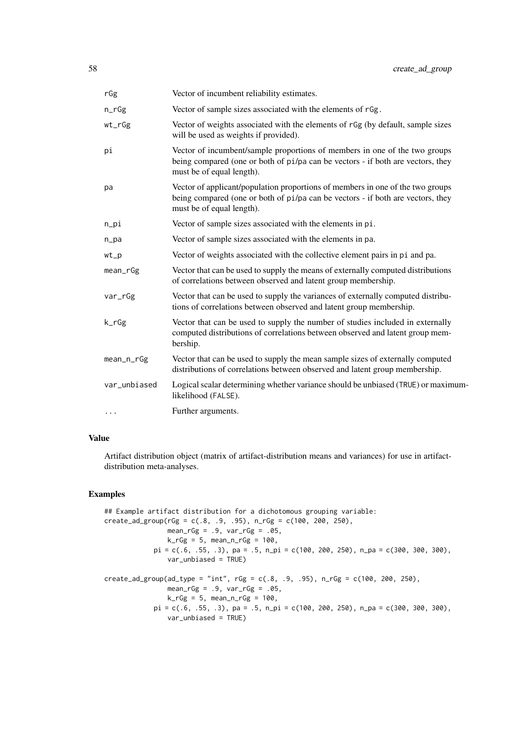| rGg                               | Vector of incumbent reliability estimates.                                                                                                                                                     |
|-----------------------------------|------------------------------------------------------------------------------------------------------------------------------------------------------------------------------------------------|
| $n_rGg$                           | Vector of sample sizes associated with the elements of rGg.                                                                                                                                    |
| $wt_rGg$                          | Vector of weights associated with the elements of rGg (by default, sample sizes<br>will be used as weights if provided).                                                                       |
| рi                                | Vector of incumbent/sample proportions of members in one of the two groups<br>being compared (one or both of pi/pa can be vectors - if both are vectors, they<br>must be of equal length).     |
| pa                                | Vector of applicant/population proportions of members in one of the two groups<br>being compared (one or both of pi/pa can be vectors - if both are vectors, they<br>must be of equal length). |
| n                                 | Vector of sample sizes associated with the elements in pi.                                                                                                                                     |
| $n$ <sub><math>p</math></sub> $a$ | Vector of sample sizes associated with the elements in pa.                                                                                                                                     |
| wt                                | Vector of weights associated with the collective element pairs in pi and pa.                                                                                                                   |
| mean_rGg                          | Vector that can be used to supply the means of externally computed distributions<br>of correlations between observed and latent group membership.                                              |
| var_rGg                           | Vector that can be used to supply the variances of externally computed distribu-<br>tions of correlations between observed and latent group membership.                                        |
| k_rGg                             | Vector that can be used to supply the number of studies included in externally<br>computed distributions of correlations between observed and latent group mem-<br>bership.                    |
| mean_n_rGg                        | Vector that can be used to supply the mean sample sizes of externally computed<br>distributions of correlations between observed and latent group membership.                                  |
| var_unbiased                      | Logical scalar determining whether variance should be unbiased (TRUE) or maximum-<br>likelihood (FALSE).                                                                                       |
| $\cdots$                          | Further arguments.                                                                                                                                                                             |

### Value

Artifact distribution object (matrix of artifact-distribution means and variances) for use in artifactdistribution meta-analyses.

## Examples

```
## Example artifact distribution for a dichotomous grouping variable:
create_ad_group(rGg = c(.8, .9, .95), n_rGg = c(100, 200, 250),
                mean_rGg = .9, var_rGg = .05,
                k_rGg = 5, mean_n_rGg = 100,
            pi = c(.6, .55, .3), pa = .5, n\_pi = c(100, 200, 250), n\_pa = c(300, 300, 300),var_unbiased = TRUE)
create\_ad\_group(ad\_type = "int", rg = c(.8, .9, .95), n\_rGg = c(100, 200, 250),mean_rGg = .9, var_rGg = .05,
                k_rGg = 5, mean_n_rGg = 100,
            pi = c(.6, .55, .3), pa = .5, n\_pi = c(100, 200, 250), n\_pa = c(300, 300, 300),
                var_unbiased = TRUE)
```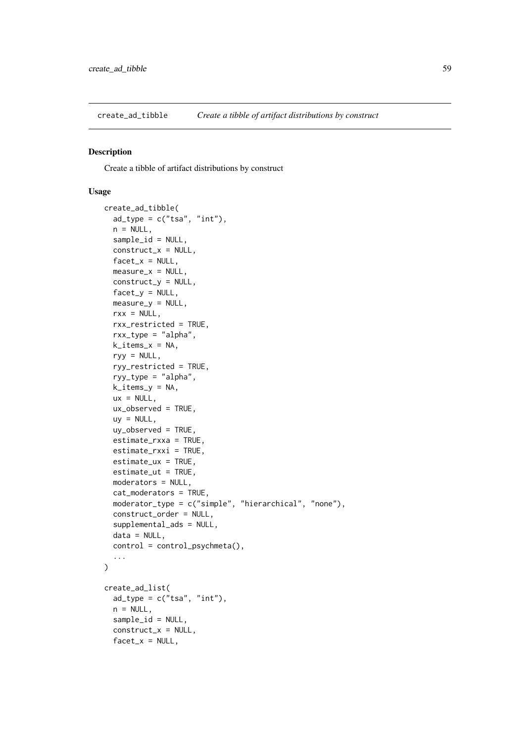create\_ad\_tibble *Create a tibble of artifact distributions by construct*

### Description

Create a tibble of artifact distributions by construct

## Usage

```
create_ad_tibble(
 ad_type = c("tsa", "int"),n = NULL,sample_id = NULL,
 construct_x = NULL,facet_x = NULL,measure_x = NULL,construct_y = NULL,factor_y = NULL,measure_y = NULL,rxx = NULL,rxx_restricted = TRUE,
 rxx_type = "alpha",
 k\_items_x = NA,
 ryy = NULL,ryy_restricted = TRUE,
 ryy_type = "alpha",
 k_items_y = NA,
 ux = NULL,ux_observed = TRUE,
 uy = NULL,uy_observed = TRUE,
 estimate_rxxa = TRUE,
 estimate_rxxi = TRUE,
 estimate_ux = TRUE,
 estimate_ut = TRUE,
 moderators = NULL,
 cat_moderators = TRUE,
 moderator_type = c("simple", "hierarchical", "none"),
 construct_order = NULL,
 supplemental_ads = NULL,
 data = NULL,
 control = control_psychmeta(),
  ...
)
create_ad_list(
 ad_type = c("tsa", "int"),
 n = NULL,sample_id = NULL,
 construct_x = NULL,
 facet_x = NULL,
```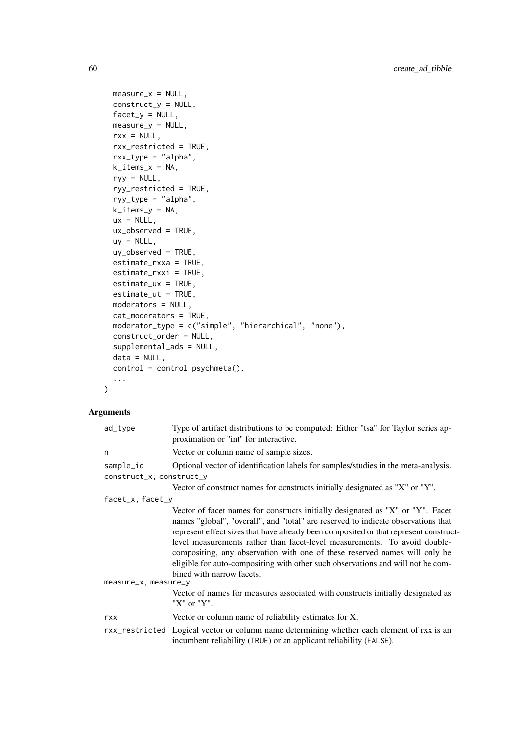```
measure_x = NULL,construct_y = NULL,
  factor_y = NULL,measure_y = NULL,
  rxx = NULL,rxx_restricted = TRUE,
  rxx_type = "alpha",
  k\_items_x = NA,
  ryy = NULL,ryy_restricted = TRUE,
  ryy_type = "alpha",k<sub>_items_y</sub> = NA,
  ux = NULL,ux_observed = TRUE,
  uy = NULL,uy_observed = TRUE,
  estimate_rxxa = TRUE,
  estimate_rxxi = TRUE,
  estimate_ux = TRUE,
  estimate_ut = TRUE,
  moderators = NULL,
  cat_moderators = TRUE,
  moderator_type = c("simple", "hierarchical", "none"),
  construct_order = NULL,
  supplemental_ads = NULL,
  data = NULL,control = control_psychmeta(),
  ...
\lambda
```

| ad_type                  | Type of artifact distributions to be computed: Either "tsa" for Taylor series ap-<br>proximation or "int" for interactive.                                                                                                                                                                                                                                                                                                                                                                                                              |
|--------------------------|-----------------------------------------------------------------------------------------------------------------------------------------------------------------------------------------------------------------------------------------------------------------------------------------------------------------------------------------------------------------------------------------------------------------------------------------------------------------------------------------------------------------------------------------|
| n                        | Vector or column name of sample sizes.                                                                                                                                                                                                                                                                                                                                                                                                                                                                                                  |
| sample_id                | Optional vector of identification labels for samples/studies in the meta-analysis.                                                                                                                                                                                                                                                                                                                                                                                                                                                      |
| construct_x, construct_y |                                                                                                                                                                                                                                                                                                                                                                                                                                                                                                                                         |
|                          | Vector of construct names for constructs initially designated as "X" or "Y".                                                                                                                                                                                                                                                                                                                                                                                                                                                            |
| facet_x, facet_y         |                                                                                                                                                                                                                                                                                                                                                                                                                                                                                                                                         |
|                          | Vector of facet names for constructs initially designated as "X" or "Y". Facet<br>names "global", "overall", and "total" are reserved to indicate observations that<br>represent effect sizes that have already been composited or that represent construct-<br>level measurements rather than facet-level measurements. To avoid double-<br>compositing, any observation with one of these reserved names will only be<br>eligible for auto-compositing with other such observations and will not be com-<br>bined with narrow facets. |
| measure_x, measure_y     |                                                                                                                                                                                                                                                                                                                                                                                                                                                                                                                                         |
|                          | Vector of names for measures associated with constructs initially designated as<br>"X" or "Y".                                                                                                                                                                                                                                                                                                                                                                                                                                          |
| rxx                      | Vector or column name of reliability estimates for X.                                                                                                                                                                                                                                                                                                                                                                                                                                                                                   |
|                          | rxx_restricted Logical vector or column name determining whether each element of rxx is an<br>incumbent reliability (TRUE) or an applicant reliability (FALSE).                                                                                                                                                                                                                                                                                                                                                                         |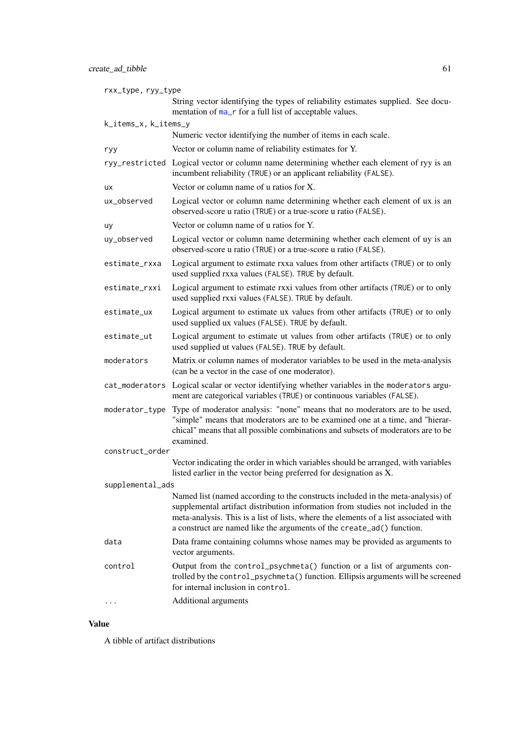| rxx_type, ryy_type   |                                                                                                                                                                                                                                                                                                                                     |
|----------------------|-------------------------------------------------------------------------------------------------------------------------------------------------------------------------------------------------------------------------------------------------------------------------------------------------------------------------------------|
|                      | String vector identifying the types of reliability estimates supplied. See docu-<br>mentation of ma_r for a full list of acceptable values.                                                                                                                                                                                         |
| k_items_x, k_items_y |                                                                                                                                                                                                                                                                                                                                     |
|                      | Numeric vector identifying the number of items in each scale.                                                                                                                                                                                                                                                                       |
| ryy                  | Vector or column name of reliability estimates for Y.                                                                                                                                                                                                                                                                               |
|                      | ryy_restricted Logical vector or column name determining whether each element of ryy is an<br>incumbent reliability (TRUE) or an applicant reliability (FALSE).                                                                                                                                                                     |
| ux                   | Vector or column name of u ratios for X.                                                                                                                                                                                                                                                                                            |
| ux_observed          | Logical vector or column name determining whether each element of ux is an<br>observed-score u ratio (TRUE) or a true-score u ratio (FALSE).                                                                                                                                                                                        |
| uy                   | Vector or column name of u ratios for Y.                                                                                                                                                                                                                                                                                            |
| uy_observed          | Logical vector or column name determining whether each element of uy is an<br>observed-score u ratio (TRUE) or a true-score u ratio (FALSE).                                                                                                                                                                                        |
| estimate_rxxa        | Logical argument to estimate rxxa values from other artifacts (TRUE) or to only<br>used supplied rxxa values (FALSE). TRUE by default.                                                                                                                                                                                              |
| estimate_rxxi        | Logical argument to estimate rxxi values from other artifacts (TRUE) or to only<br>used supplied rxxi values (FALSE). TRUE by default.                                                                                                                                                                                              |
| estimate_ux          | Logical argument to estimate ux values from other artifacts (TRUE) or to only<br>used supplied ux values (FALSE). TRUE by default.                                                                                                                                                                                                  |
| estimate_ut          | Logical argument to estimate ut values from other artifacts (TRUE) or to only<br>used supplied ut values (FALSE). TRUE by default.                                                                                                                                                                                                  |
| moderators           | Matrix or column names of moderator variables to be used in the meta-analysis<br>(can be a vector in the case of one moderator).                                                                                                                                                                                                    |
|                      | cat_moderators Logical scalar or vector identifying whether variables in the moderators argu-<br>ment are categorical variables (TRUE) or continuous variables (FALSE).                                                                                                                                                             |
| moderator_type       | Type of moderator analysis: "none" means that no moderators are to be used,<br>"simple" means that moderators are to be examined one at a time, and "hierar-<br>chical" means that all possible combinations and subsets of moderators are to be<br>examined.                                                                       |
| construct_order      |                                                                                                                                                                                                                                                                                                                                     |
|                      | Vector indicating the order in which variables should be arranged, with variables<br>listed earlier in the vector being preferred for designation as X.                                                                                                                                                                             |
| supplemental_ads     |                                                                                                                                                                                                                                                                                                                                     |
|                      | Named list (named according to the constructs included in the meta-analysis) of<br>supplemental artifact distribution information from studies not included in the<br>meta-analysis. This is a list of lists, where the elements of a list associated with<br>a construct are named like the arguments of the create_ad() function. |
| data                 | Data frame containing columns whose names may be provided as arguments to<br>vector arguments.                                                                                                                                                                                                                                      |
| control              | Output from the control_psychmeta() function or a list of arguments con-<br>trolled by the control_psychmeta() function. Ellipsis arguments will be screened<br>for internal inclusion in control.                                                                                                                                  |
|                      | Additional arguments                                                                                                                                                                                                                                                                                                                |

# Value

A tibble of artifact distributions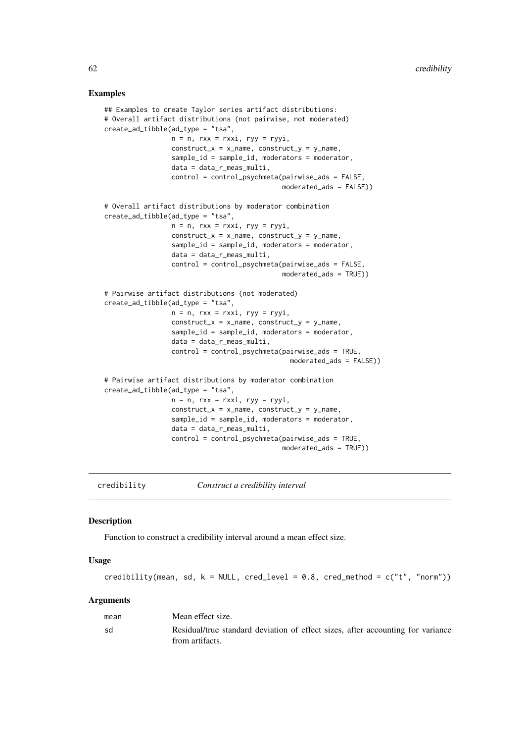### Examples

```
## Examples to create Taylor series artifact distributions:
# Overall artifact distributions (not pairwise, not moderated)
create_ad_tibble(ad_type = "tsa",
                 n = n, rxx = rxxi, ryy = ryyi,
                 construct_x = x_name, construct_y = y_name,sample_id = sample_id, moderators = moderator,
                 data = data_r_meas_multi,
                 control = control_psychmeta(pairwise_ads = FALSE,
                                             moderated_ads = FALSE))
# Overall artifact distributions by moderator combination
create_ad_tibble(ad_type = "tsa",
                 n = n, rxx = rxxi, ryy = ryyi,
                 construct_x = x_name, construct_y = y_name,sample_id = sample_id, moderators = moderator,
                 data = data_r_meas_multi,
                 control = control_psychmeta(pairwise_ads = FALSE,
                                             moderated_ads = TRUE))
# Pairwise artifact distributions (not moderated)
create_ad_tibble(ad_type = "tsa",
                 n = n, rxx = rxxi, ryy = ryyi,
                 construct_x = x_name, construct_y = y_name,sample_id = sample_id, moderators = moderator,
                 data = data_r_meas_multi,
                 control = control_psychmeta(pairwise_ads = TRUE,
                                               moderated_ads = FALSE))
# Pairwise artifact distributions by moderator combination
create_ad_tibble(ad_type = "tsa",
                 n = n, rxx = rxxi, ryy = ryyi,
                 construct_x = x_name, construct_y = y_name,
                 sample_id = sample_id, moderators = moderator,
                 data = data_r_meas_multi,
                 control = control_psychmeta(pairwise_ads = TRUE,
                                             moderated_ads = TRUE))
```
credibility *Construct a credibility interval*

### Description

Function to construct a credibility interval around a mean effect size.

# Usage

```
credibility(mean, sd, k = NULL, cred_level = 0.8, cred_method = c("t", "norm"))
```

| mean | Mean effect size.                                                                                  |
|------|----------------------------------------------------------------------------------------------------|
| sd   | Residual/true standard deviation of effect sizes, after accounting for variance<br>from artifacts. |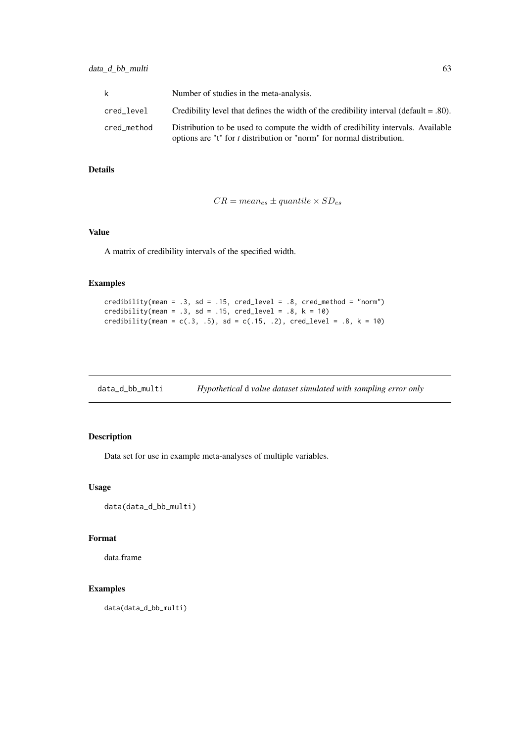| k.          | Number of studies in the meta-analysis.                                                                                                                   |
|-------------|-----------------------------------------------------------------------------------------------------------------------------------------------------------|
| cred_level  | Credibility level that defines the width of the credibility interval (default $=$ .80).                                                                   |
| cred method | Distribution to be used to compute the width of credibility intervals. Available<br>options are "t" for t distribution or "norm" for normal distribution. |

# Details

$$
CR = mean_{es} \pm quantile \times SD_{es}
$$

### Value

A matrix of credibility intervals of the specified width.

## Examples

```
credibility(mean = .3, sd = .15, cred_level = .8, cred_method = "norm")
credibility(mean = .3, sd = .15, cred_level = .8, k = 10)
credibility(mean = c(.3, .5), sd = c(.15, .2), cred_level = .8, k = 10)
```
data\_d\_bb\_multi *Hypothetical* d *value dataset simulated with sampling error only*

## Description

Data set for use in example meta-analyses of multiple variables.

## Usage

```
data(data_d_bb_multi)
```
## Format

data.frame

## Examples

data(data\_d\_bb\_multi)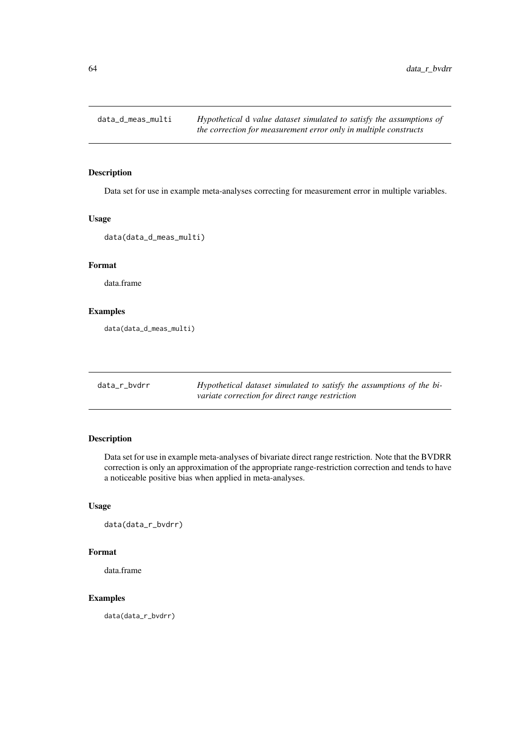Data set for use in example meta-analyses correcting for measurement error in multiple variables.

### Usage

```
data(data_d_meas_multi)
```
## Format

data.frame

### Examples

data(data\_d\_meas\_multi)

| data_r_bvdrr | Hypothetical dataset simulated to satisfy the assumptions of the bi- |
|--------------|----------------------------------------------------------------------|
|              | variate correction for direct range restriction                      |

# Description

Data set for use in example meta-analyses of bivariate direct range restriction. Note that the BVDRR correction is only an approximation of the appropriate range-restriction correction and tends to have a noticeable positive bias when applied in meta-analyses.

## Usage

data(data\_r\_bvdrr)

### Format

data.frame

### Examples

data(data\_r\_bvdrr)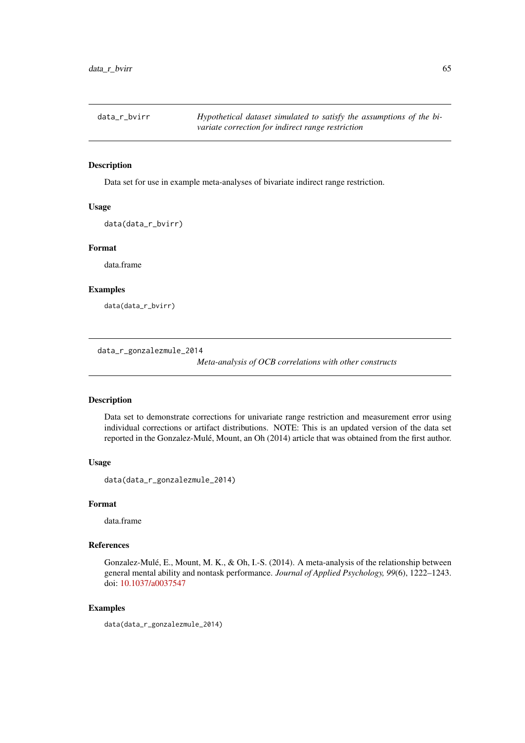| data_r_bvirr | Hypothetical dataset simulated to satisfy the assumptions of the bi- |
|--------------|----------------------------------------------------------------------|
|              | variate correction for indirect range restriction                    |

Data set for use in example meta-analyses of bivariate indirect range restriction.

## Usage

```
data(data_r_bvirr)
```
#### Format

data.frame

## Examples

data(data\_r\_bvirr)

data\_r\_gonzalezmule\_2014

*Meta-analysis of OCB correlations with other constructs*

## Description

Data set to demonstrate corrections for univariate range restriction and measurement error using individual corrections or artifact distributions. NOTE: This is an updated version of the data set reported in the Gonzalez-Mulé, Mount, an Oh (2014) article that was obtained from the first author.

### Usage

data(data\_r\_gonzalezmule\_2014)

#### Format

data.frame

# References

Gonzalez-Mulé, E., Mount, M. K., & Oh, I.-S. (2014). A meta-analysis of the relationship between general mental ability and nontask performance. *Journal of Applied Psychology, 99*(6), 1222–1243. doi: [10.1037/a0037547](https://doi.org/10.1037/a0037547)

## Examples

data(data\_r\_gonzalezmule\_2014)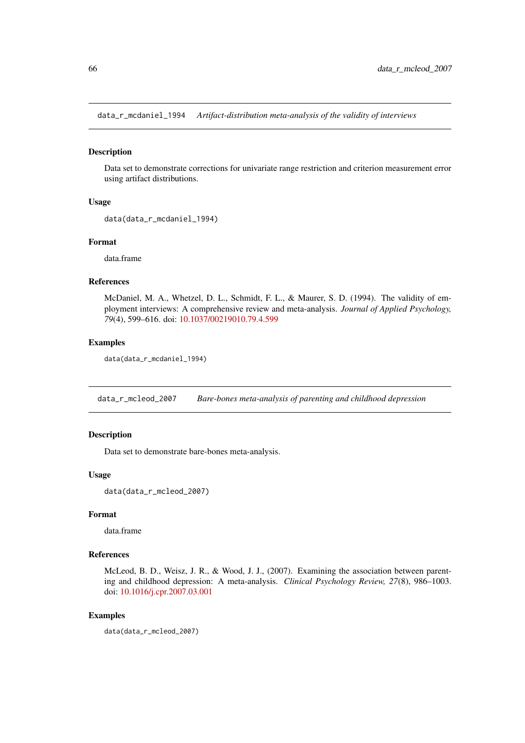data\_r\_mcdaniel\_1994 *Artifact-distribution meta-analysis of the validity of interviews*

#### Description

Data set to demonstrate corrections for univariate range restriction and criterion measurement error using artifact distributions.

### Usage

```
data(data_r_mcdaniel_1994)
```
#### Format

data.frame

#### References

McDaniel, M. A., Whetzel, D. L., Schmidt, F. L., & Maurer, S. D. (1994). The validity of employment interviews: A comprehensive review and meta-analysis. *Journal of Applied Psychology, 79*(4), 599–616. doi: [10.1037/00219010.79.4.599](https://doi.org/10.1037/0021-9010.79.4.599)

## Examples

```
data(data_r_mcdaniel_1994)
```
data\_r\_mcleod\_2007 *Bare-bones meta-analysis of parenting and childhood depression*

### Description

Data set to demonstrate bare-bones meta-analysis.

### Usage

```
data(data_r_mcleod_2007)
```
#### Format

data.frame

## References

McLeod, B. D., Weisz, J. R., & Wood, J. J., (2007). Examining the association between parenting and childhood depression: A meta-analysis. *Clinical Psychology Review, 27*(8), 986–1003. doi: [10.1016/j.cpr.2007.03.001](https://doi.org/10.1016/j.cpr.2007.03.001)

## Examples

```
data(data_r_mcleod_2007)
```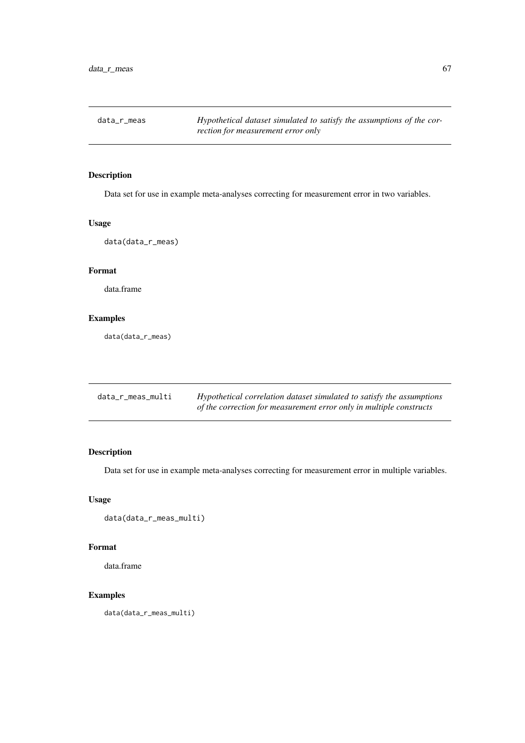Data set for use in example meta-analyses correcting for measurement error in two variables.

### Usage

data(data\_r\_meas)

# Format

data.frame

## Examples

data(data\_r\_meas)

| data_r_meas_multi | Hypothetical correlation dataset simulated to satisfy the assumptions |
|-------------------|-----------------------------------------------------------------------|
|                   | of the correction for measurement error only in multiple constructs   |

# Description

Data set for use in example meta-analyses correcting for measurement error in multiple variables.

# Usage

```
data(data_r_meas_multi)
```
### Format

data.frame

## Examples

data(data\_r\_meas\_multi)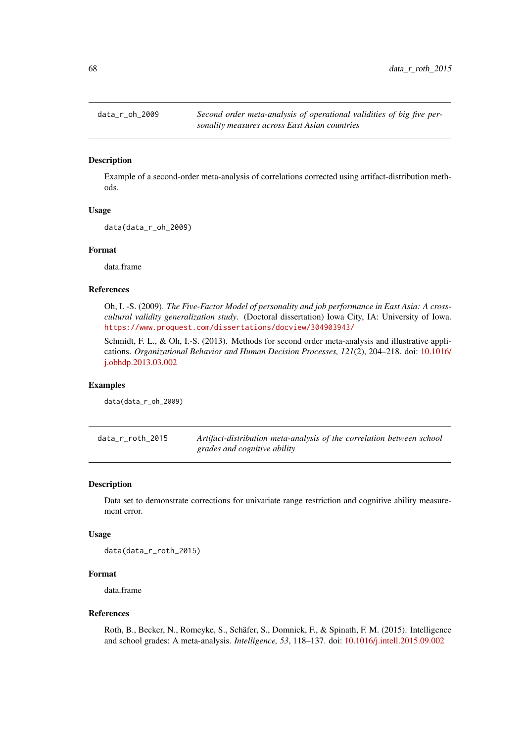Example of a second-order meta-analysis of correlations corrected using artifact-distribution methods.

### Usage

data(data\_r\_oh\_2009)

### Format

data.frame

#### References

Oh, I. -S. (2009). *The Five-Factor Model of personality and job performance in East Asia: A crosscultural validity generalization study*. (Doctoral dissertation) Iowa City, IA: University of Iowa. <https://www.proquest.com/dissertations/docview/304903943/>

Schmidt, F. L., & Oh, I.-S. (2013). Methods for second order meta-analysis and illustrative applications. *Organizational Behavior and Human Decision Processes, 121*(2), 204–218. doi: [10.1016/](https://doi.org/10.1016/j.obhdp.2013.03.002) [j.obhdp.2013.03.002](https://doi.org/10.1016/j.obhdp.2013.03.002)

#### Examples

data(data\_r\_oh\_2009)

data\_r\_roth\_2015 *Artifact-distribution meta-analysis of the correlation between school grades and cognitive ability*

#### Description

Data set to demonstrate corrections for univariate range restriction and cognitive ability measurement error.

#### Usage

data(data\_r\_roth\_2015)

#### Format

data.frame

#### References

Roth, B., Becker, N., Romeyke, S., Schäfer, S., Domnick, F., & Spinath, F. M. (2015). Intelligence and school grades: A meta-analysis. *Intelligence, 53*, 118–137. doi: [10.1016/j.intell.2015.09.002](https://doi.org/10.1016/j.intell.2015.09.002)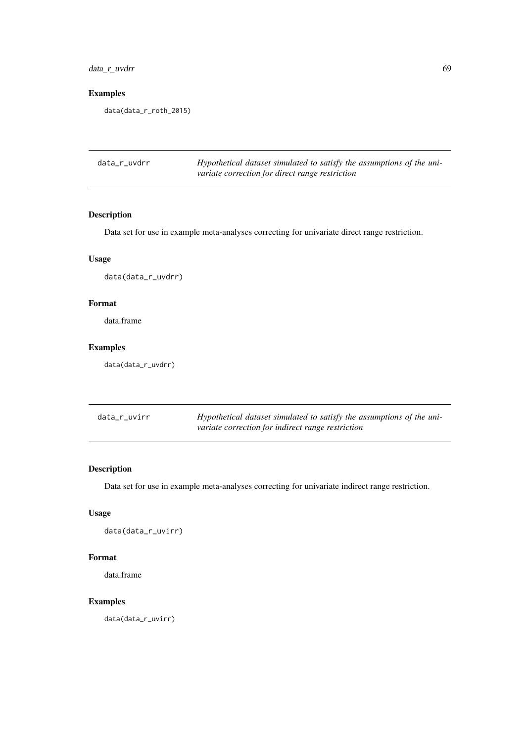# data\_r\_uvdrr 69

## Examples

data(data\_r\_roth\_2015)

| data_r_uvdrr | Hypothetical dataset simulated to satisfy the assumptions of the uni- |
|--------------|-----------------------------------------------------------------------|
|              | variate correction for direct range restriction                       |

# Description

Data set for use in example meta-analyses correcting for univariate direct range restriction.

# Usage

data(data\_r\_uvdrr)

# Format

data.frame

# Examples

data(data\_r\_uvdrr)

| data_r_uvirr | Hypothetical dataset simulated to satisfy the assumptions of the uni- |
|--------------|-----------------------------------------------------------------------|
|              | variate correction for indirect range restriction                     |

# Description

Data set for use in example meta-analyses correcting for univariate indirect range restriction.

## Usage

data(data\_r\_uvirr)

## Format

data.frame

## Examples

data(data\_r\_uvirr)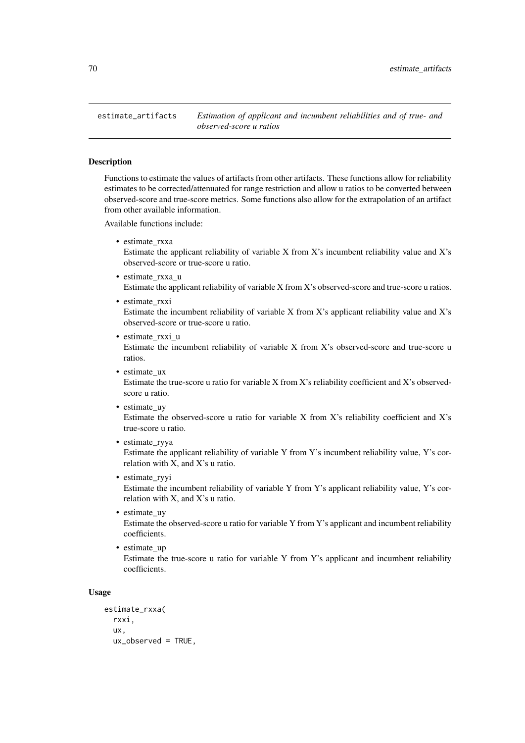Functions to estimate the values of artifacts from other artifacts. These functions allow for reliability estimates to be corrected/attenuated for range restriction and allow u ratios to be converted between observed-score and true-score metrics. Some functions also allow for the extrapolation of an artifact from other available information.

Available functions include:

• estimate\_rxxa

Estimate the applicant reliability of variable X from X's incumbent reliability value and X's observed-score or true-score u ratio.

- estimate\_rxxa\_u Estimate the applicant reliability of variable X from X's observed-score and true-score u ratios.
- estimate\_rxxi Estimate the incumbent reliability of variable X from X's applicant reliability value and X's observed-score or true-score u ratio.
- estimate rxxi u Estimate the incumbent reliability of variable X from X's observed-score and true-score u ratios.
- estimate ux Estimate the true-score u ratio for variable X from X's reliability coefficient and X's observedscore u ratio.
- estimate\_uy

Estimate the observed-score u ratio for variable X from X's reliability coefficient and X's true-score u ratio.

• estimate\_ryya

Estimate the applicant reliability of variable Y from Y's incumbent reliability value, Y's correlation with X, and X's u ratio.

- estimate\_ryyi Estimate the incumbent reliability of variable Y from Y's applicant reliability value, Y's correlation with X, and X's u ratio.
- estimate\_uy Estimate the observed-score u ratio for variable Y from Y's applicant and incumbent reliability coefficients.
- estimate up Estimate the true-score u ratio for variable Y from Y's applicant and incumbent reliability coefficients.

# Usage

```
estimate_rxxa(
  rxxi,
  ux,
  ux_observed = TRUE,
```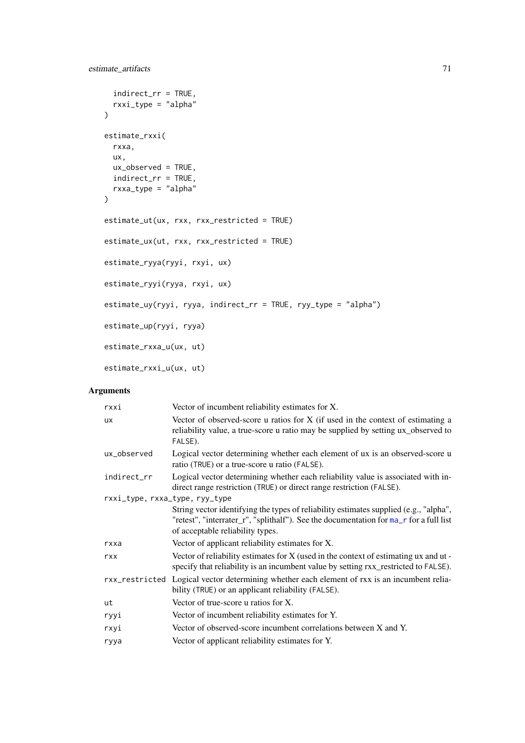```
indirect_rr = TRUE,
 rxxi_type = "alpha"
\mathcal{L}estimate_rxxi(
 rxxa,
  ux,
 ux_observed = TRUE,
 indirect_rr = TRUE,
 rxxa_type = "alpha"
\lambdaestimate_ut(ux, rxx, rxx_restricted = TRUE)
estimate_ux(ut, rxx, rxx_restricted = TRUE)
estimate_ryya(ryyi, rxyi, ux)
estimate_ryyi(ryya, rxyi, ux)
estimate_uy(ryyi, ryya, indirect_rr = TRUE, ryy_type = "alpha")
estimate_up(ryyi, ryya)
estimate_rxxa_u(ux, ut)
estimate_rxxi_u(ux, ut)
```

| rxxi                           | Vector of incumbent reliability estimates for X.                                                                                                                                                                    |  |
|--------------------------------|---------------------------------------------------------------------------------------------------------------------------------------------------------------------------------------------------------------------|--|
| <b>UX</b>                      | Vector of observed-score u ratios for $X$ (if used in the context of estimating a<br>reliability value, a true-score u ratio may be supplied by setting ux_observed to<br>FALSE).                                   |  |
| ux_observed                    | Logical vector determining whether each element of ux is an observed-score u<br>ratio (TRUE) or a true-score u ratio (FALSE).                                                                                       |  |
| indirect_rr                    | Logical vector determining whether each reliability value is associated with in-<br>direct range restriction (TRUE) or direct range restriction (FALSE).                                                            |  |
| rxxi_type, rxxa_type, ryy_type |                                                                                                                                                                                                                     |  |
|                                | String vector identifying the types of reliability estimates supplied (e.g., "alpha",<br>"retest", "interrater_r", "splithalf"). See the documentation for ma_r for a full list<br>of acceptable reliability types. |  |
| rxxa                           | Vector of applicant reliability estimates for X.                                                                                                                                                                    |  |
| rxx                            | Vector of reliability estimates for $X$ (used in the context of estimating $ux$ and $ut$ -<br>specify that reliability is an incumbent value by setting $rxx$ _restricted to FALSE).                                |  |
|                                | rxx_restricted Logical vector determining whether each element of rxx is an incumbent relia-<br>bility (TRUE) or an applicant reliability (FALSE).                                                                  |  |
| ut                             | Vector of true-score u ratios for X.                                                                                                                                                                                |  |
| ryyi                           | Vector of incumbent reliability estimates for Y.                                                                                                                                                                    |  |
| rxyi                           | Vector of observed-score incumbent correlations between X and Y.                                                                                                                                                    |  |
| ryya                           | Vector of applicant reliability estimates for Y.                                                                                                                                                                    |  |
|                                |                                                                                                                                                                                                                     |  |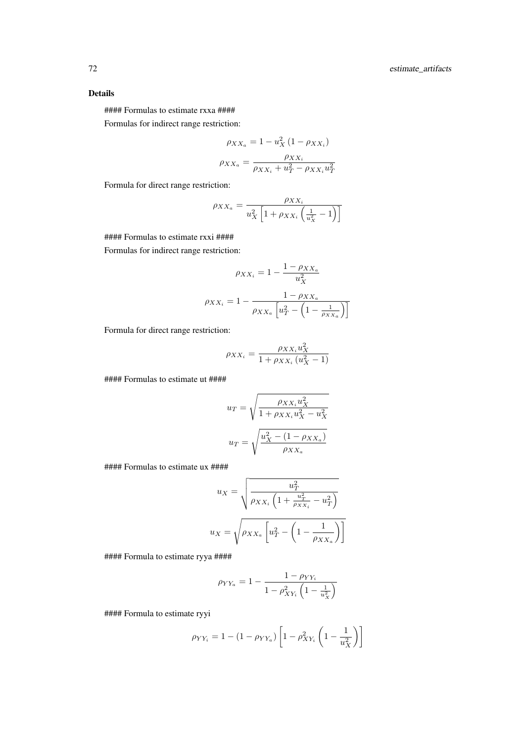# Details

#### Formulas to estimate rxxa ####

Formulas for indirect range restriction:

$$
\rho_{XX_a} = 1 - u_X^2 (1 - \rho_{XX_i})
$$

$$
\rho_{XX_a} = \frac{\rho_{XX_i}}{\rho_{XX_i} + u_T^2 - \rho_{XX_i} u_T^2}
$$

Formula for direct range restriction:

$$
\rho_{XX_a} = \frac{\rho_{XX_i}}{u_X^2 \left[1 + \rho_{XX_i} \left(\frac{1}{u_X^2} - 1\right)\right]}
$$

#### Formulas to estimate rxxi ####

Formulas for indirect range restriction:

$$
\rho_{XX_i} = 1 - \frac{1 - \rho_{XX_a}}{u_X^2}
$$

$$
\rho_{XX_i} = 1 - \frac{1 - \rho_{XX_a}}{\rho_{XX_a} \left[ u_T^2 - \left( 1 - \frac{1}{\rho_{XX_a}} \right) \right]}
$$

Formula for direct range restriction:

$$
\rho_{XX_i} = \frac{\rho_{XX_i} u_X^2}{1 + \rho_{XX_i} \left( u_X^2 - 1 \right)}
$$

#### Formulas to estimate ut ####

$$
u_T = \sqrt{\frac{\rho_{XX_i} u_X^2}{1 + \rho_{XX_i} u_X^2 - u_X^2}}
$$

$$
u_T = \sqrt{\frac{u_X^2 - (1 - \rho_{XX_a})}{\rho_{XX_a}}}
$$

#### Formulas to estimate ux ####

$$
u_X = \sqrt{\frac{u_T^2}{\rho_{XX_i} \left(1 + \frac{u_T^2}{\rho_{XX_i}} - u_T^2\right)}}
$$

$$
u_X = \sqrt{\rho_{XX_a} \left[u_T^2 - \left(1 - \frac{1}{\rho_{XX_a}}\right)\right]}
$$

#### Formula to estimate ryya ####

$$
\rho_{YY_a} = 1 - \frac{1 - \rho_{YY_i}}{1 - \rho_{XY_i}^2 \left(1 - \frac{1}{u_X^2}\right)}
$$

#### Formula to estimate ryyi

$$
\rho_{YY_{i}} = 1 - (1 - \rho_{YY_{a}}) \left[ 1 - \rho_{XY_{i}}^{2} \left( 1 - \frac{1}{u_{X}^{2}} \right) \right]
$$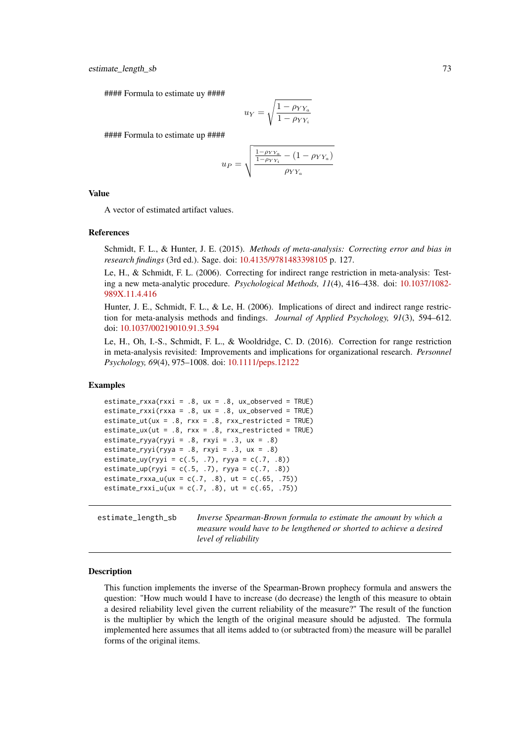#### Formula to estimate uy ####

$$
u_Y = \sqrt{\frac{1 - \rho_{YY_a}}{1 - \rho_{YY_i}}}
$$

#### Formula to estimate up ####

$$
u_{P} = \sqrt{\frac{\frac{1 - \rho_{YY_a}}{1 - \rho_{YY_a}} - (1 - \rho_{YY_a})}{\rho_{YY_a}}}
$$

### Value

A vector of estimated artifact values.

### References

Schmidt, F. L., & Hunter, J. E. (2015). *Methods of meta-analysis: Correcting error and bias in research findings* (3rd ed.). Sage. doi: [10.4135/9781483398105](https://doi.org/10.4135/9781483398105) p. 127.

Le, H., & Schmidt, F. L. (2006). Correcting for indirect range restriction in meta-analysis: Testing a new meta-analytic procedure. *Psychological Methods, 11*(4), 416–438. doi: [10.1037/1082-](https://doi.org/10.1037/1082-989X.11.4.416) [989X.11.4.416](https://doi.org/10.1037/1082-989X.11.4.416)

Hunter, J. E., Schmidt, F. L., & Le, H. (2006). Implications of direct and indirect range restriction for meta-analysis methods and findings. *Journal of Applied Psychology, 91*(3), 594–612. doi: [10.1037/00219010.91.3.594](https://doi.org/10.1037/0021-9010.91.3.594)

Le, H., Oh, I.-S., Schmidt, F. L., & Wooldridge, C. D. (2016). Correction for range restriction in meta-analysis revisited: Improvements and implications for organizational research. *Personnel Psychology, 69*(4), 975–1008. doi: [10.1111/peps.12122](https://doi.org/10.1111/peps.12122)

## Examples

```
estimate_rxxa(rxxi = .8, ux = .8, ux_observed = TRUE)
estimate_rxxi(rxxa = .8, ux = .8, ux_observed = TRUE)
estimate_ut(ux = .8, rxx = .8, rxx_restricted = TRUE)
estimate_ux(ut = .8, rxx = .8, rxx_restricted = TRUE)
estimate_ryya(ryyi = .8, rxyi = .3, ux = .8)
estimate_ryyi(ryya = .8, rxyi = .3, ux = .8)
estimate_uy(ryyi = c(.5, .7), ryya = c(.7, .8))
estimate_up(ryyi = c(.5, .7), ryya = c(.7, .8))
estimate_rxxa_u(ux = c(.7, .8), ut = c(.65, .75))
estimate_rxxi_u(ux = c(.7, .8), ut = c(.65, .75))
```
estimate\_length\_sb *Inverse Spearman-Brown formula to estimate the amount by which a measure would have to be lengthened or shorted to achieve a desired level of reliability*

#### Description

This function implements the inverse of the Spearman-Brown prophecy formula and answers the question: "How much would I have to increase (do decrease) the length of this measure to obtain a desired reliability level given the current reliability of the measure?" The result of the function is the multiplier by which the length of the original measure should be adjusted. The formula implemented here assumes that all items added to (or subtracted from) the measure will be parallel forms of the original items.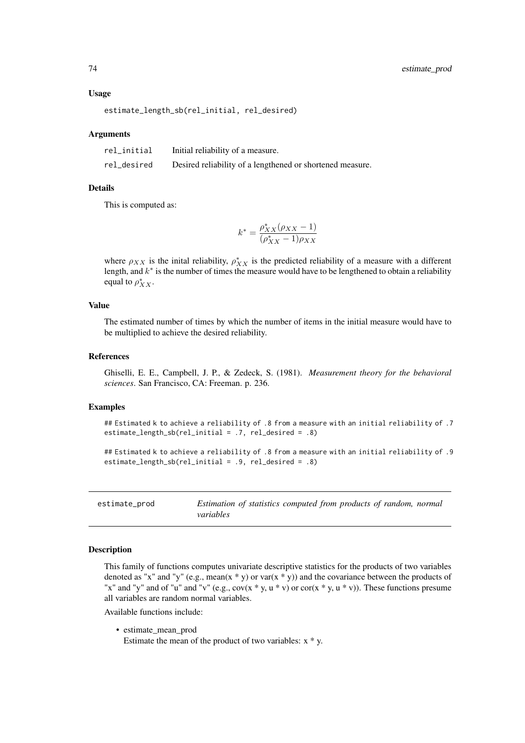### Usage

```
estimate_length_sb(rel_initial, rel_desired)
```
### Arguments

| rel_initial | Initial reliability of a measure.                         |
|-------------|-----------------------------------------------------------|
| rel_desired | Desired reliability of a lengthened or shortened measure. |

# Details

This is computed as:

$$
k^* = \frac{\rho^*_{XX}(\rho_{XX}-1)}{(\rho^*_{XX}-1)\rho_{XX}}
$$

where  $\rho_{XX}$  is the inital reliability,  $\rho_{XX}^*$  is the predicted reliability of a measure with a different length, and  $k^*$  is the number of times the measure would have to be lengthened to obtain a reliability equal to  $\rho_{XX}^*$ .

# Value

The estimated number of times by which the number of items in the initial measure would have to be multiplied to achieve the desired reliability.

### References

Ghiselli, E. E., Campbell, J. P., & Zedeck, S. (1981). *Measurement theory for the behavioral sciences*. San Francisco, CA: Freeman. p. 236.

## Examples

## Estimated k to achieve a reliability of .8 from a measure with an initial reliability of .7 estimate\_length\_sb(rel\_initial = .7, rel\_desired = .8)

```
## Estimated k to achieve a reliability of .8 from a measure with an initial reliability of .9
estimate_length_sb(rel_initial = .9, rel_desired = .8)
```
estimate\_prod *Estimation of statistics computed from products of random, normal variables*

## **Description**

This family of functions computes univariate descriptive statistics for the products of two variables denoted as "x" and "y" (e.g., mean(x \* y) or var(x \* y)) and the covariance between the products of "x" and "y" and of "u" and "v" (e.g.,  $cov(x * y, u * v)$  or  $cor(x * y, u * v)$ ). These functions presume all variables are random normal variables.

Available functions include:

• estimate\_mean\_prod Estimate the mean of the product of two variables:  $x * y$ .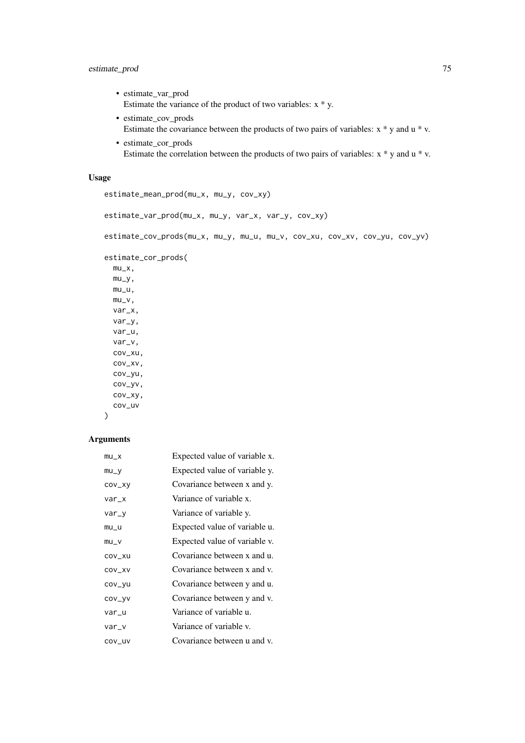## estimate\_prod 75

- estimate\_var\_prod Estimate the variance of the product of two variables: x \* y.
- estimate\_cov\_prods Estimate the covariance between the products of two pairs of variables: x \* y and u \* v.
- estimate\_cor\_prods Estimate the correlation between the products of two pairs of variables: x \* y and u \* v.

# Usage

```
estimate_mean_prod(mu_x, mu_y, cov_xy)
```

```
estimate_var_prod(mu_x, mu_y, var_x, var_y, cov_xy)
```

```
estimate_cov_prods(mu_x, mu_y, mu_u, mu_v, cov_xu, cov_xv, cov_yu, cov_yv)
```

```
estimate_cor_prods(
```

```
mu_x,
mu_y,
mu_u,
mu_v,
var_x,
var_y,
var_u,
var_v,
cov_xu,
cov_xv,
cov_yu,
cov_yv,
cov_xy,
cov_uv
```
# Arguments

)

| $mu_X$  | Expected value of variable x. |
|---------|-------------------------------|
| $mu_y$  | Expected value of variable y. |
| cov_xy  | Covariance between x and y.   |
| var_x   | Variance of variable x.       |
| $var_y$ | Variance of variable y.       |
| $mu_u$  | Expected value of variable u. |
| $mu_v$  | Expected value of variable v. |
| COV_XU  | Covariance between x and u.   |
| COV_XV  | Covariance between x and y.   |
| cov_yu  | Covariance between y and u.   |
| COV_yV  | Covariance between y and y.   |
| var_u   | Variance of variable u.       |
| var_v   | Variance of variable v.       |
| COV_UV  | Covariance between u and v.   |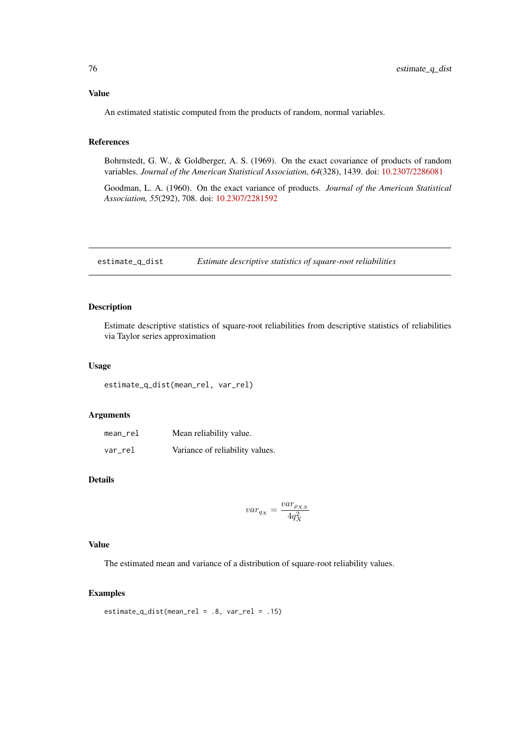## Value

An estimated statistic computed from the products of random, normal variables.

# References

Bohrnstedt, G. W., & Goldberger, A. S. (1969). On the exact covariance of products of random variables. *Journal of the American Statistical Association, 64*(328), 1439. doi: [10.2307/2286081](https://doi.org/10.2307/2286081)

Goodman, L. A. (1960). On the exact variance of products. *Journal of the American Statistical Association, 55*(292), 708. doi: [10.2307/2281592](https://doi.org/10.2307/2281592)

estimate\_q\_dist *Estimate descriptive statistics of square-root reliabilities*

## Description

Estimate descriptive statistics of square-root reliabilities from descriptive statistics of reliabilities via Taylor series approximation

## Usage

estimate\_q\_dist(mean\_rel, var\_rel)

## Arguments

| mean_rel | Mean reliability value.         |
|----------|---------------------------------|
| var_rel  | Variance of reliability values. |

# Details

$$
var_{q_X}=\frac{var_{\rho_{XX}}}{4q^2_X}
$$

# Value

The estimated mean and variance of a distribution of square-root reliability values.

# Examples

estimate\_q\_dist(mean\_rel = .8, var\_rel = .15)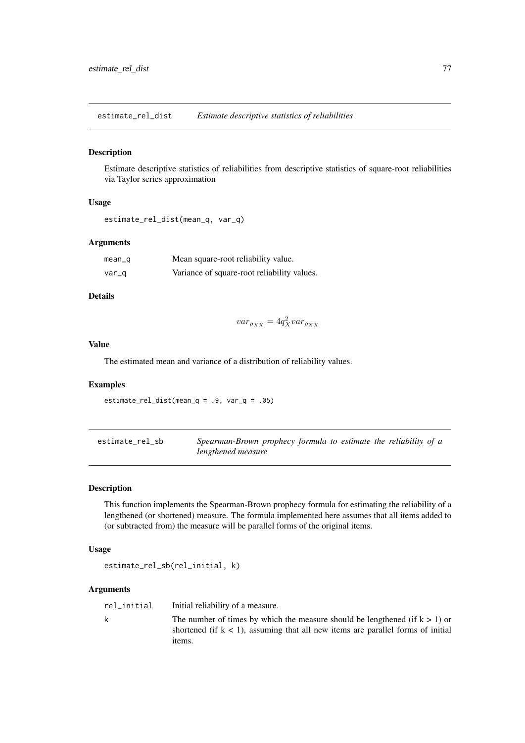estimate\_rel\_dist *Estimate descriptive statistics of reliabilities*

### Description

Estimate descriptive statistics of reliabilities from descriptive statistics of square-root reliabilities via Taylor series approximation

# Usage

```
estimate_rel_dist(mean_q, var_q)
```
### Arguments

| mean_g | Mean square-root reliability value.         |
|--------|---------------------------------------------|
| var_q  | Variance of square-root reliability values. |

# Details

 $var_{\rho_{XX}} = 4q_X^2 var_{\rho_{XX}}$ 

## Value

The estimated mean and variance of a distribution of reliability values.

# Examples

 $estimate_{rel\_dist(mean_q = .9, var_q = .05)}$ 

estimate\_rel\_sb *Spearman-Brown prophecy formula to estimate the reliability of a lengthened measure*

# Description

This function implements the Spearman-Brown prophecy formula for estimating the reliability of a lengthened (or shortened) measure. The formula implemented here assumes that all items added to (or subtracted from) the measure will be parallel forms of the original items.

### Usage

```
estimate_rel_sb(rel_initial, k)
```
### Arguments

rel\_initial Initial reliability of a measure. k The number of times by which the measure should be lengthened (if  $k > 1$ ) or shortened (if  $k < 1$ ), assuming that all new items are parallel forms of initial items.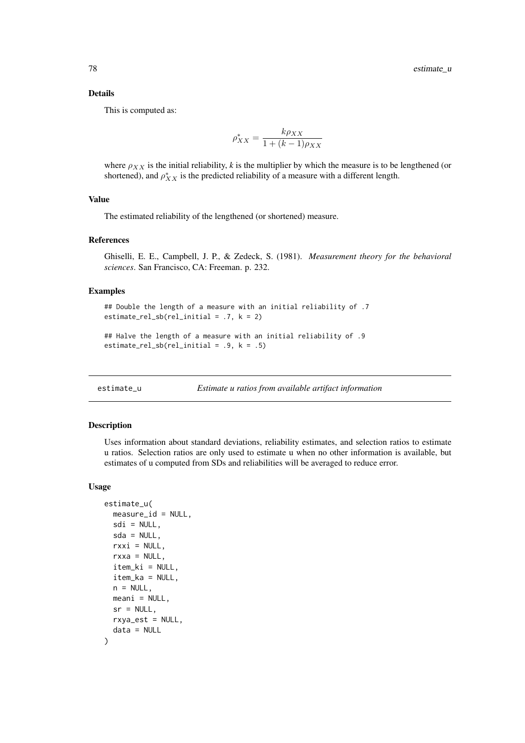### Details

This is computed as:

$$
\rho_{XX}^* = \frac{k\rho_{XX}}{1 + (k-1)\rho_{XX}}
$$

where  $\rho_{XX}$  is the initial reliability, *k* is the multiplier by which the measure is to be lengthened (or shortened), and  $\rho_{XX}^*$  is the predicted reliability of a measure with a different length.

### Value

The estimated reliability of the lengthened (or shortened) measure.

### References

Ghiselli, E. E., Campbell, J. P., & Zedeck, S. (1981). *Measurement theory for the behavioral sciences*. San Francisco, CA: Freeman. p. 232.

### Examples

```
## Double the length of a measure with an initial reliability of .7
estimate_rel_sb(rel_initial = .7, k = 2)
```

```
## Halve the length of a measure with an initial reliability of .9
estimate_rel_sb(rel_initial = .9, k = .5)
```

```
estimate_u Estimate u ratios from available artifact information
```
## Description

Uses information about standard deviations, reliability estimates, and selection ratios to estimate u ratios. Selection ratios are only used to estimate u when no other information is available, but estimates of u computed from SDs and reliabilities will be averaged to reduce error.

### Usage

```
estimate_u(
 measure_id = NULL,
 sdi = NULL,sda = NULL,
 rxxi = NULL,rxxa = NULL,item_ki = NULL,
 item_ka = NULL,
 n = NULL,meani = NULL,sr = NULL,rxya_est = NULL,
 data = NULL
)
```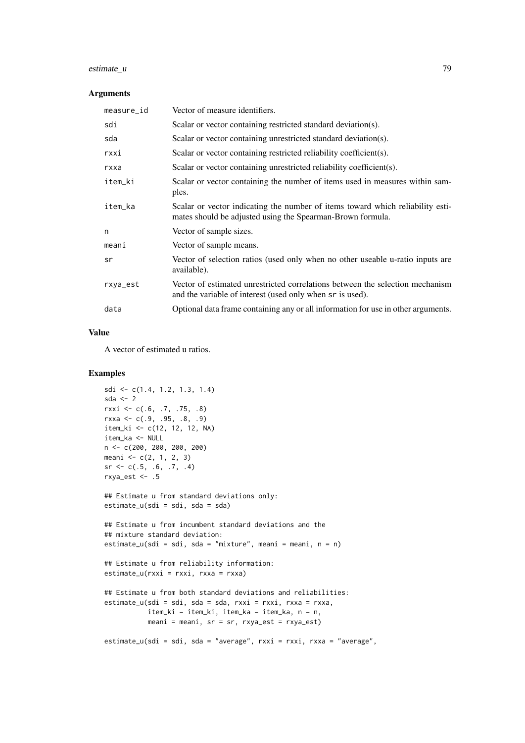## estimate\_u 79

#### Arguments

| measure_id | Vector of measure identifiers.                                                                                                               |
|------------|----------------------------------------------------------------------------------------------------------------------------------------------|
| sdi        | Scalar or vector containing restricted standard deviation(s).                                                                                |
| sda        | Scalar or vector containing unrestricted standard deviation(s).                                                                              |
| rxxi       | Scalar or vector containing restricted reliability coefficient(s).                                                                           |
| rxxa       | Scalar or vector containing unrestricted reliability coefficient(s).                                                                         |
| item_ki    | Scalar or vector containing the number of items used in measures within sam-<br>ples.                                                        |
| item_ka    | Scalar or vector indicating the number of items toward which reliability esti-<br>mates should be adjusted using the Spearman-Brown formula. |
| n          | Vector of sample sizes.                                                                                                                      |
| meani      | Vector of sample means.                                                                                                                      |
| sr         | Vector of selection ratios (used only when no other useable u-ratio inputs are<br>available).                                                |
| rxya_est   | Vector of estimated unrestricted correlations between the selection mechanism<br>and the variable of interest (used only when sr is used).   |
| data       | Optional data frame containing any or all information for use in other arguments.                                                            |

# Value

A vector of estimated u ratios.

## Examples

```
sdi <- c(1.4, 1.2, 1.3, 1.4)
sda \leq 2
rxxi <- c(.6, .7, .75, .8)
rxxa \leq c(.9, .95, .8, .9)item_ki <- c(12, 12, 12, NA)
item_ka <- NULL
n <- c(200, 200, 200, 200)
meani <-c(2, 1, 2, 3)sr \leftarrow c(.5, .6, .7, .4)rxya_est \leq .5
## Estimate u from standard deviations only:
estimate_u(sdi = sdi, sda = sda)
## Estimate u from incumbent standard deviations and the
## mixture standard deviation:
estimate_u(sdi = sdi, sda = "mixture", meani = meani, n = n)
## Estimate u from reliability information:
estimate_u(rxxi = rxxi, rxxa = rxxa)## Estimate u from both standard deviations and reliabilities:
estimate_u(sdi = sdi, sda = sda, rxxi = rxxi, rxxa = rxxa,
           item_ki = item_ki, item_ka = item_ka, n = n,
           meani = meani, sr = sr, rxya_est = rxya_est)
estimate_u(sdi = sdi, sda = "average", rxxi = rxxi, rxxa = "average",
```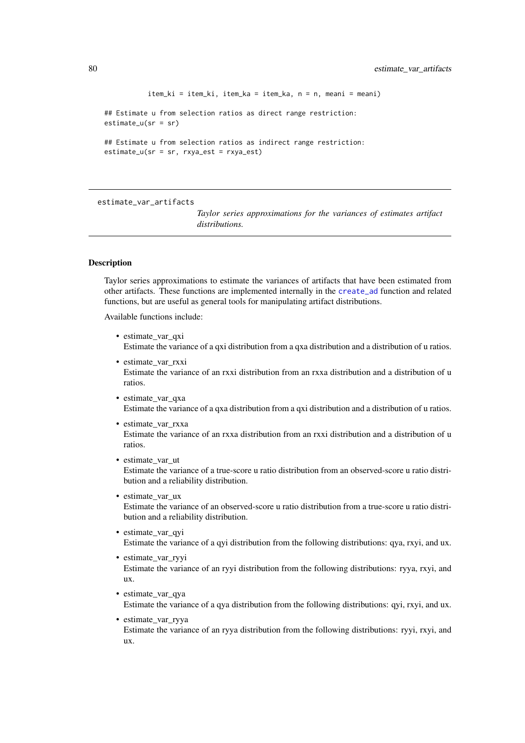```
item_ki = item_ki, item_ka = item_ka, n = n, meani = meani)
## Estimate u from selection ratios as direct range restriction:
estimate_u(sr = sr)
## Estimate u from selection ratios as indirect range restriction:
estimate_u(sr = sr, rxya_est = rxya_est)
```
estimate\_var\_artifacts

*Taylor series approximations for the variances of estimates artifact distributions.*

### Description

Taylor series approximations to estimate the variances of artifacts that have been estimated from other artifacts. These functions are implemented internally in the [create\\_ad](#page-51-0) function and related functions, but are useful as general tools for manipulating artifact distributions.

Available functions include:

- estimate var qxi Estimate the variance of a qxi distribution from a qxa distribution and a distribution of u ratios.
- estimate\_var\_rxxi Estimate the variance of an rxxi distribution from an rxxa distribution and a distribution of u ratios.
- estimate\_var\_qxa Estimate the variance of a qxa distribution from a qxi distribution and a distribution of u ratios.
- estimate var rxxa Estimate the variance of an rxxa distribution from an rxxi distribution and a distribution of u ratios.
- estimate var ut Estimate the variance of a true-score u ratio distribution from an observed-score u ratio distribution and a reliability distribution.
- estimate\_var\_ux Estimate the variance of an observed-score u ratio distribution from a true-score u ratio distribution and a reliability distribution.
- estimate var qyi Estimate the variance of a qyi distribution from the following distributions: qya, rxyi, and ux.
- estimate var ryyi Estimate the variance of an ryyi distribution from the following distributions: ryya, rxyi, and ux.
- estimate\_var\_qya Estimate the variance of a qya distribution from the following distributions: qyi, rxyi, and ux.
- estimate\_var\_ryya Estimate the variance of an ryya distribution from the following distributions: ryyi, rxyi, and ux.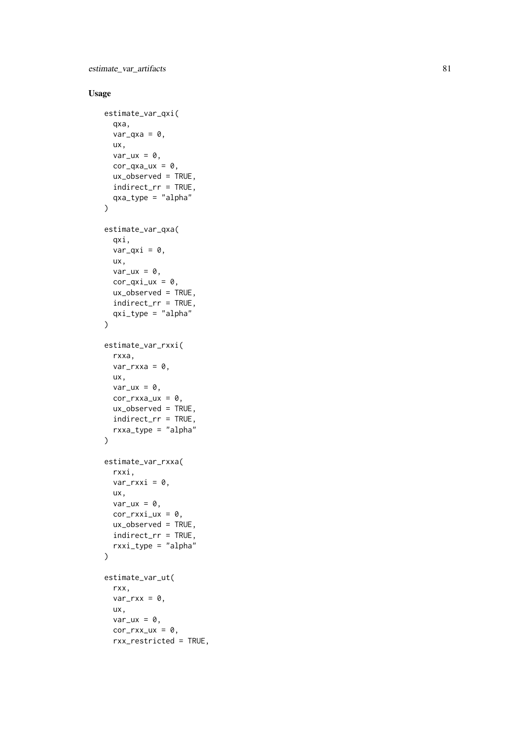# Usage

```
estimate_var_qxi(
  qxa,
  var_qx_a = 0,
  ux,
  var_{ux} = 0,
  cor_{\text{qxa}\_\text{u}x} = 0,
  ux_observed = TRUE,
  indirect_rr = TRUE,
  qxa_type = "alpha"
\lambdaestimate_var_qxa(
  qxi,
  var_qxi = 0,
  ux,
  var_{ux} = 0,
  cor_{\text{qxi}_\text{u}x} = 0,
  ux_observed = TRUE,
  indirect_rr = TRUE,
  qxi_type = "alpha"
)
estimate_var_rxxi(
  rxxa,
  var_rrxxa = \theta,
  ux,
  var_{ux} = 0,
  cor_rxxa_ux = 0,
  ux_observed = TRUE,
  indirect_rr = TRUE,
  rxxa_type = "alpha"
)
estimate_var_rxxa(
  rxxi,
  var_rrxxi = 0,
  ux,
  var_{ux} = 0,
  cor_rxxi_ux = 0,
  ux_observed = TRUE,
  indirect_rr = TRUE,
  rxxi_type = "alpha"
\lambdaestimate_var_ut(
  rxx,
  var_rxx = 0,
  ux,
  var_{ux} = 0,
  cor_rxx_lxx = 0,
  rxx_restricted = TRUE,
```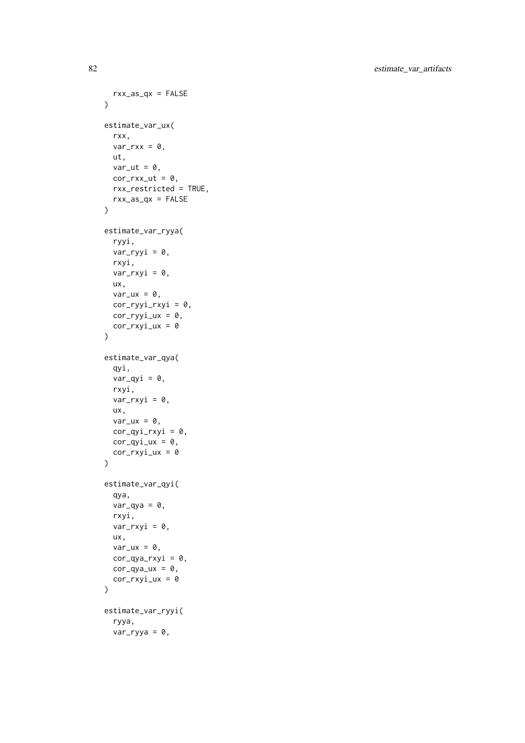```
rxx_as_qx = FALSE
\lambdaestimate_var_ux(
 rxx,
  var_rxx = 0,
 ut,
 var_{ut} = 0,
  cor_rxx_u t = 0,
 rxx_restricted = TRUE,
 rxx_as_qx = FALSE
\lambdaestimate_var_ryya(
  ryyi,
  var_{ryyi} = 0,
  rxyi,
  var_rxyi = 0,
  ux,
 var_{ux} = 0,
 cor_ryyi_rxyi = 0,
 cor_ryyi_lxx = 0,
 cor_rxyi_lxx = 0\lambdaestimate_var_qya(
  qyi,
  var_qyi = 0,
  rxyi,
  var_rxyi = 0,
  ux,
  var_{ux} = 0,
 cor\_qyi_rxyi = 0,
 cor\_qyi\_ux = 0,
 cor_rxyi_lxx = 0)
estimate_var_qyi(
  qya,
  var_qya = 0,
  rxyi,
  var_rxyi = 0,
  ux,
  var_{ux} = 0,
 cor_qya_rxyi = 0,
 cor_qya_lxx = 0,
 cor_rxyi_lxx = 0\lambdaestimate_var_ryyi(
 ryya,
  var_{ryya} = 0,
```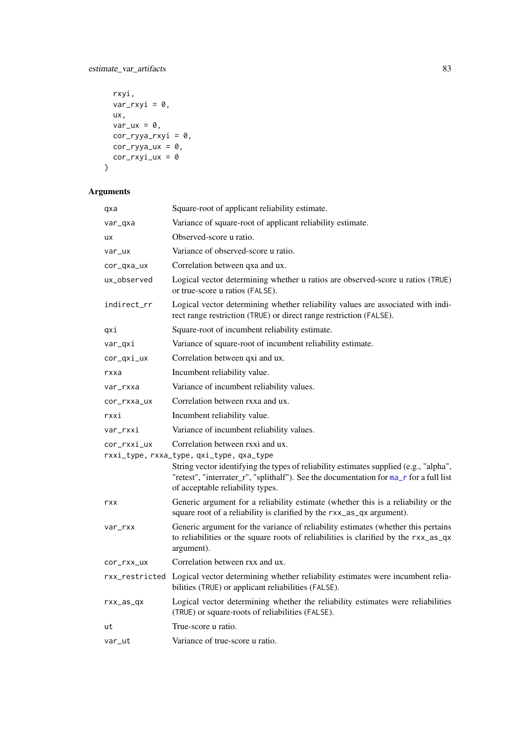# estimate\_var\_artifacts 83

```
rxyi,
 var_rxyi = 0,
 ux,
 var_{ux} = 0,
 cor_ryya_rxyi = 0,
cor_{ryya_u} = 0,
 cor_rxyi_lxx = 0)
```
# Arguments

| qxa         | Square-root of applicant reliability estimate.                                                                                                                                                                                                                                                      |
|-------------|-----------------------------------------------------------------------------------------------------------------------------------------------------------------------------------------------------------------------------------------------------------------------------------------------------|
| var_qxa     | Variance of square-root of applicant reliability estimate.                                                                                                                                                                                                                                          |
| ux          | Observed-score u ratio.                                                                                                                                                                                                                                                                             |
| var_ux      | Variance of observed-score u ratio.                                                                                                                                                                                                                                                                 |
| cor_qxa_ux  | Correlation between qxa and ux.                                                                                                                                                                                                                                                                     |
| ux_observed | Logical vector determining whether u ratios are observed-score u ratios (TRUE)<br>or true-score u ratios (FALSE).                                                                                                                                                                                   |
| indirect_rr | Logical vector determining whether reliability values are associated with indi-<br>rect range restriction (TRUE) or direct range restriction (FALSE).                                                                                                                                               |
| qxi         | Square-root of incumbent reliability estimate.                                                                                                                                                                                                                                                      |
| var_qxi     | Variance of square-root of incumbent reliability estimate.                                                                                                                                                                                                                                          |
| cor_qxi_ux  | Correlation between qxi and ux.                                                                                                                                                                                                                                                                     |
| rxxa        | Incumbent reliability value.                                                                                                                                                                                                                                                                        |
| var_rxxa    | Variance of incumbent reliability values.                                                                                                                                                                                                                                                           |
| cor_rxxa_ux | Correlation between rxxa and ux.                                                                                                                                                                                                                                                                    |
| rxxi        | Incumbent reliability value.                                                                                                                                                                                                                                                                        |
| var_rxxi    | Variance of incumbent reliability values.                                                                                                                                                                                                                                                           |
| cor_rxxi_ux | Correlation between rxxi and ux.<br>rxxi_type, rxxa_type, qxi_type, qxa_type<br>String vector identifying the types of reliability estimates supplied (e.g., "alpha",<br>"retest", "interrater_r", "splithalf"). See the documentation for ma_r for a full list<br>of acceptable reliability types. |
| rxx         | Generic argument for a reliability estimate (whether this is a reliability or the<br>square root of a reliability is clarified by the rxx_as_qx argument).                                                                                                                                          |
| var_rxx     | Generic argument for the variance of reliability estimates (whether this pertains<br>to reliabilities or the square roots of reliabilities is clarified by the rxx_as_qx<br>argument).                                                                                                              |
| cor_rxx_ux  | Correlation between rxx and ux.                                                                                                                                                                                                                                                                     |
|             | rxx_restricted Logical vector determining whether reliability estimates were incumbent relia-<br>bilities (TRUE) or applicant reliabilities (FALSE).                                                                                                                                                |
| $rxx_as_qx$ | Logical vector determining whether the reliability estimates were reliabilities<br>(TRUE) or square-roots of reliabilities (FALSE).                                                                                                                                                                 |
| ut          | True-score u ratio.                                                                                                                                                                                                                                                                                 |
| var_ut      | Variance of true-score u ratio.                                                                                                                                                                                                                                                                     |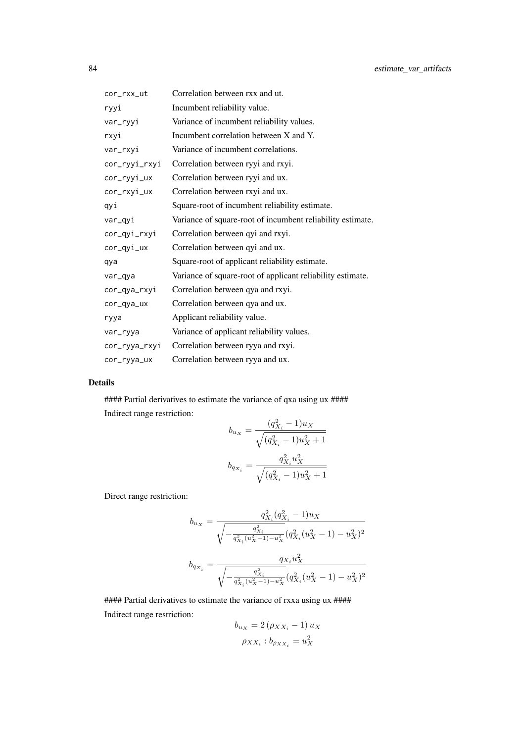| cor_rxx_ut    | Correlation between rxx and ut.                            |
|---------------|------------------------------------------------------------|
| ryyi          | Incumbent reliability value.                               |
| var_ryyi      | Variance of incumbent reliability values.                  |
| rxyi          | Incumbent correlation between X and Y.                     |
| var_rxyi      | Variance of incumbent correlations.                        |
| cor_ryyi_rxyi | Correlation between ryyi and rxyi.                         |
| cor_ryyi_ux   | Correlation between ryyi and ux.                           |
| cor_rxyi_ux   | Correlation between rxyi and ux.                           |
| qyi           | Square-root of incumbent reliability estimate.             |
| var_qyi       | Variance of square-root of incumbent reliability estimate. |
| cor_qyi_rxyi  | Correlation between qyi and rxyi.                          |
| cor_qyi_ux    | Correlation between qyi and ux.                            |
| qya           | Square-root of applicant reliability estimate.             |
| var_qya       | Variance of square-root of applicant reliability estimate. |
| cor_qya_rxyi  | Correlation between qya and rxyi.                          |
| cor_qya_ux    | Correlation between qya and ux.                            |
| ryya          | Applicant reliability value.                               |
| var_ryya      | Variance of applicant reliability values.                  |
| cor_ryya_rxyi | Correlation between ryya and rxyi.                         |
| cor_ryya_ux   | Correlation between ryya and ux.                           |

# Details

#### Partial derivatives to estimate the variance of qxa using ux #### Indirect range restriction:  $\overline{a}$ 

$$
b_{u_X} = \frac{(q_{X_i}^2 - 1)u_X}{\sqrt{(q_{X_i}^2 - 1)u_X^2 + 1}}
$$

$$
b_{q_{X_i}} = \frac{q_{X_i}^2 u_X^2}{\sqrt{(q_{X_i}^2 - 1)u_X^2 + 1}}
$$

Direct range restriction:

$$
b_{u_X} = \frac{q_{X_i}^2(q_{X_i}^2 - 1)u_X}{\sqrt{-\frac{q_{X_i}^2(u_X^2 - 1) - u_X^2}{q_{X_i}^2(u_X^2 - 1) - u_X^2}}}(q_{X_i}^2(u_X^2 - 1) - u_X^2)^2}
$$
  

$$
b_{q_{X_i}} = \frac{q_{X_i}u_X^2}{\sqrt{-\frac{q_{X_i}^2}{q_{X_i}^2(u_X^2 - 1) - u_X^2}}(q_{X_i}^2(u_X^2 - 1) - u_X^2)^2}
$$

#### Partial derivatives to estimate the variance of rxxa using ux #### Indirect range restriction:

$$
b_{u_X} = 2 (\rho_{XX_i} - 1) u_X
$$

$$
\rho_{XX_i} : b_{\rho_{XX_i}} = u_X^2
$$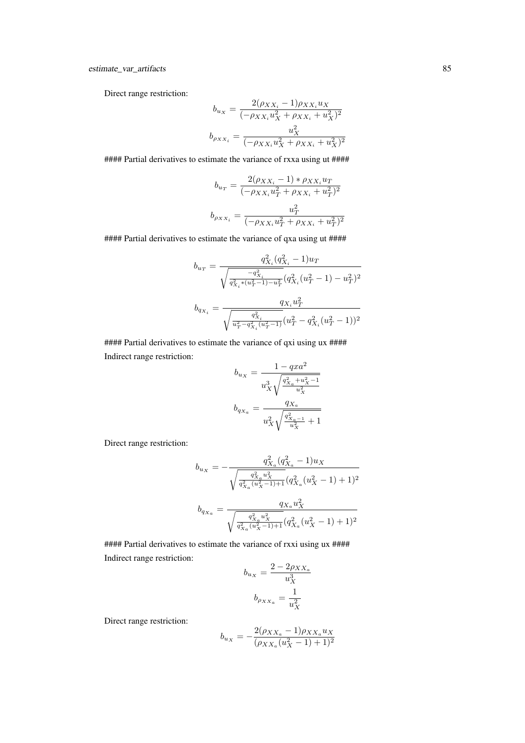Direct range restriction:

$$
b_{u_X} = \frac{2(\rho_{XX_i} - 1)\rho_{XX_i}u_X}{(-\rho_{XX_i}u_X^2 + \rho_{XX_i} + u_X^2)^2}
$$

$$
b_{\rho_{XX_i}} = \frac{u_X^2}{(-\rho_{XX_i}u_X^2 + \rho_{XX_i} + u_X^2)^2}
$$

#### Partial derivatives to estimate the variance of rxxa using ut ####

$$
b_{u_T} = \frac{2(\rho_{XX_i} - 1) * \rho_{XX_i} u_T}{(-\rho_{XX_i} u_T^2 + \rho_{XX_i} + u_T^2)^2}
$$

$$
b_{\rho_{XX_i}} = \frac{u_T^2}{(-\rho_{XX_i} u_T^2 + \rho_{XX_i} + u_T^2)^2}
$$

#### Partial derivatives to estimate the variance of qxa using ut ####

$$
\begin{aligned} b_{u_T}&=\frac{q_{X_i}^2(q_{X_i}^2-1)u_T}{\sqrt{\frac{-q_{X_i}^2}{q_{X_i}^2*(u_T^2-1)-u_T^2}}(q_{X_i}^2(u_T^2-1)-u_T^2)^2}\\ b_{q_{X_i}}&=\frac{q_{X_i}u_T^2}{\sqrt{\frac{q_{X_i}^2}{u_T^2-q_{X_i}^2(u_T^2-1)}}(u_T^2-q_{X_i}^2(u_T^2-1))^2} \end{aligned}
$$

#### Partial derivatives to estimate the variance of qxi using ux #### Indirect range restriction:

$$
b_{u_X} = \frac{1 - qxa^2}{u_X^3 \sqrt{\frac{q_{X_a}^2 + u_X^2 - 1}{u_X^2}}}
$$

$$
b_{q_{X_a}} = \frac{q_{X_a}}{u_X^2 \sqrt{\frac{q_{X_a - 1}^2}{u_X^2}} + 1}
$$

Direct range restriction:

$$
\begin{aligned} b_{u_X} = -\frac{q^2_{X_a}(q^2_{X_a}-1) u_X}{\sqrt{\frac{q^2_{X_a}u^2_X}{q^2_{X_a}(u^2_X-1)+1}}(q^2_{X_a}(u^2_X-1)+1)^2}\\ b_{q_{X_a}} = \frac{q_{X_a}u^2_X}{\sqrt{\frac{q^2_{X_a}u^2_X}{q^2_{X_a}(u^2_X-1)+1}}(q^2_{X_a}(u^2_X-1)+1)^2} \end{aligned}
$$

##### Partial derivatives to estimate the variance of rxxi using ux #### Indirect range restriction:

$$
b_{u_X} = \frac{2 - 2\rho_{XX_a}}{u_X^3}
$$

$$
b_{\rho_{XX_a}} = \frac{1}{u_X^2}
$$

Direct range restriction:

$$
b_{u_X} = -\frac{2(\rho_{XX_a} - 1)\rho_{XX_a}u_X}{(\rho_{XX_a}(u_X^2 - 1) + 1)^2}
$$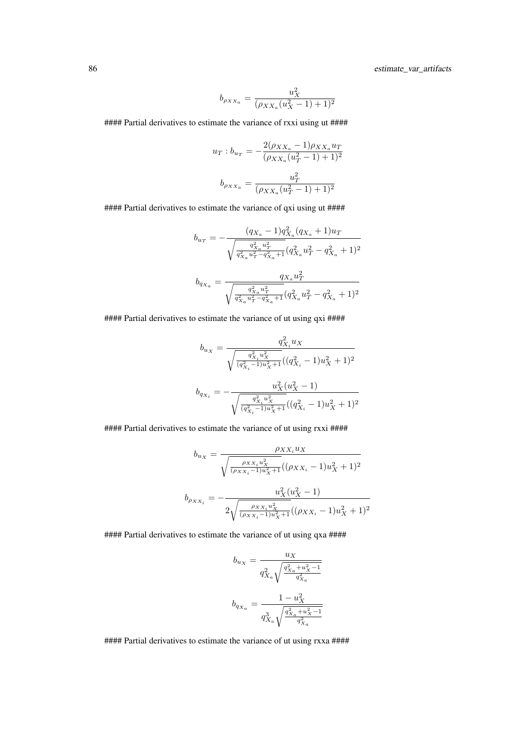86 estimate\_var\_artifacts

$$
b_{\rho_{XX_a}} = \frac{u_X^2}{(\rho_{XX_a}(u_X^2 - 1) + 1)^2}
$$

#### Partial derivatives to estimate the variance of rxxi using ut ####

$$
u_T : b_{u_T} = -\frac{2(\rho_{XX_a} - 1)\rho_{XX_a} u_T}{(\rho_{XX_a}(u_T^2 - 1) + 1)^2}
$$

$$
b_{\rho_{XX_a}} = \frac{u_T^2}{(\rho_{XX_a}(u_T^2 - 1) + 1)^2}
$$

#### Partial derivatives to estimate the variance of qxi using ut ####

$$
\begin{aligned} b_{u_T} = -\frac{(q_{X_a}-1) q^2_{X_a} (q_{X_a}+1) u_T}{\sqrt{\frac{q^2_{X_a} u^2_T}{q^2_{X_a} u^2_T - q^2_{X_a}+1}} (q^2_{X_a} u^2_T - q^2_{X_a}+1)^2}\\ b_{q_{X_a}} = \frac{q_{X_a} u^2_T}{\sqrt{\frac{q^2_{X_a} u^2_T}{q^2_{X_a} +1}} (q^2_{X_a} u^2_T - q^2_{X_a}+1)^2} \end{aligned}
$$

#### Partial derivatives to estimate the variance of ut using qxi ####

$$
b_{u_X}=\dfrac{q_{X_i}^2u_X}{\sqrt{\frac{q_{X_i}^2u_X^2}{(q_{X_i}^2-1)u_X^2+1}}((q_{X_i}^2-1)u_X^2+1)^2}\\[6pt] \displaystyle b_{q_{X_i}}=-\dfrac{u_X^2(u_X^2-1)}{\sqrt{\frac{q_{X_i}^2u_X^2}{(q_{X_i}^2-1)u_X^2+1}}((q_{X_i}^2-1)u_X^2+1)^2}}
$$

#### Partial derivatives to estimate the variance of ut using rxxi ####

$$
b_{u_X} = \frac{\rho_{XX_i} u_X}{\sqrt{\frac{\rho_{XX_i} u_X^2}{(\rho_{XX_i}-1)u_X^2+1}}((\rho_{XX_i}-1)u_X^2+1)^2}
$$

$$
b_{\rho_{XX_i}} = -\frac{u_X^2(u_X^2-1)}{2\sqrt{\frac{\rho_{XX_i} u_X^2}{(\rho_{XX_i}-1)u_X^2+1}}((\rho_{XX_i}-1)u_X^2+1)^2}
$$

#### Partial derivatives to estimate the variance of ut using qxa ####

$$
\begin{aligned} b_{u_X} &= \frac{u_X}{q_{X_a}^2\sqrt{\frac{q_{X_a}^2+u_X^2-1}{q_{X_a}^2}}}\\ b_{q_{X_a}} &= \frac{1-u_X^2}{q_{X_a}^3\sqrt{\frac{q_{X_a}^2+u_X^2-1}{q_{X_a}^2}}} \end{aligned}
$$

#### Partial derivatives to estimate the variance of ut using rxxa ####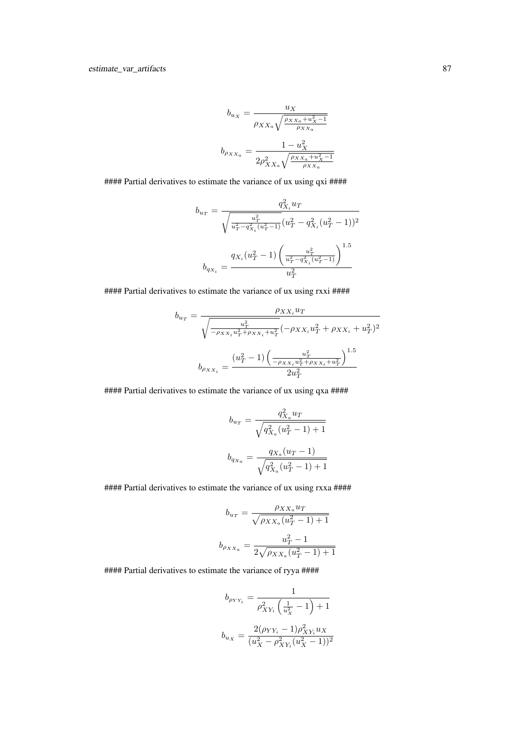$$
b_{u_X} = \frac{u_X}{\rho_{XX_a} \sqrt{\frac{\rho_{XX_a} + u_X^2 - 1}{\rho_{XX_a}}}}
$$

$$
b_{\rho_{XX_a}} = \frac{1 - u_X^2}{2\rho_{XX_a}^2 \sqrt{\frac{\rho_{XX_a} + u_X^2 - 1}{\rho_{XX_a}}}}
$$

##### Partial derivatives to estimate the variance of ux using qxi ####

$$
b_{u_T} = \frac{q_{X_i}^2 u_T}{\sqrt{\frac{u_T^2}{u_T^2 - q_{X_i}^2(u_T^2 - 1)}} (u_T^2 - q_{X_i}^2(u_T^2 - 1))^2}
$$
  

$$
b_{q_{X_i}} = \frac{q_{X_i}(u_T^2 - 1) \left(\frac{u_T^2}{u_T^2 - q_{X_i}^2(u_T^2 - 1)}\right)^{1.5}}{u_T^2}
$$

#### Partial derivatives to estimate the variance of ux using rxxi ####

$$
b_{u_T} = \frac{\rho_{XX_i} u_T}{\sqrt{\frac{u_T^2}{-\rho_{XX_i} u_T^2 + \rho_{XX_i} + u_T^2}} (-\rho_{XX_i} u_T^2 + \rho_{XX_i} + u_T^2)^2}
$$

$$
b_{\rho_{XX_i}} = \frac{(u_T^2 - 1) \left(\frac{u_T^2}{-\rho_{XX_i} u_T^2 + \rho_{XX_i} + u_T^2}\right)^{1.5}}{2u_T^2}
$$

#### Partial derivatives to estimate the variance of ux using qxa ####

$$
b_{u_T} = \frac{q_{X_a}^2 u_T}{\sqrt{q_{X_a}^2 (u_T^2 - 1) + 1}}
$$
  

$$
b_{q_{X_a}} = \frac{q_{X_a}(u_T - 1)}{\sqrt{q_{X_a}^2 (u_T^2 - 1) + 1}}
$$

##### Partial derivatives to estimate the variance of ux using rxxa ####

$$
b_{u_T} = \frac{\rho_{XX_a} u_T}{\sqrt{\rho_{XX_a}(u_T^2 - 1) + 1}}
$$
  

$$
b_{\rho_{XX_a}} = \frac{u_T^2 - 1}{2\sqrt{\rho_{XX_a}(u_T^2 - 1) + 1}}
$$

#### Partial derivatives to estimate the variance of ryya ####

$$
b_{\rho_Y Y_i} = \frac{1}{\rho_{XY_i}^2 \left(\frac{1}{u_X^2} - 1\right) + 1}
$$
  

$$
b_{u_X} = \frac{2(\rho_{YY_i} - 1)\rho_{XY_i}^2 u_X}{(u_X^2 - \rho_{XY_i}^2 (u_X^2 - 1))^2}
$$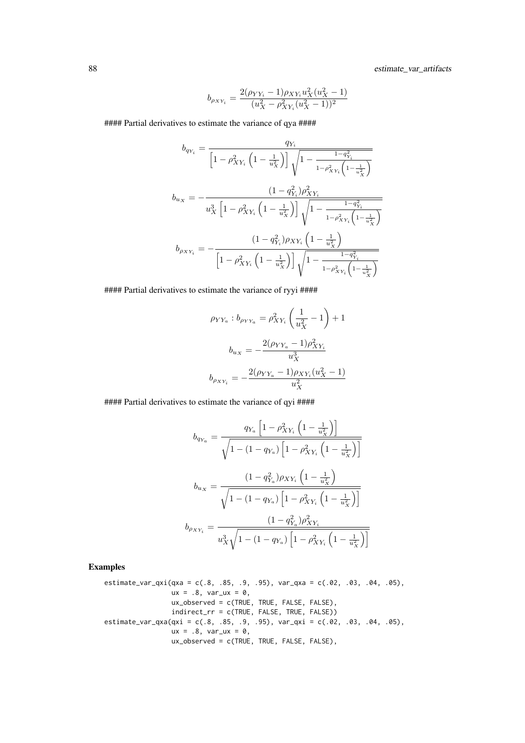88 estimate\_var\_artifacts

$$
b_{\rho_{XY_i}} = \frac{2(\rho_{YY_i} - 1)\rho_{XY_i}u_X^2(u_X^2 - 1)}{(u_X^2 - \rho_{XY_i}^2(u_X^2 - 1))^2}
$$

#### Partial derivatives to estimate the variance of qya ####

$$
b_{qY_i} = \frac{q_{Y_i}}{\left[1 - \rho_{XY_i}^2 \left(1 - \frac{1}{u_X^2}\right)\right] \sqrt{1 - \frac{1 - q_{Y_i}^2}{1 - \rho_{XY_i}^2 \left(1 - \frac{1}{u_X^2}\right)}}}
$$
\n
$$
b_{u_X} = -\frac{(1 - q_{Y_i}^2)\rho_{XY_i}^2}{u_X^3 \left[1 - \rho_{XY_i}^2 \left(1 - \frac{1}{u_X^2}\right)\right] \sqrt{1 - \frac{1 - q_{Y_i}^2}{1 - \rho_{XY_i}^2 \left(1 - \frac{1}{u_X^2}\right)}}}
$$
\n
$$
b_{\rho_{XY_i}} = -\frac{(1 - q_{Y_i}^2)\rho_{XY_i} \left(1 - \frac{1}{u_X^2}\right)}{\left[1 - \rho_{XY_i}^2 \left(1 - \frac{1}{u_X^2}\right)\right] \sqrt{1 - \frac{1 - q_{Y_i}^2}{1 - \rho_{XY_i}^2 \left(1 - \frac{1}{u_X^2}\right)}}}
$$

#### Partial derivatives to estimate the variance of ryyi ####

$$
\rho_{YY_a}: b_{\rho_{YY_a}} = \rho_{XY_i}^2 \left(\frac{1}{u_X^2} - 1\right) + 1
$$

$$
b_{u_X} = -\frac{2(\rho_{YY_a} - 1)\rho_{XY_i}^2}{u_X^3}
$$

$$
b_{\rho_{XY_i}} = -\frac{2(\rho_{YY_a} - 1)\rho_{XY_i}(u_X^2 - 1)}{u_X^2}
$$

#### Partial derivatives to estimate the variance of qyi ####

$$
b_{q_{Y_a}} = \frac{q_{Y_a} \left[1 - \rho_{XY_i}^2 \left(1 - \frac{1}{u_X^2}\right)\right]}{\sqrt{1 - (1 - q_{Y_a}) \left[1 - \rho_{XY_i}^2 \left(1 - \frac{1}{u_X^2}\right)\right]}}
$$
  

$$
b_{u_X} = \frac{(1 - q_{Y_a}^2)\rho_{XY_i} \left(1 - \frac{1}{u_X^2}\right)}{\sqrt{1 - (1 - q_{Y_a}) \left[1 - \rho_{XY_i}^2 \left(1 - \frac{1}{u_X^2}\right)\right]}}
$$
  

$$
b_{\rho_{XY_i}} = \frac{(1 - q_{Y_a}^2)\rho_{XY_i}^2}{u_X^3 \sqrt{1 - (1 - q_{Y_a}) \left[1 - \rho_{XY_i}^2 \left(1 - \frac{1}{u_X^2}\right)\right]}}
$$

# Examples

estimate\_var\_qxi(qxa = c(.8, .85, .9, .95), var\_qxa = c(.02, .03, .04, .05), ux = .8, var\_ux = 0, ux\_observed = c(TRUE, TRUE, FALSE, FALSE), indirect\_rr = c(TRUE, FALSE, TRUE, FALSE)) estimate\_var\_qxa(qxi = c(.8, .85, .9, .95), var\_qxi = c(.02, .03, .04, .05), ux = .8, var\_ux = 0, ux\_observed = c(TRUE, TRUE, FALSE, FALSE),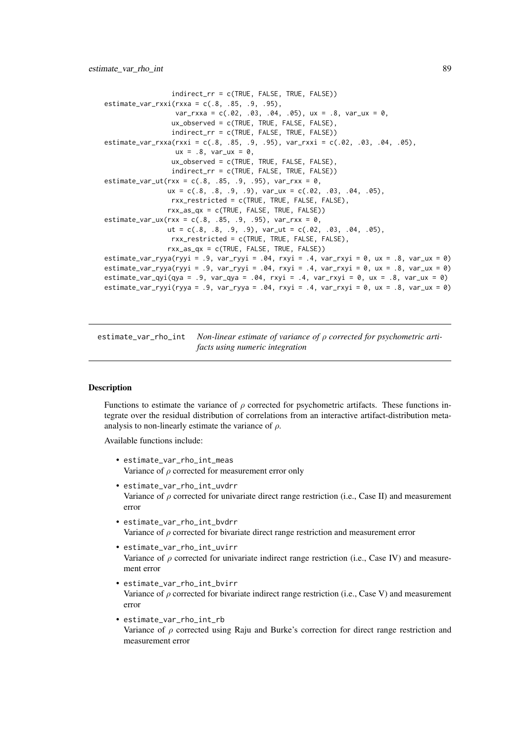```
indirect_rr = c(TRUE, FALSE, TRUE, FALSE))
estimate_var_rxxi(rxxa = c(.8, .85, .9, .95),
                  var_rxxa = c(.02, .03, .04, .05), ux = .8, var_ux = 0,
                 ux_observed = c(TRUE, TRUE, FALSE, FALSE),
                 indirect_rr = c(TRUE, FALSE, TRUE, FALSE))
estimate_var_rxxa(rxxi = c(.8, .85, .9, .95), var_rxxi = c(.02, .03, .04, .05),
                  ux = .8, var_{ux} = 0,
                 ux_observed = c(TRUE, TRUE, FALSE, FALSE),
                 indirect_rr = c(TRUE, FALSE, TRUE, FALSE))
estimate_var_ut(rxx = c(.8, .85, .9, .95), var_rxx = 0,
                ux = c(.8, .8, .9, .9), var_{ux} = c(.02, .03, .04, .05),rxx_restricted = c(TRUE, TRUE, FALSE, FALSE),
                rxx_as_qx = c(TRUE, FALSE, TRUE, FALSE))
estimate_var_ux(rxx = c(.8, .85, .9, .95), var_rxx = 0,
                ut = c(.8, .8, .9, .9), var_ut = c(.02, .03, .04, .05),
                 rxx_restricted = c(TRUE, TRUE, FALSE, FALSE),
                rxx_as_qx = c(TRUE, FALSE, TRUE, FALSE))
estimate_var_ryya(ryyi = .9, var_ryyi = .04, rxyi = .4, var_rxyi = 0, ux = .8, var_ux = 0)
estimate_var_ryya(ryyi = .9, var_ryyi = .04, rxyi = .4, var_rxyi = 0, ux = .8, var_ux = 0)
estimate_var_qyi(qya = .9, var_qya = .04, rxyi = .4, var_rxyi = 0, ux = .8, var_ux = 0)
estimate_var_ryyi(ryya = .9, var_ryya = .04, rxyi = .4, var_rxyi = 0, ux = .8, var_ux = 0)
```
estimate\_var\_rho\_int *Non-linear estimate of variance of* ρ *corrected for psychometric artifacts using numeric integration*

### Description

Functions to estimate the variance of  $\rho$  corrected for psychometric artifacts. These functions integrate over the residual distribution of correlations from an interactive artifact-distribution metaanalysis to non-linearly estimate the variance of  $\rho$ .

Available functions include:

- estimate\_var\_rho\_int\_meas Variance of  $\rho$  corrected for measurement error only
- estimate\_var\_rho\_int\_uvdrr Variance of  $\rho$  corrected for univariate direct range restriction (i.e., Case II) and measurement error
- estimate\_var\_rho\_int\_bvdrr Variance of  $\rho$  corrected for bivariate direct range restriction and measurement error
- estimate\_var\_rho\_int\_uvirr Variance of  $\rho$  corrected for univariate indirect range restriction (i.e., Case IV) and measurement error
- estimate\_var\_rho\_int\_bvirr Variance of  $\rho$  corrected for bivariate indirect range restriction (i.e., Case V) and measurement error
- estimate\_var\_rho\_int\_rb Variance of  $\rho$  corrected using Raju and Burke's correction for direct range restriction and measurement error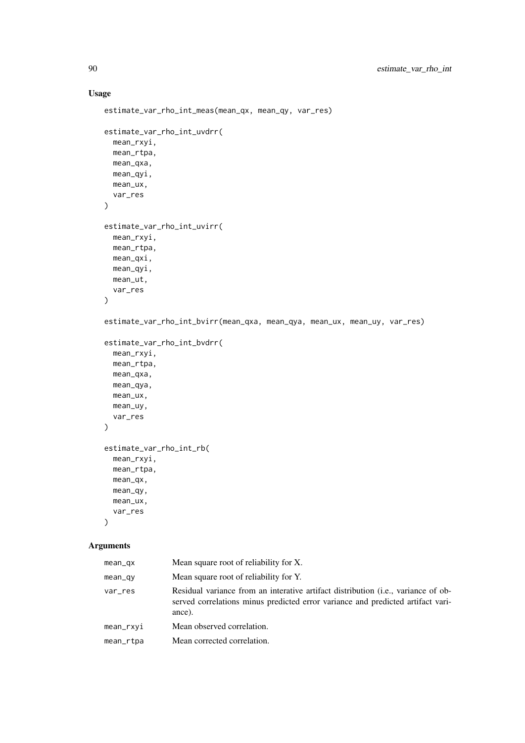# Usage

```
estimate_var_rho_int_meas(mean_qx, mean_qy, var_res)
estimate_var_rho_int_uvdrr(
  mean_rxyi,
  mean_rtpa,
  mean_qxa,
 mean_qyi,
 mean_ux,
  var_res
)
estimate_var_rho_int_uvirr(
  mean_rxyi,
  mean rtpa.
 mean_qxi,
 mean_qyi,
 mean_ut,
  var_res
)
estimate_var_rho_int_bvirr(mean_qxa, mean_qya, mean_ux, mean_uy, var_res)
estimate_var_rho_int_bvdrr(
 mean_rxyi,
 mean_rtpa,
 mean_qxa,
 mean_qya,
  mean_ux,
  mean_uy,
  var_res
\lambdaestimate_var_rho_int_rb(
  mean_rxyi,
  mean_rtpa,
  mean_qx,
  mean_qy,
 mean_ux,
  var_res
)
```
# Arguments

| $mean_qx$    | Mean square root of reliability for X.                                                                                                                                                  |
|--------------|-----------------------------------------------------------------------------------------------------------------------------------------------------------------------------------------|
| mean_qy      | Mean square root of reliability for Y.                                                                                                                                                  |
| var_res      | Residual variance from an interative artifact distribution ( <i>i.e.</i> , variance of ob-<br>served correlations minus predicted error variance and predicted artifact vari-<br>ance). |
| $mean_r$ xyi | Mean observed correlation.                                                                                                                                                              |
| mean_rtpa    | Mean corrected correlation.                                                                                                                                                             |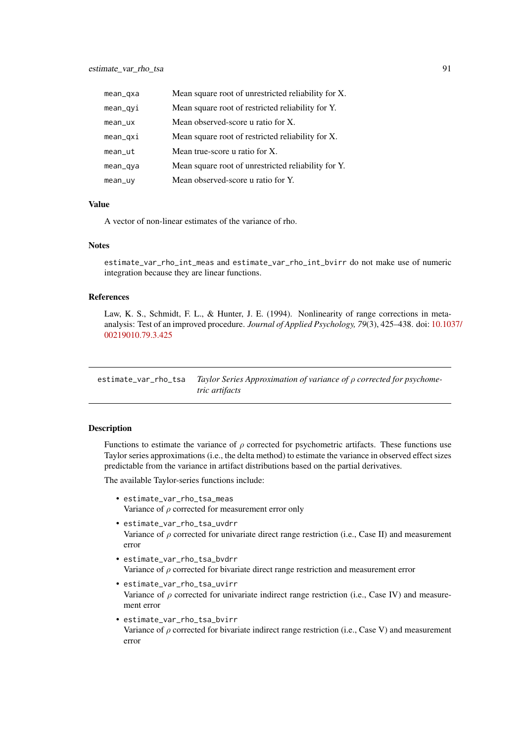| mean_qxa   | Mean square root of unrestricted reliability for X. |
|------------|-----------------------------------------------------|
| mean_qyi   | Mean square root of restricted reliability for Y.   |
| $mean$ _ux | Mean observed-score u ratio for X.                  |
| $mean_$    | Mean square root of restricted reliability for X.   |
| mean       | Mean true-score u ratio for X.                      |
| mean_qya   | Mean square root of unrestricted reliability for Y. |
| mean_uy    | Mean observed-score u ratio for Y.                  |

# Value

A vector of non-linear estimates of the variance of rho.

## Notes

estimate\_var\_rho\_int\_meas and estimate\_var\_rho\_int\_bvirr do not make use of numeric integration because they are linear functions.

## References

Law, K. S., Schmidt, F. L., & Hunter, J. E. (1994). Nonlinearity of range corrections in metaanalysis: Test of an improved procedure. *Journal of Applied Psychology, 79*(3), 425–438. doi: [10.103](https://doi.org/10.1037/0021-9010.79.3.425)7/ [00219010.79.3.425](https://doi.org/10.1037/0021-9010.79.3.425)

estimate\_var\_rho\_tsa *Taylor Series Approximation of variance of* ρ *corrected for psychometric artifacts*

## Description

Functions to estimate the variance of  $\rho$  corrected for psychometric artifacts. These functions use Taylor series approximations (i.e., the delta method) to estimate the variance in observed effect sizes predictable from the variance in artifact distributions based on the partial derivatives.

The available Taylor-series functions include:

- estimate\_var\_rho\_tsa\_meas Variance of  $\rho$  corrected for measurement error only
- estimate\_var\_rho\_tsa\_uvdrr Variance of  $\rho$  corrected for univariate direct range restriction (i.e., Case II) and measurement error
- estimate\_var\_rho\_tsa\_bvdrr Variance of  $\rho$  corrected for bivariate direct range restriction and measurement error
- estimate\_var\_rho\_tsa\_uvirr Variance of  $\rho$  corrected for univariate indirect range restriction (i.e., Case IV) and measurement error
- estimate\_var\_rho\_tsa\_bvirr Variance of  $\rho$  corrected for bivariate indirect range restriction (i.e., Case V) and measurement error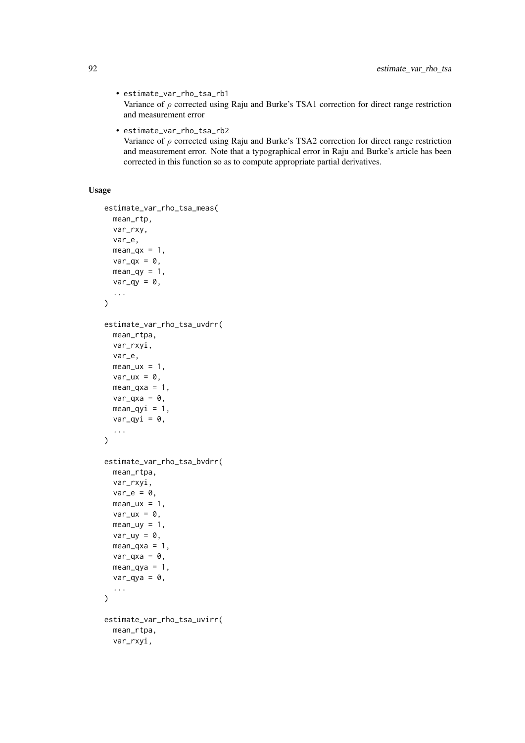• estimate\_var\_rho\_tsa\_rb1

Variance of  $\rho$  corrected using Raju and Burke's TSA1 correction for direct range restriction and measurement error

• estimate\_var\_rho\_tsa\_rb2

Variance of  $\rho$  corrected using Raju and Burke's TSA2 correction for direct range restriction and measurement error. Note that a typographical error in Raju and Burke's article has been corrected in this function so as to compute appropriate partial derivatives.

# Usage

```
estimate_var_rho_tsa_meas(
  mean_rtp,
  var_rxy,
  var_e,
  mean_qx = 1,
  var_qx = 0,
  mean_qy = 1,
  var_qy = \theta,
  ...
\lambdaestimate_var_rho_tsa_uvdrr(
  mean_rtpa,
  var_rxyi,
  var_e,
  mean_lux = 1,
  var_{ux} = 0,
  mean_{\text{axa}} = 1,
  var_qx = 0,
  mean_qyi = 1,
  var_qyi = 0,
  ...
)
estimate_var_rho_tsa_bvdrr(
  mean_rtpa,
  var_rxyi,
  var_e = 0,
  mean_lux = 1,
  var_{ux} = 0,
  mean_\text{uy} = 1,
  var_{uy} = 0,
  mean_qxa = 1,
  var_qxa = 0,
  mean_{\text{av}} = 1,
  var_qya = 0,
  ...
\lambdaestimate_var_rho_tsa_uvirr(
  mean_rtpa,
  var_rxyi,
```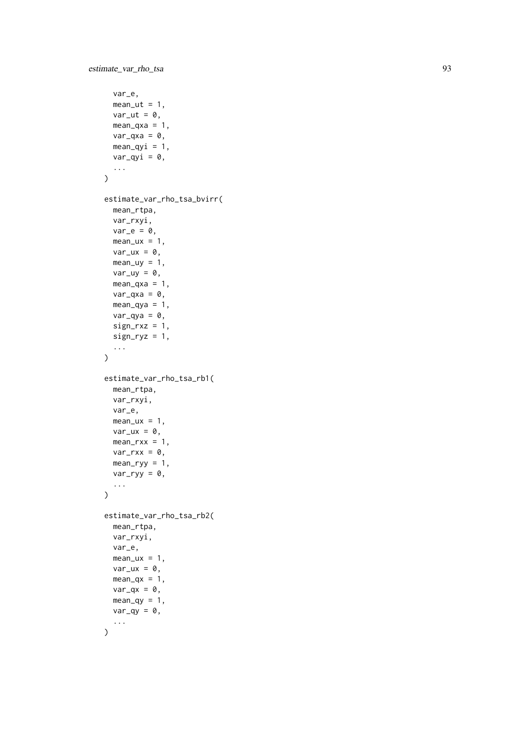```
var_e,
  mean_{ut} = 1,
  var_{ut} = 0,
  mean_{\text{axa}} = 1,
  var_q xa = 0,
  mean_qyi = 1,
  var_qyi = 0,
  ...
\lambdaestimate_var_rho_tsa_bvirr(
  mean_rtpa,
  var_rxyi,
  var_e = 0,
  mean_lux = 1,
  var_{ux} = 0,
  mean_uy = 1,
  var_{uy} = 0,
  mean_{\text{axa}} = 1,
  var_qxa = 0,
  mean_qya = 1,
  var_qya = 0,
  sign_r xz = 1,
  sign_{ryz} = 1,
  ...
\lambdaestimate_var_rho_tsa_rb1(
  mean_rtpa,
  var_rxyi,
  var_e,
  mean_u x = 1,
  var_{ux} = 0,
  mean_rxx = 1,
  var_rxx = 0,
  mean_ryy = 1,
  var_{ryy} = 0,
  ...
)
estimate_var_rho_tsa_rb2(
  mean_rtpa,
  var_rxyi,
  var_e,
  mean_lux = 1,
  var_{ux} = 0,
  mean_qx = 1,
  var_qx = 0,
  mean_qy = 1,
  var_qy = 0,
  ...
\lambda
```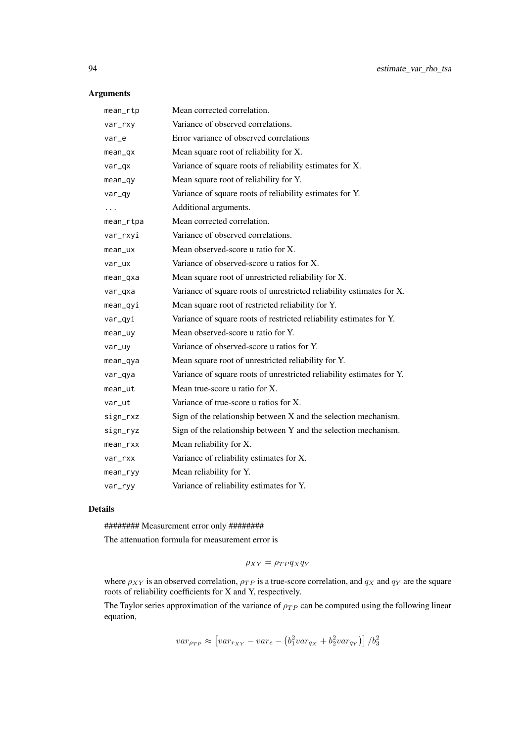# Arguments

| mean_rtp    | Mean corrected correlation.                                           |
|-------------|-----------------------------------------------------------------------|
| var_rxy     | Variance of observed correlations.                                    |
| var_e       | Error variance of observed correlations                               |
| mean_qx     | Mean square root of reliability for X.                                |
| var_qx      | Variance of square roots of reliability estimates for X.              |
| $mean_qy$   | Mean square root of reliability for Y.                                |
| var_qy      | Variance of square roots of reliability estimates for Y.              |
| .           | Additional arguments.                                                 |
| mean_rtpa   | Mean corrected correlation.                                           |
| var_rxyi    | Variance of observed correlations.                                    |
| mean_ux     | Mean observed-score u ratio for X.                                    |
| var_ux      | Variance of observed-score u ratios for X.                            |
| mean_qxa    | Mean square root of unrestricted reliability for X.                   |
| var_qxa     | Variance of square roots of unrestricted reliability estimates for X. |
| $mean_q$ yi | Mean square root of restricted reliability for Y.                     |
| var_qyi     | Variance of square roots of restricted reliability estimates for Y.   |
| mean_uy     | Mean observed-score u ratio for Y.                                    |
| var_uy      | Variance of observed-score u ratios for Y.                            |
| mean_qya    | Mean square root of unrestricted reliability for Y.                   |
| var_qya     | Variance of square roots of unrestricted reliability estimates for Y. |
| mean_ut     | Mean true-score u ratio for X.                                        |
| var_ut      | Variance of true-score u ratios for X.                                |
| sign_rxz    | Sign of the relationship between $X$ and the selection mechanism.     |
| sign_ryz    | Sign of the relationship between Y and the selection mechanism.       |
| mean_rxx    | Mean reliability for X.                                               |
| var_rxx     | Variance of reliability estimates for X.                              |
| mean        | Mean reliability for Y.                                               |
| var_ryy     | Variance of reliability estimates for Y.                              |

# Details

######## Measurement error only ########

The attenuation formula for measurement error is

$$
\rho_{XY} = \rho_{TP} q_X q_Y
$$

where  $\rho_{XY}$  is an observed correlation,  $\rho_{TP}$  is a true-score correlation, and  $q_X$  and  $q_Y$  are the square roots of reliability coefficients for X and Y, respectively.

The Taylor series approximation of the variance of  $\rho_{TP}$  can be computed using the following linear equation,

$$
var_{\rho_{TP}} \approx \left[ var_{r_{XY}} - var_e - \left( b_1^2 var_{q_X} + b_2^2 var_{q_Y} \right) \right] / b_3^2
$$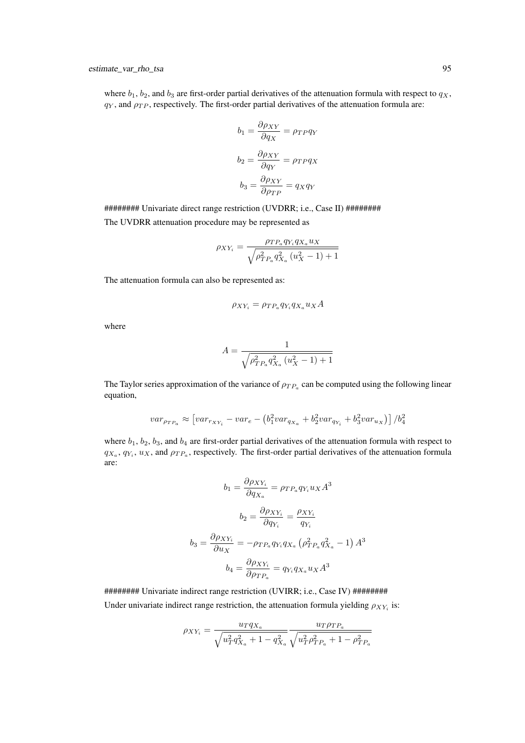where  $b_1$ ,  $b_2$ , and  $b_3$  are first-order partial derivatives of the attenuation formula with respect to  $q_X$ ,  $q<sub>Y</sub>$ , and  $\rho<sub>TP</sub>$ , respectively. The first-order partial derivatives of the attenuation formula are:

$$
b_1 = \frac{\partial \rho_{XY}}{\partial q_X} = \rho_{TP} q_Y
$$

$$
b_2 = \frac{\partial \rho_{XY}}{\partial q_Y} = \rho_{TP} q_X
$$

$$
b_3 = \frac{\partial \rho_{XY}}{\partial \rho_{TP}} = q_X q_Y
$$

######## Univariate direct range restriction (UVDRR; i.e., Case II) ######## The UVDRR attenuation procedure may be represented as

$$
\rho_{XY_i}=\frac{\rho_{TP_a}q_{Y_i}q_{X_a}u_X}{\sqrt{\rho^2_{TP_a}q^2_{X_a}\left(u^2_X-1\right)+1}}
$$

The attenuation formula can also be represented as:

$$
\rho_{XY_i} = \rho_{TP_a} q_{Y_i} q_{X_a} u_X A
$$

where

$$
A = \frac{1}{\sqrt{\rho_{TP_a}^2 q_{X_a}^2 \left(u_X^2 - 1\right) + 1}}
$$

The Taylor series approximation of the variance of  $\rho_{TP_a}$  can be computed using the following linear equation,

$$
var_{\rho_{TP_a}} \approx \left[ var_{r_{XY_i}} - var_e - (b_1^2 var_{q_{X_a}} + b_2^2 var_{q_{Y_i}} + b_3^2 var_{u_X}) \right] / b_4^2
$$

where  $b_1$ ,  $b_2$ ,  $b_3$ , and  $b_4$  are first-order partial derivatives of the attenuation formula with respect to  $q_{X_a}, q_{Y_i}, u_X$ , and  $\rho_{TP_a}$ , respectively. The first-order partial derivatives of the attenuation formula are:

$$
b_1 = \frac{\partial \rho_{XY_i}}{\partial q_{X_a}} = \rho_{TP_a} q_{Y_i} u_X A^3
$$

$$
b_2 = \frac{\partial \rho_{XY_i}}{\partial q_{Y_i}} = \frac{\rho_{XY_i}}{q_{Y_i}}
$$

$$
b_3 = \frac{\partial \rho_{XY_i}}{\partial u_X} = -\rho_{TP_a} q_{Y_i} q_{X_a} (\rho_{TP_a}^2 q_{X_a}^2 - 1) A^3
$$

$$
b_4 = \frac{\partial \rho_{XY_i}}{\partial \rho_{TP_a}} = q_{Y_i} q_{X_a} u_X A^3
$$

######## Univariate indirect range restriction (UVIRR; i.e., Case IV) ######## Under univariate indirect range restriction, the attenuation formula yielding  $\rho_{XY_i}$  is:

$$
\rho_{XY_i} = \frac{u_T q_{X_a}}{\sqrt{u_T^2 q_{X_a}^2 + 1 - q_{X_a}^2}} \frac{u_T \rho_{TP_a}}{\sqrt{u_T^2 \rho_{TP_a}^2 + 1 - \rho_{TP_a}^2}}
$$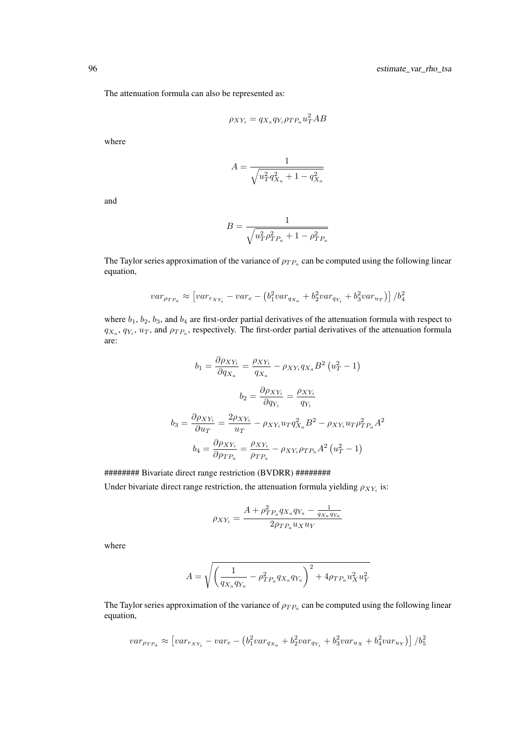The attenuation formula can also be represented as:

$$
\rho_{XY_i} = q_{X_a} q_{Y_i} \rho_{TP_a} u_T^2 AB
$$

where

$$
A = \frac{1}{\sqrt{u_T^2 q_{X_a}^2 + 1 - q_{X_a}^2}}
$$

and

$$
B = \frac{1}{\sqrt{u_T^2 \rho_{TP_a}^2 + 1 - \rho_{TP_a}^2}}
$$

The Taylor series approximation of the variance of  $\rho_{TP_a}$  can be computed using the following linear equation,

$$
var_{\rho_{TP_a}} \approx \left[ var_{r_{XY_i}} - var_e - (b_1^2 var_{q_{X_a}} + b_2^2 var_{q_{Y_i}} + b_3^2 var_{u_T}) \right] / b_4^2
$$

where  $b_1$ ,  $b_2$ ,  $b_3$ , and  $b_4$  are first-order partial derivatives of the attenuation formula with respect to  $q_{X_a}, q_{Y_i}, u_T$ , and  $\rho_{TP_a}$ , respectively. The first-order partial derivatives of the attenuation formula are:

$$
b_1 = \frac{\partial \rho_{XY_i}}{\partial q_{X_a}} = \frac{\rho_{XY_i}}{q_{X_a}} - \rho_{XY_i} q_{X_a} B^2 (u_T^2 - 1)
$$

$$
b_2 = \frac{\partial \rho_{XY_i}}{\partial q_{Y_i}} = \frac{\rho_{XY_i}}{q_{Y_i}}
$$

$$
b_3 = \frac{\partial \rho_{XY_i}}{\partial u_T} = \frac{2\rho_{XY_i}}{u_T} - \rho_{XY_i} u_T q_{X_a}^2 B^2 - \rho_{XY_i} u_T \rho_{TP_a}^2 A^2
$$

$$
b_4 = \frac{\partial \rho_{XY_i}}{\partial \rho_{TP_a}} = \frac{\rho_{XY_i}}{\rho_{TP_a}} - \rho_{XY_i} \rho_{TP_a} A^2 (u_T^2 - 1)
$$

######## Bivariate direct range restriction (BVDRR) ########

Under bivariate direct range restriction, the attenuation formula yielding  $\rho_{XY_i}$  is:

$$
\rho_{XY_i} = \frac{A + \rho_{TP_a}^2 q_{X_a} q_{Y_a} - \frac{1}{q_{X_a} q_{Y_a}}}{2 \rho_{TP_a} u_X u_Y}
$$

where

$$
A = \sqrt{\left(\frac{1}{q_{X_a}q_{Y_a}} - \rho_{TP_a}^2 q_{X_a}q_{Y_a}\right)^2 + 4\rho_{TP_a}u_X^2u_Y^2}
$$

The Taylor series approximation of the variance of  $\rho_{TP_a}$  can be computed using the following linear equation,

$$
var_{\rho_{TP_a}} \approx \left[ var_{r_{XY_i}} - var_e - (b_1^2 var_{q_{X_a}} + b_2^2 var_{q_{Y_i}} + b_3^2 var_{u_X} + b_4^2 var_{u_Y}) \right] / b_5^2
$$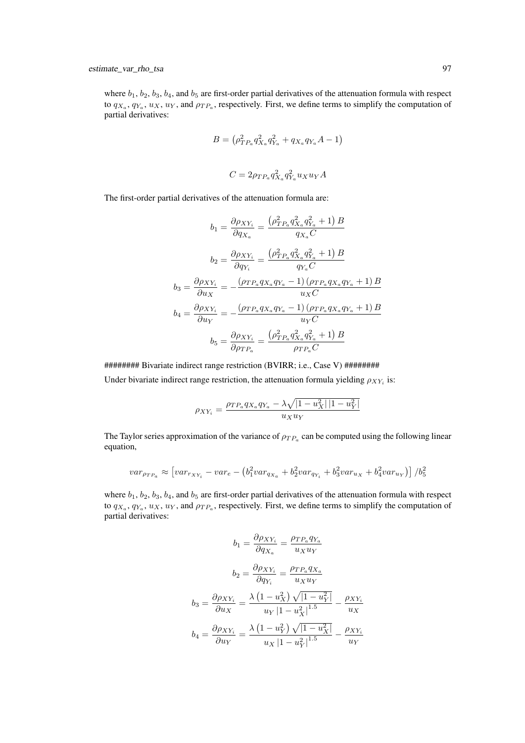where  $b_1$ ,  $b_2$ ,  $b_3$ ,  $b_4$ , and  $b_5$  are first-order partial derivatives of the attenuation formula with respect to  $q_{X_a}, q_{Y_a}, u_X, u_Y$ , and  $\rho_{TP_a}$ , respectively. First, we define terms to simplify the computation of partial derivatives:

$$
B = \left(\rho_{TP_a}^2 q_{X_a}^2 q_{Y_a}^2 + q_{X_a} q_{Y_a} A - 1\right)
$$
  

$$
C = 2\rho_{TP_a} q_{X_a}^2 q_{Y_a}^2 u_X u_Y A
$$

The first-order partial derivatives of the attenuation formula are:

$$
b_1 = \frac{\partial \rho_{XY_i}}{\partial q_{X_a}} = \frac{\left(\rho_{TP_a}^2 q_{X_a}^2 q_{Y_a}^2 + 1\right)B}{q_{X_a}C}
$$

$$
b_2 = \frac{\partial \rho_{XY_i}}{\partial q_{Y_i}} = \frac{\left(\rho_{TP_a}^2 q_{X_a}^2 q_{Y_a}^2 + 1\right)B}{q_{Y_a}C}
$$

$$
b_3 = \frac{\partial \rho_{XY_i}}{\partial u_X} = -\frac{\left(\rho_{TP_a}^2 q_{X_a} q_{Y_a} - 1\right)\left(\rho_{TP_a} q_{X_a} q_{Y_a} + 1\right)B}{u_XC}
$$

$$
b_4 = \frac{\partial \rho_{XY_i}}{\partial u_Y} = -\frac{\left(\rho_{TP_a}^2 q_{X_a} q_{Y_a} - 1\right)\left(\rho_{TP_a} q_{X_a} q_{Y_a} + 1\right)B}{u_YC}
$$

$$
b_5 = \frac{\partial \rho_{XY_i}}{\partial \rho_{TP_a}} = \frac{\left(\rho_{TP_a}^2 q_{X_a}^2 q_{Y_a}^2 + 1\right)B}{\rho_{TP_a}C}
$$

######## Bivariate indirect range restriction (BVIRR; i.e., Case V) ######## Under bivariate indirect range restriction, the attenuation formula yielding  $\rho_{XY_i}$  is:

$$
\rho_{XY_i} = \frac{\rho_{TP_a} q_{X_a} q_{Y_a} - \lambda \sqrt{|1 - u_X^2| |1 - u_Y^2|}}{u_X u_Y}
$$

The Taylor series approximation of the variance of  $\rho_{TP_a}$  can be computed using the following linear equation,

$$
var_{\rho_{TP_a}} \approx \left[ var_{r_{XY_i}} - var_e - (b_1^2 var_{q_{X_a}} + b_2^2 var_{q_{Y_i}} + b_3^2 var_{u_X} + b_4^2 var_{u_Y}) \right] / b_5^2
$$

where  $b_1$ ,  $b_2$ ,  $b_3$ ,  $b_4$ , and  $b_5$  are first-order partial derivatives of the attenuation formula with respect to  $q_{X_a}, q_{Y_a}, u_X, u_Y$ , and  $\rho_{TP_a}$ , respectively. First, we define terms to simplify the computation of partial derivatives:

$$
b_1 = \frac{\partial \rho_{XY_i}}{\partial q_{X_a}} = \frac{\rho_{TP_a} q_{Y_a}}{u_X u_Y}
$$

$$
b_2 = \frac{\partial \rho_{XY_i}}{\partial q_{Y_i}} = \frac{\rho_{TP_a} q_{X_a}}{u_X u_Y}
$$

$$
b_3 = \frac{\partial \rho_{XY_i}}{\partial u_X} = \frac{\lambda (1 - u_X^2) \sqrt{|1 - u_Y^2|}}{u_Y |1 - u_X^2|^{1.5}} - \frac{\rho_{XY_i}}{u_X}
$$

$$
b_4 = \frac{\partial \rho_{XY_i}}{\partial u_Y} = \frac{\lambda (1 - u_Y^2) \sqrt{|1 - u_X^2|}}{u_X |1 - u_Y^2|^{1.5}} - \frac{\rho_{XY_i}}{u_Y}
$$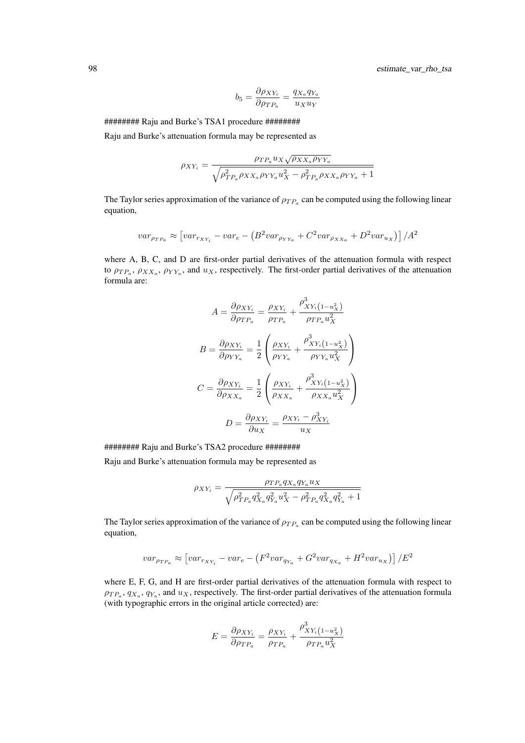98 estimate\_var\_rho\_tsa

$$
b_5 = \frac{\partial \rho_{XY_i}}{\partial \rho_{TP_a}} = \frac{q_{X_a} q_{Y_a}}{u_X u_Y}
$$

######## Raju and Burke's TSA1 procedure ########

Raju and Burke's attenuation formula may be represented as

$$
\rho_{XY_i} = \frac{\rho_{TP_a} u_X \sqrt{\rho_{XX_a} \rho_{YY_a}}}{\sqrt{\rho_{TP_a}^2 \rho_{XX_a} \rho_{YY_a} u_X^2 - \rho_{TP_a}^2 \rho_{XX_a} \rho_{YY_a} + 1}}
$$

The Taylor series approximation of the variance of  $\rho_{TP_a}$  can be computed using the following linear equation,

$$
var_{\rho_T P_a} \approx \left[ var_{r_{XY_i}} - var_e - \left(B^2 var_{\rho_{YY_a}} + C^2 var_{\rho_{XX_a}} + D^2 var_{u_X}\right)\right] / A^2
$$

where A, B, C, and D are first-order partial derivatives of the attenuation formula with respect to  $\rho_{TP_a}, \rho_{XX_a}, \rho_{YY_a}$ , and  $u_X$ , respectively. The first-order partial derivatives of the attenuation formula are:

$$
A = \frac{\partial \rho_{XY_i}}{\partial \rho_{TP_a}} = \frac{\rho_{XY_i}}{\rho_{TP_a}} + \frac{\rho_{XY_i}^3 (1 - u_X^2)}{\rho_{TP_a} u_X^2}
$$

$$
B = \frac{\partial \rho_{XY_i}}{\partial \rho_{YY_a}} = \frac{1}{2} \left( \frac{\rho_{XY_i}}{\rho_{YY_a}} + \frac{\rho_{XY_i}^3 (1 - u_X^2)}{\rho_{YY_a} u_X^2} \right)
$$

$$
C = \frac{\partial \rho_{XY_i}}{\partial \rho_{XX_a}} = \frac{1}{2} \left( \frac{\rho_{XY_i}}{\rho_{XX_a}} + \frac{\rho_{XY_i}^3 (1 - u_X^2)}{\rho_{XX_a} u_X^2} \right)
$$

$$
D = \frac{\partial \rho_{XY_i}}{\partial u_X} = \frac{\rho_{XY_i} - \rho_{XY_i}^3}{u_X}
$$

######## Raju and Burke's TSA2 procedure ########

Raju and Burke's attenuation formula may be represented as

$$
\rho_{XY_i} = \frac{\rho_{TP_a} q_{X_a} q_{Y_a} u_X}{\sqrt{\rho_{TP_a}^2 q_{X_a}^2 q_{Y_a}^2 u_X^2 - \rho_{TP_a}^2 q_{X_a}^2 q_{Y_a}^2 + 1}}
$$

The Taylor series approximation of the variance of  $\rho_{TP_a}$  can be computed using the following linear equation,

$$
var_{\rho_{TP_a}} \approx \left[ var_{r_{XY_i}} - var_e - \left( F^2 var_{q_{Y_a}} + G^2 var_{q_{X_a}} + H^2 var_{u_X} \right) \right] / E^2
$$

where E, F, G, and H are first-order partial derivatives of the attenuation formula with respect to  $\rho_{TP_a}, q_{X_a}, q_{Y_a}$ , and  $u_X$ , respectively. The first-order partial derivatives of the attenuation formula (with typographic errors in the original article corrected) are:

$$
E = \frac{\partial \rho_{XY_i}}{\partial \rho_{TP_a}} = \frac{\rho_{XY_i}}{\rho_{TP_a}} + \frac{\rho_{XY_i}^3 (1 - u_X^2)}{\rho_{TP_a} u_X^2}
$$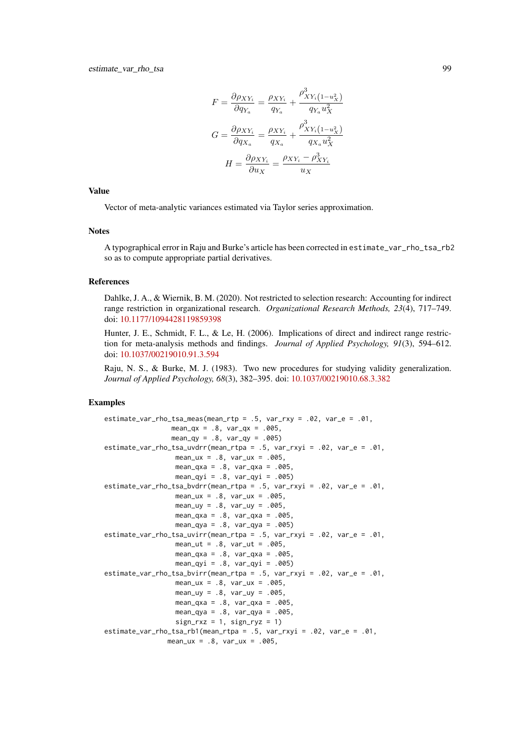$$
F = \frac{\partial \rho_{XY_i}}{\partial q_{Y_a}} = \frac{\rho_{XY_i}}{q_{Y_a}} + \frac{\rho_{XY_i}^3 (1 - u_X^2)}{q_{Y_a} u_X^2}
$$

$$
G = \frac{\partial \rho_{XY_i}}{\partial q_{X_a}} = \frac{\rho_{XY_i}}{q_{X_a}} + \frac{\rho_{XY_i}^3 (1 - u_X^2)}{q_{X_a} u_X^2}
$$

$$
H = \frac{\partial \rho_{XY_i}}{\partial u_X} = \frac{\rho_{XY_i} - \rho_{XY_i}^3}{u_X}
$$

## Value

Vector of meta-analytic variances estimated via Taylor series approximation.

### Notes

A typographical error in Raju and Burke's article has been corrected in estimate\_var\_rho\_tsa\_rb2 so as to compute appropriate partial derivatives.

#### References

Dahlke, J. A., & Wiernik, B. M. (2020). Not restricted to selection research: Accounting for indirect range restriction in organizational research. *Organizational Research Methods, 23*(4), 717–749. doi: [10.1177/1094428119859398](https://doi.org/10.1177/1094428119859398)

Hunter, J. E., Schmidt, F. L., & Le, H. (2006). Implications of direct and indirect range restriction for meta-analysis methods and findings. *Journal of Applied Psychology, 91*(3), 594–612. doi: [10.1037/00219010.91.3.594](https://doi.org/10.1037/0021-9010.91.3.594)

Raju, N. S., & Burke, M. J. (1983). Two new procedures for studying validity generalization. *Journal of Applied Psychology, 68*(3), 382–395. doi: [10.1037/00219010.68.3.382](https://doi.org/10.1037/0021-9010.68.3.382)

# Examples

```
estimate_var_rho_tsa_meas(mean_rtp = .5, var_rxy = .02, var_e = .01,
                 mean_qx = .8, var_qx = .005,
                 mean_qy = .8, var_qy = .005estimate_var_rho_tsa_uvdrr(mean_rtpa = .5, var_rxyi = .02, var_e = .01,
                 mean_{ux} = .8, var_{ux} = .005,
                  mean_qxa = .8, var_qxa = .005,
                 mean_qyi = .8, var_qyi = .005estimate_var_rho_tsa_bvdrr(mean_rtpa = .5, var_rxyi = .02, var_e = .01,
                 mean_{ux} = .8, var_{ux} = .005,
                  mean_{uy} = .8, var_{uy} = .005,
                  mean_qxa = .8, var_qxa = .005,
                  mean_qya = .8, var_qya = .005)
estimate_var_rho_tsa_uvirr(mean_rtpa = .5, var_rxyi = .02, var_e = .01,
                 mean_{ut} = .8, var_{ut} = .005,
                  mean_qxa = .8, var_qxa = .005mean_qyi = .8, var_qyi = .005)
estimate_var_rho_tsa_bvirr(mean_rtpa = .5, var_rxyi = .02, var_e = .01,
                 mean_{ux} = .8, var_{ux} = .005,
                  mean_{uy} = .8, var_{uy} = .005,mean_qxa = .8, var_qxa = .005,
                 mean_qya = .8, var_qya = .005,
                  sign_r xz = 1, sign_r yz = 1)
estimate_var_rho_tsa_rb1(mean_rtpa = .5, var_rxyi = .02, var_e = .01,
                mean_lux = .8, var_lux = .005,
```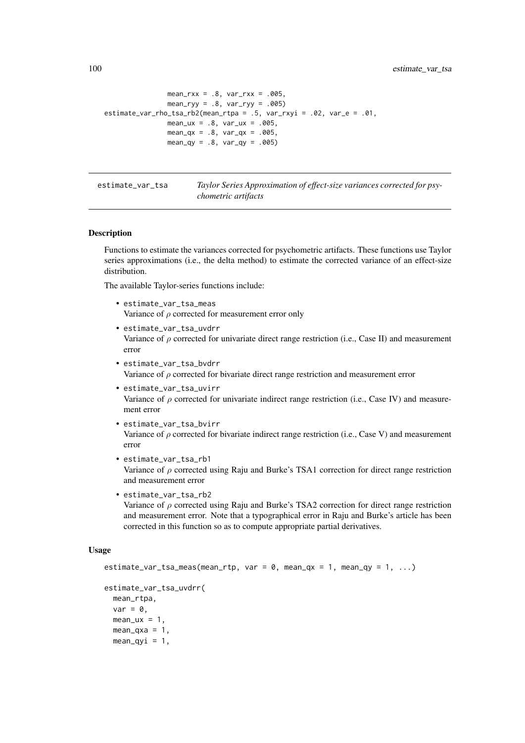```
mean_rxx = .8, var_rxx = .005,
                mean_ryy = .8, var_ryy = .005)
estimate_var_rho_tsa_rb2(mean_rtpa = .5, var_rxyi = .02, var_e = .01,
                mean_{ux} = .8, var_{ux} = .005,
                mean_qx = .8, var_qx = .005,
                mean_qy = .8, var_qy = .005
```
estimate\_var\_tsa *Taylor Series Approximation of effect-size variances corrected for psychometric artifacts*

### <span id="page-99-0"></span>Description

Functions to estimate the variances corrected for psychometric artifacts. These functions use Taylor series approximations (i.e., the delta method) to estimate the corrected variance of an effect-size distribution.

The available Taylor-series functions include:

- estimate\_var\_tsa\_meas Variance of  $\rho$  corrected for measurement error only
- estimate\_var\_tsa\_uvdrr Variance of  $\rho$  corrected for univariate direct range restriction (i.e., Case II) and measurement error
- estimate\_var\_tsa\_bvdrr Variance of  $\rho$  corrected for bivariate direct range restriction and measurement error
- estimate\_var\_tsa\_uvirr Variance of  $\rho$  corrected for univariate indirect range restriction (i.e., Case IV) and measurement error
- estimate\_var\_tsa\_bvirr Variance of  $\rho$  corrected for bivariate indirect range restriction (i.e., Case V) and measurement error
- estimate\_var\_tsa\_rb1 Variance of  $\rho$  corrected using Raju and Burke's TSA1 correction for direct range restriction and measurement error
- estimate\_var\_tsa\_rb2

Variance of  $\rho$  corrected using Raju and Burke's TSA2 correction for direct range restriction and measurement error. Note that a typographical error in Raju and Burke's article has been corrected in this function so as to compute appropriate partial derivatives.

## Usage

```
estimate_var_tsa_meas(mean_rtp, var = 0, mean_qx = 1, mean_qy = 1, ...)
```

```
estimate_var_tsa_uvdrr(
  mean_rtpa,
  var = 0,
  mean_lux = 1,
  mean_{\text{axa}} = 1,
  mean_qyi = 1,
```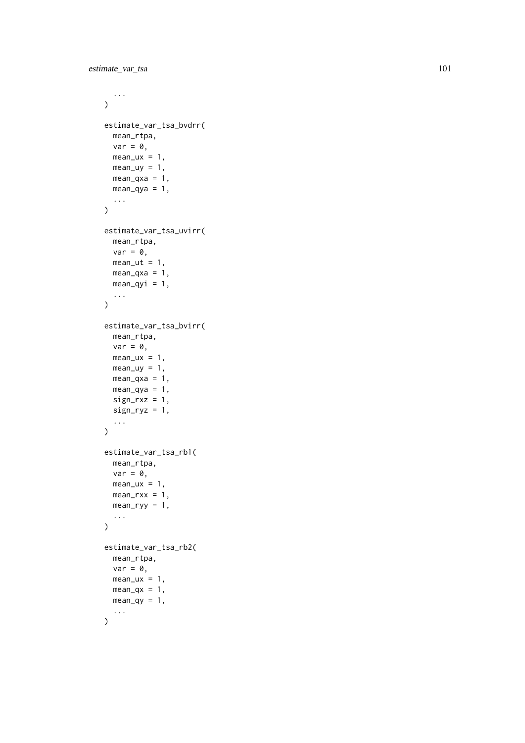```
...
\lambdaestimate_var_tsa_bvdrr(
  mean_rtpa,
  var = 0,
  mean_u x = 1,
  mean_uy = 1,
  mean_{\text{y}} = 1,
  mean_qya = 1,
  ...
\lambdaestimate_var_tsa_uvirr(
  mean_rtpa,
  var = 0,
  mean_{ut} = 1,
  mean_{\text{axa}} = 1,
  mean_qyi = 1,
  ...
\lambdaestimate_var_tsa_bvirr(
  mean_rtpa,
  var = 0,
  mean_u x = 1,
  mean_uy = 1,
  mean_{\text{axa}} = 1,
  mean_qya = 1,
  sign_r xz = 1,
  sign_{ryz} = 1,
  ...
\lambdaestimate_var_tsa_rb1(
 mean_rtpa,
  var = 0,
  mean_u x = 1,
  mean_rxx = 1,
  mean_ryy = 1,
  ...
\lambdaestimate_var_tsa_rb2(
  mean_rtpa,
  var = 0,
  mean_lux = 1,
  mean_qx = 1,
  mean_qy = 1,
  ...
\lambda
```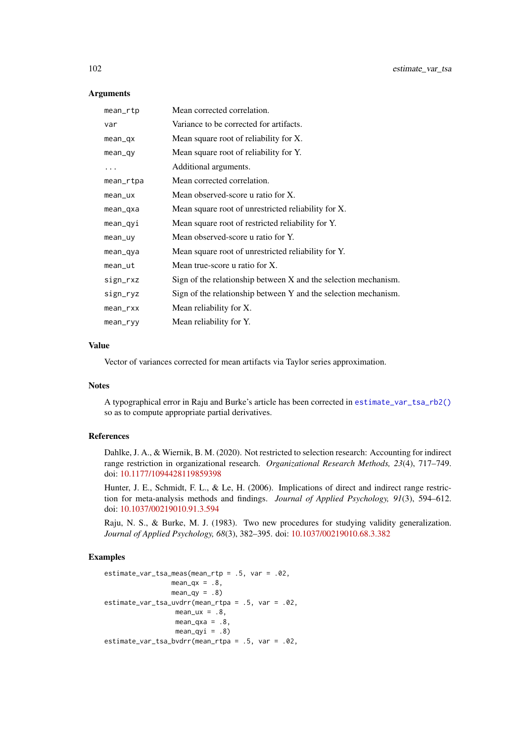### Arguments

| mean_rtp  | Mean corrected correlation.                                     |
|-----------|-----------------------------------------------------------------|
| var       | Variance to be corrected for artifacts.                         |
| $mean_qx$ | Mean square root of reliability for X.                          |
| $mean_q$  | Mean square root of reliability for Y.                          |
| .         | Additional arguments.                                           |
| mean_rtpa | Mean corrected correlation.                                     |
| mean_ux   | Mean observed-score u ratio for X.                              |
| mean_qxa  | Mean square root of unrestricted reliability for X.             |
| mean_qyi  | Mean square root of restricted reliability for Y.               |
| mean_uy   | Mean observed-score u ratio for Y.                              |
| mean_qya  | Mean square root of unrestricted reliability for Y.             |
| mean      | Mean true-score u ratio for X.                                  |
| sign_rxz  | Sign of the relationship between X and the selection mechanism. |
| sign_ryz  | Sign of the relationship between Y and the selection mechanism. |
| mean_rxx  | Mean reliability for X.                                         |
| mean      | Mean reliability for Y.                                         |

# Value

Vector of variances corrected for mean artifacts via Taylor series approximation.

## Notes

A typographical error in Raju and Burke's article has been corrected in [estimate\\_var\\_tsa\\_rb2\(\)](#page-99-0) so as to compute appropriate partial derivatives.

# References

Dahlke, J. A., & Wiernik, B. M. (2020). Not restricted to selection research: Accounting for indirect range restriction in organizational research. *Organizational Research Methods, 23*(4), 717–749. doi: [10.1177/1094428119859398](https://doi.org/10.1177/1094428119859398)

Hunter, J. E., Schmidt, F. L., & Le, H. (2006). Implications of direct and indirect range restriction for meta-analysis methods and findings. *Journal of Applied Psychology, 91*(3), 594–612. doi: [10.1037/00219010.91.3.594](https://doi.org/10.1037/0021-9010.91.3.594)

Raju, N. S., & Burke, M. J. (1983). Two new procedures for studying validity generalization. *Journal of Applied Psychology, 68*(3), 382–395. doi: [10.1037/00219010.68.3.382](https://doi.org/10.1037/0021-9010.68.3.382)

# Examples

```
estimate_var_tsa_meas(mean_rtp = .5, var = .02,
                mean_qx = .8,
                 mean_qy = .8estimate_var_tsa_uvdrr(mean_rtpa = .5, var = .02,
                  mean_u x = .8,
                  mean_{\text{axa}} = .8,
                  mean_qyi = .8)estimate_var_tsa_bvdrr(mean_rtpa = .5, var = .02,
```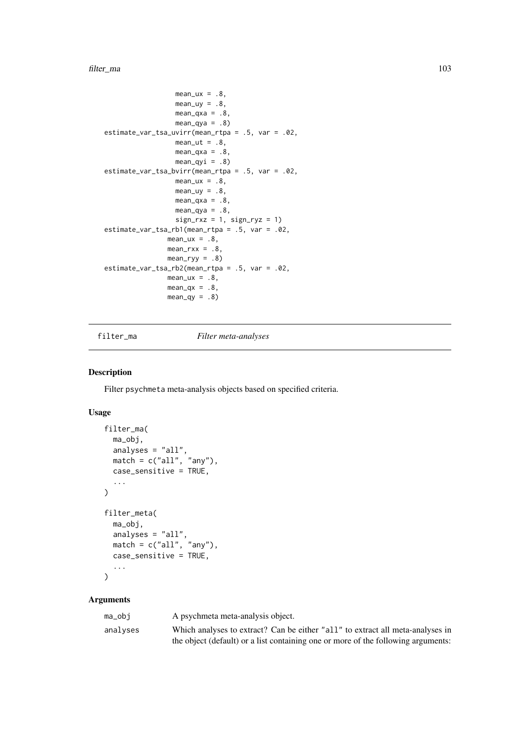### filter\_ma 103

```
mean_ux = .8,
                   mean_{uy} = .8mean_{\text{qxa}} = .8,
                   mean_qya = .8estimate_var_tsa_uvirr(mean_rtpa = .5, var = .02,
                  mean_{ut} = .8,
                  mean_{\text{axa}} = .8,
                  mean_qyi = .8estimate_var_tsa_bvirr(mean_rtpa = .5, var = .02,
                  mean ux = .8.
                  mean_{uy} = .8mean_{\text{axa}} = .8,
                  mean_qya = .8,
                  sign_r xz = 1, sign_r yz = 1estimate_var_tsa_rb1(mean_rtpa = .5, var = .02,
                mean_u x = .8,
                mean_rxx = .8,
                mean_ryy = .8)estimate_var_tsa_rb2(mean_rtpa = .5, var = .02,
                mean_lux = .8,
                mean_qx = .8,
                mean_qy = .8
```
<span id="page-102-0"></span>filter\_ma *Filter meta-analyses*

# Description

Filter psychmeta meta-analysis objects based on specified criteria.

# Usage

```
filter_ma(
  ma_obj,
  analyses = "all",match = c("all", "any"),case_sensitive = TRUE,
  ...
\lambdafilter_meta(
  ma_obj,
  analyses = "all",
  match = c("all", "any"),case_sensitive = TRUE,
  ...
)
```
# Arguments

| ma_obi   | A psychmeta meta-analysis object.                                                 |
|----------|-----------------------------------------------------------------------------------|
| analyses | Which analyses to extract? Can be either "all" to extract all meta-analyses in    |
|          | the object (default) or a list containing one or more of the following arguments: |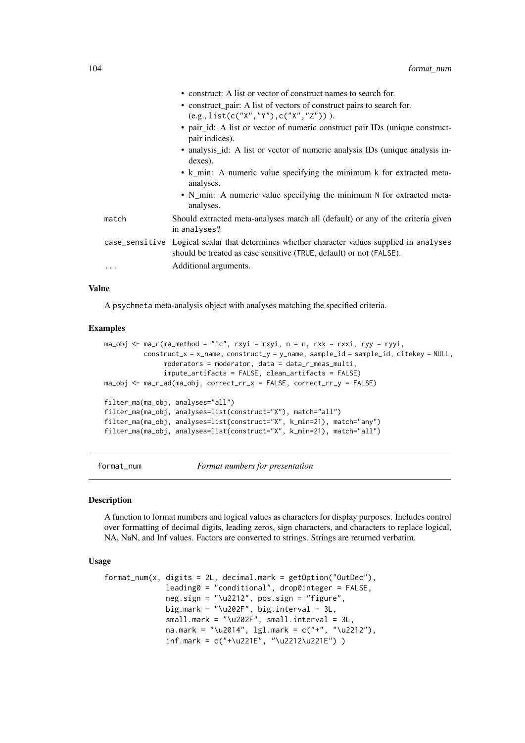|       | • construct: A list or vector of construct names to search for.                                                                                                    |
|-------|--------------------------------------------------------------------------------------------------------------------------------------------------------------------|
|       | • construct_pair: A list of vectors of construct pairs to search for.                                                                                              |
|       | $(e.g., list(c("X", "Y"), c("X", "Z"))).$                                                                                                                          |
|       | • pair_id: A list or vector of numeric construct pair IDs (unique construct-<br>pair indices).                                                                     |
|       | • analysis id: A list or vector of numeric analysis IDs (unique analysis in-<br>dexes).                                                                            |
|       | • k_min: A numeric value specifying the minimum k for extracted meta-<br>analyses.                                                                                 |
|       | • N_min: A numeric value specifying the minimum N for extracted meta-<br>analyses.                                                                                 |
| match | Should extracted meta-analyses match all (default) or any of the criteria given<br>in analyses?                                                                    |
|       | case_sensitive Logical scalar that determines whether character values supplied in analyses<br>should be treated as case sensitive (TRUE, default) or not (FALSE). |
| .     | Additional arguments.                                                                                                                                              |

### Value

A psychmeta meta-analysis object with analyses matching the specified criteria.

## Examples

```
ma_obj \leq ma_r(ma_method = "ic", rxyi = rxyi, n = n, rxx = rxxi, ryy = ryyi,construct_x = x_name, construct_y = y_name, sample_id = sample_id, citekey = NULL,
               moderators = moderator, data = data_r_meas_multi,
               impute_artifacts = FALSE, clean_artifacts = FALSE)
ma_obj <- ma_r_ad(ma_obj, correct_rr_x = FALSE, correct_rr_y = FALSE)
filter_ma(ma_obj, analyses="all")
filter_ma(ma_obj, analyses=list(construct="X"), match="all")
filter_ma(ma_obj, analyses=list(construct="X", k_min=21), match="any")
filter_ma(ma_obj, analyses=list(construct="X", k_min=21), match="all")
```
format\_num *Format numbers for presentation*

# **Description**

A function to format numbers and logical values as characters for display purposes. Includes control over formatting of decimal digits, leading zeros, sign characters, and characters to replace logical, NA, NaN, and Inf values. Factors are converted to strings. Strings are returned verbatim.

# Usage

```
format_num(x, digits = 2L, decimal.mark = getOption("OutDec"),
              leading0 = "conditional", drop0integer = FALSE,
              neg.sign = "\u2212", pos.sign = "figure",
              big.mark = "\u202F", big.interval = 3L,
              small.mark = "\u202F", small.interval = 3L,
              na.mark = "\u2014", lgl.mark = c("+", "\u2212"),
              inf.mark = c("+\u221E", "\u2212\u221E") )
```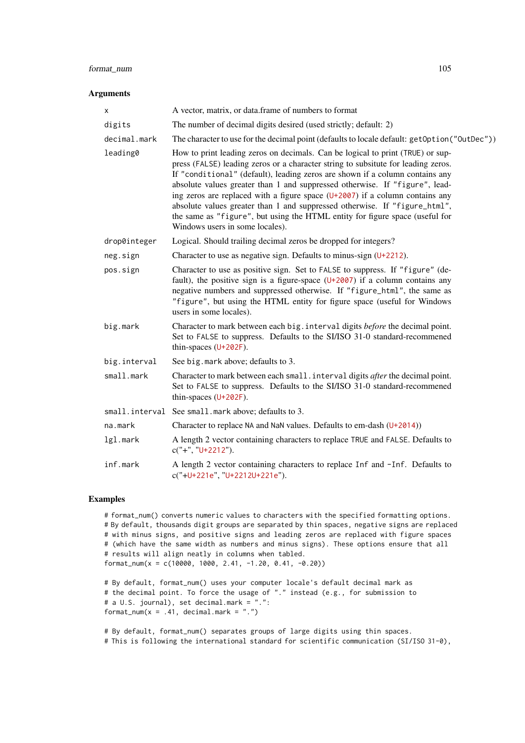## format\_num 105

#### Arguments

| X            | A vector, matrix, or data.frame of numbers to format                                                                                                                                                                                                                                                                                                                                                                                                                                                                                                                                                                  |
|--------------|-----------------------------------------------------------------------------------------------------------------------------------------------------------------------------------------------------------------------------------------------------------------------------------------------------------------------------------------------------------------------------------------------------------------------------------------------------------------------------------------------------------------------------------------------------------------------------------------------------------------------|
| digits       | The number of decimal digits desired (used strictly; default: 2)                                                                                                                                                                                                                                                                                                                                                                                                                                                                                                                                                      |
| decimal.mark | The character to use for the decimal point (defaults to locale default: get0ption("OutDec"))                                                                                                                                                                                                                                                                                                                                                                                                                                                                                                                          |
| leading0     | How to print leading zeros on decimals. Can be logical to print (TRUE) or sup-<br>press (FALSE) leading zeros or a character string to subsitute for leading zeros.<br>If "conditional" (default), leading zeros are shown if a column contains any<br>absolute values greater than 1 and suppressed otherwise. If "figure", lead-<br>ing zeros are replaced with a figure space $(U+2007)$ if a column contains any<br>absolute values greater than 1 and suppressed otherwise. If "figure_html",<br>the same as "figure", but using the HTML entity for figure space (useful for<br>Windows users in some locales). |
| drop0integer | Logical. Should trailing decimal zeros be dropped for integers?                                                                                                                                                                                                                                                                                                                                                                                                                                                                                                                                                       |
| neg.sign     | Character to use as negative sign. Defaults to minus-sign $(U+2212)$ .                                                                                                                                                                                                                                                                                                                                                                                                                                                                                                                                                |
| pos.sign     | Character to use as positive sign. Set to FALSE to suppress. If "figure" (de-<br>fault), the positive sign is a figure-space $(U+2007)$ if a column contains any<br>negative numbers and suppressed otherwise. If "figure_html", the same as<br>"figure", but using the HTML entity for figure space (useful for Windows<br>users in some locales).                                                                                                                                                                                                                                                                   |
| big.mark     | Character to mark between each big. interval digits before the decimal point.<br>Set to FALSE to suppress. Defaults to the SI/ISO 31-0 standard-recommened<br>thin-spaces $(U+202F)$ .                                                                                                                                                                                                                                                                                                                                                                                                                                |
| big.interval | See big. mark above; defaults to 3.                                                                                                                                                                                                                                                                                                                                                                                                                                                                                                                                                                                   |
| small.mark   | Character to mark between each small. interval digits after the decimal point.<br>Set to FALSE to suppress. Defaults to the SI/ISO 31-0 standard-recommened<br>thin-spaces $(U+202F)$ .                                                                                                                                                                                                                                                                                                                                                                                                                               |
|              | small. interval See small. mark above; defaults to 3.                                                                                                                                                                                                                                                                                                                                                                                                                                                                                                                                                                 |
| na.mark      | Character to replace NA and NaN values. Defaults to em-dash $(U+2014)$                                                                                                                                                                                                                                                                                                                                                                                                                                                                                                                                                |
| lgl.mark     | A length 2 vector containing characters to replace TRUE and FALSE. Defaults to<br>$c("+", "U+2212").$                                                                                                                                                                                                                                                                                                                                                                                                                                                                                                                 |
| inf.mark     | A length 2 vector containing characters to replace Inf and -Inf. Defaults to<br>c("+U+221e", "U+2212U+221e").                                                                                                                                                                                                                                                                                                                                                                                                                                                                                                         |

# Examples

# format\_num() converts numeric values to characters with the specified formatting options. # By default, thousands digit groups are separated by thin spaces, negative signs are replaced # with minus signs, and positive signs and leading zeros are replaced with figure spaces # (which have the same width as numbers and minus signs). These options ensure that all # results will align neatly in columns when tabled. format\_num(x = c(10000, 1000, 2.41, -1.20, 0.41, -0.20))

```
# By default, format_num() uses your computer locale's default decimal mark as
# the decimal point. To force the usage of "." instead (e.g., for submission to
# a U.S. journal), set decimal.mark = ".":
format_num(x = .41, decimal.mark = ".")
```
# By default, format\_num() separates groups of large digits using thin spaces. # This is following the international standard for scientific communication (SI/ISO 31-0),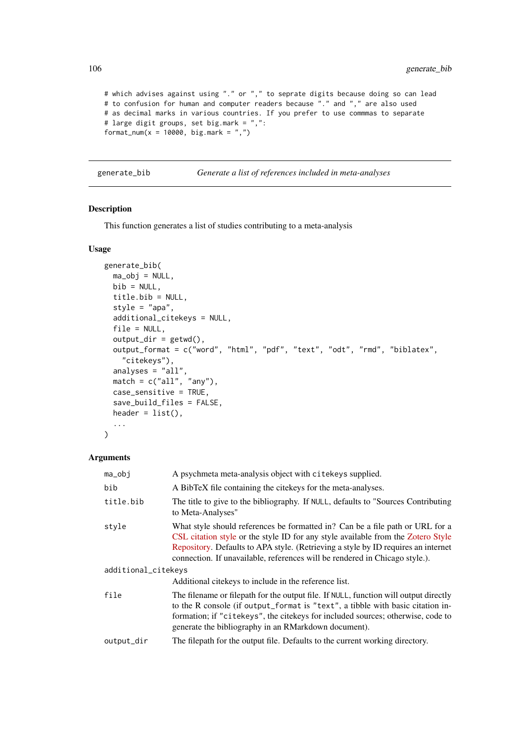```
# which advises against using "." or "," to seprate digits because doing so can lead
# to confusion for human and computer readers because "." and "," are also used
# as decimal marks in various countries. If you prefer to use commmas to separate
# large digit groups, set big.mark = ",":
format_num(x = 10000, big.mark = ",")
```
generate\_bib *Generate a list of references included in meta-analyses*

# Description

This function generates a list of studies contributing to a meta-analysis

# Usage

```
generate_bib(
  ma_obj = NULL,bib = NULL,title.bib = NULL,
  style = "apa",
  additional_citekeys = NULL,
  file = NULL,
  output\_dir = getwd(),
  output_format = c("word", "html", "pdf", "text", "odt", "rmd", "biblatex",
    "citekeys"),
  analyses = "all",
 match = c("all", "any"),case_sensitive = TRUE,
  save_build_files = FALSE,
  header = list(),
  ...
)
```
# Arguments

| $ma_obj$            | A psychmeta meta-analysis object with citekeys supplied.                                                                                                                                                                                                                                                                              |  |
|---------------------|---------------------------------------------------------------------------------------------------------------------------------------------------------------------------------------------------------------------------------------------------------------------------------------------------------------------------------------|--|
| bib                 | A BibTeX file containing the cite keys for the meta-analyses.                                                                                                                                                                                                                                                                         |  |
| title.bib           | The title to give to the bibliography. If NULL, defaults to "Sources Contributing"<br>to Meta-Analyses"                                                                                                                                                                                                                               |  |
| style               | What style should references be formatted in? Can be a file path or URL for a<br>CSL citation style or the style ID for any style available from the Zotero Style<br>Repository. Defaults to APA style. (Retrieving a style by ID requires an internet<br>connection. If unavailable, references will be rendered in Chicago style.). |  |
| additional_citekeys |                                                                                                                                                                                                                                                                                                                                       |  |
|                     | Additional citekeys to include in the reference list.                                                                                                                                                                                                                                                                                 |  |
| file                | The filename or filepath for the output file. If NULL, function will output directly<br>to the R console (if output_format is "text", a tibble with basic citation in-<br>formation; if "citekeys", the citekeys for included sources; otherwise, code to<br>generate the bibliography in an RMarkdown document).                     |  |
| output_dir          | The filepath for the output file. Defaults to the current working directory.                                                                                                                                                                                                                                                          |  |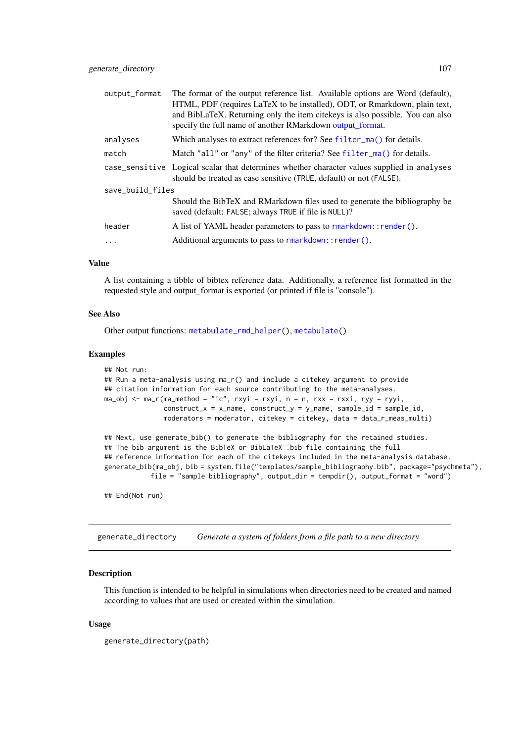| output_format    | The format of the output reference list. Available options are Word (default),                                                              |  |
|------------------|---------------------------------------------------------------------------------------------------------------------------------------------|--|
|                  | HTML, PDF (requires LaTeX to be installed), ODT, or Rmarkdown, plain text,                                                                  |  |
|                  | and BibLaTeX. Returning only the item cite keys is also possible. You can also<br>specify the full name of another RMarkdown output_format. |  |
| analyses         | Which analyses to extract references for? See filter_ma() for details.                                                                      |  |
| match            | Match "all" or "any" of the filter criteria? See filter_ma() for details.                                                                   |  |
|                  | case_sensitive Logical scalar that determines whether character values supplied in analyses                                                 |  |
|                  | should be treated as case sensitive (TRUE, default) or not (FALSE).                                                                         |  |
| save build files |                                                                                                                                             |  |
|                  | Should the BibTeX and RMarkdown files used to generate the bibliography be<br>saved (default: FALSE; always TRUE if file is NULL)?          |  |
| header           | A list of YAML header parameters to pass to rmarkdown:: render().                                                                           |  |
| .                | Additional arguments to pass to rmarkdown:: render().                                                                                       |  |

## Value

A list containing a tibble of bibtex reference data. Additionally, a reference list formatted in the requested style and output\_format is exported (or printed if file is "console").

### See Also

Other output functions: [metabulate\\_rmd\\_helper\(](#page-157-0)), [metabulate\(](#page-153-0))

### Examples

```
## Not run:
## Run a meta-analysis using ma_r() and include a citekey argument to provide
## citation information for each source contributing to the meta-analyses.
ma_obj \leq ma_r(ma_method = "ic", rxyi = rxyi, n = n, rxx = rxxi, ryy = ryyi,construct_x = x_name, construct_y = y_name, sample_id = sample_id,
               moderators = moderator, citekey = citekey, data = data_r_meas_multi)
## Next, use generate_bib() to generate the bibliography for the retained studies.
## The bib argument is the BibTeX or BibLaTeX .bib file containing the full
## reference information for each of the citekeys included in the meta-analysis database.
generate_bib(ma_obj, bib = system.file("templates/sample_bibliography.bib", package="psychmeta"),
           file = "sample bibliography", output_dir = tempdir(), output_format = "word")
## End(Not run)
```
generate\_directory *Generate a system of folders from a file path to a new directory*

# Description

This function is intended to be helpful in simulations when directories need to be created and named according to values that are used or created within the simulation.

# Usage

```
generate_directory(path)
```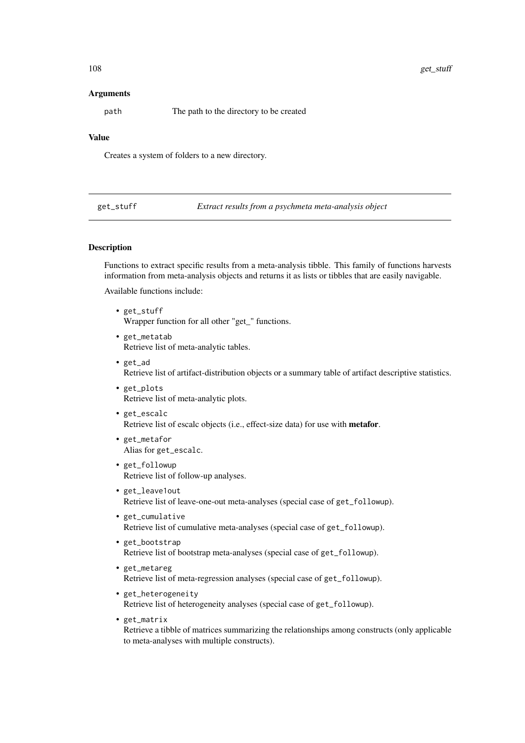## Arguments

path The path to the directory to be created

## Value

Creates a system of folders to a new directory.

get\_stuff *Extract results from a psychmeta meta-analysis object*

# Description

Functions to extract specific results from a meta-analysis tibble. This family of functions harvests information from meta-analysis objects and returns it as lists or tibbles that are easily navigable.

Available functions include:

- get\_stuff Wrapper function for all other "get\_" functions.
- get\_metatab Retrieve list of meta-analytic tables.
- get\_ad Retrieve list of artifact-distribution objects or a summary table of artifact descriptive statistics.
- get\_plots Retrieve list of meta-analytic plots.
- get\_escalc Retrieve list of escalc objects (i.e., effect-size data) for use with metafor.
- get\_metafor Alias for get\_escalc.
- get\_followup Retrieve list of follow-up analyses.
- get\_leave1out Retrieve list of leave-one-out meta-analyses (special case of get\_followup).
- get\_cumulative Retrieve list of cumulative meta-analyses (special case of get\_followup).
- get\_bootstrap Retrieve list of bootstrap meta-analyses (special case of get\_followup).
- get\_metareg Retrieve list of meta-regression analyses (special case of get\_followup).
- get\_heterogeneity Retrieve list of heterogeneity analyses (special case of get\_followup).
- get\_matrix Retrieve a tibble of matrices summarizing the relationships among constructs (only applicable to meta-analyses with multiple constructs).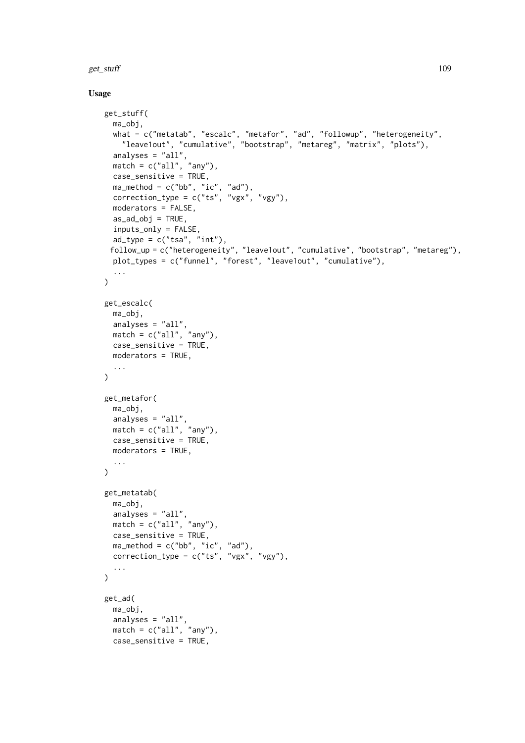get\_stuff and 109

# Usage

```
get_stuff(
  ma_obj,
  what = c("metatab", "escalc", "metafor", "ad", "followup", "heterogeneity",
    "leave1out", "cumulative", "bootstrap", "metareg", "matrix", "plots"),
  analyses = "all",match = c("all", "any"),
  case_sensitive = TRUE,
  ma_method = c("bb", "ic", "ad"),correction_type = c("ts", "vgx", "vgy"),moderators = FALSE,
  as\_ad\_obj = TRUE,inputs_only = FALSE,
  ad_{\text{type}} = c("tsa", "int"),
 follow_up = c("heterogeneity", "leave1out", "cumulative", "bootstrap", "metareg"),
  plot_types = c("funnel", "forest", "leave1out", "cumulative"),
  ...
\lambdaget_escalc(
  ma_obj,
  analyses = "all",match = c("all", "any"),
 case_sensitive = TRUE,
  moderators = TRUE,
  ...
)
get_metafor(
  ma_obj,
  analyses = "all",
 match = c("all", "any"),case_sensitive = TRUE,
  moderators = TRUE,
  ...
\lambdaget_metatab(
 ma_obj,
  analyses = "all",
 match = c("all", "any"),case_sensitive = TRUE,
  ma_method = c("bb", "ic", "ad"),
  correction_type = c("ts", "vgx", "vgy"),...
\lambdaget_ad(
  ma_obj,
  analyses = "all",
 match = c("all", "any"),case_sensitive = TRUE,
```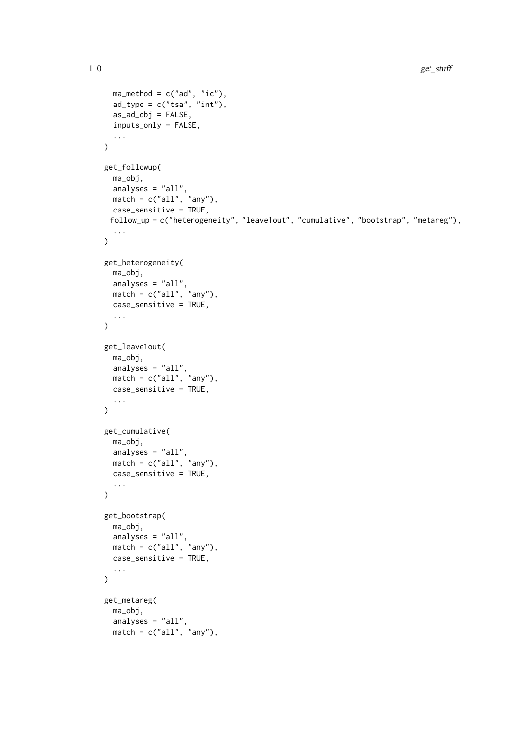```
ma_method = c("ad", "ic"),ad_type = c("tsa", "int"),as\_ad\_obj = FALSE,inputs_only = FALSE,
  ...
\lambdaget_followup(
  ma_obj,
  analyses = "all",match = c("all", "any"),
 case_sensitive = TRUE,
 follow_up = c("heterogeneity", "leave1out", "cumulative", "bootstrap", "metareg"),
  ...
\mathcal{L}get_heterogeneity(
 ma_obj,
  analyses = "all",
 match = c("all", "any"),case_sensitive = TRUE,
  ...
\lambdaget_leave1out(
 ma_obj,
  analyses = "all",match = c("all", "any"),case_sensitive = TRUE,
  ...
\mathcal{L}get_cumulative(
 ma_obj,
  analyses = "all",
  match = c("all", "any"),
  case_sensitive = TRUE,
  ...
)
get_bootstrap(
  ma_obj,
  analyses = "all",match = c("all", "any"),
 case_sensitive = TRUE,
  ...
\lambdaget_metareg(
  ma_obj,
  analyses = "all",
  match = c("all", "any"),
```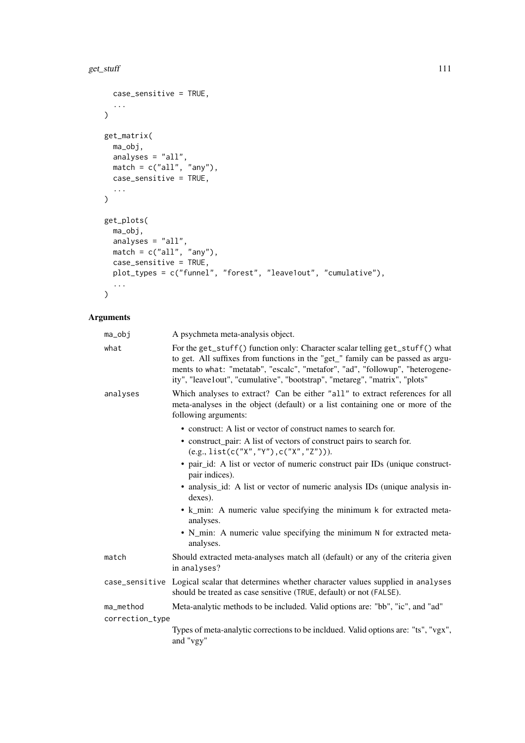```
case_sensitive = TRUE,
  ...
\lambdaget_matrix(
 ma_obj,
  analyses = "all",
  match = c("all", "any"),case_sensitive = TRUE,
  ...
\lambdaget_plots(
  ma_obj,
  analyses = "all",
  match = c("all", "any"),case_sensitive = TRUE,
 plot_types = c("funnel", "forest", "leave1out", "cumulative"),
  ...
)
```

| ma_obj          | A psychmeta meta-analysis object.                                                                                                                                                                                                                                                                                              |
|-----------------|--------------------------------------------------------------------------------------------------------------------------------------------------------------------------------------------------------------------------------------------------------------------------------------------------------------------------------|
| what            | For the get_stuff() function only: Character scalar telling get_stuff() what<br>to get. All suffixes from functions in the "get_" family can be passed as argu-<br>ments to what: "metatab", "escalc", "metafor", "ad", "followup", "heterogene-<br>ity", "leave1out", "cumulative", "bootstrap", "metareg", "matrix", "plots" |
| analyses        | Which analyses to extract? Can be either "all" to extract references for all<br>meta-analyses in the object (default) or a list containing one or more of the<br>following arguments:                                                                                                                                          |
|                 | • construct: A list or vector of construct names to search for.                                                                                                                                                                                                                                                                |
|                 | • construct_pair: A list of vectors of construct pairs to search for.<br>$(e.g., list(c("X", "Y"), c("X", "Z"))).$                                                                                                                                                                                                             |
|                 | • pair_id: A list or vector of numeric construct pair IDs (unique construct-<br>pair indices).                                                                                                                                                                                                                                 |
|                 | • analysis id: A list or vector of numeric analysis IDs (unique analysis in-<br>dexes).                                                                                                                                                                                                                                        |
|                 | • k_min: A numeric value specifying the minimum k for extracted meta-<br>analyses.                                                                                                                                                                                                                                             |
|                 | • N_min: A numeric value specifying the minimum N for extracted meta-<br>analyses.                                                                                                                                                                                                                                             |
| match           | Should extracted meta-analyses match all (default) or any of the criteria given<br>in analyses?                                                                                                                                                                                                                                |
|                 | case_sensitive Logical scalar that determines whether character values supplied in analyses<br>should be treated as case sensitive (TRUE, default) or not (FALSE).                                                                                                                                                             |
| ma_method       | Meta-analytic methods to be included. Valid options are: "bb", "ic", and "ad"                                                                                                                                                                                                                                                  |
| correction_type |                                                                                                                                                                                                                                                                                                                                |
|                 | Types of meta-analytic corrections to be incldued. Valid options are: "ts", "vgx",<br>and "vgy"                                                                                                                                                                                                                                |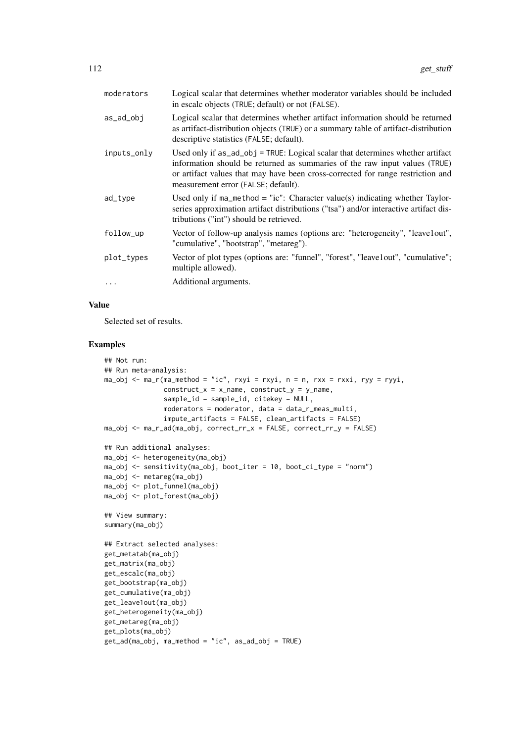| moderators  | Logical scalar that determines whether moderator variables should be included<br>in escalc objects (TRUE; default) or not (FALSE).                                                                                                                                                     |
|-------------|----------------------------------------------------------------------------------------------------------------------------------------------------------------------------------------------------------------------------------------------------------------------------------------|
| as_ad_obj   | Logical scalar that determines whether artifact information should be returned<br>as artifact-distribution objects (TRUE) or a summary table of artifact-distribution<br>descriptive statistics (FALSE; default).                                                                      |
| inputs_only | Used only if as_ad_obj = TRUE: Logical scalar that determines whether artifact<br>information should be returned as summaries of the raw input values (TRUE)<br>or artifact values that may have been cross-corrected for range restriction and<br>measurement error (FALSE; default). |
| ad_type     | Used only if $ma_method = "ic":$ Character value(s) indicating whether Taylor-<br>series approximation artifact distributions ("tsa") and/or interactive artifact dis-<br>tributions ("int") should be retrieved.                                                                      |
| follow_up   | Vector of follow-up analysis names (options are: "heterogeneity", "leave1out",<br>"cumulative", "bootstrap", "metareg").                                                                                                                                                               |
| plot_types  | Vector of plot types (options are: "funnel", "forest", "leave1out", "cumulative";<br>multiple allowed).                                                                                                                                                                                |
| $\ddots$ .  | Additional arguments.                                                                                                                                                                                                                                                                  |

### Value

Selected set of results.

```
## Not run:
## Run meta-analysis:
ma_obj <- ma_r(ma_method = "ic", rxyi = rxyi, n = n, rxx = rxxi, ryy = ryyi,
               construct_x = x_name, construct_y = y_name,
               sample_id = sample_id, citekey = NULL,
               moderators = moderator, data = data_r_meas_multi,
               impute_artifacts = FALSE, clean_artifacts = FALSE)
ma_obj \leq ma_r_ad(ma_obj, correct_rr_x = FALSE, correct_rr_y = FALSE)## Run additional analyses:
ma_obj <- heterogeneity(ma_obj)
ma_obj <- sensitivity(ma_obj, boot_iter = 10, boot_ci_type = "norm")
ma_obj <- metareg(ma_obj)
ma_obj <- plot_funnel(ma_obj)
ma_obj <- plot_forest(ma_obj)
## View summary:
summary(ma_obj)
## Extract selected analyses:
get_metatab(ma_obj)
get_matrix(ma_obj)
get_escalc(ma_obj)
get_bootstrap(ma_obj)
get_cumulative(ma_obj)
get_leave1out(ma_obj)
get_heterogeneity(ma_obj)
get_metareg(ma_obj)
get_plots(ma_obj)
get_ad(ma_obj, ma_method = "ic", as_ad_obj = TRUE)
```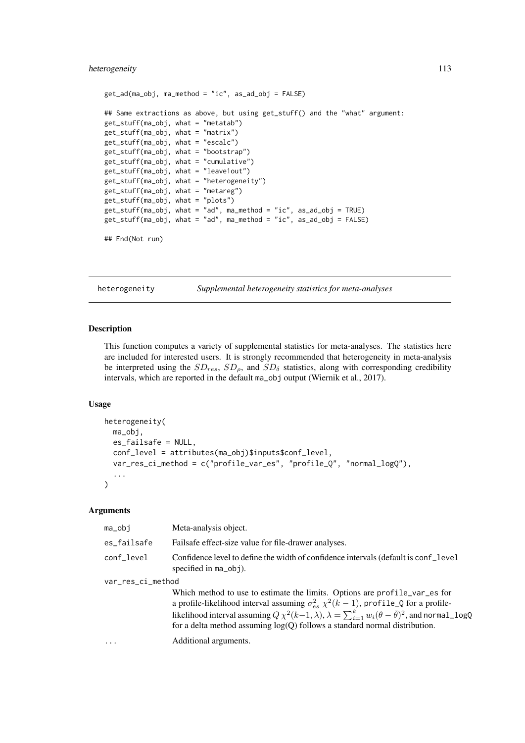### heterogeneity 113

```
get_ad(ma_obj, ma_method = "ic", as_ad_obj = FALSE)
## Same extractions as above, but using get_stuff() and the "what" argument:
get_stuff(ma_obj, what = "metatab")
get_stuff(ma_obj, what = "matrix")
get_stuff(ma_obj, what = "escalc")
get_stuff(ma_obj, what = "bootstrap")
get_stuff(ma_obj, what = "cumulative")
get_stuff(ma_obj, what = "leave1out")
get_stuff(ma_obj, what = "heterogeneity")
get_stuff(ma_obj, what = "metareg")
get_stuff(ma_obj, what = "plots")
get_stuff(ma_obj, what = "ad", ma_method = "ic", as_ad_obj = TRUE)
get_stuff(ma_obj, what = "ad", ma_method = "ic", as_ad_obj = FALSE)
```

```
## End(Not run)
```
heterogeneity *Supplemental heterogeneity statistics for meta-analyses*

### Description

This function computes a variety of supplemental statistics for meta-analyses. The statistics here are included for interested users. It is strongly recommended that heterogeneity in meta-analysis be interpreted using the  $SD_{res}$ ,  $SD_{\rho}$ , and  $SD_{\delta}$  statistics, along with corresponding credibility intervals, which are reported in the default ma\_obj output (Wiernik et al., 2017).

# Usage

```
heterogeneity(
  ma_obj,
  es_failsafe = NULL,
  conf_level = attributes(ma_obj)$inputs$conf_level,
  var_res_ci_method = c("profile_var_es", "profile_Q", "normal_logQ"),
  ...
)
```

| ma_obj            | Meta-analysis object.                                                                                                                                                                                           |  |
|-------------------|-----------------------------------------------------------------------------------------------------------------------------------------------------------------------------------------------------------------|--|
| es_failsafe       | Fails affect-size value for file-drawer analyses.                                                                                                                                                               |  |
| conf level        | Confidence level to define the width of confidence intervals (default is conf_level<br>specified in $ma_0bj$ .                                                                                                  |  |
| var_res_ci_method |                                                                                                                                                                                                                 |  |
|                   | Which method to use to estimate the limits. Options are profile_var_es for<br>a profile-likelihood interval assuming $\sigma_{es}^2 \chi^2(k-1)$ , profile_Q for a profile-                                     |  |
|                   | likelihood interval assuming $Q \chi^2(k-1,\lambda)$ , $\lambda = \sum_{i=1}^k w_i (\theta - \bar{\theta})^2$ , and normal_logQ<br>for a delta method assuming $log(Q)$ follows a standard normal distribution. |  |
| $\ddots$          | Additional arguments.                                                                                                                                                                                           |  |
|                   |                                                                                                                                                                                                                 |  |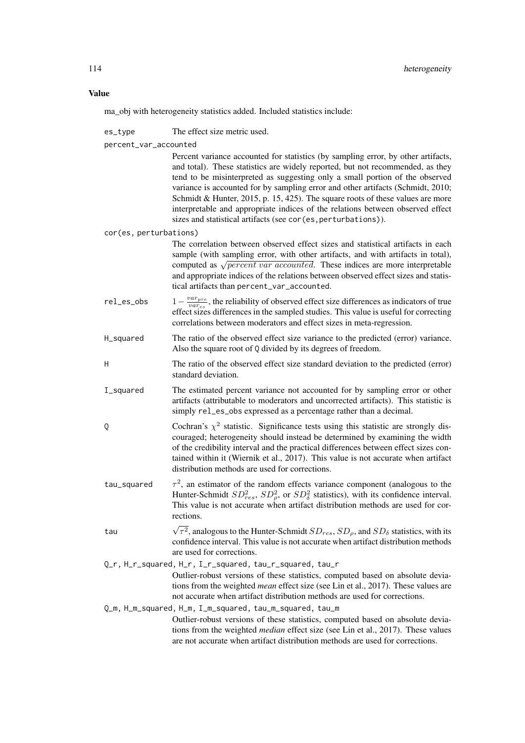ma\_obj with heterogeneity statistics added. Included statistics include:

es type The effect size metric used.

percent\_var\_accounted

Percent variance accounted for statistics (by sampling error, by other artifacts, and total). These statistics are widely reported, but not recommended, as they tend to be misinterpreted as suggesting only a small portion of the observed variance is accounted for by sampling error and other artifacts (Schmidt, 2010; Schmidt & Hunter, 2015, p. 15, 425). The square roots of these values are more interpretable and appropriate indices of the relations between observed effect sizes and statistical artifacts (see cor(es, perturbations)).

cor(es, perturbations)

- The correlation between observed effect sizes and statistical artifacts in each sample (with sampling error, with other artifacts, and with artifacts in total), sample (with sampling error, with other artifacts, and with artifacts in total), computed as  $\sqrt{percent}$  *var accounted*. These indices are more interpretable and appropriate indices of the relations between observed effect sizes and statistical artifacts than percent\_var\_accounted.
- rel\_es\_obs 1− varpre  $\frac{var_{pre}}{var_{es}}$ , the reliability of observed effect size differences as indicators of true effect sizes differences in the sampled studies. This value is useful for correcting correlations between moderators and effect sizes in meta-regression.
- H\_squared The ratio of the observed effect size variance to the predicted (error) variance. Also the square root of Q divided by its degrees of freedom.
- H The ratio of the observed effect size standard deviation to the predicted (error) standard deviation.
- I\_squared The estimated percent variance not accounted for by sampling error or other artifacts (attributable to moderators and uncorrected artifacts). This statistic is simply rel\_es\_obs expressed as a percentage rather than a decimal.
- Q Cochran's  $\chi^2$  statistic. Significance tests using this statistic are strongly discouraged; heterogeneity should instead be determined by examining the width of the credibility interval and the practical differences between effect sizes contained within it (Wiernik et al., 2017). This value is not accurate when artifact distribution methods are used for corrections.
- tau\_squared 2 , an estimator of the random effects variance component (analogous to the Hunter-Schmidt  $SD_{res}^2$ ,  $SD_{\rho}^2$ , or  $SD_{\delta}^2$  statistics), with its confidence interval. This value is not accurate when artifact distribution methods are used for corrections.
- tau  $\sqrt{ }$  $\tau^2$ , analogous to the Hunter-Schmidt  $SD_{res}$ ,  $SD_{\rho}$ , and  $SD_{\delta}$  statistics, with its confidence interval. This value is not accurate when artifact distribution methods are used for corrections.

Q\_r, H\_r\_squared, H\_r, I\_r\_squared, tau\_r\_squared, tau\_r

Outlier-robust versions of these statistics, computed based on absolute deviations from the weighted *mean* effect size (see Lin et al., 2017). These values are not accurate when artifact distribution methods are used for corrections.

Q\_m, H\_m\_squared, H\_m, I\_m\_squared, tau\_m\_squared, tau\_m Outlier-robust versions of these statistics, computed based on absolute deviations from the weighted *median* effect size (see Lin et al., 2017). These values are not accurate when artifact distribution methods are used for corrections.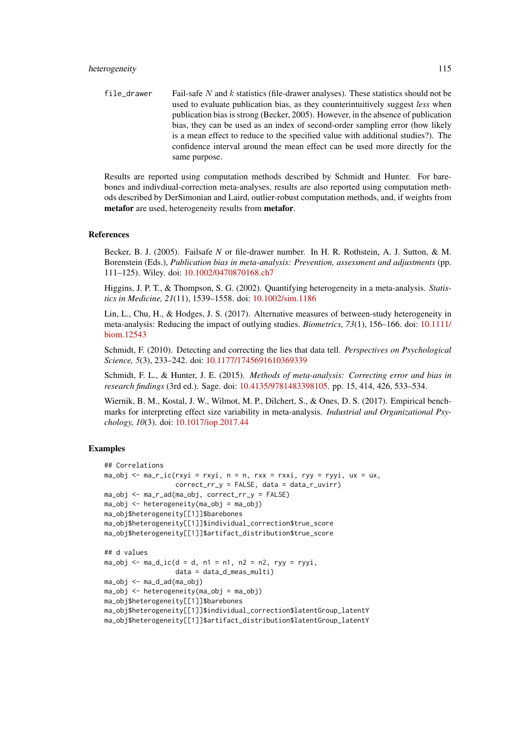file\_drawer Fail-safe N and k statistics (file-drawer analyses). These statistics should not be used to evaluate publication bias, as they counterintuitively suggest *less* when publication bias is strong (Becker, 2005). However, in the absence of publication bias, they can be used as an index of second-order sampling error (how likely is a mean effect to reduce to the specified value with additional studies?). The confidence interval around the mean effect can be used more directly for the same purpose.

Results are reported using computation methods described by Schmidt and Hunter. For barebones and indivdiual-correction meta-analyses, results are also reported using computation methods described by DerSimonian and Laird, outlier-robust computation methods, and, if weights from metafor are used, heterogeneity results from metafor.

#### References

Becker, B. J. (2005). Failsafe *N* or file-drawer number. In H. R. Rothstein, A. J. Sutton, & M. Borenstein (Eds.), *Publication bias in meta-analysis: Prevention, assessment and adjustments* (pp. 111–125). Wiley. doi: [10.1002/0470870168.ch7](https://doi.org/10.1002/0470870168.ch7)

Higgins, J. P. T., & Thompson, S. G. (2002). Quantifying heterogeneity in a meta-analysis. *Statistics in Medicine, 21*(11), 1539–1558. doi: [10.1002/sim.1186](https://doi.org/10.1002/sim.1186)

Lin, L., Chu, H., & Hodges, J. S. (2017). Alternative measures of between-study heterogeneity in meta-analysis: Reducing the impact of outlying studies. *Biometrics, 73*(1), 156–166. doi: [10.1111/](https://doi.org/10.1111/biom.12543) [biom.12543](https://doi.org/10.1111/biom.12543)

Schmidt, F. (2010). Detecting and correcting the lies that data tell. *Perspectives on Psychological Science, 5*(3), 233–242. doi: [10.1177/1745691610369339](https://doi.org/10.1177/1745691610369339)

Schmidt, F. L., & Hunter, J. E. (2015). *Methods of meta-analysis: Correcting error and bias in research findings* (3rd ed.). Sage. doi: [10.4135/9781483398105.](https://doi.org/10.4135/9781483398105) pp. 15, 414, 426, 533–534.

Wiernik, B. M., Kostal, J. W., Wilmot, M. P., Dilchert, S., & Ones, D. S. (2017). Empirical benchmarks for interpreting effect size variability in meta-analysis. *Industrial and Organizational Psychology, 10*(3). doi: [10.1017/iop.2017.44](https://doi.org/10.1017/iop.2017.44)

```
## Correlations
ma_obj \leq ma_r_ic(rxyi = rxyi, n = n, rxx = rxxi, ryy = ryyi, ux = ux,correct_rr_y = FALSE, data = data_r_uvirr)
ma_obj <- ma_r_ad(ma_obj, correct_rr_y = FALSE)
ma_obj <- heterogeneity(ma_obj = ma_obj)
ma_obj$heterogeneity[[1]]$barebones
ma_obj$heterogeneity[[1]]$individual_correction$true_score
ma_obj$heterogeneity[[1]]$artifact_distribution$true_score
## d values
ma_obj \leq ma_d_ic(d = d, n1 = n1, n2 = n2, ryy = ryyi,data = data_d_meas_multi)
ma_obj <- ma_d_ad(ma_obj)
ma_obj \leq -heterogeneity(ma_obj = ma_obj)ma_obj$heterogeneity[[1]]$barebones
ma_obj$heterogeneity[[1]]$individual_correction$latentGroup_latentY
ma_obj$heterogeneity[[1]]$artifact_distribution$latentGroup_latentY
```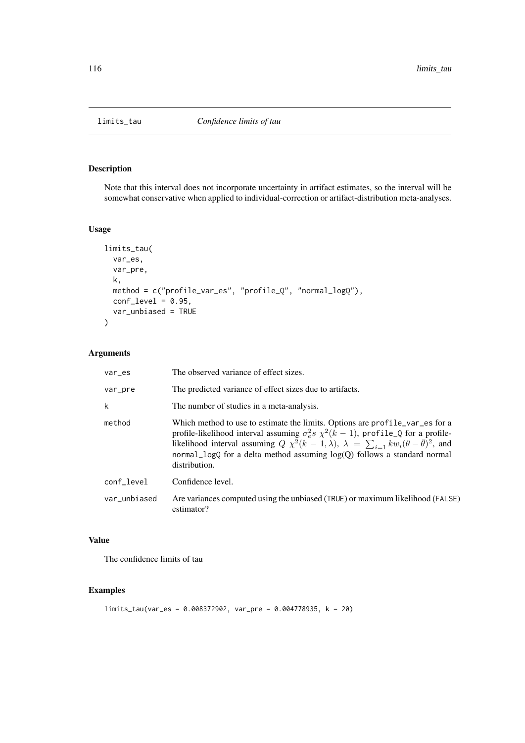# Description

Note that this interval does not incorporate uncertainty in artifact estimates, so the interval will be somewhat conservative when applied to individual-correction or artifact-distribution meta-analyses.

# Usage

```
limits_tau(
  var_es,
  var_pre,
  k,
  method = c("profile_var_es", "profile_Q", "normal_logQ"),
  conf\_level = 0.95,
  var_unbiased = TRUE
)
```
# Arguments

| var_es       | The observed variance of effect sizes.                                                                                                                                                                                                                                                                                                                                                           |
|--------------|--------------------------------------------------------------------------------------------------------------------------------------------------------------------------------------------------------------------------------------------------------------------------------------------------------------------------------------------------------------------------------------------------|
| var_pre      | The predicted variance of effect sizes due to artifacts.                                                                                                                                                                                                                                                                                                                                         |
| k            | The number of studies in a meta-analysis.                                                                                                                                                                                                                                                                                                                                                        |
| method       | Which method to use to estimate the limits. Options are profile_var_es for a<br>profile-likelihood interval assuming $\sigma_e^2 s \chi^2(k-1)$ , profile_Q for a profile-<br>likelihood interval assuming $Q \chi^2(k-1,\lambda)$ , $\lambda = \sum_{i=1} k w_i (\theta - \bar{\theta})^2$ , and<br>normal_logQ for a delta method assuming $log(Q)$ follows a standard normal<br>distribution. |
| conf_level   | Confidence level.                                                                                                                                                                                                                                                                                                                                                                                |
| var_unbiased | Are variances computed using the unbiased (TRUE) or maximum likelihood (FALSE)<br>estimator?                                                                                                                                                                                                                                                                                                     |

# Value

The confidence limits of tau

```
limits_tau(var_es = 0.008372902, var_pre = 0.004778935, k = 20)
```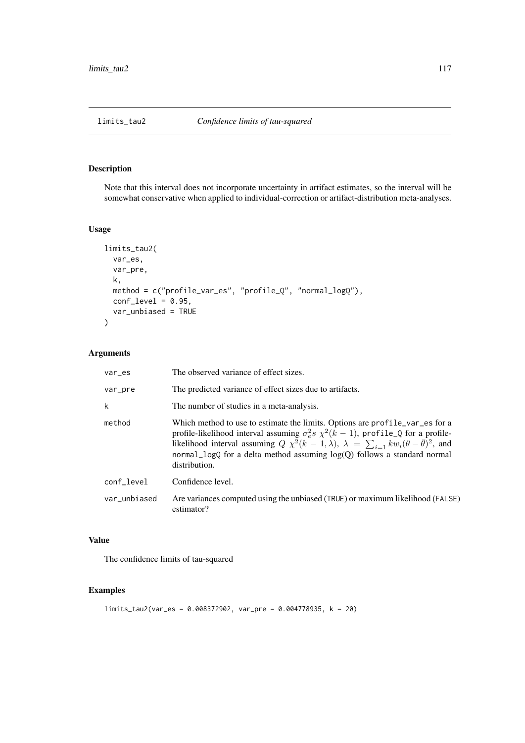# Description

Note that this interval does not incorporate uncertainty in artifact estimates, so the interval will be somewhat conservative when applied to individual-correction or artifact-distribution meta-analyses.

# Usage

```
limits_tau2(
  var_es,
  var_pre,
  k,
  method = c("profile_var_es", "profile_Q", "normal_logQ"),
  conf\_level = 0.95,
  var_unbiased = TRUE
)
```
# Arguments

| var_es       | The observed variance of effect sizes.                                                                                                                                                                                                                                                                                                                                                           |
|--------------|--------------------------------------------------------------------------------------------------------------------------------------------------------------------------------------------------------------------------------------------------------------------------------------------------------------------------------------------------------------------------------------------------|
| var_pre      | The predicted variance of effect sizes due to artifacts.                                                                                                                                                                                                                                                                                                                                         |
| k            | The number of studies in a meta-analysis.                                                                                                                                                                                                                                                                                                                                                        |
| method       | Which method to use to estimate the limits. Options are profile_var_es for a<br>profile-likelihood interval assuming $\sigma_e^2 s \chi^2(k-1)$ , profile_Q for a profile-<br>likelihood interval assuming $Q \chi^2(k-1,\lambda)$ , $\lambda = \sum_{i=1} k w_i (\theta - \bar{\theta})^2$ , and<br>normal_logQ for a delta method assuming $log(Q)$ follows a standard normal<br>distribution. |
| conf level   | Confidence level.                                                                                                                                                                                                                                                                                                                                                                                |
| var_unbiased | Are variances computed using the unbiased (TRUE) or maximum likelihood (FALSE)<br>estimator?                                                                                                                                                                                                                                                                                                     |

# Value

The confidence limits of tau-squared

```
limits_tau2(var_es = 0.008372902, var_pre = 0.004778935, k = 20)
```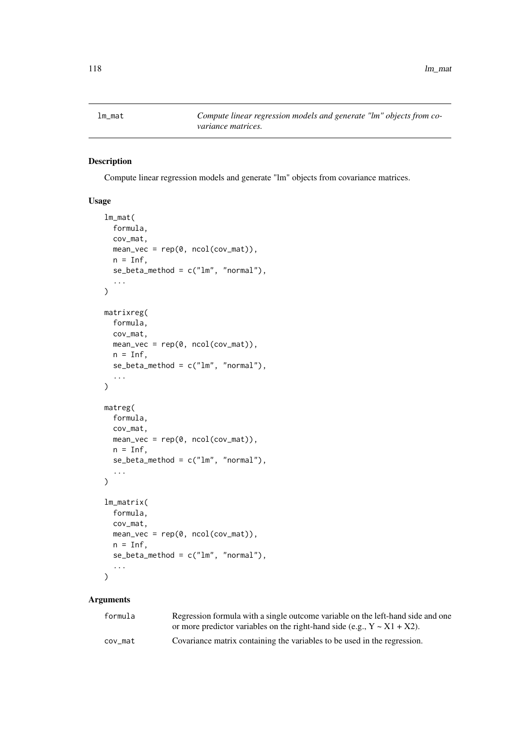# Description

Compute linear regression models and generate "lm" objects from covariance matrices.

# Usage

```
lm_mat(
  formula,
  cov_mat,
  mean\_vec = rep(0, ncol(cov\_mat)),n = \text{Inf.}se_{beta_{m}} = c("lm", "normal"),...
)
matrixreg(
  formula,
  cov_mat,
  mean\_vec = rep(0, ncol(cov_mat)),n = \text{Inf.}se_{\text{beta\_method}} = c("lm", "normal"),...
)
matreg(
  formula,
  cov_mat,
  mean_vec = rep(0, ncol(cov_mat)),
  n = Inf,se\_beta\_method = c("lm", "normal"),...
)
lm_matrix(
  formula,
  cov_mat,
  mean\_vec = rep(0, ncol(cov_mat)),n = \text{Inf},
  se_{\text{beta\_method}} = c("lm", "normal"),...
\lambda
```

| formula | Regression formula with a single outcome variable on the left-hand side and one |
|---------|---------------------------------------------------------------------------------|
|         | or more predictor variables on the right-hand side (e.g., $Y \sim X1 + X2$ ).   |
| cov mat | Covariance matrix containing the variables to be used in the regression.        |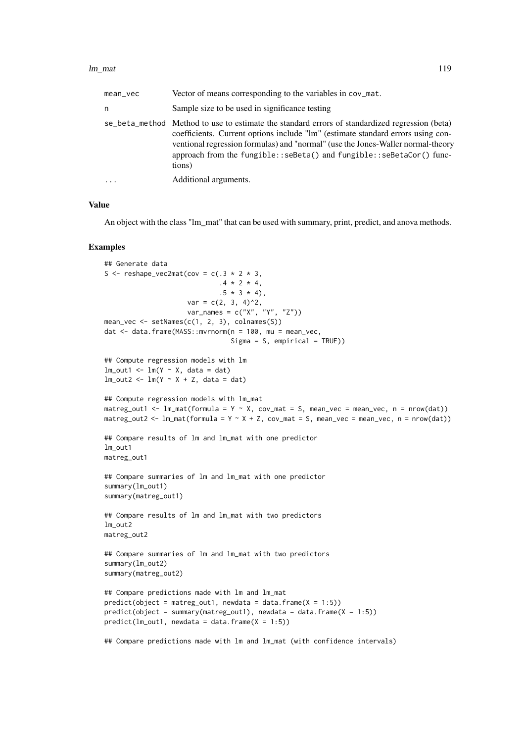#### lm\_mat 119

| mean_vec   | Vector of means corresponding to the variables in cov_mat.                                                                                                                                                                                                                                                                                             |
|------------|--------------------------------------------------------------------------------------------------------------------------------------------------------------------------------------------------------------------------------------------------------------------------------------------------------------------------------------------------------|
| n          | Sample size to be used in significance testing                                                                                                                                                                                                                                                                                                         |
|            | se_beta_method Method to use to estimate the standard errors of standardized regression (beta)<br>coefficients. Current options include "lm" (estimate standard errors using con-<br>ventional regression formulas) and "normal" (use the Jones-Waller normal-theory<br>approach from the fungible::seBeta() and fungible::seBetaCor() func-<br>tions) |
| $\ddots$ . | Additional arguments.                                                                                                                                                                                                                                                                                                                                  |

### Value

An object with the class "lm\_mat" that can be used with summary, print, predict, and anova methods.

```
## Generate data
S <- reshape_vec2mat(cov = c(.3 * 2 * 3, 3).4 * 2 * 4,.5 * 3 * 4,
                     var = c(2, 3, 4)^2,
                     var_names = c("X", "Y", "Z"))
mean_vec <- setNames(c(1, 2, 3), colnames(S))
dat \le- data.frame(MASS::mvrnorm(n = 100, mu = mean_vec,
                                Sigma = S, empirical = TRUE))
## Compute regression models with lm
lm\_out1 \leq lm(Y \sim X, data = dat)lm\_out2 \leq lm(Y \sim X + Z, data = dat)## Compute regression models with lm_mat
matreg_out1 <- lm\_mat(formula = Y ~ X, cov\_mat = S, mean\_vec = mean\_vec, n = nrow(data))matreg_out2 <- lm\_mat(formula = Y \sim X + Z, cov\_mat = S, mean\_vec = mean\_vec, n = new(data))## Compare results of lm and lm_mat with one predictor
lm_out1
matreg_out1
## Compare summaries of lm and lm_mat with one predictor
summary(lm_out1)
summary(matreg_out1)
## Compare results of lm and lm_mat with two predictors
lm_out2
matreg_out2
## Compare summaries of lm and lm_mat with two predictors
summary(lm_out2)
summary(matreg_out2)
## Compare predictions made with lm and lm_mat
predict(object = matreg.out1, newdata = data frame(X = 1:5))predict(object = summary(matreg.out1), new data = data frame(X = 1:5))predict(lm\_out1, newdata = data.frame(X = 1:5))## Compare predictions made with lm and lm_mat (with confidence intervals)
```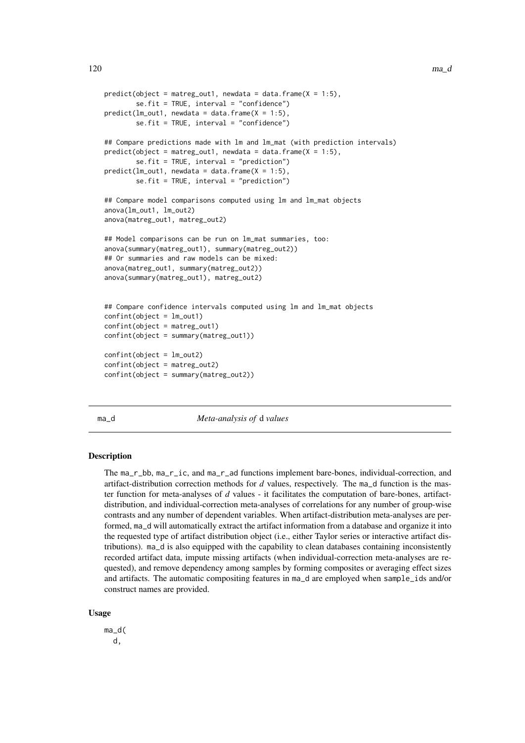```
predict(object = matreg_out1, newdata = data.frame(X = 1:5),
        se.fit = TRUE, interval = "confidence")
predict(lm_out1, newdata = data.frame(X = 1:5),se.fit = TRUE, interval = "confidence")
## Compare predictions made with lm and lm_mat (with prediction intervals)
predict(object = matreg.out1, new data = data frame(X = 1:5),se.fit = TRUE, interval = "prediction")
predict(lm_out1, newdata = data.frame(X = 1:5),se.fit = TRUE, interval = "prediction")
## Compare model comparisons computed using lm and lm_mat objects
anova(lm_out1, lm_out2)
anova(matreg_out1, matreg_out2)
## Model comparisons can be run on lm_mat summaries, too:
anova(summary(matreg_out1), summary(matreg_out2))
## Or summaries and raw models can be mixed:
anova(matreg_out1, summary(matreg_out2))
anova(summary(matreg_out1), matreg_out2)
## Compare confidence intervals computed using lm and lm_mat objects
confint(object = lm_out1)
confint(object = matreg_out1)
confint(object = summary(matreg_out1))
confint(object = lm_out2)
confint(object = matter-out2)confint(object = summary(matreg_out2))
```
<span id="page-119-1"></span>

ma\_d *Meta-analysis of* d *values*

#### <span id="page-119-0"></span>Description

The ma\_r\_bb, ma\_r\_ic, and ma\_r\_ad functions implement bare-bones, individual-correction, and artifact-distribution correction methods for *d* values, respectively. The ma\_d function is the master function for meta-analyses of *d* values - it facilitates the computation of bare-bones, artifactdistribution, and individual-correction meta-analyses of correlations for any number of group-wise contrasts and any number of dependent variables. When artifact-distribution meta-analyses are performed, ma\_d will automatically extract the artifact information from a database and organize it into the requested type of artifact distribution object (i.e., either Taylor series or interactive artifact distributions). ma\_d is also equipped with the capability to clean databases containing inconsistently recorded artifact data, impute missing artifacts (when individual-correction meta-analyses are requested), and remove dependency among samples by forming composites or averaging effect sizes and artifacts. The automatic compositing features in ma\_d are employed when sample\_ids and/or construct names are provided.

### Usage

ma\_d( d,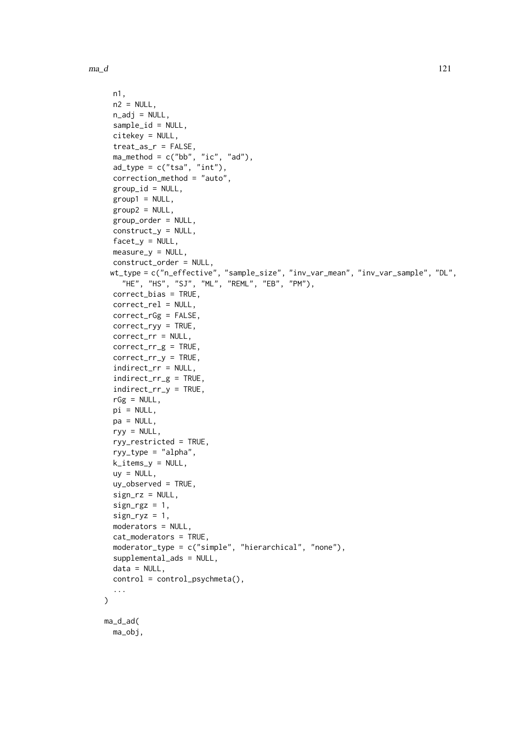$\lambda$ 

```
n1,
  n2 = NULL,
  n\_adj = NULL,sample_id = NULL,
  citekey = NULL,
  treat_as_r = FALSE,
  ma_method = c("bb", "ic", "ad"),
  ad_type = c("tsa", "int"),correction_method = "auto",
  group_id = NULL,group1 = NULL,group2 = NULL,group_order = NULL,
  construct_y = NULL,factor_y = NULL,measure_y = NULL,construct_order = NULL,
 wt_type = c("n_effective", "sample_size", "inv_var_mean", "inv_var_sample", "DL",
    "HE", "HS", "SJ", "ML", "REML", "EB", "PM"),
  correct_bias = TRUE,
  correct_rel = NULL,
  correct_rGg = FALSE,
  correct_ryy = TRUE,
  correct_rr = NULL,
  correct_rr_g = TRUE,
  correct_rr_y = TRUE,
  indirect_rr = NULL,
  indirect_rr_g = TRUE,
  indirect_rr_y = TRUE,
  rGg = NULL,pi = NULL,
  pa = NULL,ryy = NULL,ryy_restricted = TRUE,
  ryy_type = "alpha",
  k_items_y = NULL,
  uy = NULL,uy_observed = TRUE,
  sign_rz = NULL,sign_{\text{rgz}} = 1,
  sign_{ryz} = 1,
  moderators = NULL,
  cat_moderators = TRUE,
  moderator_type = c("simple", "hierarchical", "none"),
  supplemental_ads = NULL,
  data = NULL,control = control_psychmeta(),
  ...
ma_d_ad(
 ma_obj,
```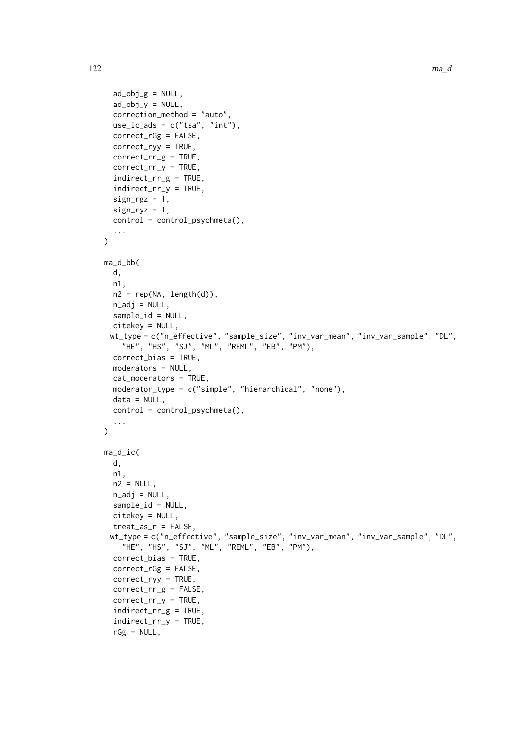```
ad\_obj_g = NULL,ad\_obj_y = NULL,
  correction_method = "auto",
  use\_ic\_ads = c("tsa", "int"),correct_rGg = FALSE,
  correct_ryy = TRUE,
  correct_rr_g = TRUE,
  correct_rr_y = TRUE,
  indirect_rr_g = TRUE,
  indirect_rr_y = TRUE,
  sign_{\text{rgz}} = 1,
  sign_{ryz} = 1,
  control = control_psychmeta(),
  ...
\lambdama_d_bb(
 d,
  n1,
  n2 = rep(NA, length(d)),n_adj = NULL,
  sample_id = NULL,
  citekey = NULL,
 wt_type = c("n_effective", "sample_size", "inv_var_mean", "inv_var_sample", "DL",
   "HE", "HS", "SJ", "ML", "REML", "EB", "PM"),
  correct_bias = TRUE,
  moderators = NULL,
  cat_moderators = TRUE,
  moderator_type = c("simple", "hierarchical", "none"),
  data = NULL,control = control_psychmeta(),
  ...
\lambdama_d_ic(
 d,
  n1,
  n2 = NULL,n\_adj = NULL,sample_id = NULL,
  citekey = NULL,
  treat_as_r = FALSE,
 wt_type = c("n_effective", "sample_size", "inv_var_mean", "inv_var_sample", "DL",
    "HE", "HS", "SJ", "ML", "REML", "EB", "PM"),
  correct_bias = TRUE,
  correct_rGg = FALSE,
  correct_ryy = TRUE,
  correct_rr_g = FALSE,
  correct_rr_y = TRUE,
  indirect_rr_g = TRUE,
  indirect_rr_y = TRUE,
  rGg = NULL,
```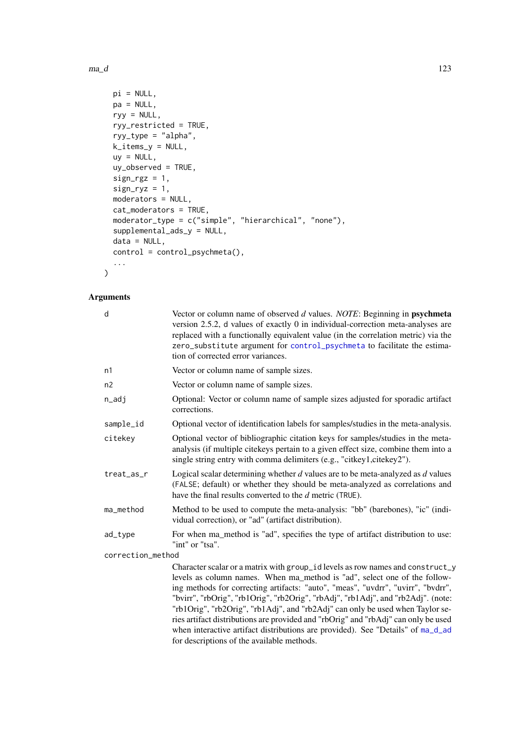### $ma_d$   $123$

```
pi = NULL,pa = NULL,
  ryy = NULL,
  ryy_restricted = TRUE,
  ryy_type = "alpha",
  k_items_y = NULL,
  uy = NULL,uy_observed = TRUE,
  sign_{\text{rgz}} = 1,
  sign_{ryz} = 1,
  moderators = NULL,
  cat_moderators = TRUE,
  moderator_type = c("simple", "hierarchical", "none"),
  supplemental_ads_y = NULL,
  data = NULL,control = control_psychmeta(),
  ...
\lambda
```

| d                 | Vector or column name of observed d values. NOTE: Beginning in psychmeta<br>version 2.5.2, d values of exactly 0 in individual-correction meta-analyses are<br>replaced with a functionally equivalent value (in the correlation metric) via the<br>zero_substitute argument for control_psychmeta to facilitate the estima-<br>tion of corrected error variances.                                                                                                                                                                                                                                                                          |
|-------------------|---------------------------------------------------------------------------------------------------------------------------------------------------------------------------------------------------------------------------------------------------------------------------------------------------------------------------------------------------------------------------------------------------------------------------------------------------------------------------------------------------------------------------------------------------------------------------------------------------------------------------------------------|
| n1                | Vector or column name of sample sizes.                                                                                                                                                                                                                                                                                                                                                                                                                                                                                                                                                                                                      |
| n2                | Vector or column name of sample sizes.                                                                                                                                                                                                                                                                                                                                                                                                                                                                                                                                                                                                      |
| n_adj             | Optional: Vector or column name of sample sizes adjusted for sporadic artifact<br>corrections.                                                                                                                                                                                                                                                                                                                                                                                                                                                                                                                                              |
| sample_id         | Optional vector of identification labels for samples/studies in the meta-analysis.                                                                                                                                                                                                                                                                                                                                                                                                                                                                                                                                                          |
| citekey           | Optional vector of bibliographic citation keys for samples/studies in the meta-<br>analysis (if multiple citekeys pertain to a given effect size, combine them into a<br>single string entry with comma delimiters (e.g., "citkey1,citekey2").                                                                                                                                                                                                                                                                                                                                                                                              |
| treat_as_r        | Logical scalar determining whether $d$ values are to be meta-analyzed as $d$ values<br>(FALSE; default) or whether they should be meta-analyzed as correlations and<br>have the final results converted to the d metric (TRUE).                                                                                                                                                                                                                                                                                                                                                                                                             |
| ma_method         | Method to be used to compute the meta-analysis: "bb" (barebones), "ic" (indi-<br>vidual correction), or "ad" (artifact distribution).                                                                                                                                                                                                                                                                                                                                                                                                                                                                                                       |
| ad_type           | For when ma_method is "ad", specifies the type of artifact distribution to use:<br>"int" or "tsa".                                                                                                                                                                                                                                                                                                                                                                                                                                                                                                                                          |
| correction_method |                                                                                                                                                                                                                                                                                                                                                                                                                                                                                                                                                                                                                                             |
|                   | Character scalar or a matrix with group_id levels as row names and construct_y<br>levels as column names. When ma_method is "ad", select one of the follow-<br>ing methods for correcting artifacts: "auto", "meas", "uvdrr", "uvirr", "bvdrr",<br>"bvirr", "rbOrig", "rb1Orig", "rb2Orig", "rbAdj", "rb1Adj", and "rb2Adj". (note:<br>"rb1Orig", "rb2Orig", "rb1Adj", and "rb2Adj" can only be used when Taylor se-<br>ries artifact distributions are provided and "rbOrig" and "rbAdj" can only be used<br>when interactive artifact distributions are provided). See "Details" of ma_d_ad<br>for descriptions of the available methods. |
|                   |                                                                                                                                                                                                                                                                                                                                                                                                                                                                                                                                                                                                                                             |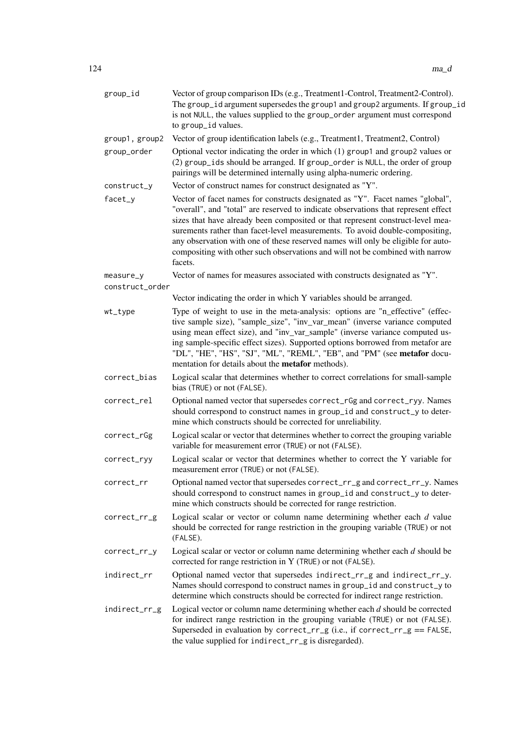| group_id        | Vector of group comparison IDs (e.g., Treatment1-Control, Treatment2-Control).<br>The group_id argument supersedes the group1 and group2 arguments. If group_id<br>is not NULL, the values supplied to the group_order argument must correspond<br>to group_id values.                                                                                                                                                                                                                                                |
|-----------------|-----------------------------------------------------------------------------------------------------------------------------------------------------------------------------------------------------------------------------------------------------------------------------------------------------------------------------------------------------------------------------------------------------------------------------------------------------------------------------------------------------------------------|
| group1, group2  | Vector of group identification labels (e.g., Treatment1, Treatment2, Control)                                                                                                                                                                                                                                                                                                                                                                                                                                         |
| group_order     | Optional vector indicating the order in which (1) group1 and group2 values or<br>(2) group_ids should be arranged. If group_order is NULL, the order of group<br>pairings will be determined internally using alpha-numeric ordering.                                                                                                                                                                                                                                                                                 |
| construct_y     | Vector of construct names for construct designated as "Y".                                                                                                                                                                                                                                                                                                                                                                                                                                                            |
| facet_y         | Vector of facet names for constructs designated as "Y". Facet names "global",<br>"overall", and "total" are reserved to indicate observations that represent effect<br>sizes that have already been composited or that represent construct-level mea-<br>surements rather than facet-level measurements. To avoid double-compositing,<br>any observation with one of these reserved names will only be eligible for auto-<br>compositing with other such observations and will not be combined with narrow<br>facets. |
| measure_y       | Vector of names for measures associated with constructs designated as "Y".                                                                                                                                                                                                                                                                                                                                                                                                                                            |
| construct_order |                                                                                                                                                                                                                                                                                                                                                                                                                                                                                                                       |
|                 | Vector indicating the order in which Y variables should be arranged.                                                                                                                                                                                                                                                                                                                                                                                                                                                  |
| wt_type         | Type of weight to use in the meta-analysis: options are "n_effective" (effec-<br>tive sample size), "sample_size", "inv_var_mean" (inverse variance computed<br>using mean effect size), and "inv_var_sample" (inverse variance computed us-<br>ing sample-specific effect sizes). Supported options borrowed from metafor are<br>"DL", "HE", "HS", "SJ", "ML", "REML", "EB", and "PM" (see metafor docu-<br>mentation for details about the metafor methods).                                                        |
| correct_bias    | Logical scalar that determines whether to correct correlations for small-sample<br>bias (TRUE) or not (FALSE).                                                                                                                                                                                                                                                                                                                                                                                                        |
| correct_rel     | Optional named vector that supersedes correct_rGg and correct_ryy. Names<br>should correspond to construct names in group_id and construct_y to deter-<br>mine which constructs should be corrected for unreliability.                                                                                                                                                                                                                                                                                                |
| correct_rGg     | Logical scalar or vector that determines whether to correct the grouping variable<br>variable for measurement error (TRUE) or not (FALSE).                                                                                                                                                                                                                                                                                                                                                                            |
| correct_ryy     | Logical scalar or vector that determines whether to correct the Y variable for<br>measurement error (TRUE) or not (FALSE).                                                                                                                                                                                                                                                                                                                                                                                            |
| correct_rr      | Optional named vector that supersedes correct_rr_g and correct_rr_y. Names<br>should correspond to construct names in group_id and construct_y to deter-<br>mine which constructs should be corrected for range restriction.                                                                                                                                                                                                                                                                                          |
| correct_rr_g    | Logical scalar or vector or column name determining whether each $d$ value<br>should be corrected for range restriction in the grouping variable (TRUE) or not<br>(FALSE).                                                                                                                                                                                                                                                                                                                                            |
| correct_rr_y    | Logical scalar or vector or column name determining whether each $d$ should be<br>corrected for range restriction in Y (TRUE) or not (FALSE).                                                                                                                                                                                                                                                                                                                                                                         |
| indirect_rr     | Optional named vector that supersedes indirect_rr_g and indirect_rr_y.<br>Names should correspond to construct names in group_id and construct_y to<br>determine which constructs should be corrected for indirect range restriction.                                                                                                                                                                                                                                                                                 |
| indirect_rr_g   | Logical vector or column name determining whether each $d$ should be corrected<br>for indirect range restriction in the grouping variable (TRUE) or not (FALSE).<br>Superseded in evaluation by correct_rr_g (i.e., if correct_rr_g == FALSE,<br>the value supplied for indirect_rr_g is disregarded).                                                                                                                                                                                                                |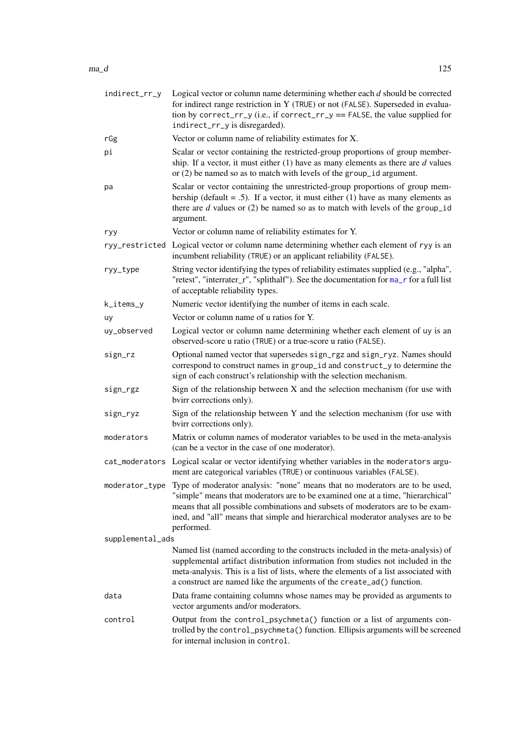| indirect_rr_y    | Logical vector or column name determining whether each $d$ should be corrected<br>for indirect range restriction in Y (TRUE) or not (FALSE). Superseded in evalua-<br>tion by correct_rr_y (i.e., if correct_rr_y == FALSE, the value supplied for<br>indirect_rr_y is disregarded).                                                              |
|------------------|---------------------------------------------------------------------------------------------------------------------------------------------------------------------------------------------------------------------------------------------------------------------------------------------------------------------------------------------------|
| rGg              | Vector or column name of reliability estimates for X.                                                                                                                                                                                                                                                                                             |
| рi               | Scalar or vector containing the restricted-group proportions of group member-<br>ship. If a vector, it must either $(1)$ have as many elements as there are $d$ values<br>or $(2)$ be named so as to match with levels of the group_id argument.                                                                                                  |
| pa               | Scalar or vector containing the unrestricted-group proportions of group mem-<br>bership (default = .5). If a vector, it must either (1) have as many elements as<br>there are $d$ values or (2) be named so as to match with levels of the group_id<br>argument.                                                                                  |
| ryy              | Vector or column name of reliability estimates for Y.                                                                                                                                                                                                                                                                                             |
|                  | ryy_restricted Logical vector or column name determining whether each element of ryy is an<br>incumbent reliability (TRUE) or an applicant reliability (FALSE).                                                                                                                                                                                   |
| ryy_type         | String vector identifying the types of reliability estimates supplied (e.g., "alpha",<br>"retest", "interrater_r", "splithalf"). See the documentation for ma_r for a full list<br>of acceptable reliability types.                                                                                                                               |
| k_items_y        | Numeric vector identifying the number of items in each scale.                                                                                                                                                                                                                                                                                     |
| uy               | Vector or column name of u ratios for Y.                                                                                                                                                                                                                                                                                                          |
| uy_observed      | Logical vector or column name determining whether each element of uy is an<br>observed-score u ratio (TRUE) or a true-score u ratio (FALSE).                                                                                                                                                                                                      |
| sign_rz          | Optional named vector that supersedes sign_rgz and sign_ryz. Names should<br>correspond to construct names in group_id and construct_y to determine the<br>sign of each construct's relationship with the selection mechanism.                                                                                                                    |
| sign_rgz         | Sign of the relationship between X and the selection mechanism (for use with<br>bvirr corrections only).                                                                                                                                                                                                                                          |
| sign_ryz         | Sign of the relationship between Y and the selection mechanism (for use with<br>bvirr corrections only).                                                                                                                                                                                                                                          |
| moderators       | Matrix or column names of moderator variables to be used in the meta-analysis<br>(can be a vector in the case of one moderator).                                                                                                                                                                                                                  |
|                  | cat_moderators Logical scalar or vector identifying whether variables in the moderators argu-<br>ment are categorical variables (TRUE) or continuous variables (FALSE).                                                                                                                                                                           |
| moderator_type   | Type of moderator analysis: "none" means that no moderators are to be used,<br>"simple" means that moderators are to be examined one at a time, "hierarchical"<br>means that all possible combinations and subsets of moderators are to be exam-<br>ined, and "all" means that simple and hierarchical moderator analyses are to be<br>performed. |
| supplemental_ads |                                                                                                                                                                                                                                                                                                                                                   |
|                  | Named list (named according to the constructs included in the meta-analysis) of<br>supplemental artifact distribution information from studies not included in the<br>meta-analysis. This is a list of lists, where the elements of a list associated with<br>a construct are named like the arguments of the create_ad() function.               |
| data             | Data frame containing columns whose names may be provided as arguments to<br>vector arguments and/or moderators.                                                                                                                                                                                                                                  |
| control          | Output from the control_psychmeta() function or a list of arguments con-<br>trolled by the control_psychmeta() function. Ellipsis arguments will be screened<br>for internal inclusion in control.                                                                                                                                                |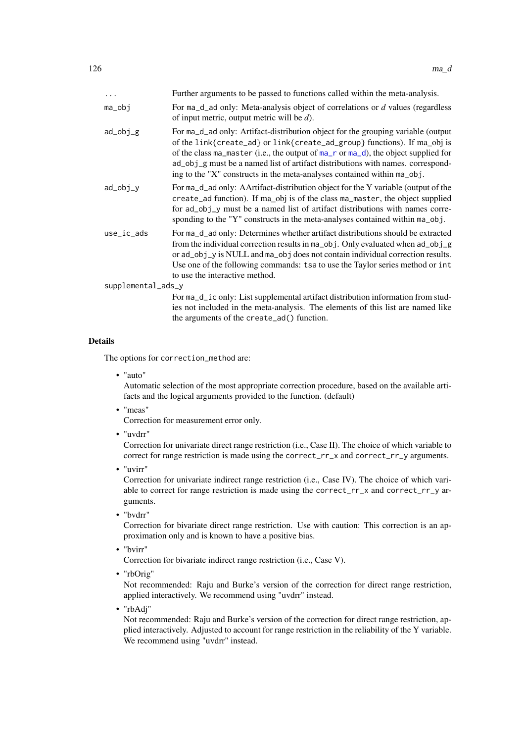| $\cdots$           | Further arguments to be passed to functions called within the meta-analysis.                                                                                                                                                                                                                                                                                                                                     |
|--------------------|------------------------------------------------------------------------------------------------------------------------------------------------------------------------------------------------------------------------------------------------------------------------------------------------------------------------------------------------------------------------------------------------------------------|
| ma_obj             | For $ma_d$ ad only: Meta-analysis object of correlations or $d$ values (regardless<br>of input metric, output metric will be $d$ ).                                                                                                                                                                                                                                                                              |
| ad_obj_g           | For ma_d_ad only: Artifact-distribution object for the grouping variable (output<br>of the link{create_ad} or link{create_ad_group} functions). If ma_obj is<br>of the class ma_master (i.e., the output of ma_r or ma_d), the object supplied for<br>ad_obj_g must be a named list of artifact distributions with names. correspond-<br>ing to the "X" constructs in the meta-analyses contained within ma_obj. |
| ad_obj_y           | For ma_d_ad only: AArtifact-distribution object for the Y variable (output of the<br>create_ad function). If ma_obj is of the class ma_master, the object supplied<br>for ad_obj_y must be a named list of artifact distributions with names corre-<br>sponding to the "Y" constructs in the meta-analyses contained within ma_obj.                                                                              |
| use_ic_ads         | For ma_d_ad only: Determines whether artifact distributions should be extracted<br>from the individual correction results in ma_obj. Only evaluated when ad_obj_g<br>or ad_obj_y is NULL and ma_obj does not contain individual correction results.<br>Use one of the following commands: tsa to use the Taylor series method or int<br>to use the interactive method.                                           |
| supplemental_ads_y |                                                                                                                                                                                                                                                                                                                                                                                                                  |
|                    | For ma_d_ic only: List supplemental artifact distribution information from stud-<br>ies not included in the meta-analysis. The elements of this list are named like                                                                                                                                                                                                                                              |
|                    | the arguments of the create_ad() function.                                                                                                                                                                                                                                                                                                                                                                       |

#### Details

The options for correction\_method are:

• "auto"

Automatic selection of the most appropriate correction procedure, based on the available artifacts and the logical arguments provided to the function. (default)

• "meas"

Correction for measurement error only.

• "uvdrr"

Correction for univariate direct range restriction (i.e., Case II). The choice of which variable to correct for range restriction is made using the correct\_rr\_x and correct\_rr\_y arguments.

• "uvirr"

Correction for univariate indirect range restriction (i.e., Case IV). The choice of which variable to correct for range restriction is made using the correct\_rr\_x and correct\_rr\_y arguments.

• "bvdrr"

Correction for bivariate direct range restriction. Use with caution: This correction is an approximation only and is known to have a positive bias.

• "bvirr"

Correction for bivariate indirect range restriction (i.e., Case V).

• "rbOrig"

Not recommended: Raju and Burke's version of the correction for direct range restriction, applied interactively. We recommend using "uvdrr" instead.

• "rbAdj"

Not recommended: Raju and Burke's version of the correction for direct range restriction, applied interactively. Adjusted to account for range restriction in the reliability of the Y variable. We recommend using "uvdrr" instead.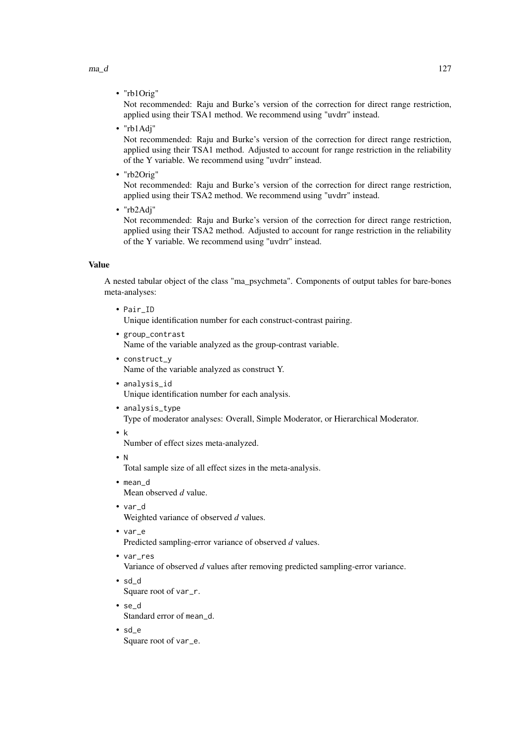$ma_d$   $127$ 

• "rb1Orig"

Not recommended: Raju and Burke's version of the correction for direct range restriction, applied using their TSA1 method. We recommend using "uvdrr" instead.

• "rb1Adj"

Not recommended: Raju and Burke's version of the correction for direct range restriction, applied using their TSA1 method. Adjusted to account for range restriction in the reliability of the Y variable. We recommend using "uvdrr" instead.

• "rb2Orig"

Not recommended: Raju and Burke's version of the correction for direct range restriction, applied using their TSA2 method. We recommend using "uvdrr" instead.

• "rb2Adj"

Not recommended: Raju and Burke's version of the correction for direct range restriction, applied using their TSA2 method. Adjusted to account for range restriction in the reliability of the Y variable. We recommend using "uvdrr" instead.

# Value

A nested tabular object of the class "ma\_psychmeta". Components of output tables for bare-bones meta-analyses:

- Pair\_ID Unique identification number for each construct-contrast pairing.
- group\_contrast Name of the variable analyzed as the group-contrast variable.
- construct\_y Name of the variable analyzed as construct Y.
- analysis\_id Unique identification number for each analysis.
- analysis\_type Type of moderator analyses: Overall, Simple Moderator, or Hierarchical Moderator.
- k

Number of effect sizes meta-analyzed.

• N

Total sample size of all effect sizes in the meta-analysis.

- mean\_d Mean observed *d* value.
- var\_d Weighted variance of observed *d* values.
- var\_e

Predicted sampling-error variance of observed *d* values.

• var\_res

Variance of observed *d* values after removing predicted sampling-error variance.

• sd\_d

Square root of var\_r.

- se\_d Standard error of mean\_d.
- sd\_e Square root of var\_e.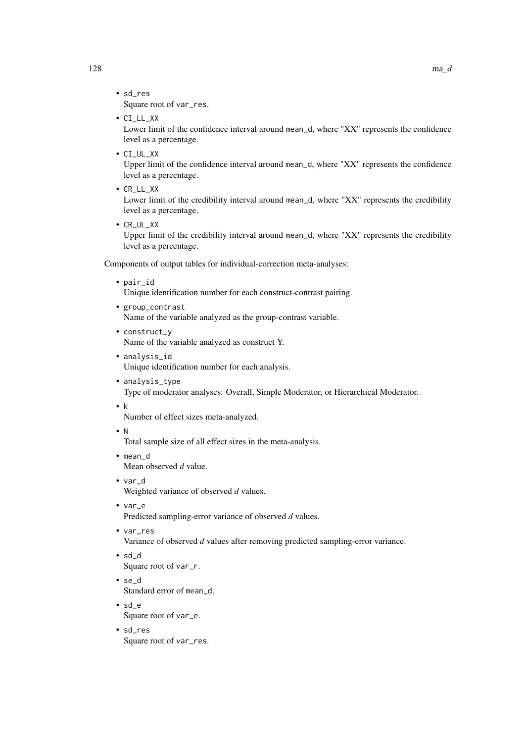- sd\_res Square root of var\_res.
- CI\_LL\_XX

Lower limit of the confidence interval around mean\_d, where "XX" represents the confidence level as a percentage.

• CI\_UL\_XX

Upper limit of the confidence interval around mean\_d, where "XX" represents the confidence level as a percentage.

• CR\_LL\_XX

Lower limit of the credibility interval around mean\_d, where "XX" represents the credibility level as a percentage.

• CR\_UL\_XX

Upper limit of the credibility interval around mean\_d, where "XX" represents the credibility level as a percentage.

Components of output tables for individual-correction meta-analyses:

• pair\_id

Unique identification number for each construct-contrast pairing.

- group\_contrast Name of the variable analyzed as the group-contrast variable.
- construct\_y Name of the variable analyzed as construct Y.
- analysis\_id Unique identification number for each analysis.
- analysis\_type Type of moderator analyses: Overall, Simple Moderator, or Hierarchical Moderator.
- k

Number of effect sizes meta-analyzed.

- N Total sample size of all effect sizes in the meta-analysis.
- mean\_d Mean observed *d* value.
- var\_d
	- Weighted variance of observed *d* values.
- var\_e

Predicted sampling-error variance of observed *d* values.

• var\_res

Variance of observed *d* values after removing predicted sampling-error variance.

- sd\_d Square root of var\_r.
- se\_d Standard error of mean\_d.
- sd\_e Square root of var\_e.
- sd\_res Square root of var\_res.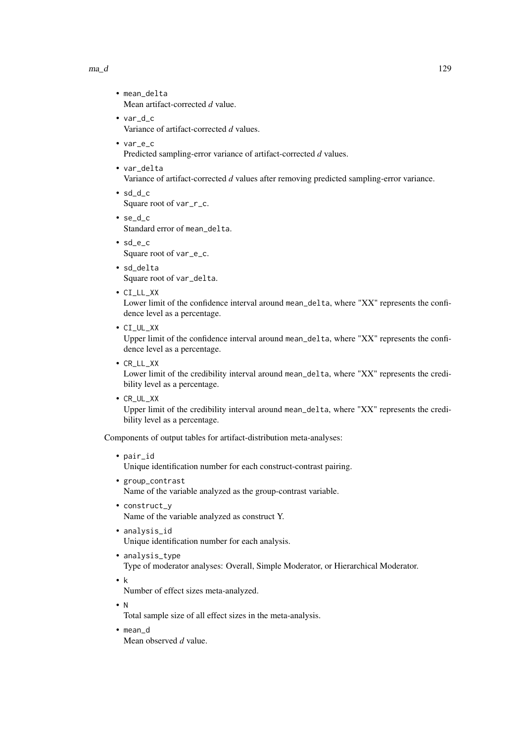#### $ma_d$   $129$

- mean delta Mean artifact-corrected *d* value.
- var d c Variance of artifact-corrected *d* values.
- var\_e\_c Predicted sampling-error variance of artifact-corrected *d* values.
- var\_delta Variance of artifact-corrected *d* values after removing predicted sampling-error variance.
- sd\_d\_c Square root of var\_r\_c.
- se\_d\_c Standard error of mean\_delta.
- sd\_e\_c Square root of var\_e\_c.
- sd delta Square root of var\_delta.
- CI\_LL\_XX

Lower limit of the confidence interval around mean\_delta, where "XX" represents the confidence level as a percentage.

• CI\_UL\_XX

Upper limit of the confidence interval around mean\_delta, where "XX" represents the confidence level as a percentage.

• CR\_LL\_XX

Lower limit of the credibility interval around mean\_delta, where "XX" represents the credibility level as a percentage.

• CR\_UL\_XX

Upper limit of the credibility interval around mean\_delta, where "XX" represents the credibility level as a percentage.

Components of output tables for artifact-distribution meta-analyses:

• pair\_id

Unique identification number for each construct-contrast pairing.

- group\_contrast Name of the variable analyzed as the group-contrast variable.
- construct\_y Name of the variable analyzed as construct Y.
- analysis\_id Unique identification number for each analysis.
- analysis\_type Type of moderator analyses: Overall, Simple Moderator, or Hierarchical Moderator.
- k

Number of effect sizes meta-analyzed.

• N

Total sample size of all effect sizes in the meta-analysis.

• mean\_d Mean observed *d* value.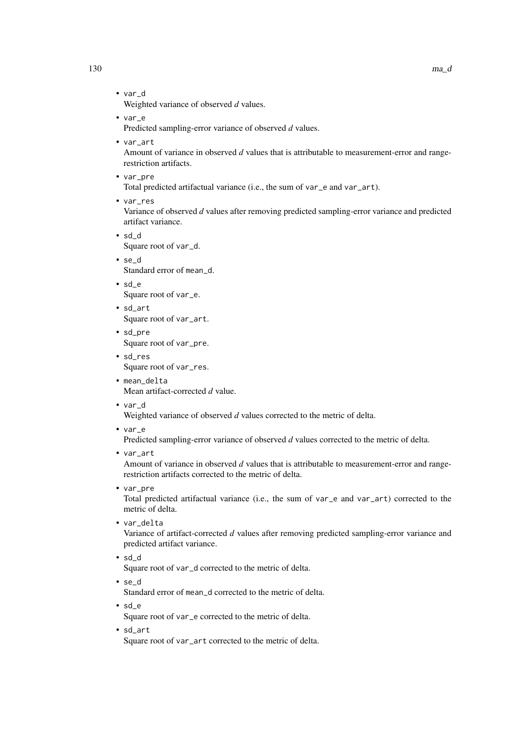- var\_d Weighted variance of observed *d* values.
- var\_e Predicted sampling-error variance of observed *d* values.
- var\_art

Amount of variance in observed *d* values that is attributable to measurement-error and rangerestriction artifacts.

• var\_pre

Total predicted artifactual variance (i.e., the sum of var\_e and var\_art).

• var\_res

Variance of observed *d* values after removing predicted sampling-error variance and predicted artifact variance.

- sd\_d Square root of var\_d.
- se\_d Standard error of mean\_d.
- sd\_e Square root of var\_e.
- sd\_art Square root of var\_art.
- sd\_pre Square root of var\_pre.
- sd\_res Square root of var\_res.
- mean\_delta Mean artifact-corrected *d* value.
- var\_d

Weighted variance of observed *d* values corrected to the metric of delta.

• var\_e

Predicted sampling-error variance of observed *d* values corrected to the metric of delta.

• var\_art

Amount of variance in observed *d* values that is attributable to measurement-error and rangerestriction artifacts corrected to the metric of delta.

• var\_pre

Total predicted artifactual variance (i.e., the sum of var\_e and var\_art) corrected to the metric of delta.

- var delta Variance of artifact-corrected *d* values after removing predicted sampling-error variance and predicted artifact variance.
- sd\_d Square root of var\_d corrected to the metric of delta.
- se\_d

Standard error of mean\_d corrected to the metric of delta.

- sd\_e Square root of var\_e corrected to the metric of delta.
- sd\_art

Square root of var\_art corrected to the metric of delta.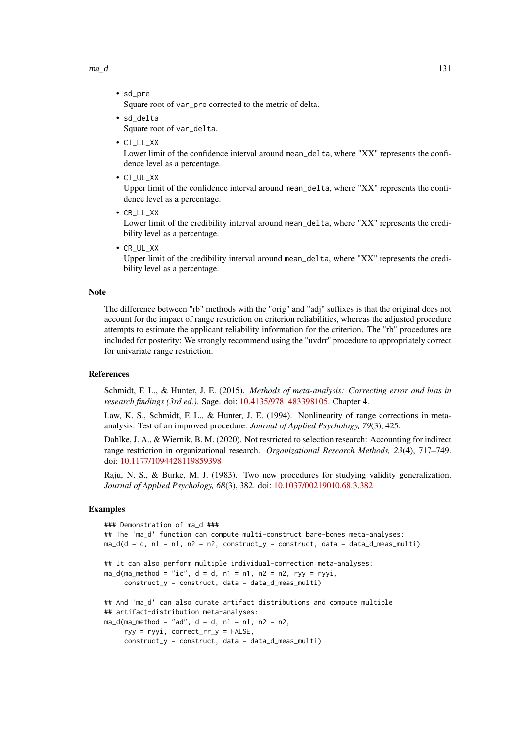$ma_d$   $131$ 

Square root of var\_pre corrected to the metric of delta.

- sd\_delta Square root of var\_delta.
- CI\_LL\_XX

• sd\_pre

Lower limit of the confidence interval around mean\_delta, where "XX" represents the confidence level as a percentage.

• CI\_UL\_XX

Upper limit of the confidence interval around mean\_delta, where "XX" represents the confidence level as a percentage.

- CR\_LL\_XX Lower limit of the credibility interval around mean\_delta, where "XX" represents the credibility level as a percentage.
- CR\_UL\_XX

Upper limit of the credibility interval around mean\_delta, where "XX" represents the credibility level as a percentage.

### Note

The difference between "rb" methods with the "orig" and "adj" suffixes is that the original does not account for the impact of range restriction on criterion reliabilities, whereas the adjusted procedure attempts to estimate the applicant reliability information for the criterion. The "rb" procedures are included for posterity: We strongly recommend using the "uvdrr" procedure to appropriately correct for univariate range restriction.

### References

Schmidt, F. L., & Hunter, J. E. (2015). *Methods of meta-analysis: Correcting error and bias in research findings (3rd ed.)*. Sage. doi: [10.4135/9781483398105.](https://doi.org/10.4135/9781483398105) Chapter 4.

Law, K. S., Schmidt, F. L., & Hunter, J. E. (1994). Nonlinearity of range corrections in metaanalysis: Test of an improved procedure. *Journal of Applied Psychology, 79*(3), 425.

Dahlke, J. A., & Wiernik, B. M. (2020). Not restricted to selection research: Accounting for indirect range restriction in organizational research. *Organizational Research Methods, 23*(4), 717–749. doi: [10.1177/1094428119859398](https://doi.org/10.1177/1094428119859398)

Raju, N. S., & Burke, M. J. (1983). Two new procedures for studying validity generalization. *Journal of Applied Psychology, 68*(3), 382. doi: [10.1037/00219010.68.3.382](https://doi.org/10.1037/0021-9010.68.3.382)

```
### Demonstration of ma_d ###
## The 'ma_d' function can compute multi-construct bare-bones meta-analyses:
ma_d(d = d, n1 = n1, n2 = n2, construct_y = construct, data = data_d_mean_multi)## It can also perform multiple individual-correction meta-analyses:
ma_d(ma_method = "ic", d = d, n1 = n1, n2 = n2, ryy = ryyi,construct_y = construct, data = data_d_meas_multi)
## And 'ma_d' can also curate artifact distributions and compute multiple
## artifact-distribution meta-analyses:
ma_d(ma_method = "ad", d = d, n1 = n1, n2 = n2,ryy = ryyi, correct_rr_y = FALSE,
     construct_y = construct, data = data_d_meas_multi)
```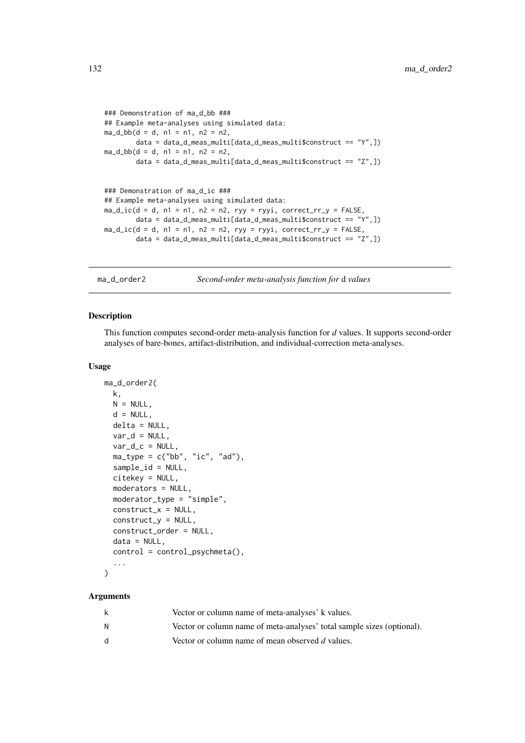```
### Demonstration of ma_d_bb ###
## Example meta-analyses using simulated data:
ma_d_bb(d = d, n1 = n1, n2 = n2,data = data_d_meas_multi[data_d_meas_multi$construct == "Y",])
ma_d_bbb(d = d, n1 = n1, n2 = n2)data = data_d_mean\_multi(data_d_mean\_multi% constant = "Z", ]### Demonstration of ma_d_ic ###
## Example meta-analyses using simulated data:
ma\_d\_ic(d = d, n1 = n1, n2 = n2, ryy = ryyi, correct_rry = FALSE,data = data_d_meas_multi[data_d_meas_multi$construct == "Y",])
ma\_d\_ic(d = d, n1 = n1, n2 = n2, ryy = ryyi, correct_rry = FALSE,data = data_d_meas_multi[data_d_meas_multi$construct == "Z",])
```
ma\_d\_order2 *Second-order meta-analysis function for* d *values*

#### Description

This function computes second-order meta-analysis function for *d* values. It supports second-order analyses of bare-bones, artifact-distribution, and individual-correction meta-analyses.

#### Usage

```
ma_d_order2(
  k,
  N = NULL,
  d = NULL,delta = NULL,
  var_d = NULL,
  var_d_c = NULL,ma_type = c("bb", "ic", "ad"),sample_id = NULL,
  citekey = NULL,
  moderators = NULL,
  moderator_type = "simple",
  construct_x = NULL,construct_y = NULL,construct_order = NULL,
  data = NULL,control = control_{psychmeta()},
  ...
)
```

| k  | Vector or column name of meta-analyses' k values.                      |
|----|------------------------------------------------------------------------|
| N  | Vector or column name of meta-analyses' total sample sizes (optional). |
| d. | Vector or column name of mean observed d values.                       |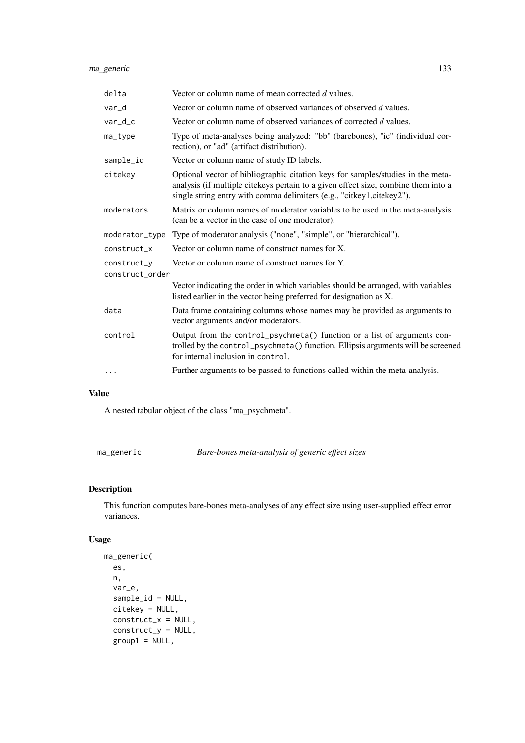| delta           | Vector or column name of mean corrected d values.                                                                                                                                                                                              |  |
|-----------------|------------------------------------------------------------------------------------------------------------------------------------------------------------------------------------------------------------------------------------------------|--|
| var_d           | Vector or column name of observed variances of observed d values.                                                                                                                                                                              |  |
| $var_d$         | Vector or column name of observed variances of corrected d values.                                                                                                                                                                             |  |
| ma_type         | Type of meta-analyses being analyzed: "bb" (barebones), "ic" (individual cor-<br>rection), or "ad" (artifact distribution).                                                                                                                    |  |
| sample_id       | Vector or column name of study ID labels.                                                                                                                                                                                                      |  |
| citekey         | Optional vector of bibliographic citation keys for samples/studies in the meta-<br>analysis (if multiple citekeys pertain to a given effect size, combine them into a<br>single string entry with comma delimiters (e.g., "citkey1,citekey2"). |  |
| moderators      | Matrix or column names of moderator variables to be used in the meta-analysis<br>(can be a vector in the case of one moderator).                                                                                                               |  |
| moderator_type  | Type of moderator analysis ("none", "simple", or "hierarchical").                                                                                                                                                                              |  |
| construct x     | Vector or column name of construct names for X.                                                                                                                                                                                                |  |
| construct_y     | Vector or column name of construct names for Y.                                                                                                                                                                                                |  |
| construct order |                                                                                                                                                                                                                                                |  |
|                 | Vector indicating the order in which variables should be arranged, with variables<br>listed earlier in the vector being preferred for designation as X.                                                                                        |  |
| data            | Data frame containing columns whose names may be provided as arguments to<br>vector arguments and/or moderators.                                                                                                                               |  |
| control         | Output from the control_psychmeta() function or a list of arguments con-<br>trolled by the control_psychmeta() function. Ellipsis arguments will be screened<br>for internal inclusion in control.                                             |  |
| .               | Further arguments to be passed to functions called within the meta-analysis.                                                                                                                                                                   |  |
|                 |                                                                                                                                                                                                                                                |  |

# Value

A nested tabular object of the class "ma\_psychmeta".

ma\_generic *Bare-bones meta-analysis of generic effect sizes*

# Description

This function computes bare-bones meta-analyses of any effect size using user-supplied effect error variances.

# Usage

```
ma_generic(
  es,
  n,
  var_e,
  sample_id = NULL,
  citekey = NULL,
  construct_x = NULL,
  construct_y = NULL,
  group1 = NULL,
```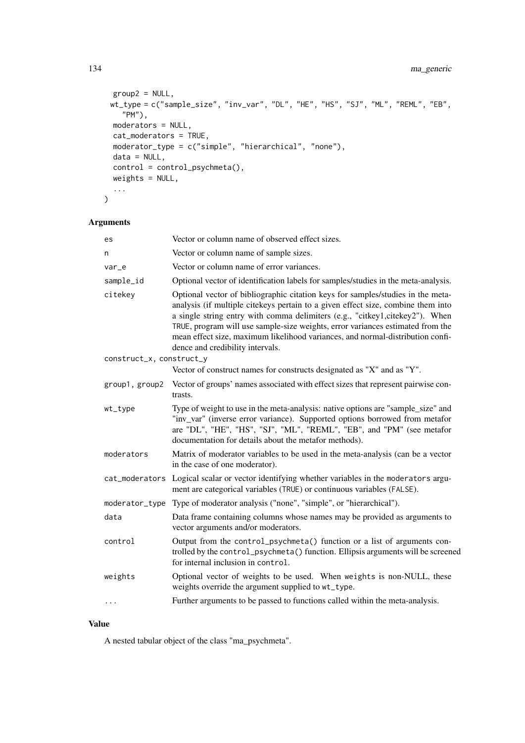```
group2 = NULL,
 wt_type = c("sample_size", "inv_var", "DL", "HE", "HS", "SJ", "ML", "REML", "EB",
    "PM"),
  moderators = NULL,
  cat_moderators = TRUE,
  moderator_type = c("simple", "hierarchical", "none"),
  data = NULL,control = control_psychmeta(),
  weights = NULL,
  ...
\lambda
```
# Arguments

| es                       | Vector or column name of observed effect sizes.                                                                                                                                                                                                                                                                                                                                                                                                             |
|--------------------------|-------------------------------------------------------------------------------------------------------------------------------------------------------------------------------------------------------------------------------------------------------------------------------------------------------------------------------------------------------------------------------------------------------------------------------------------------------------|
| n                        | Vector or column name of sample sizes.                                                                                                                                                                                                                                                                                                                                                                                                                      |
| var_e                    | Vector or column name of error variances.                                                                                                                                                                                                                                                                                                                                                                                                                   |
| sample_id                | Optional vector of identification labels for samples/studies in the meta-analysis.                                                                                                                                                                                                                                                                                                                                                                          |
| citekey                  | Optional vector of bibliographic citation keys for samples/studies in the meta-<br>analysis (if multiple citekeys pertain to a given effect size, combine them into<br>a single string entry with comma delimiters (e.g., "citkey1,citekey2"). When<br>TRUE, program will use sample-size weights, error variances estimated from the<br>mean effect size, maximum likelihood variances, and normal-distribution confi-<br>dence and credibility intervals. |
| construct_x, construct_y |                                                                                                                                                                                                                                                                                                                                                                                                                                                             |
|                          | Vector of construct names for constructs designated as "X" and as "Y".                                                                                                                                                                                                                                                                                                                                                                                      |
| group1, group2           | Vector of groups' names associated with effect sizes that represent pairwise con-<br>trasts.                                                                                                                                                                                                                                                                                                                                                                |
| wt_type                  | Type of weight to use in the meta-analysis: native options are "sample_size" and<br>"inv_var" (inverse error variance). Supported options borrowed from metafor<br>are "DL", "HE", "HS", "SJ", "ML", "REML", "EB", and "PM" (see metafor<br>documentation for details about the metafor methods).                                                                                                                                                           |
| moderators               | Matrix of moderator variables to be used in the meta-analysis (can be a vector<br>in the case of one moderator).                                                                                                                                                                                                                                                                                                                                            |
|                          | cat_moderators Logical scalar or vector identifying whether variables in the moderators argu-<br>ment are categorical variables (TRUE) or continuous variables (FALSE).                                                                                                                                                                                                                                                                                     |
|                          | moderator_type Type of moderator analysis ("none", "simple", or "hierarchical").                                                                                                                                                                                                                                                                                                                                                                            |
| data                     | Data frame containing columns whose names may be provided as arguments to<br>vector arguments and/or moderators.                                                                                                                                                                                                                                                                                                                                            |
| control                  | Output from the control_psychmeta() function or a list of arguments con-<br>trolled by the control_psychmeta() function. Ellipsis arguments will be screened<br>for internal inclusion in control.                                                                                                                                                                                                                                                          |
| weights                  | Optional vector of weights to be used. When weights is non-NULL, these<br>weights override the argument supplied to wt_type.                                                                                                                                                                                                                                                                                                                                |
| $\ldots$                 | Further arguments to be passed to functions called within the meta-analysis.                                                                                                                                                                                                                                                                                                                                                                                |

# Value

A nested tabular object of the class "ma\_psychmeta".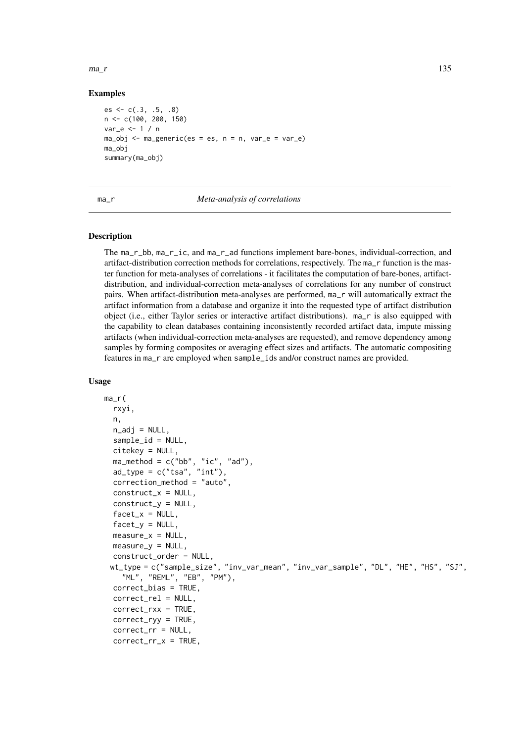$ma_r$  135

### Examples

```
es \leftarrow c(.3, .5, .8)n <- c(100, 200, 150)
var_e <- 1 / n
ma_obj \leq ma_generic(es = es, n = n, var_e = var_e)ma_obj
summary(ma_obj)
```
### ma\_r *Meta-analysis of correlations*

### <span id="page-134-1"></span>Description

The ma\_r\_bb, ma\_r\_ic, and ma\_r\_ad functions implement bare-bones, individual-correction, and artifact-distribution correction methods for correlations, respectively. The ma\_r function is the master function for meta-analyses of correlations - it facilitates the computation of bare-bones, artifactdistribution, and individual-correction meta-analyses of correlations for any number of construct pairs. When artifact-distribution meta-analyses are performed, ma\_r will automatically extract the artifact information from a database and organize it into the requested type of artifact distribution object (i.e., either Taylor series or interactive artifact distributions). ma\_r is also equipped with the capability to clean databases containing inconsistently recorded artifact data, impute missing artifacts (when individual-correction meta-analyses are requested), and remove dependency among samples by forming composites or averaging effect sizes and artifacts. The automatic compositing features in ma\_r are employed when sample\_ids and/or construct names are provided.

### Usage

```
ma_r(
  rxyi,
  n,
  n\_adj = NULL,sample_id = NULL,
  citekey = NULL,
  ma_method = c("bb", "ic", "ad"),
  ad_type = c("tsa", "int"),correction_method = "auto",
  construct x = NULL.
  construct_y = NULL,
  factor_x = NULL,facet_y = NULL,measure_x = NULL,
  measure_y = NULL,construct_order = NULL,
 wt_type = c("sample_size", "inv_var_mean", "inv_var_sample", "DL", "HE", "HS", "SJ",
    "ML", "REML", "EB", "PM"),
  correct_bias = TRUE,
  correct_rel = NULL,
  correct_rxx = TRUE,
  correct_ryy = TRUE,
  correct_rr = NULL,
  correct_rr_x = TRUE,
```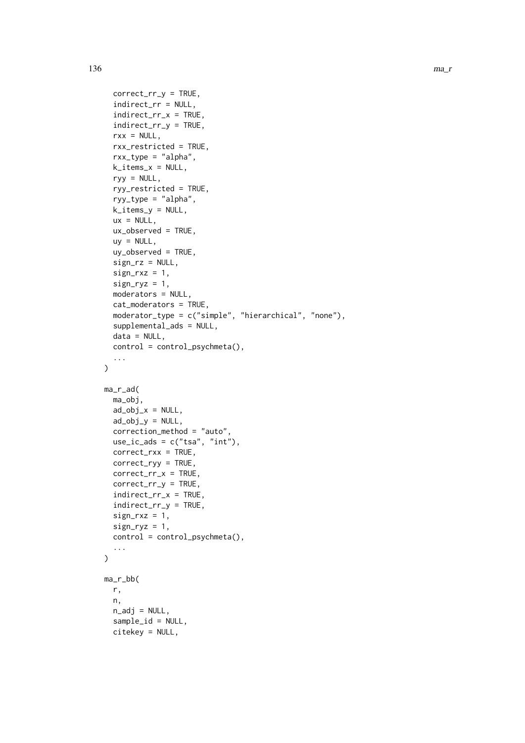```
correct_rr_y = TRUE,
  indirect_rr = NULL,
  indirect_rr_x = TRUE,
  indirect_rr_y = TRUE,
  rxx = NULL,rxx_restricted = TRUE,
  rxx_type = "alpha",
  k_items_x = NULL,
  ryy = NULL,ryy_restricted = TRUE,
  ryy_type = "alpha",
  k<sup>-</sup>items<sup>-y</sup> = NULL,
  ux = NULL,ux\_observed = TRUE,
  uy = NULL,uy_observed = TRUE,
  sign_rz = NULL,
  sign_rxz = 1,
  sign_{ryz} = 1,
  moderators = NULL,
  cat_moderators = TRUE,
  moderator_type = c("simple", "hierarchical", "none"),
  supplemental_ads = NULL,
  data = NULL,
  control = control_psychmeta(),
  ...
)
ma_r_ad(
  ma_obj,
  ad\_obj_x = NULL,ad\_obj_v = NULL,
  correction_method = "auto",
  use\_ic\_ads = c("tsa", "int"),correct_rxx = TRUE,
  correct_ryy = TRUE,
  correct_rr_x = TRUE,
  correct_rr_y = TRUE,
  indirect_rr_x = TRUE,
  indirect_rr_y = TRUE,
  sign_r xz = 1,
  sign_{ryz} = 1,
  control = control_psychmeta(),
  ...
\lambdama_r_bb(
 r,
  n,
  n\_adj = NULL,sample_id = NULL,
  citekey = NULL,
```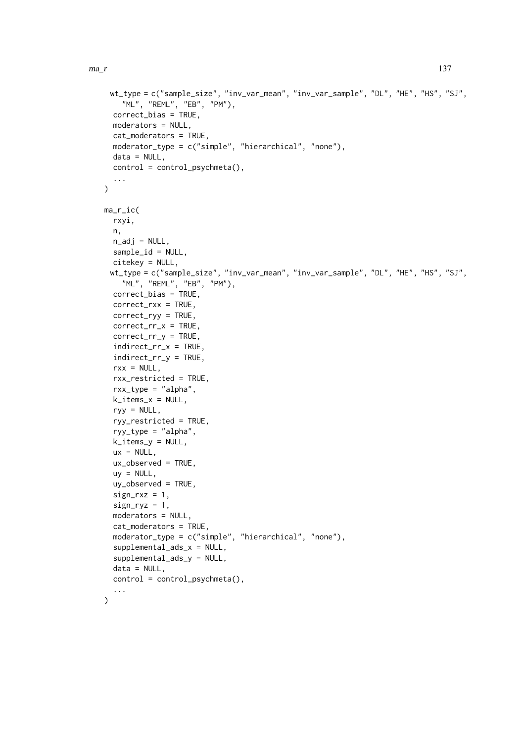```
wt_type = c("sample_size", "inv_var_mean", "inv_var_sample", "DL", "HE", "HS", "SJ",
    "ML", "REML", "EB", "PM"),
  correct_bias = TRUE,
  moderators = NULL,
  cat_moderators = TRUE,
  moderator_type = c("simple", "hierarchical", "none"),
  data = NULL,control = control_psychmeta(),
  ...
)
ma_r_ic(
  rxyi,
  n,
  n\_adj = NULL,sample_id = NULL,
  citekey = NULL,
 wt_type = c("sample_size", "inv_var_mean", "inv_var_sample", "DL", "HE", "HS", "SJ",
    "ML", "REML", "EB", "PM"),
  correct_bias = TRUE,
  correct_rxx = TRUE,
  correct_ryy = TRUE,
  correct_rr_x = TRUE,
  correct_rr_y = TRUE,
  indirect_rr_x = TRUE,
  indirect_rr_y = TRUE,
  rxx = NULL,rxx_restricted = TRUE,
  rxx_type = "alpha",
  k<sub>_items_x</sub> = NULL,
  ryy = NULL,ryy_restricted = TRUE,
  ryy_type = "alpha",
  k_items_y = NULL,
  ux = NULL,
  ux_observed = TRUE,
  uy = NULL,uy_observed = TRUE,
  sign_r xz = 1,
  sign_{ryz} = 1,
  moderators = NULL,
  cat_moderators = TRUE,
  moderator_type = c("simple", "hierarchical", "none"),
  supplemental_ads_x = NULL,
  supplemental_ads_y = NULL,
  data = NULL,control = control_psychmeta(),
  ...
\lambda
```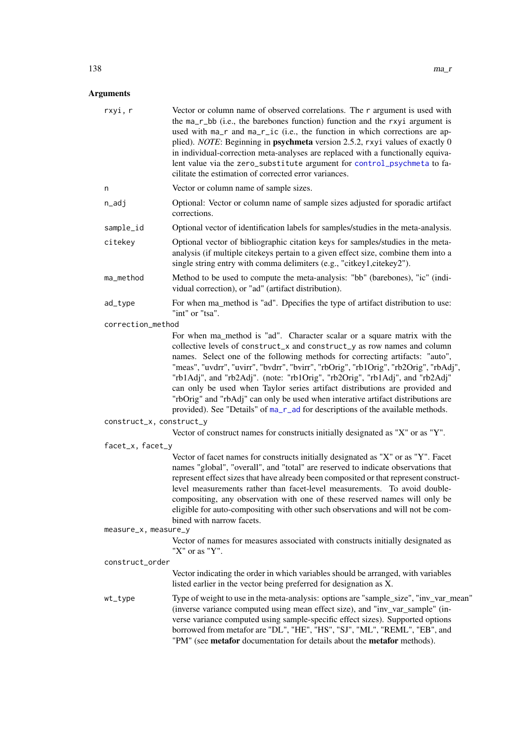| rxyi, r                  | Vector or column name of observed correlations. The r argument is used with<br>the ma_r_bb (i.e., the barebones function) function and the rxyi argument is<br>used with ma_r and ma_r_ic (i.e., the function in which corrections are ap-<br>plied). NOTE: Beginning in psychmeta version 2.5.2, rxyi values of exactly 0<br>in individual-correction meta-analyses are replaced with a functionally equiva-<br>lent value via the zero_substitute argument for control_psychmeta to fa-<br>cilitate the estimation of corrected error variances.                                                                                                               |
|--------------------------|------------------------------------------------------------------------------------------------------------------------------------------------------------------------------------------------------------------------------------------------------------------------------------------------------------------------------------------------------------------------------------------------------------------------------------------------------------------------------------------------------------------------------------------------------------------------------------------------------------------------------------------------------------------|
| n                        | Vector or column name of sample sizes.                                                                                                                                                                                                                                                                                                                                                                                                                                                                                                                                                                                                                           |
| n_adj                    | Optional: Vector or column name of sample sizes adjusted for sporadic artifact<br>corrections.                                                                                                                                                                                                                                                                                                                                                                                                                                                                                                                                                                   |
| sample_id                | Optional vector of identification labels for samples/studies in the meta-analysis.                                                                                                                                                                                                                                                                                                                                                                                                                                                                                                                                                                               |
| citekey                  | Optional vector of bibliographic citation keys for samples/studies in the meta-<br>analysis (if multiple citekeys pertain to a given effect size, combine them into a<br>single string entry with comma delimiters (e.g., "citkey1,citekey2").                                                                                                                                                                                                                                                                                                                                                                                                                   |
| ma_method                | Method to be used to compute the meta-analysis: "bb" (barebones), "ic" (indi-<br>vidual correction), or "ad" (artifact distribution).                                                                                                                                                                                                                                                                                                                                                                                                                                                                                                                            |
| ad_type                  | For when ma_method is "ad". Dpecifies the type of artifact distribution to use:<br>"int" or "tsa".                                                                                                                                                                                                                                                                                                                                                                                                                                                                                                                                                               |
| correction_method        |                                                                                                                                                                                                                                                                                                                                                                                                                                                                                                                                                                                                                                                                  |
|                          | For when ma_method is "ad". Character scalar or a square matrix with the<br>collective levels of construct_x and construct_y as row names and column<br>names. Select one of the following methods for correcting artifacts: "auto",<br>"meas", "uvdrr", "uvirr", "bvdrr", "bvirr", "rbOrig", "rb1Orig", "rb2Orig", "rbAdj",<br>"rb1Adj", and "rb2Adj". (note: "rb1Orig", "rb2Orig", "rb1Adj", and "rb2Adj"<br>can only be used when Taylor series artifact distributions are provided and<br>"rbOrig" and "rbAdj" can only be used when interative artifact distributions are<br>provided). See "Details" of ma_r_ad for descriptions of the available methods. |
| construct_x, construct_y |                                                                                                                                                                                                                                                                                                                                                                                                                                                                                                                                                                                                                                                                  |
|                          | Vector of construct names for constructs initially designated as "X" or as "Y".                                                                                                                                                                                                                                                                                                                                                                                                                                                                                                                                                                                  |
| facet_x, facet_y         |                                                                                                                                                                                                                                                                                                                                                                                                                                                                                                                                                                                                                                                                  |
|                          | Vector of facet names for constructs initially designated as "X" or as "Y". Facet<br>names "global", "overall", and "total" are reserved to indicate observations that<br>represent effect sizes that have already been composited or that represent construct-<br>level measurements rather than facet-level measurements. To avoid double-<br>compositing, any observation with one of these reserved names will only be<br>eligible for auto-compositing with other such observations and will not be com-<br>bined with narrow facets.                                                                                                                       |
| measure_x, measure_y     |                                                                                                                                                                                                                                                                                                                                                                                                                                                                                                                                                                                                                                                                  |
|                          | Vector of names for measures associated with constructs initially designated as<br>"X" or as "Y".                                                                                                                                                                                                                                                                                                                                                                                                                                                                                                                                                                |
| construct_order          | Vector indicating the order in which variables should be arranged, with variables                                                                                                                                                                                                                                                                                                                                                                                                                                                                                                                                                                                |
|                          | listed earlier in the vector being preferred for designation as X.                                                                                                                                                                                                                                                                                                                                                                                                                                                                                                                                                                                               |
| wt_type                  | Type of weight to use in the meta-analysis: options are "sample_size", "inv_var_mean"<br>(inverse variance computed using mean effect size), and "inv_var_sample" (in-<br>verse variance computed using sample-specific effect sizes). Supported options<br>borrowed from metafor are "DL", "HE", "HS", "SJ", "ML", "REML", "EB", and<br>"PM" (see metafor documentation for details about the metafor methods).                                                                                                                                                                                                                                                 |
|                          |                                                                                                                                                                                                                                                                                                                                                                                                                                                                                                                                                                                                                                                                  |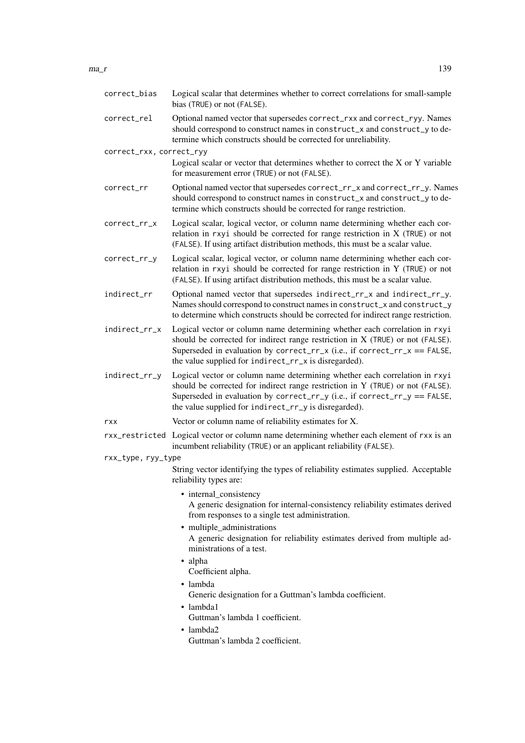| correct_bias             | Logical scalar that determines whether to correct correlations for small-sample<br>bias (TRUE) or not (FALSE).                                                                                                                                                                                     |
|--------------------------|----------------------------------------------------------------------------------------------------------------------------------------------------------------------------------------------------------------------------------------------------------------------------------------------------|
| correct_rel              | Optional named vector that supersedes correct_rxx and correct_ryy. Names<br>should correspond to construct names in construct_x and construct_y to de-<br>termine which constructs should be corrected for unreliability.                                                                          |
| correct_rxx, correct_ryy |                                                                                                                                                                                                                                                                                                    |
|                          | Logical scalar or vector that determines whether to correct the X or Y variable<br>for measurement error (TRUE) or not (FALSE).                                                                                                                                                                    |
| correct_rr               | Optional named vector that supersedes correct_rr_x and correct_rr_y. Names<br>should correspond to construct names in construct_x and construct_y to de-<br>termine which constructs should be corrected for range restriction.                                                                    |
| correct_rr_x             | Logical scalar, logical vector, or column name determining whether each cor-<br>relation in rxyi should be corrected for range restriction in $X$ (TRUE) or not<br>(FALSE). If using artifact distribution methods, this must be a scalar value.                                                   |
| correct_rr_y             | Logical scalar, logical vector, or column name determining whether each cor-<br>relation in rxyi should be corrected for range restriction in Y (TRUE) or not<br>(FALSE). If using artifact distribution methods, this must be a scalar value.                                                     |
| indirect_rr              | Optional named vector that supersedes indirect_rr_x and indirect_rr_y.<br>Names should correspond to construct names in construct_x and construct_y<br>to determine which constructs should be corrected for indirect range restriction.                                                           |
| indirect_rr_x            | Logical vector or column name determining whether each correlation in rxyi<br>should be corrected for indirect range restriction in X (TRUE) or not (FALSE).<br>Superseded in evaluation by correct_rr_x (i.e., if correct_rr_x == FALSE,<br>the value supplied for indirect_rr_x is disregarded). |
| indirect_rr_y            | Logical vector or column name determining whether each correlation in rxyi<br>should be corrected for indirect range restriction in Y (TRUE) or not (FALSE).<br>Superseded in evaluation by correct_rr_y (i.e., if correct_rr_y == FALSE,<br>the value supplied for indirect_rr_y is disregarded). |
| rxx                      | Vector or column name of reliability estimates for X.                                                                                                                                                                                                                                              |
|                          | rxx_restricted Logical vector or column name determining whether each element of rxx is an<br>incumbent reliability (TRUE) or an applicant reliability (FALSE).                                                                                                                                    |
| rxx_type, ryy_type       |                                                                                                                                                                                                                                                                                                    |
|                          | String vector identifying the types of reliability estimates supplied. Acceptable<br>reliability types are:                                                                                                                                                                                        |
|                          | • internal_consistency<br>A generic designation for internal-consistency reliability estimates derived<br>from responses to a single test administration.                                                                                                                                          |
|                          | • multiple_administrations<br>A generic designation for reliability estimates derived from multiple ad-<br>ministrations of a test.                                                                                                                                                                |
|                          | · alpha<br>Coefficient alpha.                                                                                                                                                                                                                                                                      |
|                          | · lambda                                                                                                                                                                                                                                                                                           |
|                          | Generic designation for a Guttman's lambda coefficient.                                                                                                                                                                                                                                            |
|                          | · lambda1                                                                                                                                                                                                                                                                                          |
|                          | Guttman's lambda 1 coefficient.                                                                                                                                                                                                                                                                    |
|                          | • lambda2<br>Guttman's lambda 2 coefficient.                                                                                                                                                                                                                                                       |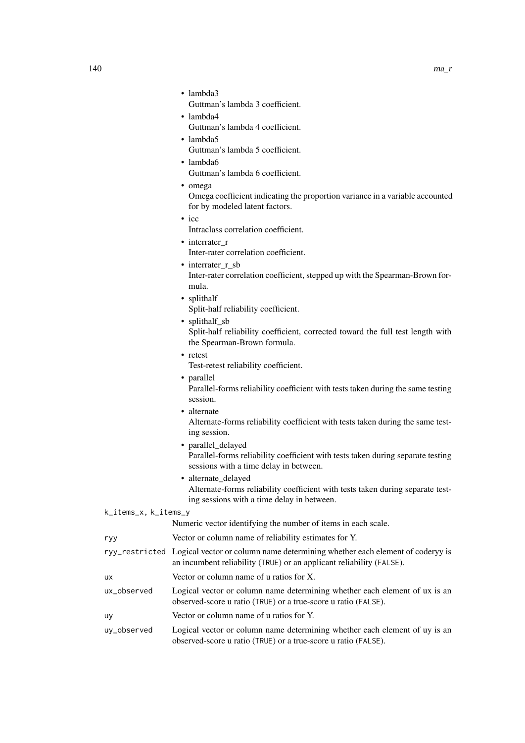- lambda3 Guttman's lambda 3 coefficient. • lambda4 Guttman's lambda 4 coefficient. • lambda5
	- Guttman's lambda 5 coefficient. • lambda6
	- Guttman's lambda 6 coefficient.
	- omega

Omega coefficient indicating the proportion variance in a variable accounted for by modeled latent factors.

- icc
	- Intraclass correlation coefficient.
- interrater r Inter-rater correlation coefficient.
- interrater\_r\_sb Inter-rater correlation coefficient, stepped up with the Spearman-Brown formula.
- splithalf
	- Split-half reliability coefficient.
- splithalf\_sb

Split-half reliability coefficient, corrected toward the full test length with the Spearman-Brown formula.

• retest

Test-retest reliability coefficient.

- parallel Parallel-forms reliability coefficient with tests taken during the same testing session.
	- alternate Alternate-forms reliability coefficient with tests taken during the same testing session.
	- parallel\_delayed
	- Parallel-forms reliability coefficient with tests taken during separate testing sessions with a time delay in between.
	- Alternate-forms reliability coefficient with tests taken during separate testing sessions with a time delay in between.

# k\_items\_x, k\_items\_y

|             | Numeric vector identifying the number of items in each scale.                                                                                                       |
|-------------|---------------------------------------------------------------------------------------------------------------------------------------------------------------------|
| ryy         | Vector or column name of reliability estimates for Y.                                                                                                               |
|             | ryy_restricted Logical vector or column name determining whether each element of coderyy is<br>an incumbent reliability (TRUE) or an applicant reliability (FALSE). |
| <b>UX</b>   | Vector or column name of u ratios for $X$ .                                                                                                                         |
| ux_observed | Logical vector or column name determining whether each element of ux is an<br>observed-score u ratio (TRUE) or a true-score u ratio (FALSE).                        |
| <b>UV</b>   | Vector or column name of u ratios for Y.                                                                                                                            |
| uy_observed | Logical vector or column name determining whether each element of uy is an                                                                                          |

observed-score u ratio (TRUE) or a true-score u ratio (FALSE).

• alternate delayed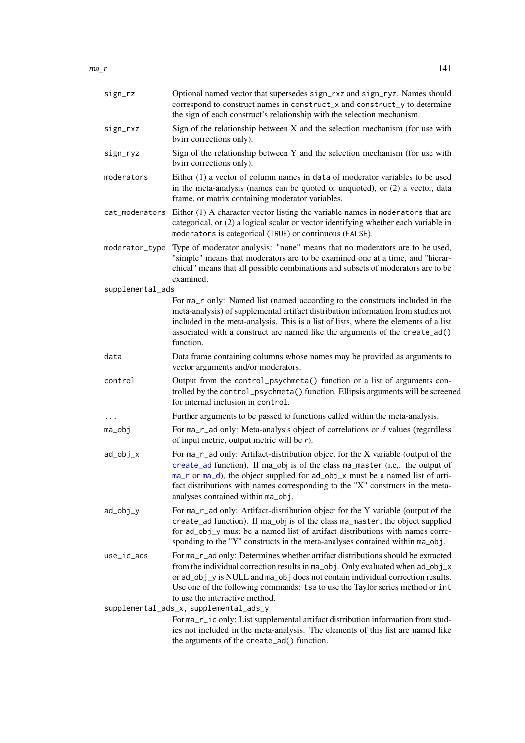$ma_r$  141

| sign_rz          | Optional named vector that supersedes sign_rxz and sign_ryz. Names should<br>correspond to construct names in construct_x and construct_y to determine<br>the sign of each construct's relationship with the selection mechanism.                                                                                                                                         |
|------------------|---------------------------------------------------------------------------------------------------------------------------------------------------------------------------------------------------------------------------------------------------------------------------------------------------------------------------------------------------------------------------|
| sign_rxz         | Sign of the relationship between $X$ and the selection mechanism (for use with<br>bvirr corrections only).                                                                                                                                                                                                                                                                |
| sign_ryz         | Sign of the relationship between Y and the selection mechanism (for use with<br>bvirr corrections only).                                                                                                                                                                                                                                                                  |
| moderators       | Either (1) a vector of column names in data of moderator variables to be used<br>in the meta-analysis (names can be quoted or unquoted), or (2) a vector, data<br>frame, or matrix containing moderator variables.                                                                                                                                                        |
| cat_moderators   | Either $(1)$ A character vector listing the variable names in moderators that are<br>categorical, or (2) a logical scalar or vector identifying whether each variable in<br>moderators is categorical (TRUE) or continuous (FALSE).                                                                                                                                       |
| moderator_type   | Type of moderator analysis: "none" means that no moderators are to be used,<br>"simple" means that moderators are to be examined one at a time, and "hierar-<br>chical" means that all possible combinations and subsets of moderators are to be<br>examined.                                                                                                             |
| supplemental_ads |                                                                                                                                                                                                                                                                                                                                                                           |
|                  | For ma_r only: Named list (named according to the constructs included in the<br>meta-analysis) of supplemental artifact distribution information from studies not<br>included in the meta-analysis. This is a list of lists, where the elements of a list<br>associated with a construct are named like the arguments of the create_ad()<br>function.                     |
| data             | Data frame containing columns whose names may be provided as arguments to<br>vector arguments and/or moderators.                                                                                                                                                                                                                                                          |
| control          | Output from the control_psychmeta() function or a list of arguments con-<br>trolled by the control_psychmeta() function. Ellipsis arguments will be screened<br>for internal inclusion in control.                                                                                                                                                                        |
| $\cdots$         | Further arguments to be passed to functions called within the meta-analysis.                                                                                                                                                                                                                                                                                              |
| ma_obj           | For $ma_r$ ad only: Meta-analysis object of correlations or $d$ values (regardless<br>of input metric, output metric will be $r$ ).                                                                                                                                                                                                                                       |
| ad_obj_x         | For ma_r_ad only: Artifact-distribution object for the X variable (output of the<br>create_ad function). If ma_obj is of the class ma_master (i.e,. the output of<br>ma_r or ma_d), the object supplied for ad_obj_x must be a named list of arti-<br>fact distributions with names corresponding to the "X" constructs in the meta-<br>analyses contained within ma_obj. |
| ad_obj_y         | For ma_r_ad only: Artifact-distribution object for the Y variable (output of the<br>create_ad function). If ma_obj is of the class ma_master, the object supplied<br>for ad_obj_y must be a named list of artifact distributions with names corre-<br>sponding to the "Y" constructs in the meta-analyses contained within ma_obj.                                        |
| use_ic_ads       | For ma_r_ad only: Determines whether artifact distributions should be extracted<br>from the individual correction results in ma_obj. Only evaluated when ad_obj_x<br>or ad_obj_y is NULL and ma_obj does not contain individual correction results.<br>Use one of the following commands: tsa to use the Taylor series method or int<br>to use the interactive method.    |
|                  | supplemental_ads_x, supplemental_ads_y                                                                                                                                                                                                                                                                                                                                    |
|                  | For ma_r_ic only: List supplemental artifact distribution information from stud-<br>ies not included in the meta-analysis. The elements of this list are named like<br>the arguments of the create_ad() function.                                                                                                                                                         |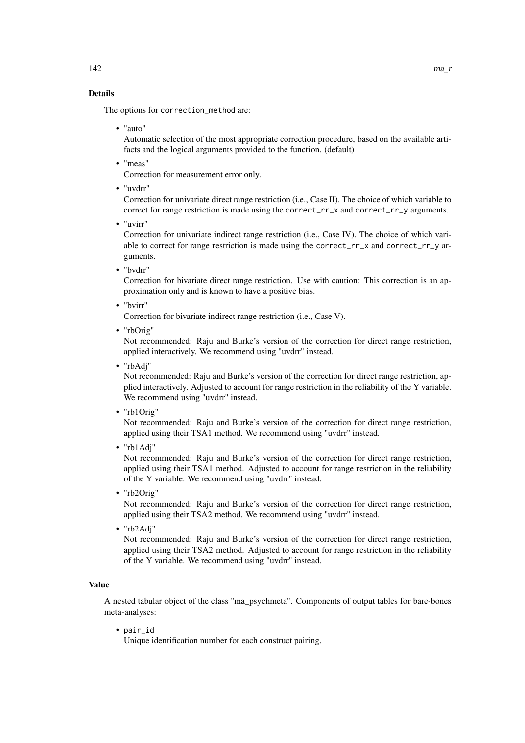### Details

The options for correction\_method are:

• "auto"

Automatic selection of the most appropriate correction procedure, based on the available artifacts and the logical arguments provided to the function. (default)

• "meas"

Correction for measurement error only.

• "uvdrr"

Correction for univariate direct range restriction (i.e., Case II). The choice of which variable to correct for range restriction is made using the correct\_rr\_x and correct\_rr\_y arguments.

• "uvirr"

Correction for univariate indirect range restriction (i.e., Case IV). The choice of which variable to correct for range restriction is made using the correct\_rr\_x and correct\_rr\_y arguments.

• "bvdrr"

Correction for bivariate direct range restriction. Use with caution: This correction is an approximation only and is known to have a positive bias.

• "bvirr"

Correction for bivariate indirect range restriction (i.e., Case V).

• "rbOrig"

Not recommended: Raju and Burke's version of the correction for direct range restriction, applied interactively. We recommend using "uvdrr" instead.

• "rbAdj"

Not recommended: Raju and Burke's version of the correction for direct range restriction, applied interactively. Adjusted to account for range restriction in the reliability of the Y variable. We recommend using "uvdrr" instead.

• "rb1Orig"

Not recommended: Raju and Burke's version of the correction for direct range restriction, applied using their TSA1 method. We recommend using "uvdrr" instead.

• "rb1Adj"

Not recommended: Raju and Burke's version of the correction for direct range restriction, applied using their TSA1 method. Adjusted to account for range restriction in the reliability of the Y variable. We recommend using "uvdrr" instead.

• "rb2Orig"

Not recommended: Raju and Burke's version of the correction for direct range restriction, applied using their TSA2 method. We recommend using "uvdrr" instead.

• "rb2Adj"

Not recommended: Raju and Burke's version of the correction for direct range restriction, applied using their TSA2 method. Adjusted to account for range restriction in the reliability of the Y variable. We recommend using "uvdrr" instead.

### Value

A nested tabular object of the class "ma\_psychmeta". Components of output tables for bare-bones meta-analyses:

• pair\_id

Unique identification number for each construct pairing.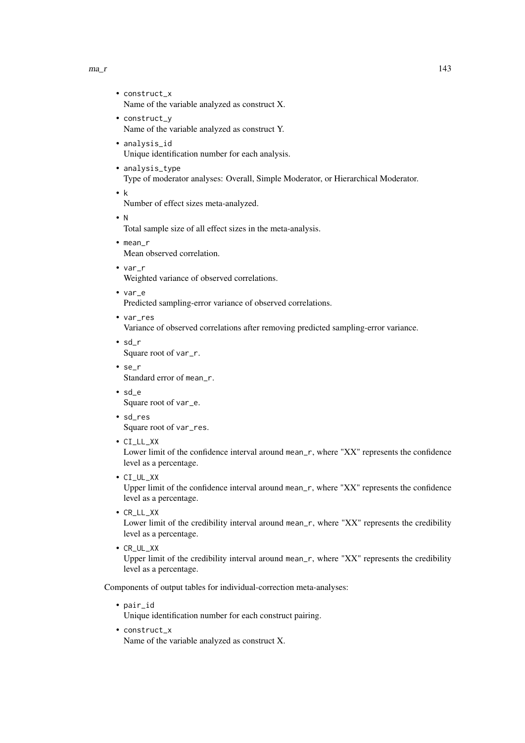### $ma_r$  143

- construct\_x Name of the variable analyzed as construct X.
- construct\_y Name of the variable analyzed as construct Y.
- analysis\_id Unique identification number for each analysis.
- analysis\_type Type of moderator analyses: Overall, Simple Moderator, or Hierarchical Moderator.
- k

Number of effect sizes meta-analyzed.

• N

Total sample size of all effect sizes in the meta-analysis.

• mean\_r

Mean observed correlation.

• var\_r

Weighted variance of observed correlations.

• var\_e

Predicted sampling-error variance of observed correlations.

• var\_res

Variance of observed correlations after removing predicted sampling-error variance.

- sd\_r
	- Square root of var\_r.
- se\_r Standard error of mean\_r.
- sd\_e

Square root of var\_e.

- sd\_res Square root of var\_res.
- CI\_LL\_XX

Lower limit of the confidence interval around mean\_r, where "XX" represents the confidence level as a percentage.

• CI\_UL\_XX

Upper limit of the confidence interval around mean\_r, where "XX" represents the confidence level as a percentage.

• CR\_LL\_XX

Lower limit of the credibility interval around mean\_r, where "XX" represents the credibility level as a percentage.

• CR\_UL\_XX

Upper limit of the credibility interval around mean\_r, where "XX" represents the credibility level as a percentage.

Components of output tables for individual-correction meta-analyses:

• pair\_id

Unique identification number for each construct pairing.

• construct\_x

Name of the variable analyzed as construct X.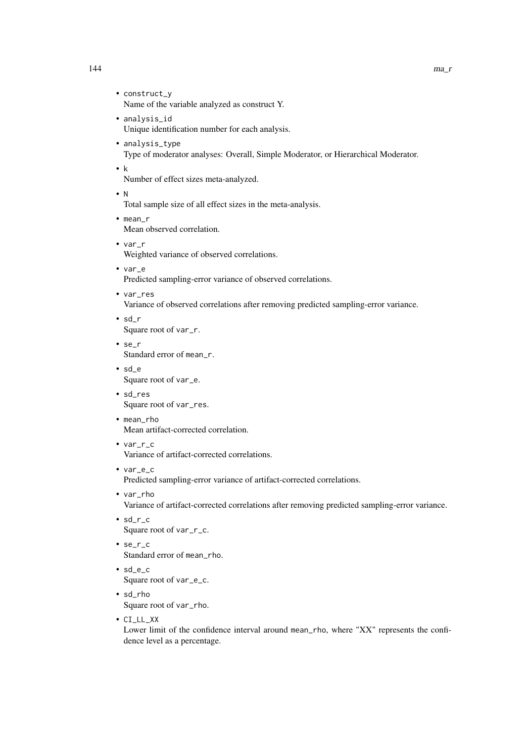- construct\_y Name of the variable analyzed as construct Y.
- analysis\_id Unique identification number for each analysis.
- analysis\_type Type of moderator analyses: Overall, Simple Moderator, or Hierarchical Moderator.
- k

Number of effect sizes meta-analyzed.

• N

Total sample size of all effect sizes in the meta-analysis.

- mean\_r Mean observed correlation.
- var\_r Weighted variance of observed correlations.
- var\_e Predicted sampling-error variance of observed correlations.
- var\_res Variance of observed correlations after removing predicted sampling-error variance.
- sd\_r Square root of var\_r.
- se\_r Standard error of mean r.
- sd\_e Square root of var\_e.
- sd\_res Square root of var\_res.
- mean\_rho Mean artifact-corrected correlation.
- var\_r\_c Variance of artifact-corrected correlations.
- var\_e\_c Predicted sampling-error variance of artifact-corrected correlations.
- var\_rho Variance of artifact-corrected correlations after removing predicted sampling-error variance.
- sd\_r\_c Square root of var\_r\_c.
- se\_r\_c Standard error of mean\_rho.
- sd\_e\_c Square root of var\_e\_c.
- sd\_rho Square root of var\_rho.
- CI\_LL\_XX

Lower limit of the confidence interval around mean\_rho, where "XX" represents the confidence level as a percentage.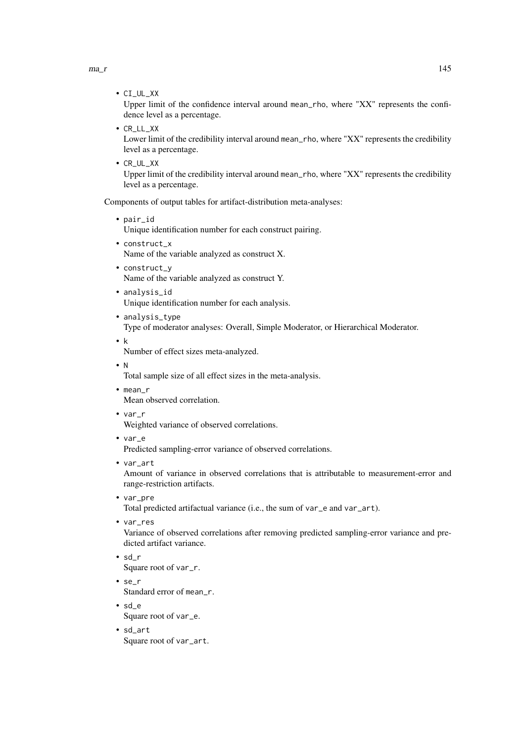$ma_r$  145

• CI\_UL\_XX

Upper limit of the confidence interval around mean\_rho, where "XX" represents the confidence level as a percentage.

• CR\_LL\_XX

Lower limit of the credibility interval around mean\_rho, where "XX" represents the credibility level as a percentage.

• CR\_UL\_XX

Upper limit of the credibility interval around mean\_rho, where "XX" represents the credibility level as a percentage.

Components of output tables for artifact-distribution meta-analyses:

• pair\_id

Unique identification number for each construct pairing.

- construct\_x Name of the variable analyzed as construct X.
- construct\_y Name of the variable analyzed as construct Y.
- analysis\_id Unique identification number for each analysis.
- analysis\_type

Type of moderator analyses: Overall, Simple Moderator, or Hierarchical Moderator.

• k

Number of effect sizes meta-analyzed.

• N

Total sample size of all effect sizes in the meta-analysis.

- mean\_r Mean observed correlation.
- var\_r

Weighted variance of observed correlations.

• var\_e

Predicted sampling-error variance of observed correlations.

• var\_art

Amount of variance in observed correlations that is attributable to measurement-error and range-restriction artifacts.

• var\_pre

Total predicted artifactual variance (i.e., the sum of var\_e and var\_art).

• var\_res

Variance of observed correlations after removing predicted sampling-error variance and predicted artifact variance.

- sd\_r Square root of var\_r.
- se\_r Standard error of mean\_r.
- sd\_e Square root of var\_e.
- sd\_art Square root of var\_art.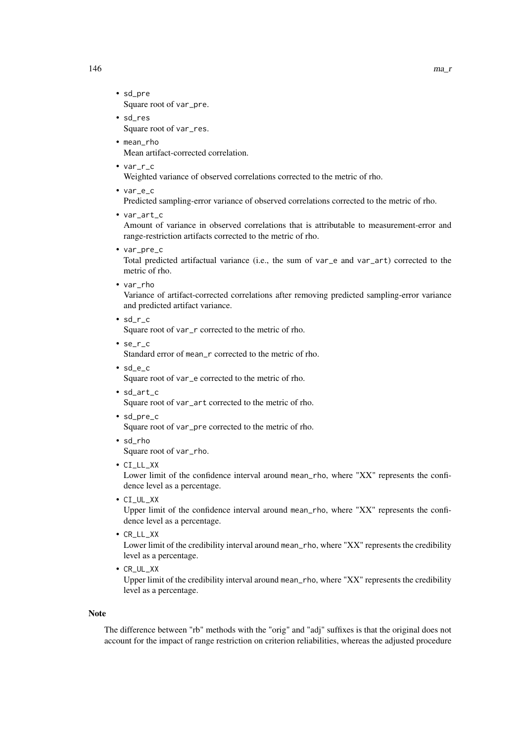- sd\_pre Square root of var\_pre.
- sd\_res Square root of var\_res.
- mean rho Mean artifact-corrected correlation.
- var\_r\_c

Weighted variance of observed correlations corrected to the metric of rho.

• var\_e\_c

Predicted sampling-error variance of observed correlations corrected to the metric of rho.

• var\_art\_c

Amount of variance in observed correlations that is attributable to measurement-error and range-restriction artifacts corrected to the metric of rho.

• var\_pre\_c

Total predicted artifactual variance (i.e., the sum of var\_e and var\_art) corrected to the metric of rho.

• var\_rho

Variance of artifact-corrected correlations after removing predicted sampling-error variance and predicted artifact variance.

• sd\_r\_c

Square root of var\_r corrected to the metric of rho.

- se\_r\_c Standard error of mean\_r corrected to the metric of rho.
- sd\_e\_c Square root of var\_e corrected to the metric of rho.
- sd\_art\_c Square root of var\_art corrected to the metric of rho.
- sd\_pre\_c Square root of var\_pre corrected to the metric of rho.
- sd\_rho Square root of var\_rho.
- CI\_LL\_XX

Lower limit of the confidence interval around mean\_rho, where "XX" represents the confidence level as a percentage.

• CI\_UL\_XX

Upper limit of the confidence interval around mean\_rho, where "XX" represents the confidence level as a percentage.

• CR\_LL\_XX

Lower limit of the credibility interval around mean\_rho, where "XX" represents the credibility level as a percentage.

• CR\_UL\_XX

Upper limit of the credibility interval around mean\_rho, where "XX" represents the credibility level as a percentage.

# Note

The difference between "rb" methods with the "orig" and "adj" suffixes is that the original does not account for the impact of range restriction on criterion reliabilities, whereas the adjusted procedure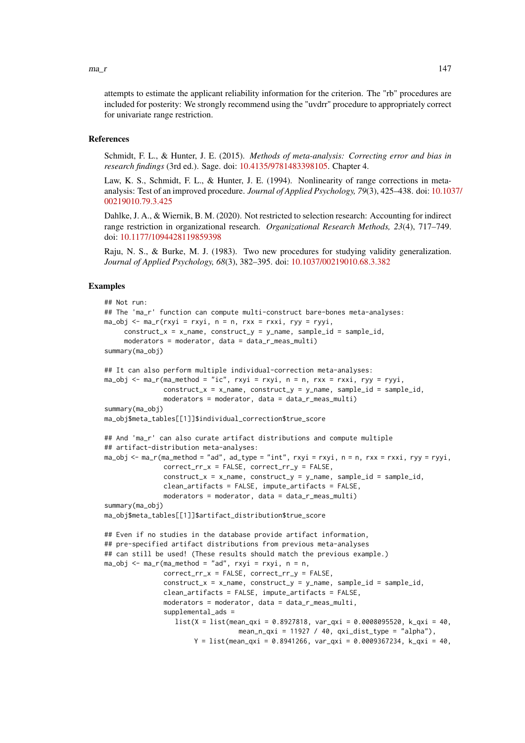attempts to estimate the applicant reliability information for the criterion. The "rb" procedures are included for posterity: We strongly recommend using the "uvdrr" procedure to appropriately correct for univariate range restriction.

## References

Schmidt, F. L., & Hunter, J. E. (2015). *Methods of meta-analysis: Correcting error and bias in research findings* (3rd ed.). Sage. doi: [10.4135/9781483398105.](https://doi.org/10.4135/9781483398105) Chapter 4.

Law, K. S., Schmidt, F. L., & Hunter, J. E. (1994). Nonlinearity of range corrections in metaanalysis: Test of an improved procedure. *Journal of Applied Psychology, 79*(3), 425–438. doi: [10.103](https://doi.org/10.1037/0021-9010.79.3.425)7/ [00219010.79.3.425](https://doi.org/10.1037/0021-9010.79.3.425)

Dahlke, J. A., & Wiernik, B. M. (2020). Not restricted to selection research: Accounting for indirect range restriction in organizational research. *Organizational Research Methods, 23*(4), 717–749. doi: [10.1177/1094428119859398](https://doi.org/10.1177/1094428119859398)

Raju, N. S., & Burke, M. J. (1983). Two new procedures for studying validity generalization. *Journal of Applied Psychology, 68*(3), 382–395. doi: [10.1037/00219010.68.3.382](https://doi.org/10.1037/0021-9010.68.3.382)

## Examples

```
## Not run:
## The 'ma_r' function can compute multi-construct bare-bones meta-analyses:
ma_obj \leq ma_r(rxyi = rxyi, n = n, rxx = rxxi, ryy = ryyi,construct_x = x_name, construct_y = y_name, sample_id = sample_id,
     moderators = moderator, data = data_r_meas_multi)
summary(ma_obj)
## It can also perform multiple individual-correction meta-analyses:
ma_obj <- ma_r(ma_method = "ic", rxyi = rxyi, n = n, rxx = rxxi, ryy = ryyi,
               construct_x = x_name, construct_y = y_name, sample_id = sample_id,
               moderators = moderator, data = data_r_meas_multi)
summary(ma_obj)
ma_obj$meta_tables[[1]]$individual_correction$true_score
## And 'ma_r' can also curate artifact distributions and compute multiple
## artifact-distribution meta-analyses:
ma_obj \leq ma_r(ma_method = "ad", ad_type = "int", rxyi = rxyi, n = n, rxx = rxxi, ryy = ryyi,correct_rr_x = FALSE, correct_rr_y = FALSE,
               construct_x = x_name, construct_y = y_name, sample_id = sample_id,
               clean_artifacts = FALSE, impute_artifacts = FALSE,
               moderators = moderator, data = data_r_meas_multi)
summary(ma_obj)
ma_obj$meta_tables[[1]]$artifact_distribution$true_score
## Even if no studies in the database provide artifact information,
## pre-specified artifact distributions from previous meta-analyses
## can still be used! (These results should match the previous example.)
ma_obj \leq ma_r(max_method = "ad", rxyi = rxyi, n = n,correct_rr_x = FALSE, correct_rr_y = FALSE,
               construct_x = x_name, construct_y = y_name, sample_id = sample_id,
               clean_artifacts = FALSE, impute_artifacts = FALSE,
               moderators = moderator, data = data_r_meas_multi,
               supplemental_ads =
                  list(X = list(mean_qxi = 0.8927818, var_qxi = 0.0008095520, k_qxi = 40,mean_n_qxi = 11927 / 40, qxi_dist_type = "alpha"),
                       Y = list(mean_qxi = 0.8941266, var_qxi = 0.0009367234, k_qxi = 40,
```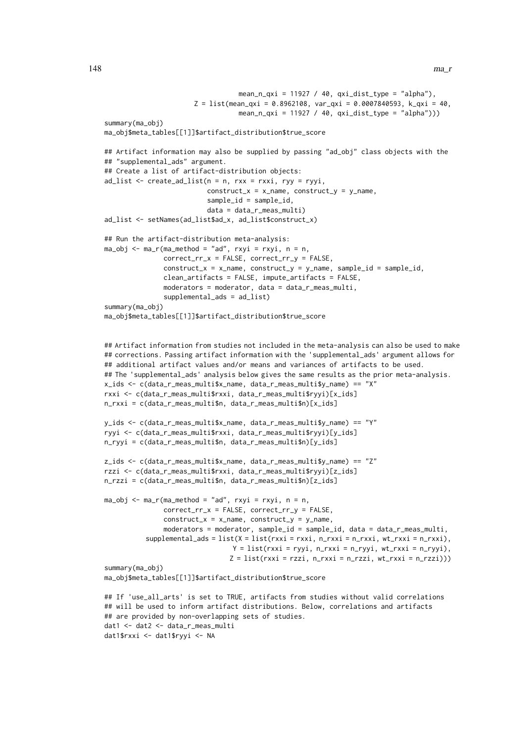```
mean_n_qxi = 11927 / 40, qxi-dist_type = "alpha"),
                       Z = list(mean_qxi = 0.8962108, var_qxi = 0.0007840593, k_qxi = 40,mean_n_qxi = 11927 / 40, qxi_dist_type = "alpha")summary(ma_obj)
ma_obj$meta_tables[[1]]$artifact_distribution$true_score
## Artifact information may also be supplied by passing "ad_obj" class objects with the
## "supplemental_ads" argument.
## Create a list of artifact-distribution objects:
ad\_list \leftarrow create\_ad\_list(n = n, rxx = rxxi, ryy = ryyi,construct_x = x_name, construct_y = y_name,
                          sample_id = sample_id,
                          data = data_r_meas_multi)
ad_list <- setNames(ad_list$ad_x, ad_list$construct_x)
## Run the artifact-distribution meta-analysis:
ma_obj \leq ma_r(ma_method = "ad", rxyi = rxyi, n = n,correct_rr_x = FALSE, correct_rr_y = FALSE,
               construct_x = x_name, construct_y = y_name, sample_id = sample_id,
               clean_artifacts = FALSE, impute_artifacts = FALSE,
               moderators = moderator, data = data_r_meas_multi,
               supplemental_ads = ad_list)
summary(ma_obj)
ma_obj$meta_tables[[1]]$artifact_distribution$true_score
## Artifact information from studies not included in the meta-analysis can also be used to make
## corrections. Passing artifact information with the 'supplemental_ads' argument allows for
## additional artifact values and/or means and variances of artifacts to be used.
## The 'supplemental_ads' analysis below gives the same results as the prior meta-analysis.
x ids \leq c(data r meas multi$x name, data r meas multi$v name) == "X"
rxxi <- c(data_r_meas_multi$rxxi, data_r_meas_multi$ryyi)[x_ids]
n_rxxi = c(data_r_meas_multi$n, data_r_meas_multi$n)[x_ids]
y_ids <- c(data_r_meas_multi$x_name, data_r_meas_multi$y_name) == "Y"
ryyi <- c(data_r_meas_multi$rxxi, data_r_meas_multi$ryyi)[y_ids]
n_ryyi = c(data_r_meas_multi$n, data_r_meas_multi$n)[y_ids]
z_ids <- c(data_r_meas_multi$x_name, data_r_meas_multi$y_name) == "Z"
rzzi <- c(data_r_meas_multi$rxxi, data_r_meas_multi$ryyi)[z_ids]
n_rzzi = c(data_r_meas_multi$n, data_r_meas_multi$n)[z_ids]
ma_obj \leq ma_r(ma_method = "ad", rxyi = rxyi, n = n,correct_rr_x = FALSE, correct_rr_y = FALSE,
               construct_x = x_name, construct_y = y_name,moderators = moderator, sample_id = sample_id, data = data_r_meas_multi,
          supplemental\_ads = list(X = list(rxxi = rxxi, n_rxxxi = n_rxxxi, wt_rxxxi = n_rxxxi),Y = list(rxxi = ryyi, n_rxxi = n_ryyi, wt_rxxi = n_ryyi),Z = list(rxxi = rzzi, n_rxxi = n_rzzi, wt_rxxi = n_rzzi))summary(ma_obj)
ma_obj$meta_tables[[1]]$artifact_distribution$true_score
## If 'use_all_arts' is set to TRUE, artifacts from studies without valid correlations
```

```
## will be used to inform artifact distributions. Below, correlations and artifacts
## are provided by non-overlapping sets of studies.
dat1 <- dat2 <- data_r_meas_multi
dat1$rxxi <- dat1$ryyi <- NA
```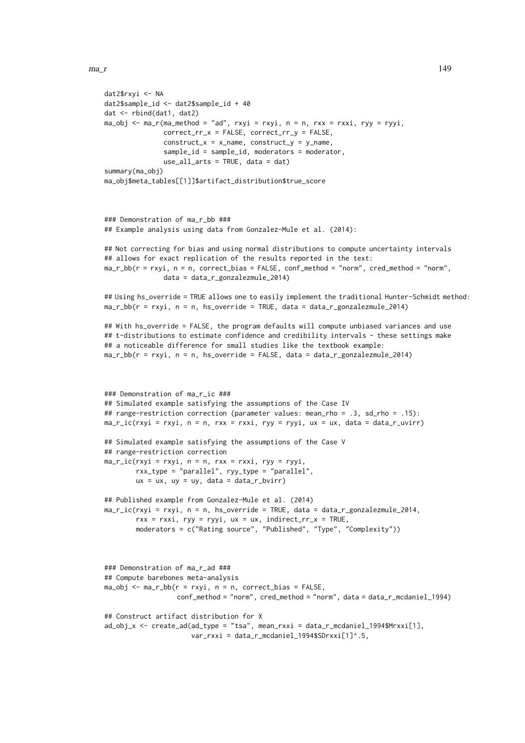```
dat2$rxyi <- NA
dat2$sample id \leq - dat2$sample id + 40dat <- rbind(dat1, dat2)
ma_obj \leq ma_r(ma_method = "ad", rxyi = rxyi, n = n, rxx = rxxi, ryy = ryyi,correct_rr_x = FALSE, correct_rr_y = FALSE,
               construct_x = x_name, construct_y = y_name,sample_id = sample_id, moderators = moderator,
               use_all_arts = TRUE, data = dat)
summary(ma_obj)
ma_obj$meta_tables[[1]]$artifact_distribution$true_score
### Demonstration of ma_r_bb ###
## Example analysis using data from Gonzalez-Mule et al. (2014):
## Not correcting for bias and using normal distributions to compute uncertainty intervals
## allows for exact replication of the results reported in the text:
ma_r_bb(r = rxyi, n = n, correct_bias = FALSE, conf_method = "norm", cred_method = "norm",
               data = data_r_gonzalezmule_2014)
## Using hs_override = TRUE allows one to easily implement the traditional Hunter-Schmidt method:
ma_r_bbb(r = rxyi, n = n, hs_override = TRUE, data = data_r_gonzalezmule_2014)
## With hs_override = FALSE, the program defaults will compute unbiased variances and use
## t-distributions to estimate confidence and credibility intervals - these settings make
## a noticeable difference for small studies like the textbook example:
ma_r_bb(r = rxyi, n = n, hs_override = FALSE, data = data_r_gonzalezmule_2014)
### Demonstration of ma_r_ic ###
## Simulated example satisfying the assumptions of the Case IV
## range-restriction correction (parameter values: mean_rho = .3, sd_rho = .15):
ma_r_iic(rxyi = rxyi, n = n, rxx = rxxi, ryy = ryyi, ux = ux, data = data_r_uvirr)
## Simulated example satisfying the assumptions of the Case V
## range-restriction correction
ma\_r\_ic(rxyi = rxyi, n = n, rxx = rxxi, ryy = ryyi,rxx_type = "parallel", ryy_type = "parallel",
        ux = ux, uy = uy, data = data_r_bvirr)
## Published example from Gonzalez-Mule et al. (2014)
ma_r_iic(rxyi = rxyi, n = n, hs_override = TRUE, data = data_r_gonzalezmule_2014,
        rxx = rxxi, ryy = ryyi, ux = ux, indirect_rrx = TRUE,
        moderators = c("Rating source", "Published", "Type", "Complexity"))
### Demonstration of ma_r_ad ###
## Compute barebones meta-analysis
ma_obj <- ma_r_bb(r = rxyi, n = n, correct_bias = FALSE,
                  conf_method = "norm", cred_method = "norm", data = data_r_mcdaniel_1994)
## Construct artifact distribution for X
ad_obj_x <- create_ad(ad_type = "tsa", mean_rxxi = data_r_mcdaniel_1994$Mrxxi[1],
                      var_rxxi = data_r_mcdaniel_1994$SDrxxi[1]<sup>^</sup>.5,
```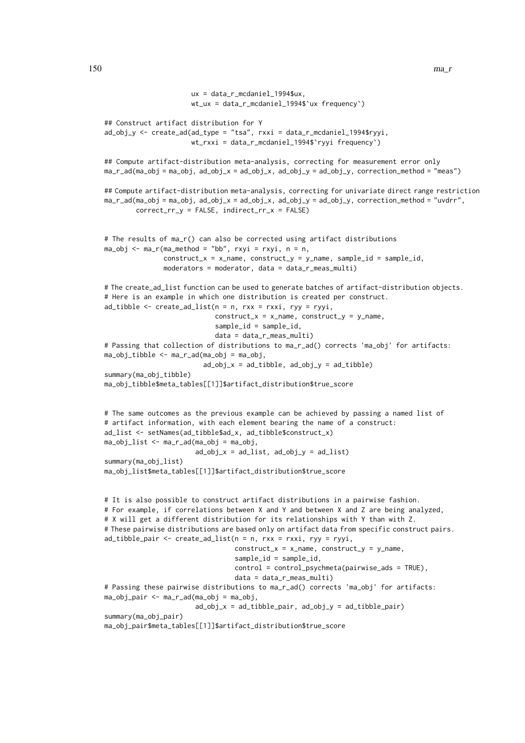```
ux = data_r_mcdaniel_1994$ux,
                      wt ux = data r mcdaniel 1994$`ux frequency`)## Construct artifact distribution for Y
ad\_obj\_y \leq create_ad(ad_type = "tsa", rxxi = data_r_mcdaniel_1994$ryyi,
                      wt_rxxi = data_r_mcdaniel_1994$`ryyi frequency`)
## Compute artifact-distribution meta-analysis, correcting for measurement error only
ma_r_ad(ma_obj = ma_obj, ad_obj_x = ad_obj_x, ad_obj_y = ad_obj_y, correction_method = "meas")
## Compute artifact-distribution meta-analysis, correcting for univariate direct range restriction
ma_r_ad(ma_obj = ma_obj, ad_cobj_x = ad_cobj_x, ad_cobj_y = ad_cobj_y, correction_method = "uvdrr",
        correct_rr_y = FALSE, indirect_rr_x = FALSE)
# The results of ma_r() can also be corrected using artifact distributions
ma_obj \leq ma_r(max_method = "bb", rxyi = rxyi, n = n,construct_x = x_name, construct_y = y_name, sample_id = sample_id,
               moderators = moderator, data = data_r_meas_multi)
# The create_ad_list function can be used to generate batches of artifact-distribution objects.
# Here is an example in which one distribution is created per construct.
ad_tibble \leq create_ad_tlist(n = n, rxx = rxxi, ryy = ryyi,construct_x = x_name, construct_y = y_name,sample_id = sample_id,
                            data = data_r_meas_multi)
# Passing that collection of distributions to ma_r_ad() corrects 'ma_obj' for artifacts:
ma_obj_tibble <- ma_r_ad(ma_obj = ma_obj,
                         ad\_obj_x = ad\_tibble, ad\_obj_y = ad\_tibble)summary(ma_obj_tibble)
ma_obj_tibble$meta_tables[[1]]$artifact_distribution$true_score
# The same outcomes as the previous example can be achieved by passing a named list of
# artifact information, with each element bearing the name of a construct:
ad_list <- setNames(ad_tibble$ad_x, ad_tibble$construct_x)
ma_obj_list <- ma_r_ad(ma_obj = ma_obj,
                       ad\_obj_x = ad\_list, ad\_obj_y = ad\_list)summary(ma_obj_list)
ma_obj_list$meta_tables[[1]]$artifact_distribution$true_score
# It is also possible to construct artifact distributions in a pairwise fashion.
# For example, if correlations between X and Y and between X and Z are being analyzed,
# X will get a different distribution for its relationships with Y than with Z.
# These pairwise distributions are based only on artifact data from specific construct pairs.
ad\_tibble\_pair \leftarrow create\_ad\_list(n = n, rxx = rxxi, ryy = ryyi,construct_x = x_name, construct_y = y_name,sample_id = sample_id,
                                 control = control_psychmeta(pairwise_ads = TRUE),
                                 data = data_r_meas_multi)
# Passing these pairwise distributions to ma_r_ad() corrects 'ma_obj' for artifacts:
ma_obj_pair \leftarrow ma_r_ad(ma_obj = ma_obj,ad\_obj_x = ad\_tibble\_pair, ad\_obj_y = ad\_tibble\_pair)summary(ma_obj_pair)
ma_obj_pair$meta_tables[[1]]$artifact_distribution$true_score
```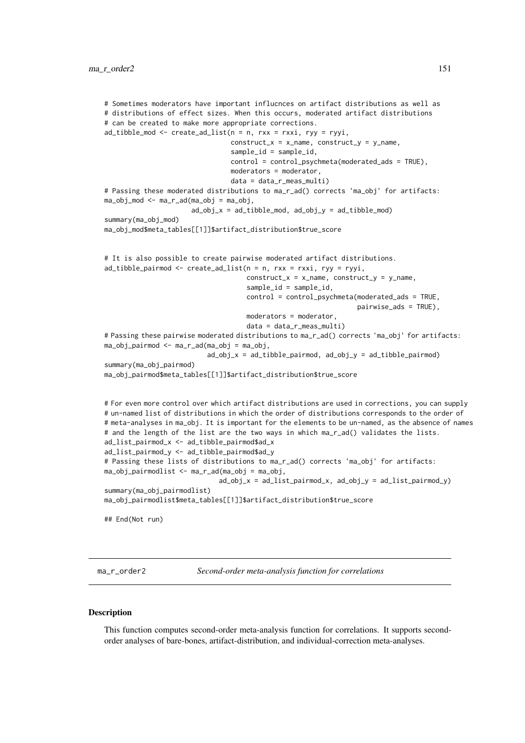```
# Sometimes moderators have important influcnces on artifact distributions as well as
# distributions of effect sizes. When this occurs, moderated artifact distributions
# can be created to make more appropriate corrections.
ad\_tibble\_mod \le - create_ad_list(n = n, rxx = rxxi, ryy = ryyi,
                                 construct_x = x_name, construct_y = y_name,sample_id = sample_id,
                                 control = control_psychmeta(moderated_ads = TRUE),
                                 moderators = moderator,
                                 data = data_r_meas_multi)
# Passing these moderated distributions to ma_r_ad() corrects 'ma_obj' for artifacts:
ma\_obj\_mod \leq max\_ad(ma\_obj = ma\_obj,ad\_obj_x = ad\_tibble\_mod, ad\_obj_y = ad\_tibble\_mod)summary(ma_obj_mod)
ma_obj_mod$meta_tables[[1]]$artifact_distribution$true_score
# It is also possible to create pairwise moderated artifact distributions.
ad_tibble_pairmod \le -\n  create_ad_list(n = n, rxx = rxxi, ryy = ryyi,construct_x = x_name, construct_y = y_name,
                                     sample_id = sample_id,
                                     control = control_psychmeta(moderated_ads = TRUE,
                                                                  pairwise_ads = TRUE),
                                     moderators = moderator,
                                     data = data_r_meas_multi)
# Passing these pairwise moderated distributions to ma_r_ad() corrects 'ma_obj' for artifacts:
ma_obj_pairmod <- ma_r_ad(ma_obj = ma_obj,
                          ad\_obj_x = ad\_tibble\_pairmod, ad\_obj_y = ad\_tibble\_pairmod)summary(ma_obj_pairmod)
ma_obj_pairmod$meta_tables[[1]]$artifact_distribution$true_score
# For even more control over which artifact distributions are used in corrections, you can supply
# un-named list of distributions in which the order of distributions corresponds to the order of
# meta-analyses in ma_obj. It is important for the elements to be un-named, as the absence of names
# and the length of the list are the two ways in which ma_r_ad() validates the lists.
ad_list_pairmod_x <- ad_tibble_pairmod$ad_x
ad_list_pairmod_y <- ad_tibble_pairmod$ad_y
# Passing these lists of distributions to ma_r_ad() corrects 'ma_obj' for artifacts:
ma_obj_pairmodlist <- ma_r_ad(ma_obj = ma_obj,
                              ad\_obj_x = ad\_list\_pairmod_x, ad\_obj_y = ad\_list\_pairmod_y)summary(ma_obj_pairmodlist)
ma_obj_pairmodlist$meta_tables[[1]]$artifact_distribution$true_score
## End(Not run)
```
ma\_r\_order2 *Second-order meta-analysis function for correlations*

#### Description

This function computes second-order meta-analysis function for correlations. It supports secondorder analyses of bare-bones, artifact-distribution, and individual-correction meta-analyses.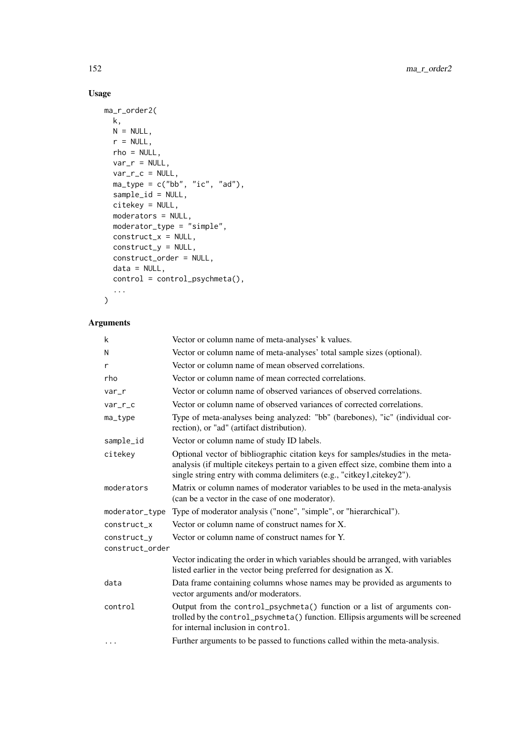# Usage

```
ma_r_order2(
 k,
 N = NULL,r = NULL,rho = NULL,
 var_r = NULL,var_r_c = NULL,ma\_type = c("bb", "ic", "ad"),sample_id = NULL,
  citekey = NULL,
  moderators = NULL,
  moderator_type = "simple",
  construct_x = NULL,construct_y = NULL,
  construct_order = NULL,
  data = NULL,
  control = control_psychmeta(),
  ...
)
```
# Arguments

| k               | Vector or column name of meta-analyses' k values.                                                                                                                                                                                              |
|-----------------|------------------------------------------------------------------------------------------------------------------------------------------------------------------------------------------------------------------------------------------------|
| N               | Vector or column name of meta-analyses' total sample sizes (optional).                                                                                                                                                                         |
| r               | Vector or column name of mean observed correlations.                                                                                                                                                                                           |
| rho             | Vector or column name of mean corrected correlations.                                                                                                                                                                                          |
| var_r           | Vector or column name of observed variances of observed correlations.                                                                                                                                                                          |
| $var_r_c$       | Vector or column name of observed variances of corrected correlations.                                                                                                                                                                         |
| ma_type         | Type of meta-analyses being analyzed: "bb" (barebones), "ic" (individual cor-<br>rection), or "ad" (artifact distribution).                                                                                                                    |
| sample_id       | Vector or column name of study ID labels.                                                                                                                                                                                                      |
| citekey         | Optional vector of bibliographic citation keys for samples/studies in the meta-<br>analysis (if multiple citekeys pertain to a given effect size, combine them into a<br>single string entry with comma delimiters (e.g., "citkey1,citekey2"). |
| moderators      | Matrix or column names of moderator variables to be used in the meta-analysis<br>(can be a vector in the case of one moderator).                                                                                                               |
| moderator_type  | Type of moderator analysis ("none", "simple", or "hierarchical").                                                                                                                                                                              |
| construct_x     | Vector or column name of construct names for X.                                                                                                                                                                                                |
| construct_y     | Vector or column name of construct names for Y.                                                                                                                                                                                                |
| construct_order |                                                                                                                                                                                                                                                |
|                 | Vector indicating the order in which variables should be arranged, with variables<br>listed earlier in the vector being preferred for designation as X.                                                                                        |
| data            | Data frame containing columns whose names may be provided as arguments to<br>vector arguments and/or moderators.                                                                                                                               |
| control         | Output from the control_psychmeta() function or a list of arguments con-<br>trolled by the control_psychmeta() function. Ellipsis arguments will be screened<br>for internal inclusion in control.                                             |
| .               | Further arguments to be passed to functions called within the meta-analysis.                                                                                                                                                                   |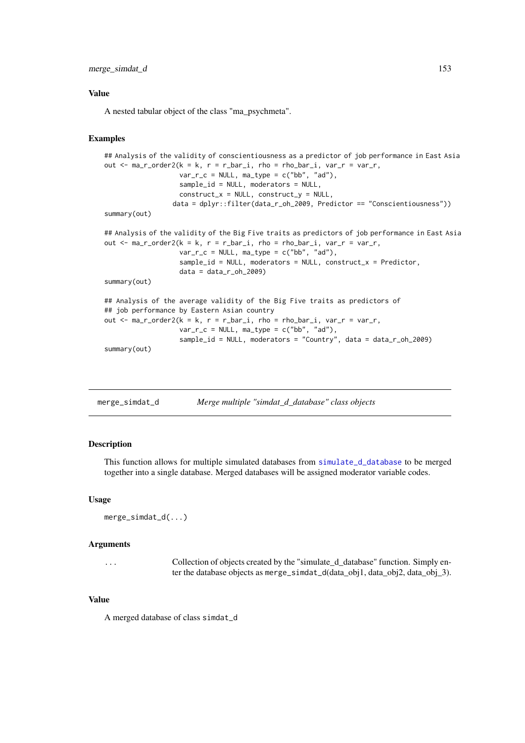## merge\_simdat\_d 153

## Value

A nested tabular object of the class "ma\_psychmeta".

## Examples

```
## Analysis of the validity of conscientiousness as a predictor of job performance in East Asia
out \le ma_r_order2(k = k, r = r_bar_i, rho = rho_bar_i, var_r = var_r,
                   var_r_c = NULL, ma_type = c("bb", "ad"),
                   sample_id = NULL, moderators = NULL,
                   construct_x = NULL, construct_y = NULL,
                 data = dplyr::filter(data_r_oh_2009, Predictor == "Conscientiousness"))
summary(out)
## Analysis of the validity of the Big Five traits as predictors of job performance in East Asia
out \leq ma_r_order2(k = k, r = r_bar_i, rho = rho_bar_i, var_r = var_r,
                   var_r_c = NULL, ma_type = c("bb", "ad"),
                   sample_id = NULL, moderators = NULL, construct_x = Predictor,
                   data = data_r_oh_2009summary(out)
## Analysis of the average validity of the Big Five traits as predictors of
## job performance by Eastern Asian country
out \le ma_r_order2(k = k, r = r_bar_i, rho = rho_bar_i, var_r = var_r,
                   var_r_c = NULL, ma_type = c("bb", "ad"),
                   sample_id = NULL, moderators = "Country", data = data_r_oh_2009)
summary(out)
```
<span id="page-152-0"></span>

| merge_simdat_d | Merge multiple "simdat_d_database" class objects |  |
|----------------|--------------------------------------------------|--|
|                |                                                  |  |

# Description

This function allows for multiple simulated databases from [simulate\\_d\\_database](#page-176-0) to be merged together into a single database. Merged databases will be assigned moderator variable codes.

# Usage

```
merge_simdat_d(...)
```
#### Arguments

... Collection of objects created by the "simulate\_d\_database" function. Simply enter the database objects as merge\_simdat\_d(data\_obj1, data\_obj2, data\_obj\_3).

## Value

A merged database of class simdat\_d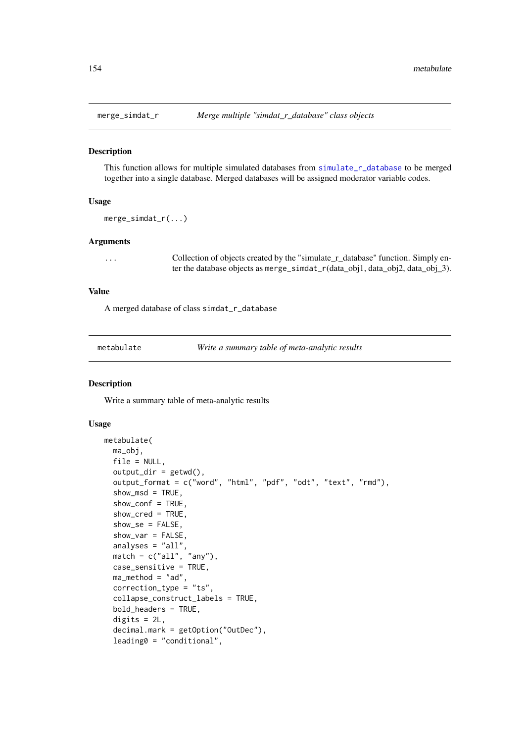## Description

This function allows for multiple simulated databases from [simulate\\_r\\_database](#page-183-0) to be merged together into a single database. Merged databases will be assigned moderator variable codes.

## Usage

```
merge_simdat_r(...)
```
## Arguments

... Collection of objects created by the "simulate\_r\_database" function. Simply enter the database objects as merge\_simdat\_r(data\_obj1, data\_obj2, data\_obj\_3).

## Value

A merged database of class simdat\_r\_database

<span id="page-153-0"></span>

| metabulate |  |
|------------|--|
|            |  |

Write a summary table of meta-analytic results

## Description

Write a summary table of meta-analytic results

# Usage

```
metabulate(
  ma_obj,
  file = NULL,
  output\_dir = getwd(),
  output_format = c("word", "html", "pdf", "odt", "text", "rmd"),
  show msd = TRUE.
  show_conf = TRUE,
  show_cred = TRUE,
  show_se = FALSE,
  show_var = FALSE,
  analyses = "all",match = c("all", "any"),
  case_sensitive = TRUE,
  ma_method = "ad",
  correction_type = "ts",
  collapse_construct_labels = TRUE,
  bold_headers = TRUE,
  digits = 2L,
  decimal.mark = getOption("OutDec"),
  leading0 = "conditional",
```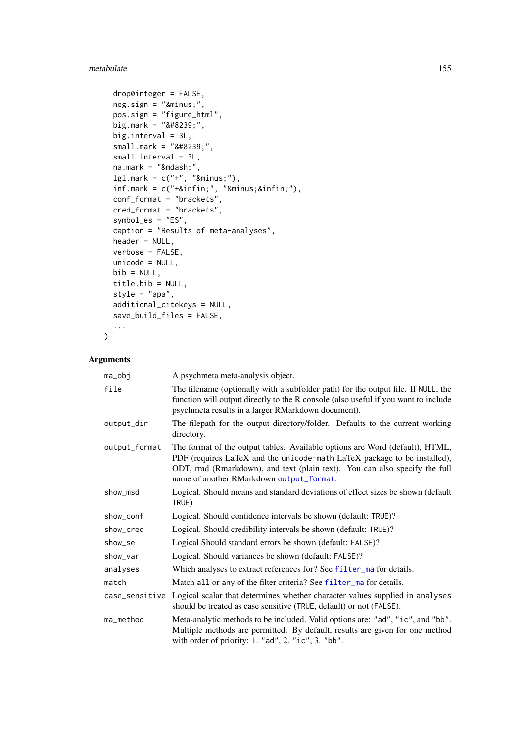### metabulate 155

```
drop0integer = FALSE,
neg.sizen = "−",
pos.sign = "figure_html",
big.mark = "8#8239;",
big.interval = 3L,
small. mark = " ",small.interval = 3L,
na.maxk = "Amdash;",lg1.maxk = c("+", "−"),inf.maxk = c("+∞", "−∞"),conf_format = "brackets",
cred_format = "brackets",
symbol_es = "ES",
caption = "Results of meta-analyses",
header = NULL,
verbose = FALSE,
unicode = NULL,
bib = NULL,
title.bib = NULL,
style = "apa",
additional_citekeys = NULL,
save_build_files = FALSE,
...
```
# Arguments

)

| ma_obj         | A psychmeta meta-analysis object.                                                                                                                                                                                                                                                  |
|----------------|------------------------------------------------------------------------------------------------------------------------------------------------------------------------------------------------------------------------------------------------------------------------------------|
| file           | The filename (optionally with a subfolder path) for the output file. If NULL, the<br>function will output directly to the R console (also useful if you want to include<br>psychmeta results in a larger RMarkdown document).                                                      |
| output_dir     | The filepath for the output directory/folder. Defaults to the current working<br>directory.                                                                                                                                                                                        |
| output_format  | The format of the output tables. Available options are Word (default), HTML,<br>PDF (requires LaTeX and the unicode-math LaTeX package to be installed),<br>ODT, rmd (Rmarkdown), and text (plain text). You can also specify the full<br>name of another RMarkdown output_format. |
| show_msd       | Logical. Should means and standard deviations of effect sizes be shown (default<br>TRUE)                                                                                                                                                                                           |
| show_conf      | Logical. Should confidence intervals be shown (default: TRUE)?                                                                                                                                                                                                                     |
| show_cred      | Logical. Should credibility intervals be shown (default: TRUE)?                                                                                                                                                                                                                    |
| show_se        | Logical Should standard errors be shown (default: FALSE)?                                                                                                                                                                                                                          |
| show_var       | Logical. Should variances be shown (default: FALSE)?                                                                                                                                                                                                                               |
| analyses       | Which analyses to extract references for? See filter_ma for details.                                                                                                                                                                                                               |
| match          | Match all or any of the filter criteria? See filter_ma for details.                                                                                                                                                                                                                |
| case_sensitive | Logical scalar that determines whether character values supplied in analyses<br>should be treated as case sensitive (TRUE, default) or not (FALSE).                                                                                                                                |
| ma_method      | Meta-analytic methods to be included. Valid options are: "ad", "ic", and "bb".<br>Multiple methods are permitted. By default, results are given for one method<br>with order of priority: 1. "ad", 2. "ic", 3. "bb".                                                               |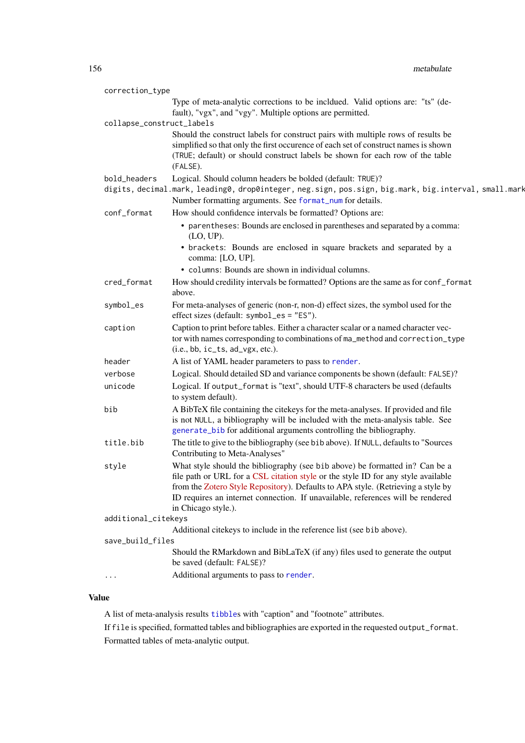| correction_type           |                                                                                                                                                                                                                                                                                                                                                                 |
|---------------------------|-----------------------------------------------------------------------------------------------------------------------------------------------------------------------------------------------------------------------------------------------------------------------------------------------------------------------------------------------------------------|
|                           | Type of meta-analytic corrections to be incldued. Valid options are: "ts" (de-<br>fault), "vgx", and "vgy". Multiple options are permitted.                                                                                                                                                                                                                     |
| collapse_construct_labels |                                                                                                                                                                                                                                                                                                                                                                 |
|                           | Should the construct labels for construct pairs with multiple rows of results be<br>simplified so that only the first occurence of each set of construct names is shown<br>(TRUE; default) or should construct labels be shown for each row of the table<br>(FALSE).                                                                                            |
| bold_headers              | Logical. Should column headers be bolded (default: TRUE)?                                                                                                                                                                                                                                                                                                       |
|                           | digits, decimal.mark, leading0, drop0integer, neg.sign, pos.sign, big.mark, big.interval, small.mark<br>Number formatting arguments. See format_num for details.                                                                                                                                                                                                |
| conf_format               | How should confidence intervals be formatted? Options are:                                                                                                                                                                                                                                                                                                      |
|                           | • parentheses: Bounds are enclosed in parentheses and separated by a comma:<br>$(LO, UP)$ .                                                                                                                                                                                                                                                                     |
|                           | • brackets: Bounds are enclosed in square brackets and separated by a<br>comma: [LO, UP].                                                                                                                                                                                                                                                                       |
|                           | • columns: Bounds are shown in individual columns.                                                                                                                                                                                                                                                                                                              |
| cred_format               | How should credility intervals be formatted? Options are the same as for conf_format<br>above.                                                                                                                                                                                                                                                                  |
| symbol_es                 | For meta-analyses of generic (non-r, non-d) effect sizes, the symbol used for the<br>effect sizes (default: symbol_es = "ES").                                                                                                                                                                                                                                  |
| caption                   | Caption to print before tables. Either a character scalar or a named character vec-<br>tor with names corresponding to combinations of ma_method and correction_type<br>$(i.e., bb, ic_t, ad_vgx, etc.).$                                                                                                                                                       |
| header                    | A list of YAML header parameters to pass to render.                                                                                                                                                                                                                                                                                                             |
| verbose                   | Logical. Should detailed SD and variance components be shown (default: FALSE)?                                                                                                                                                                                                                                                                                  |
| unicode                   | Logical. If output_format is "text", should UTF-8 characters be used (defaults<br>to system default).                                                                                                                                                                                                                                                           |
| bib                       | A BibTeX file containing the citekeys for the meta-analyses. If provided and file<br>is not NULL, a bibliography will be included with the meta-analysis table. See<br>generate_bib for additional arguments controlling the bibliography.                                                                                                                      |
| title.bib                 | The title to give to the bibliography (see bib above). If NULL, defaults to "Sources<br>Contributing to Meta-Analyses"                                                                                                                                                                                                                                          |
| style                     | What style should the bibliography (see bib above) be formatted in? Can be a<br>file path or URL for a CSL citation style or the style ID for any style available<br>from the Zotero Style Repository). Defaults to APA style. (Retrieving a style by<br>ID requires an internet connection. If unavailable, references will be rendered<br>in Chicago style.). |
| additional_citekeys       |                                                                                                                                                                                                                                                                                                                                                                 |
|                           | Additional citekeys to include in the reference list (see bib above).                                                                                                                                                                                                                                                                                           |
| save_build_files          |                                                                                                                                                                                                                                                                                                                                                                 |
|                           | Should the RMarkdown and BibLaTeX (if any) files used to generate the output<br>be saved (default: FALSE)?                                                                                                                                                                                                                                                      |
|                           | Additional arguments to pass to render.                                                                                                                                                                                                                                                                                                                         |

# Value

A list of meta-analysis results [tibble](#page-0-0)s with "caption" and "footnote" attributes.

If file is specified, formatted tables and bibliographies are exported in the requested output\_format. Formatted tables of meta-analytic output.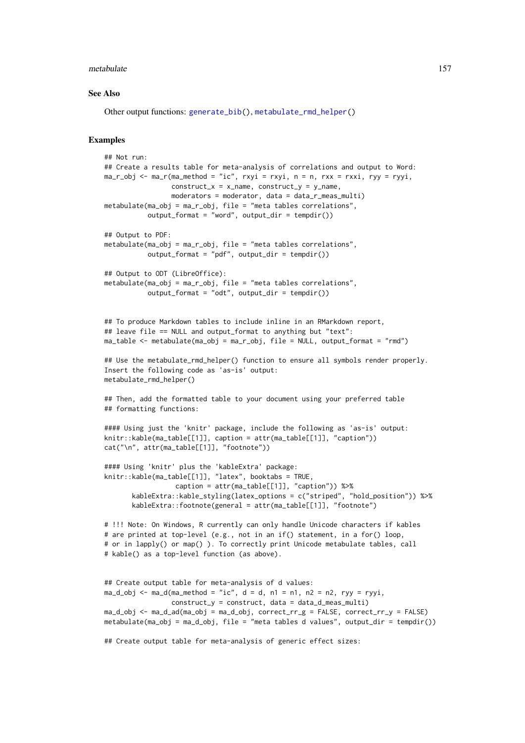#### metabulate 157

#### See Also

Other output functions: [generate\\_bib\(](#page-105-0)), [metabulate\\_rmd\\_helper\(](#page-157-0))

## Examples

```
## Not run:
## Create a results table for meta-analysis of correlations and output to Word:
ma_r_obj <- ma_r(ma_method = "ic", rxyi = rxyi, n = n, rxx = rxxi, ryy = ryyi,
                construct_x = x_name, construct_y = y_name,
                 moderators = moderator, data = data_r_meas_multi)
metabulate(ma_obj = ma_r_obj, file = "meta tables correlations",
           output_format = "word", output_dir = tempdir())
## Output to PDF:
metabulate(ma_obj = ma_r_obj, file = "meta tables correlations",
           output_format = "pdf", output_dir = tempdir())
## Output to ODT (LibreOffice):
metabulate(ma_obj = ma_r_obj, file = "meta tables correlations",
           output_format = "odt", output_dir = tempdir())
## To produce Markdown tables to include inline in an RMarkdown report,
## leave file == NULL and output_format to anything but "text":
ma\_table \leq meta ma_table \leq mhead = ma_r_obj, file = NULL, output_format = "rmd")
## Use the metabulate_rmd_helper() function to ensure all symbols render properly.
Insert the following code as 'as-is' output:
metabulate_rmd_helper()
## Then, add the formatted table to your document using your preferred table
## formatting functions:
#### Using just the 'knitr' package, include the following as 'as-is' output:
knitr::kable(ma_table[[1]], caption = attr(ma_table[[1]], "caption"))
cat("\n", attr(ma_table[[1]], "footnote"))
#### Using 'knitr' plus the 'kableExtra' package:
knitr::kable(ma_table[[1]], "latex", booktabs = TRUE,
                  caption = attr(ma_table[[1]], "caption")) %>%
       kableExtra::kable_styling(latex_options = c("striped", "hold_position")) %>%
       kableExtra::footnote(general = attr(ma_table[[1]], "footnote")
# !!! Note: On Windows, R currently can only handle Unicode characters if kables
# are printed at top-level (e.g., not in an if() statement, in a for() loop,
# or in lapply() or map() ). To correctly print Unicode metabulate tables, call
# kable() as a top-level function (as above).
## Create output table for meta-analysis of d values:
ma_d_b <- ma_d(ma_method = "ic", d = d, n1 = n1, n2 = n2, ryy = ryyi,construct_y = construct, data = data_d_meas_multi)
ma_d_obj <- ma_d_ad(ma_obj = ma_d_obj, correct_rr_g = FALSE, correct_rr_y = FALSE)
metabulate(ma_obj = ma_d_obj, file = "meta tables d values", output_dir = tempdir())## Create output table for meta-analysis of generic effect sizes:
```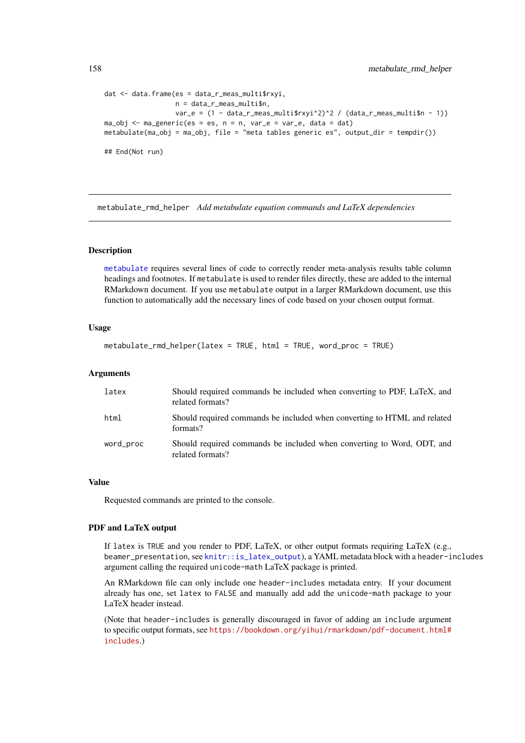```
dat <- data.frame(es = data_r_meas_multi$rxyi,
                  n = data_r_meas_multi$n,
                  var_e = (1 - data_r_meas_multi$rxyi^2)^2 / (data_r_meas_multi$n - 1))
ma_obj \leq ma_generic(es = es, n = n, var_e = var_e, data = dat)metabulate(ma_obj = ma_obj, file = "meta tables generic es", output-dir = tempdir())## End(Not run)
```
<span id="page-157-0"></span>metabulate\_rmd\_helper *Add metabulate equation commands and LaTeX dependencies*

## Description

[metabulate](#page-153-0) requires several lines of code to correctly render meta-analysis results table column headings and footnotes. If metabulate is used to render files directly, these are added to the internal RMarkdown document. If you use metabulate output in a larger RMarkdown document, use this function to automatically add the necessary lines of code based on your chosen output format.

# Usage

```
metabulate_rmd_helper(latex = TRUE, html = TRUE, word_proc = TRUE)
```
## Arguments

| latex     | Should required commands be included when converting to PDF, LaTeX, and<br>related formats? |
|-----------|---------------------------------------------------------------------------------------------|
| html      | Should required commands be included when converting to HTML and related<br>formats?        |
| word_proc | Should required commands be included when converting to Word, ODT, and<br>related formats?  |

# Value

Requested commands are printed to the console.

## PDF and LaTeX output

If latex is TRUE and you render to PDF, LaTeX, or other output formats requiring LaTeX (e.g., beamer\_presentation, see [knitr::is\\_latex\\_output](#page-0-0)), a YAML metadata block with a header-includes argument calling the required unicode-math LaTeX package is printed.

An RMarkdown file can only include one header-includes metadata entry. If your document already has one, set latex to FALSE and manually add add the unicode-math package to your LaTeX header instead.

(Note that header-includes is generally discouraged in favor of adding an include argument to specific output formats, see [https://bookdown.org/yihui/rmarkdown/pdf-document.html#](https://bookdown.org/yihui/rmarkdown/pdf-document.html#includes) [includes](https://bookdown.org/yihui/rmarkdown/pdf-document.html#includes).)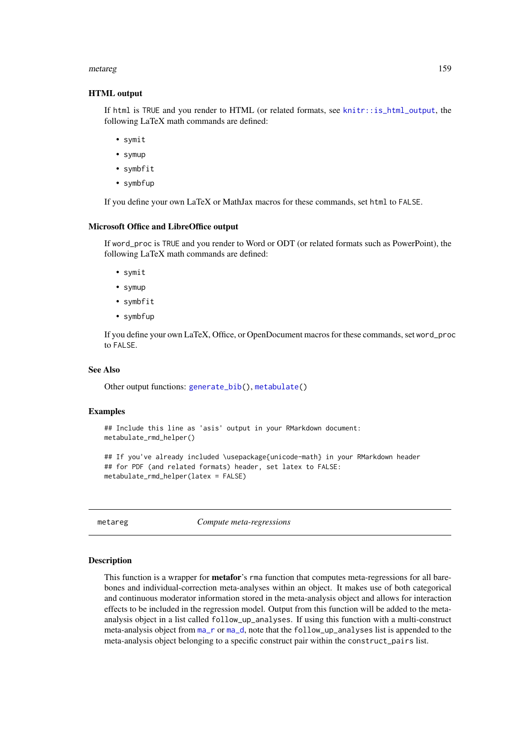#### metareg and the state of the state of the state of the state of the state of the state of the state of the state of the state of the state of the state of the state of the state of the state of the state of the state of th

## HTML output

If html is TRUE and you render to HTML (or related formats, see [knitr::is\\_html\\_output](#page-0-0), the following LaTeX math commands are defined:

- symit
- symup
- symbfit
- symbfup

If you define your own LaTeX or MathJax macros for these commands, set html to FALSE.

## Microsoft Office and LibreOffice output

If word\_proc is TRUE and you render to Word or ODT (or related formats such as PowerPoint), the following LaTeX math commands are defined:

- symit
- symup
- symbfit
- symbfup

If you define your own LaTeX, Office, or OpenDocument macros for these commands, set word\_proc to FALSE.

## See Also

Other output functions: [generate\\_bib\(](#page-105-0)), [metabulate\(](#page-153-0))

## Examples

```
## Include this line as 'asis' output in your RMarkdown document:
metabulate_rmd_helper()
```

```
## If you've already included \usepackage{unicode-math} in your RMarkdown header
## for PDF (and related formats) header, set latex to FALSE:
metabulate_rmd_helper(latex = FALSE)
```
metareg *Compute meta-regressions*

## Description

This function is a wrapper for metafor's rma function that computes meta-regressions for all barebones and individual-correction meta-analyses within an object. It makes use of both categorical and continuous moderator information stored in the meta-analysis object and allows for interaction effects to be included in the regression model. Output from this function will be added to the metaanalysis object in a list called follow\_up\_analyses. If using this function with a multi-construct meta-analysis object from [ma\\_r](#page-134-0) or [ma\\_d](#page-119-0), note that the follow\_up\_analyses list is appended to the meta-analysis object belonging to a specific construct pair within the construct\_pairs list.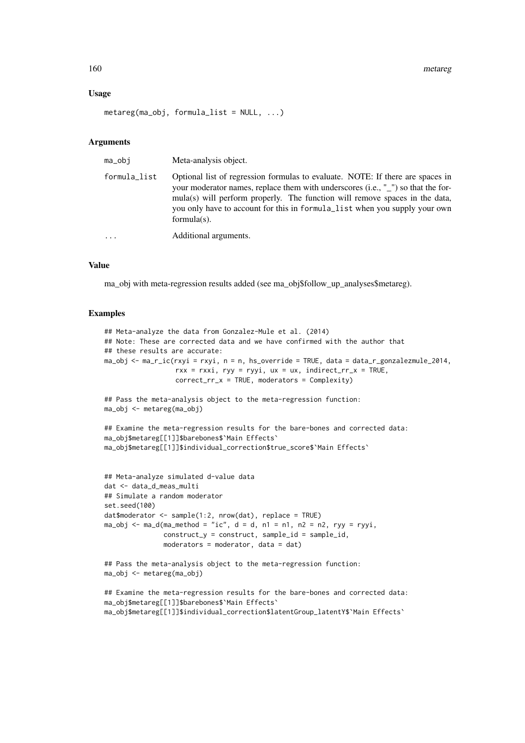### Usage

```
metareg(ma_obj, formula_list = NULL, ...)
```
# Arguments

| ma_obi       | Meta-analysis object.                                                                                                                                                                                                                                                                                                                             |
|--------------|---------------------------------------------------------------------------------------------------------------------------------------------------------------------------------------------------------------------------------------------------------------------------------------------------------------------------------------------------|
| formula_list | Optional list of regression formulas to evaluate. NOTE: If there are spaces in<br>your moderator names, replace them with underscores (i.e., "_") so that the for-<br>mula(s) will perform properly. The function will remove spaces in the data,<br>you only have to account for this in formula_list when you supply your own<br>$formula(s)$ . |
| $\ddots$     | Additional arguments.                                                                                                                                                                                                                                                                                                                             |

# Value

ma\_obj with meta-regression results added (see ma\_obj\$follow\_up\_analyses\$metareg).

# Examples

```
## Meta-analyze the data from Gonzalez-Mule et al. (2014)
## Note: These are corrected data and we have confirmed with the author that
## these results are accurate:
ma_obj \leftarrow ma_r_ic(rxyi = rxyi, n = n, hs_override = TRUE, data = data_r_gonzalezmule_2014,rxx = rxxi, ryy = ryyi, ux = ux, indirect_rrx = TRUE,
                  correct_rr_x = TRUE, moderators = Complexity)
## Pass the meta-analysis object to the meta-regression function:
ma_obj <- metareg(ma_obj)
## Examine the meta-regression results for the bare-bones and corrected data:
ma_obj$metareg[[1]]$barebones$`Main Effects`
ma_obj$metareg[[1]]$individual_correction$true_score$`Main Effects`
## Meta-analyze simulated d-value data
dat <- data_d_meas_multi
## Simulate a random moderator
set.seed(100)
dat$moderator <- sample(1:2, nrow(dat), replace = TRUE)
ma_obj \leq ma_d(ma_method = "ic", d = d, n1 = n1, n2 = n2, ryy = ryyi,construct_y = construct, sample_id = sample_id,moderators = moderator, data = dat)
## Pass the meta-analysis object to the meta-regression function:
ma_obj <- metareg(ma_obj)
## Examine the meta-regression results for the bare-bones and corrected data:
ma_obj$metareg[[1]]$barebones$`Main Effects`
ma_obj$metareg[[1]]$individual_correction$latentGroup_latentY$`Main Effects`
```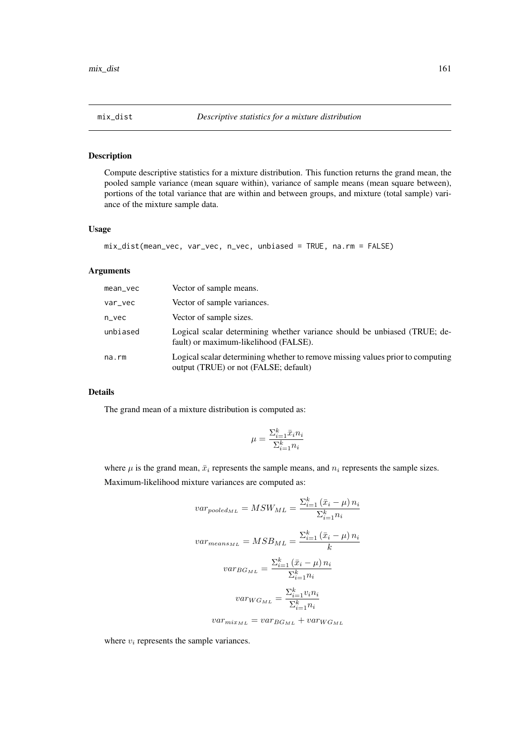#### Description

Compute descriptive statistics for a mixture distribution. This function returns the grand mean, the pooled sample variance (mean square within), variance of sample means (mean square between), portions of the total variance that are within and between groups, and mixture (total sample) variance of the mixture sample data.

# Usage

```
mix_dist(mean_vec, var_vec, n_vec, unbiased = TRUE, na.rm = FALSE)
```
# Arguments

| mean_vec | Vector of sample means.                                                                                                 |
|----------|-------------------------------------------------------------------------------------------------------------------------|
| var_vec  | Vector of sample variances.                                                                                             |
| $n$ vec  | Vector of sample sizes.                                                                                                 |
| unbiased | Logical scalar determining whether variance should be unbiased (TRUE; de-<br>fault) or maximum-likelihood (FALSE).      |
| na.rm    | Logical scalar determining whether to remove missing values prior to computing<br>output (TRUE) or not (FALSE; default) |

# Details

The grand mean of a mixture distribution is computed as:

$$
\mu = \frac{\sum_{i=1}^{k} \bar{x}_i n_i}{\sum_{i=1}^{k} n_i}
$$

where  $\mu$  is the grand mean,  $\bar{x}_i$  represents the sample means, and  $n_i$  represents the sample sizes. Maximum-likelihood mixture variances are computed as:

$$
var_{pooled_{ML}} = MSW_{ML} = \frac{\sum_{i=1}^{k} (\bar{x}_i - \mu) n_i}{\sum_{i=1}^{k} n_i}
$$

$$
var_{means_{ML}} = MSB_{ML} = \frac{\sum_{i=1}^{k} (\bar{x}_i - \mu) n_i}{k}
$$

$$
var_{BG_{ML}} = \frac{\sum_{i=1}^{k} (\bar{x}_i - \mu) n_i}{\sum_{i=1}^{k} n_i}
$$

$$
var_{WG_{ML}} = \frac{\sum_{i=1}^{k} v_i n_i}{\sum_{i=1}^{k} n_i}
$$

$$
var_{mix_{ML}} = var_{BG_{ML}} + var_{WG_{ML}}
$$

where  $v_i$  represents the sample variances.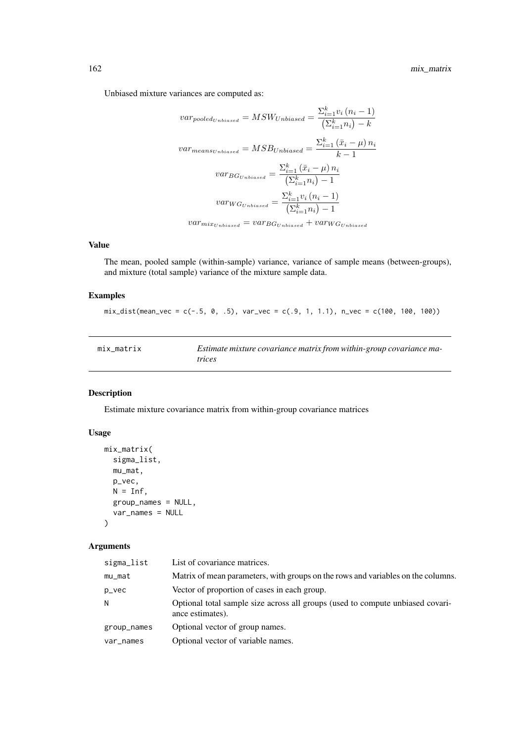Unbiased mixture variances are computed as:

$$
var_{pooled_{Unbiased}} = MSW_{Unbiased} = \frac{\sum_{i=1}^{k} v_i (n_i - 1)}{\left(\sum_{i=1}^{k} n_i\right) - k}
$$

$$
var_{means_{Unbiased}} = MSB_{Unbiased} = \frac{\sum_{i=1}^{k} \left(\bar{x}_i - \mu\right) n_i}{k - 1}
$$

$$
var_{BG_{Unbiased}} = \frac{\sum_{i=1}^{k} \left(\bar{x}_i - \mu\right) n_i}{\left(\sum_{i=1}^{k} n_i\right) - 1}
$$

$$
var_{WG_{Unbiased}} = \frac{\sum_{i=1}^{k} v_i (n_i - 1)}{\left(\sum_{i=1}^{k} n_i\right) - 1}
$$

 $var_{mix_{Unbiased}} = var_{BG_{Unbiased}} + var_{WG_{Unbiased}}$ 

## Value

The mean, pooled sample (within-sample) variance, variance of sample means (between-groups), and mixture (total sample) variance of the mixture sample data.

# Examples

mix\_dist(mean\_vec = c(-.5, 0, .5), var\_vec = c(.9, 1, 1.1), n\_vec = c(100, 100, 100))

| mix matrix | Estimate mixture covariance matrix from within-group covariance ma- |
|------------|---------------------------------------------------------------------|
|            | <i>trices</i>                                                       |

# Description

Estimate mixture covariance matrix from within-group covariance matrices

# Usage

```
mix_matrix(
  sigma_list,
  mu_mat,
  p_vec,
  N = Inf,
  group_names = NULL,
  var_names = NULL
)
```
# Arguments

| sigma_list  | List of covariance matrices.                                                                       |
|-------------|----------------------------------------------------------------------------------------------------|
| mu_mat      | Matrix of mean parameters, with groups on the rows and variables on the columns.                   |
| p_vec       | Vector of proportion of cases in each group.                                                       |
| N           | Optional total sample size across all groups (used to compute unbiased covari-<br>ance estimates). |
| group_names | Optional vector of group names.                                                                    |
| var_names   | Optional vector of variable names.                                                                 |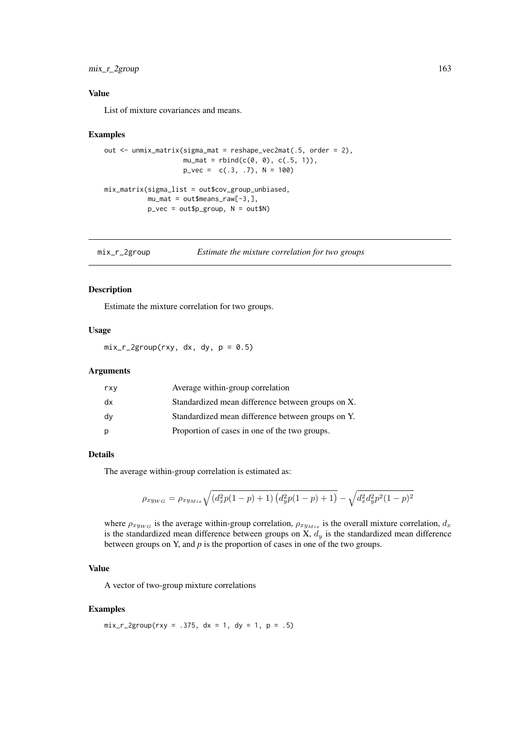## mix\_r\_2group 163

## Value

List of mixture covariances and means.

## Examples

```
out \leq unmix_matrix(sigma_mat = reshape_vec2mat(.5, order = 2),
                     mu_mat = rbind(c(0, 0), c(.5, 1)),
                     p_{\text{v}}vec = c(.3, .7), N = 100)
mix_matrix(sigma_list = out$cov_group_unbiased,
           mu_mat = out$means_raw[-3,],
           p_vec = out$p_group, N = out$N)
```
mix\_r\_2group *Estimate the mixture correlation for two groups*

## Description

Estimate the mixture correlation for two groups.

# Usage

 $mix_r_2group(rxy, dx, dy, p = 0.5)$ 

# Arguments

| rxy | Average within-group correlation                  |
|-----|---------------------------------------------------|
| dx  | Standardized mean difference between groups on X. |
| dv  | Standardized mean difference between groups on Y. |
| р   | Proportion of cases in one of the two groups.     |

## Details

The average within-group correlation is estimated as:

$$
\rho_{xy_{WG}} = \rho_{xy_{Mix}} \sqrt{(d_x^2 p(1-p) + 1) (d_y^2 p(1-p) + 1)} - \sqrt{d_x^2 d_y^2 p^2 (1-p)^2}
$$

where  $\rho_{xy_{WG}}$  is the average within-group correlation,  $\rho_{xy_{Mix}}$  is the overall mixture correlation,  $d_x$ is the standardized mean difference between groups on X,  $d_y$  is the standardized mean difference between groups on Y, and *p* is the proportion of cases in one of the two groups.

## Value

A vector of two-group mixture correlations

#### Examples

 $mix_r_2group(rxy = .375, dx = 1, dy = 1, p = .5)$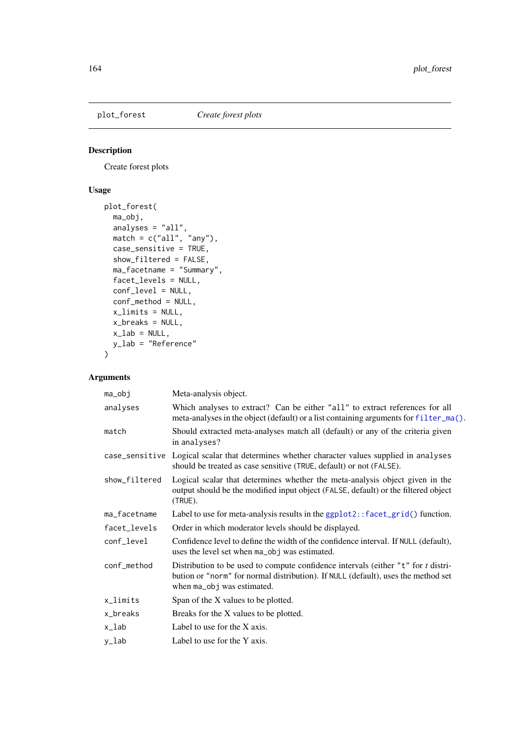# Description

Create forest plots

# Usage

```
plot_forest(
  ma_obj,
  analyses = "all",match = c("all", "any"),case_sensitive = TRUE,
  show_filtered = FALSE,
  ma_facetname = "Summary",
  facet_levels = NULL,
  conf_level = NULL,
  conf_method = NULL,
  x_limits = NULL,
  x_breaks = NULL,
  x<sub>-</sub>lab = NULL,
  y_lab = "Reference"
)
```
# Arguments

| ma_obj        | Meta-analysis object.                                                                                                                                                                                      |
|---------------|------------------------------------------------------------------------------------------------------------------------------------------------------------------------------------------------------------|
| analyses      | Which analyses to extract? Can be either "all" to extract references for all<br>meta-analyses in the object (default) or a list containing arguments for filter_ma().                                      |
| match         | Should extracted meta-analyses match all (default) or any of the criteria given<br>in analyses?                                                                                                            |
|               | case_sensitive Logical scalar that determines whether character values supplied in analyses<br>should be treated as case sensitive (TRUE, default) or not (FALSE).                                         |
| show_filtered | Logical scalar that determines whether the meta-analysis object given in the<br>output should be the modified input object (FALSE, default) or the filtered object<br>(TRUE).                              |
| ma_facetname  | Label to use for meta-analysis results in the ggplot2:: facet_grid() function.                                                                                                                             |
| facet_levels  | Order in which moderator levels should be displayed.                                                                                                                                                       |
| conf_level    | Confidence level to define the width of the confidence interval. If NULL (default),<br>uses the level set when ma_obj was estimated.                                                                       |
| conf_method   | Distribution to be used to compute confidence intervals (either " $t$ " for $t$ distri-<br>bution or "norm" for normal distribution). If NULL (default), uses the method set<br>when ma_obj was estimated. |
| x_limits      | Span of the X values to be plotted.                                                                                                                                                                        |
| x_breaks      | Breaks for the X values to be plotted.                                                                                                                                                                     |
| x_lab         | Label to use for the X axis.                                                                                                                                                                               |
| y_lab         | Label to use for the Y axis.                                                                                                                                                                               |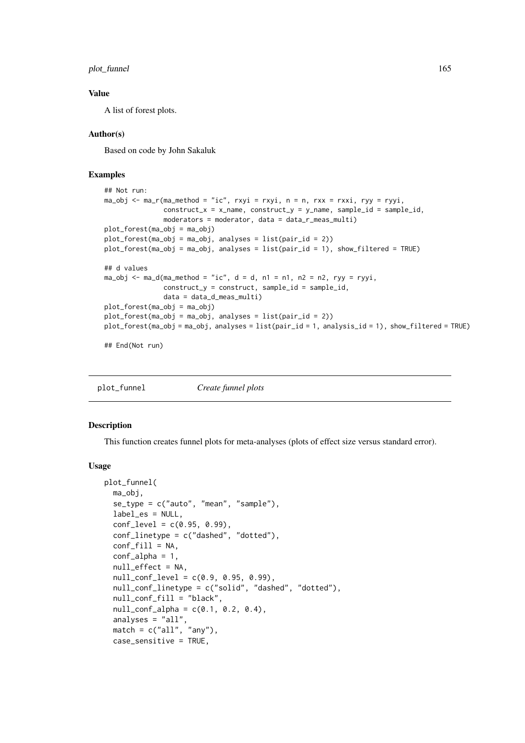## plot\_funnel 165

## Value

A list of forest plots.

## Author(s)

Based on code by John Sakaluk

## Examples

```
## Not run:
ma_obj \leq ma_r(ma_method = "ic", rxyi = rxyi, n = n, rxx = rxxi, ryy = ryyi,construct_x = x_name, construct_y = y_name, sample_id = sample_id,moderators = moderator, data = data_r_meas_multi)
plot_forest(ma_obj = ma_obj)
plot_forest(ma_obj = ma_obj, analyses = list(pair_id = 2))
plot_forest(ma_obj = ma_obj, analyses = list(pair_id = 1), show_filtered = TRUE)
## d values
ma_obj \leq ma_d(ma_method = "ic", d = d, n1 = n1, n2 = n2, ryy = ryyi,construct_y = construct, sample_id = sample_id,data = data_d_meas_multi)
plot_forest(ma_obj = ma_obj)
plot_forest(ma_obj = ma_obj, analyses = list(pair_id = 2))
plot_forest(ma_obj = ma_obj, analyses = list(pair_id = 1, analysis_id = 1), show_filtered = TRUE)
## End(Not run)
```
plot\_funnel *Create funnel plots*

Description

This function creates funnel plots for meta-analyses (plots of effect size versus standard error).

#### Usage

```
plot_funnel(
  ma_obj,
  se_type = c("auto", "mean", "sample"),
  label_es = NULL,
  conf\_level = c(0.95, 0.99),
  conf_linetype = c("dashed", "dotted"),
  conf\_fill = NA,
  conf_alpha = 1,
  null_effect = NA,
  null_{conf_{\text{level}}} = c(0.9, 0.95, 0.99),
  null_conf_linetype = c("solid", "dashed", "dotted"),
  null_conf_fill = "black",
  null_{conf_{all}}pha = c(0.1, 0.2, 0.4),
  analyses = "all",
  match = c("all", "any"),
  case_sensitive = TRUE,
```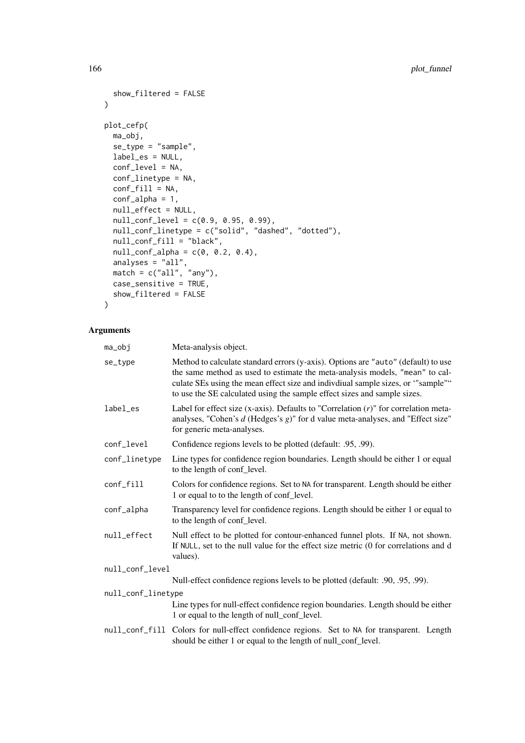```
show_filtered = FALSE
)
plot_cefp(
  ma_obj,
  se_type = "sample",
  label_es = NULL,
  conf_level = NA,
  conf_linetype = NA,
  conf\_fill = NA,conf_alpha = 1,
  null_effect = NULL,
  null\_conf\_level = c(0.9, 0.95, 0.99),
  null_conf_linetype = c("solid", "dashed", "dotted"),
  null_conf_fill = "black",
  null_{conf_{all}} = c(0, 0.2, 0.4),
  analyses = "all",
  match = c("all", "any"),case_sensitive = TRUE,
  show_filtered = FALSE
```

```
\lambda
```
# Arguments

| ma_obj             | Meta-analysis object.                                                                                                                                                                                                                                                                                                            |  |
|--------------------|----------------------------------------------------------------------------------------------------------------------------------------------------------------------------------------------------------------------------------------------------------------------------------------------------------------------------------|--|
| se_type            | Method to calculate standard errors (y-axis). Options are "auto" (default) to use<br>the same method as used to estimate the meta-analysis models, "mean" to cal-<br>culate SEs using the mean effect size and indivdiual sample sizes, or "sample""<br>to use the SE calculated using the sample effect sizes and sample sizes. |  |
| label_es           | Label for effect size (x-axis). Defaults to "Correlation $(r)$ " for correlation meta-<br>analyses, "Cohen's $d$ (Hedges's $g$ )" for d value meta-analyses, and "Effect size"<br>for generic meta-analyses.                                                                                                                     |  |
| conf_level         | Confidence regions levels to be plotted (default: .95, .99).                                                                                                                                                                                                                                                                     |  |
| conf_linetype      | Line types for confidence region boundaries. Length should be either 1 or equal<br>to the length of conf_level.                                                                                                                                                                                                                  |  |
| conf_fill          | Colors for confidence regions. Set to NA for transparent. Length should be either<br>1 or equal to to the length of conf_level.                                                                                                                                                                                                  |  |
| conf_alpha         | Transparency level for confidence regions. Length should be either 1 or equal to<br>to the length of conf_level.                                                                                                                                                                                                                 |  |
| null_effect        | Null effect to be plotted for contour-enhanced funnel plots. If NA, not shown.<br>If NULL, set to the null value for the effect size metric (0 for correlations and d<br>values).                                                                                                                                                |  |
| null_conf_level    |                                                                                                                                                                                                                                                                                                                                  |  |
|                    | Null-effect confidence regions levels to be plotted (default: .90, .95, .99).                                                                                                                                                                                                                                                    |  |
| null_conf_linetype |                                                                                                                                                                                                                                                                                                                                  |  |
|                    | Line types for null-effect confidence region boundaries. Length should be either<br>1 or equal to the length of null_conf_level.                                                                                                                                                                                                 |  |
|                    | null_conf_fill Colors for null-effect confidence regions. Set to NA for transparent. Length<br>should be either 1 or equal to the length of null_conf_level.                                                                                                                                                                     |  |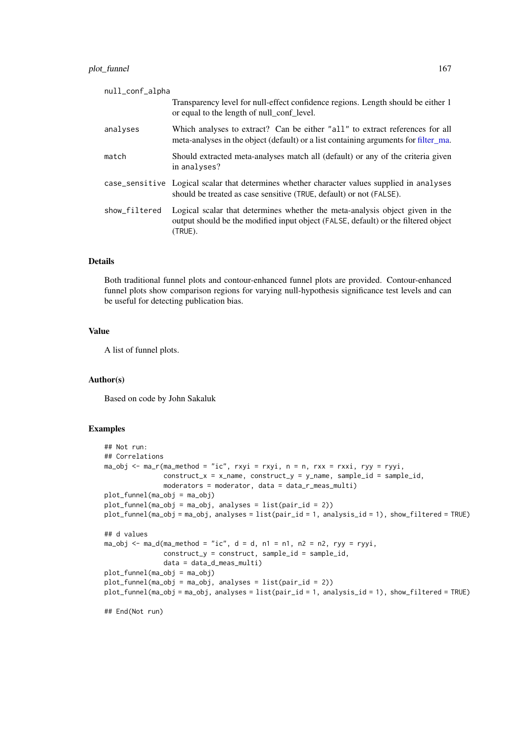| null_conf_alpha |                                                                                                                                                                               |
|-----------------|-------------------------------------------------------------------------------------------------------------------------------------------------------------------------------|
|                 | Transparency level for null-effect confidence regions. Length should be either 1<br>or equal to the length of null conf level.                                                |
| analyses        | Which analyses to extract? Can be either "all" to extract references for all<br>meta-analyses in the object (default) or a list containing arguments for filter_ma.           |
| match           | Should extracted meta-analyses match all (default) or any of the criteria given<br>in analyses?                                                                               |
|                 | case_sensitive Logical scalar that determines whether character values supplied in analyses<br>should be treated as case sensitive (TRUE, default) or not (FALSE).            |
| show_filtered   | Logical scalar that determines whether the meta-analysis object given in the<br>output should be the modified input object (FALSE, default) or the filtered object<br>(TRUE). |

# Details

Both traditional funnel plots and contour-enhanced funnel plots are provided. Contour-enhanced funnel plots show comparison regions for varying null-hypothesis significance test levels and can be useful for detecting publication bias.

## Value

A list of funnel plots.

# Author(s)

Based on code by John Sakaluk

# Examples

```
## Not run:
## Correlations
ma_obj <- ma_r(ma_method = "ic", rxyi = rxyi, n = n, rxx = rxxi, ryy = ryyi,
               construct_x = x_name, construct_y = y_name, sample_id = sample_id,
               moderators = moderator, data = data_r_meas_multi)
plot_funnel(ma_obj = ma_obj)
plot_funnel(ma_obj = ma_obj, analyses = list(pair_id = 2))
plot_funnel(ma_obj = ma_obj, analyses = list(pair_id = 1, analysis_id = 1), show_filtered = TRUE)
## d values
ma_obj \leq ma_d(ma_method = "ic", d = d, n1 = n1, n2 = n2, ryy = ryyi,construct_y = construct, sample_id = sample_id,
               data = data_d_meas_multi)
plot_funnel(ma_obj = ma_obj)
plot_funnel(ma_obj = ma_obj, analyses = list(pair_id = 2))
plot_funnel(ma_obj = ma_obj, analyses = list(pair_id = 1, analysis_id = 1), show_filtered = TRUE)
## End(Not run)
```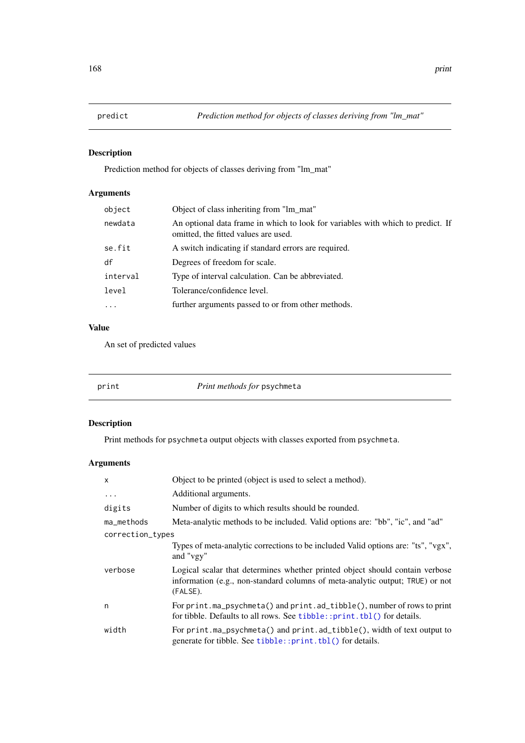# Description

Prediction method for objects of classes deriving from "lm\_mat"

# Arguments

| object                  | Object of class inheriting from "lm_mat"                                                                                |
|-------------------------|-------------------------------------------------------------------------------------------------------------------------|
| newdata                 | An optional data frame in which to look for variables with which to predict. If<br>omitted, the fitted values are used. |
| se.fit                  | A switch indicating if standard errors are required.                                                                    |
| df                      | Degrees of freedom for scale.                                                                                           |
| interval                | Type of interval calculation. Can be abbreviated.                                                                       |
| level                   | Tolerance/confidence level.                                                                                             |
| $\cdot$ $\cdot$ $\cdot$ | further arguments passed to or from other methods.                                                                      |

# Value

An set of predicted values

print *Print methods for* psychmeta

# Description

Print methods for psychmeta output objects with classes exported from psychmeta.

# Arguments

| $\mathsf{x}$     | Object to be printed (object is used to select a method).                                                                                                                 |
|------------------|---------------------------------------------------------------------------------------------------------------------------------------------------------------------------|
| $\cdots$         | Additional arguments.                                                                                                                                                     |
| digits           | Number of digits to which results should be rounded.                                                                                                                      |
| ma_methods       | Meta-analytic methods to be included. Valid options are: "bb", "ic", and "ad"                                                                                             |
| correction_types |                                                                                                                                                                           |
|                  | Types of meta-analytic corrections to be included Valid options are: "ts", "vgx",<br>and "vgy"                                                                            |
| verbose          | Logical scalar that determines whether printed object should contain verbose<br>information (e.g., non-standard columns of meta-analytic output; TRUE) or not<br>(FALSE). |
| n                | For print.ma_psychmeta() and print.ad_tibble(), number of rows to print<br>for tibble. Defaults to all rows. See tibble:: print. tbl() for details.                       |
| width            | For print.ma_psychmeta() and print.ad_tibble(), width of text output to<br>generate for tibble. See tibble::print.tbl() for details.                                      |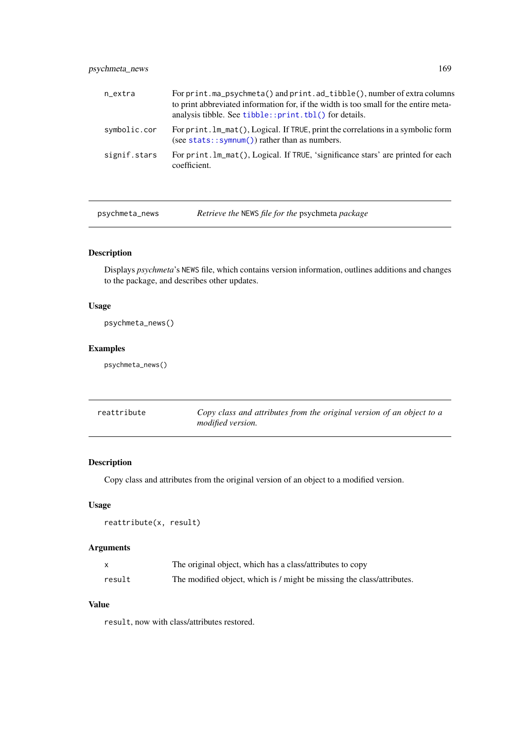# psychmeta\_news 169

| n_extra      | For print.ma_psychmeta() and print.ad_tibble(), number of extra columns<br>to print abbreviated information for, if the width is too small for the entire meta-<br>analysis tibble. See tibble:: print. tbl() for details. |
|--------------|----------------------------------------------------------------------------------------------------------------------------------------------------------------------------------------------------------------------------|
| symbolic.cor | For print. lm_mat(), Logical. If TRUE, print the correlations in a symbolic form<br>(see stats:: symnum()) rather than as numbers.                                                                                         |
| signif.stars | For print. lm_mat(), Logical. If TRUE, 'significance stars' are printed for each<br>coefficient.                                                                                                                           |

psychmeta\_news *Retrieve the* NEWS *file for the* psychmeta *package*

# Description

Displays *psychmeta*'s NEWS file, which contains version information, outlines additions and changes to the package, and describes other updates.

# Usage

```
psychmeta_news()
```
# Examples

psychmeta\_news()

| reattribute | Copy class and attributes from the original version of an object to a |
|-------------|-----------------------------------------------------------------------|
|             | <i>modified version.</i>                                              |

# Description

Copy class and attributes from the original version of an object to a modified version.

# Usage

```
reattribute(x, result)
```
# Arguments

|        | The original object, which has a class/attributes to copy              |
|--------|------------------------------------------------------------------------|
| result | The modified object, which is / might be missing the class/attributes. |

# Value

result, now with class/attributes restored.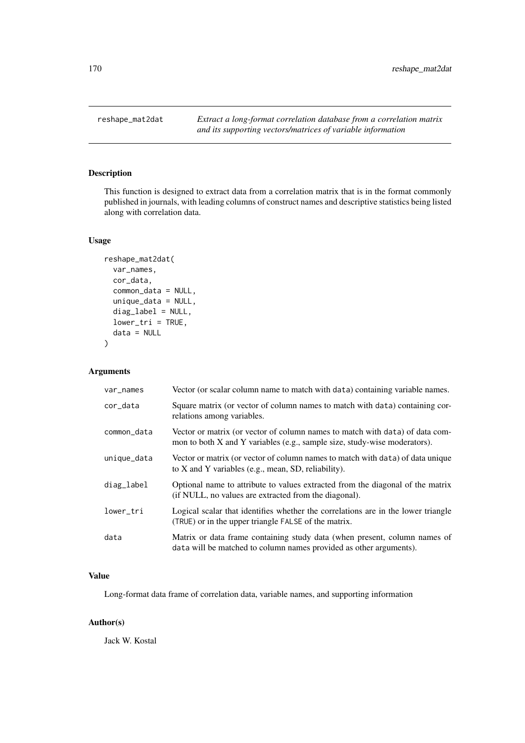# Description

This function is designed to extract data from a correlation matrix that is in the format commonly published in journals, with leading columns of construct names and descriptive statistics being listed along with correlation data.

# Usage

```
reshape_mat2dat(
  var_names,
  cor_data,
  common_data = NULL,
  unique_data = NULL,
  diag_label = NULL,
  lower_tri = TRUE,
  data = NULL
)
```
# Arguments

| var_names   | Vector (or scalar column name to match with data) containing variable names.                                                                              |
|-------------|-----------------------------------------------------------------------------------------------------------------------------------------------------------|
| cor_data    | Square matrix (or vector of column names to match with data) containing cor-<br>relations among variables.                                                |
| common_data | Vector or matrix (or vector of column names to match with data) of data com-<br>mon to both X and Y variables (e.g., sample size, study-wise moderators). |
| unique_data | Vector or matrix (or vector of column names to match with data) of data unique<br>to X and Y variables (e.g., mean, SD, reliability).                     |
| diag_label  | Optional name to attribute to values extracted from the diagonal of the matrix<br>(if NULL, no values are extracted from the diagonal).                   |
| lower_tri   | Logical scalar that identifies whether the correlations are in the lower triangle<br>(TRUE) or in the upper triangle FALSE of the matrix.                 |
| data        | Matrix or data frame containing study data (when present, column names of<br>data will be matched to column names provided as other arguments).           |

# Value

Long-format data frame of correlation data, variable names, and supporting information

# Author(s)

Jack W. Kostal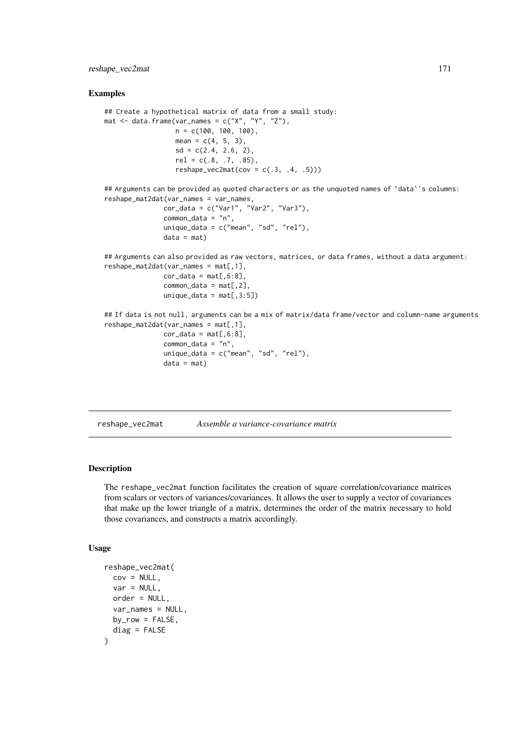## reshape\_vec2mat 171

## Examples

```
## Create a hypothetical matrix of data from a small study:
mat \leq data.frame(var_names = c("X", "Y", "Z"),
                  n = c(100, 100, 100),
                  mean = c(4, 5, 3),
                  sd = c(2.4, 2.6, 2),rel = c(.8, .7, .85),reshape_vec2mat(cov = c(.3, .4, .5)))
```
## Arguments can be provided as quoted characters or as the unquoted names of `data`'s columns: reshape\_mat2dat(var\_names = var\_names,

```
cor_data = c("Var1", "Var2", "Var3"),
common_data = "n",
unique_data = c("mean", "sd", "rel"),
data = mat)
```
## Arguments can also provided as raw vectors, matrices, or data frames, without a data argument: reshape\_mat2dat(var\_names = mat[,1],

```
cor\_data = mat[, 6:8],common_data = mat[, 2],unique_data = mat[, 3:5])
```
## If data is not null, arguments can be a mix of matrix/data frame/vector and column-name arguments  $reshape_matrix2dat(var_names = mat[, 1],$  $cor\_data = mat[, 6:8],$ common\_data = "n", unique\_data =  $c("mean", "sd", "rel")$ ,

```
reshape_vec2mat Assemble a variance-covariance matrix
```
 $data = mat)$ 

# Description

The reshape\_vec2mat function facilitates the creation of square correlation/covariance matrices from scalars or vectors of variances/covariances. It allows the user to supply a vector of covariances that make up the lower triangle of a matrix, determines the order of the matrix necessary to hold those covariances, and constructs a matrix accordingly.

# Usage

```
reshape_vec2mat(
 cov = NULL.
 var = NULL,
 order = NULL,
 var_names = NULL,
 by_{row} = FALSE,diag = FALSE
)
```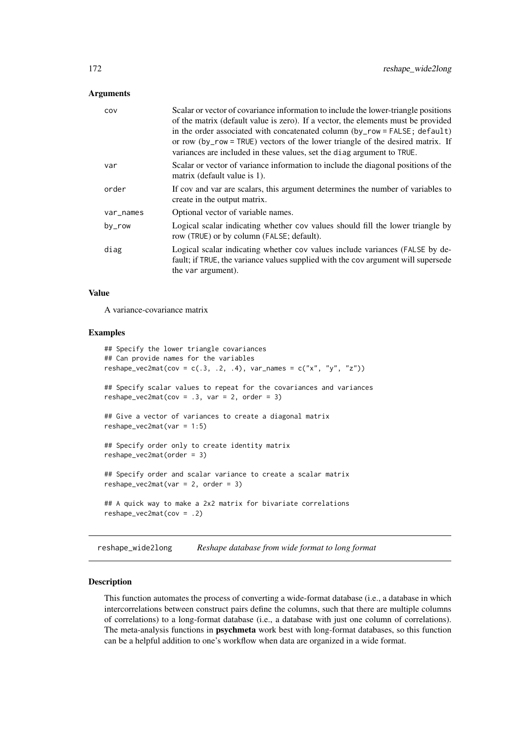## Arguments

| Scalar or vector of covariance information to include the lower-triangle positions<br>of the matrix (default value is zero). If a vector, the elements must be provided<br>in the order associated with concatenated column (by_row = FALSE; default)<br>or row (by_row = TRUE) vectors of the lower triangle of the desired matrix. If<br>variances are included in these values, set the diag argument to TRUE. |
|-------------------------------------------------------------------------------------------------------------------------------------------------------------------------------------------------------------------------------------------------------------------------------------------------------------------------------------------------------------------------------------------------------------------|
| Scalar or vector of variance information to include the diagonal positions of the<br>matrix (default value is 1).                                                                                                                                                                                                                                                                                                 |
| If cov and var are scalars, this argument determines the number of variables to<br>create in the output matrix.                                                                                                                                                                                                                                                                                                   |
| Optional vector of variable names.                                                                                                                                                                                                                                                                                                                                                                                |
| Logical scalar indicating whether cov values should fill the lower triangle by<br>row (TRUE) or by column (FALSE; default).                                                                                                                                                                                                                                                                                       |
| Logical scalar indicating whether cov values include variances (FALSE by de-<br>fault; if TRUE, the variance values supplied with the cov argument will supersede<br>the var argument).                                                                                                                                                                                                                           |
|                                                                                                                                                                                                                                                                                                                                                                                                                   |

## Value

A variance-covariance matrix

# Examples

```
## Specify the lower triangle covariances
## Can provide names for the variables
reshape\_vec2mat(cov = c(.3, .2, .4), var\_names = c("x", "y", "z"))## Specify scalar values to repeat for the covariances and variances
reshape\_vec2mat(cov = .3, var = 2, order = 3)## Give a vector of variances to create a diagonal matrix
reshape_vec2mat(var = 1:5)
## Specify order only to create identity matrix
reshape_vec2mat(order = 3)
## Specify order and scalar variance to create a scalar matrix
reshape\_vec2mat(var = 2, order = 3)## A quick way to make a 2x2 matrix for bivariate correlations
reshape_vec2mat(cov = .2)
```
reshape\_wide2long *Reshape database from wide format to long format*

## Description

This function automates the process of converting a wide-format database (i.e., a database in which intercorrelations between construct pairs define the columns, such that there are multiple columns of correlations) to a long-format database (i.e., a database with just one column of correlations). The meta-analysis functions in psychmeta work best with long-format databases, so this function can be a helpful addition to one's workflow when data are organized in a wide format.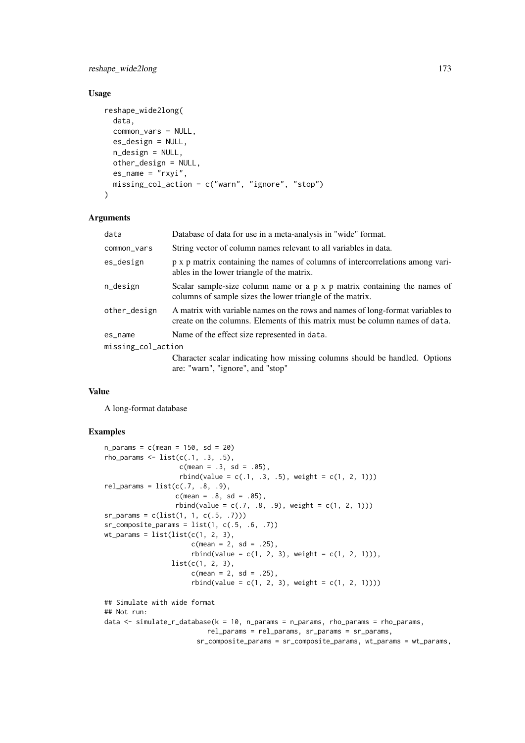## reshape\_wide2long 173

# Usage

```
reshape_wide2long(
  data,
  common_vars = NULL,
  es_design = NULL,
  n_design = NULL,
  other_design = NULL,
  es_name = "rxyi",missing_col_action = c("warn", "ignore", "stop")
)
```
## Arguments

| data               | Database of data for use in a meta-analysis in "wide" format.                                                                                                  |  |
|--------------------|----------------------------------------------------------------------------------------------------------------------------------------------------------------|--|
| common_vars        | String vector of column names relevant to all variables in data.                                                                                               |  |
| es_design          | p x p matrix containing the names of columns of intercorrelations among vari-<br>ables in the lower triangle of the matrix.                                    |  |
| n_design           | Scalar sample-size column name or a p x p matrix containing the names of<br>columns of sample sizes the lower triangle of the matrix.                          |  |
| other_design       | A matrix with variable names on the rows and names of long-format variables to<br>create on the columns. Elements of this matrix must be column names of data. |  |
| es_name            | Name of the effect size represented in data.                                                                                                                   |  |
| missing_col_action |                                                                                                                                                                |  |
|                    | Character scalar indicating how missing columns should be handled. Options                                                                                     |  |
|                    | are: "warn", "ignore", and "stop"                                                                                                                              |  |

# Value

A long-format database

# Examples

```
n_{\text{params}} = c(\text{mean} = 150, \text{ sd} = 20)rho_{params} \leftarrow list(c(.1, .3, .5),c(mean = .3, sd = .05),
                   rbind(value = c(.1, .3, .5), weight = c(1, 2, 1)))rel\_params = list(c(.7, .8, .9),c(mean = .8, sd = .05),
                  rbind(value = c(.7, .8, .9), weight = c(1, 2, 1)))sr_params = c(list(1, 1, c(.5, .7)))sr\_composite\_params = list(1, c(.5, .6, .7))wt_params = list(list(c(1, 2, 3),c(mean = 2, sd = .25),
                       rbind(value = c(1, 2, 3), weight = c(1, 2, 1))),list(c(1, 2, 3),
                       c(mean = 2, sd = .25),
                       rbind(value = c(1, 2, 3), weight = c(1, 2, 1))))## Simulate with wide format
## Not run:
data \le simulate_r_database(k = 10, n_params = n_params, rho_params = rho_params,
                          rel_params = rel_params, sr_params = sr_params,
                        sr_composite_params = sr_composite_params, wt_params = wt_params,
```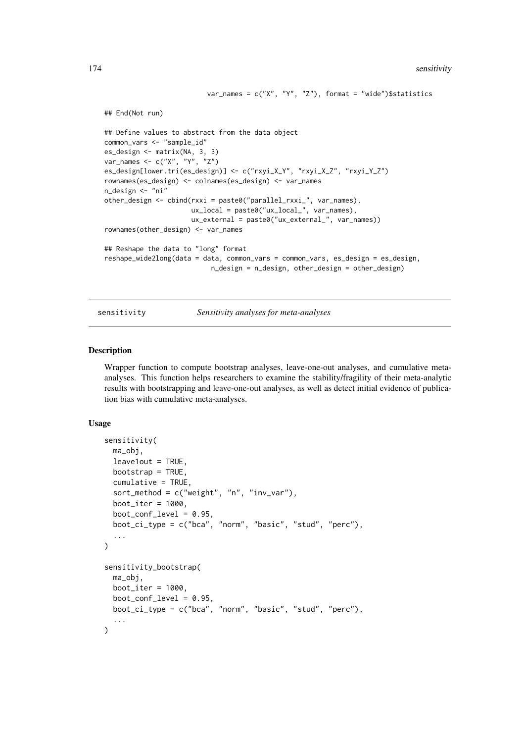```
var_names = c("X", "Y", "Z"), format = "wide")$statistics
## End(Not run)
## Define values to abstract from the data object
common_vars <- "sample_id"
es_design <- matrix(NA, 3, 3)
var_names <- c("X", "Y", "Z")
es_design[lower.tri(es_design)] <- c("rxyi_X_Y", "rxyi_X_Z", "rxyi_Y_Z")
rownames(es_design) <- colnames(es_design) <- var_names
n_design <- "ni"
other_design <- cbind(rxxi = paste0("parallel_rxxi_", var_names),
                      ux_local = paste0("ux_local_", var_names),
                      ux_external = paste0("ux_external_", var_names))
rownames(other_design) <- var_names
## Reshape the data to "long" format
reshape_wide2long(data = data, common_vars = common_vars, es_design = es_design,
                           n_design = n_design, other_design = other_design)
```
sensitivity *Sensitivity analyses for meta-analyses*

#### Description

Wrapper function to compute bootstrap analyses, leave-one-out analyses, and cumulative metaanalyses. This function helps researchers to examine the stability/fragility of their meta-analytic results with bootstrapping and leave-one-out analyses, as well as detect initial evidence of publication bias with cumulative meta-analyses.

## Usage

```
sensitivity(
  ma_obj,
  leave1out = TRUE,
  bootstrap = TRUE,
  cumulative = TRUE,
  sort_method = c("weight", "n", "inv_var"),
  boot<sub>-iter</sub> = 1000,
  boot\_conf\_level = 0.95,
  boot_ci_type = c("bca", "norm", "basic", "stud", "perc"),
  ...
)
sensitivity_bootstrap(
  ma_obj,
  boot<sub>-iter</sub> = 1000,
  boot_conf_level = 0.95,
  boot_ci_type = c("bca", "norm", "basic", "stud", "perc"),
  ...
)
```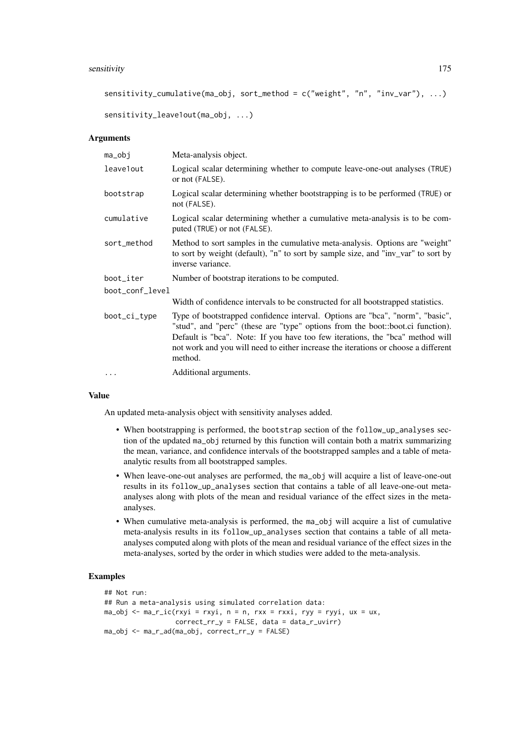#### sensitivity that the contract of the contract of the contract of the contract of the contract of the contract of the contract of the contract of the contract of the contract of the contract of the contract of the contract

```
sensitivity_cumulative(ma_obj, sort_method = c("weight", "n", "inv_var"), ...)
```

```
sensitivity_leave1out(ma_obj, ...)
```
## Arguments

| ma_obj          | Meta-analysis object.                                                                                                                                                                                                                                                                                                                             |
|-----------------|---------------------------------------------------------------------------------------------------------------------------------------------------------------------------------------------------------------------------------------------------------------------------------------------------------------------------------------------------|
| leave1out       | Logical scalar determining whether to compute leave-one-out analyses (TRUE)<br>or not (FALSE).                                                                                                                                                                                                                                                    |
| bootstrap       | Logical scalar determining whether bootstrapping is to be performed (TRUE) or<br>not (FALSE).                                                                                                                                                                                                                                                     |
| cumulative      | Logical scalar determining whether a cumulative meta-analysis is to be com-<br>puted (TRUE) or not (FALSE).                                                                                                                                                                                                                                       |
| sort_method     | Method to sort samples in the cumulative meta-analysis. Options are "weight"<br>to sort by weight (default), "n" to sort by sample size, and "inv_var" to sort by<br>inverse variance.                                                                                                                                                            |
| boot_iter       | Number of bootstrap iterations to be computed.                                                                                                                                                                                                                                                                                                    |
| boot_conf_level |                                                                                                                                                                                                                                                                                                                                                   |
|                 | Width of confidence intervals to be constructed for all bootstrapped statistics.                                                                                                                                                                                                                                                                  |
| boot_ci_type    | Type of bootstrapped confidence interval. Options are "bca", "norm", "basic",<br>"stud", and "perc" (these are "type" options from the boot::boot.ci function).<br>Default is "bca". Note: If you have too few iterations, the "bca" method will<br>not work and you will need to either increase the iterations or choose a different<br>method. |
| $\cdots$        | Additional arguments.                                                                                                                                                                                                                                                                                                                             |

#### Value

An updated meta-analysis object with sensitivity analyses added.

- When bootstrapping is performed, the bootstrap section of the follow\_up\_analyses section of the updated ma\_obj returned by this function will contain both a matrix summarizing the mean, variance, and confidence intervals of the bootstrapped samples and a table of metaanalytic results from all bootstrapped samples.
- When leave-one-out analyses are performed, the ma\_obj will acquire a list of leave-one-out results in its follow\_up\_analyses section that contains a table of all leave-one-out metaanalyses along with plots of the mean and residual variance of the effect sizes in the metaanalyses.
- When cumulative meta-analysis is performed, the ma\_obj will acquire a list of cumulative meta-analysis results in its follow\_up\_analyses section that contains a table of all metaanalyses computed along with plots of the mean and residual variance of the effect sizes in the meta-analyses, sorted by the order in which studies were added to the meta-analysis.

## Examples

```
## Not run:
## Run a meta-analysis using simulated correlation data:
ma_obj \leftarrow ma_r_ic(rxyi = rxyi, n = n, rxx = rxxi, ryy = ryyi, ux = ux,correct\_rr_y = FALSE, data = data_r\_uvirma_obj <- ma_r_ad(ma_obj, correct_rr_y = FALSE)
```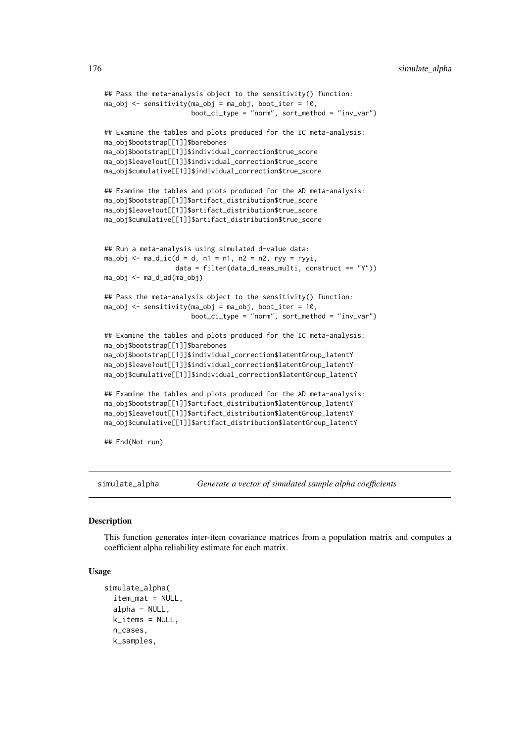```
## Pass the meta-analysis object to the sensitivity() function:
ma_obj \leq - sensitivity(ma_obj = ma_obj, boot_iter = 10,
                      boot_c_i_type = "norm", sort_method = "inv_var")## Examine the tables and plots produced for the IC meta-analysis:
ma_obj$bootstrap[[1]]$barebones
ma_obj$bootstrap[[1]]$individual_correction$true_score
ma_obj$leave1out[[1]]$individual_correction$true_score
ma_obj$cumulative[[1]]$individual_correction$true_score
## Examine the tables and plots produced for the AD meta-analysis:
ma_obj$bootstrap[[1]]$artifact_distribution$true_score
ma_obj$leave1out[[1]]$artifact_distribution$true_score
ma_obj$cumulative[[1]]$artifact_distribution$true_score
## Run a meta-analysis using simulated d-value data:
ma_obj \leq ma_d_ic(d = d, n1 = n1, n2 = n2, ryy = ryyi,data = filter(data_d_meas_multi, construct == "Y"))
ma_obj <- ma_d_ad(ma_obj)
## Pass the meta-analysis object to the sensitivity() function:
ma_obj \leq sensitivity(ma_obj = ma_obj, boot_iter = 10,
                      boot\_cij\_type = "norm", sort\_method = "inv\_var")## Examine the tables and plots produced for the IC meta-analysis:
ma_obj$bootstrap[[1]]$barebones
ma_obj$bootstrap[[1]]$individual_correction$latentGroup_latentY
ma_obj$leave1out[[1]]$individual_correction$latentGroup_latentY
ma_obj$cumulative[[1]]$individual_correction$latentGroup_latentY
## Examine the tables and plots produced for the AD meta-analysis:
ma_obj$bootstrap[[1]]$artifact_distribution$latentGroup_latentY
ma_obj$leave1out[[1]]$artifact_distribution$latentGroup_latentY
ma_obj$cumulative[[1]]$artifact_distribution$latentGroup_latentY
## End(Not run)
```
simulate\_alpha *Generate a vector of simulated sample alpha coefficients*

## Description

This function generates inter-item covariance matrices from a population matrix and computes a coefficient alpha reliability estimate for each matrix.

#### Usage

```
simulate_alpha(
  item_mat = NULL,
  alpha = NULL,k_items = NULL,
 n_cases,
  k_samples,
```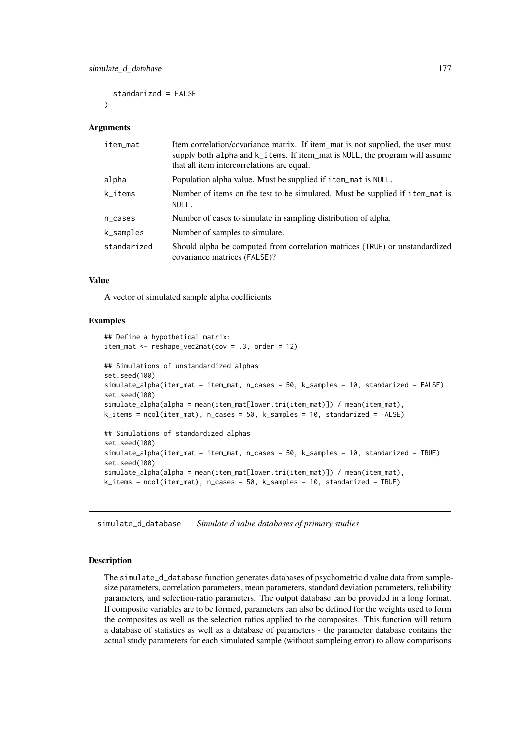standarized = FALSE  $\lambda$ 

## Arguments

| item_mat    | Item correlation/covariance matrix. If item_mat is not supplied, the user must<br>supply both alpha and k_items. If item_mat is NULL, the program will assume<br>that all item intercorrelations are equal. |
|-------------|-------------------------------------------------------------------------------------------------------------------------------------------------------------------------------------------------------------|
| alpha       | Population alpha value. Must be supplied if item_mat is NULL.                                                                                                                                               |
| k_items     | Number of items on the test to be simulated. Must be supplied if item_mat is<br>NULL.                                                                                                                       |
| n_cases     | Number of cases to simulate in sampling distribution of alpha.                                                                                                                                              |
| k_samples   | Number of samples to simulate.                                                                                                                                                                              |
| standarized | Should alpha be computed from correlation matrices (TRUE) or unstandardized<br>covariance matrices (FALSE)?                                                                                                 |

## Value

A vector of simulated sample alpha coefficients

## Examples

```
## Define a hypothetical matrix:
item_mat <- reshape\_vec2mat(cov = .3, order = 12)## Simulations of unstandardized alphas
set.seed(100)
simulate_alpha(item_mat = item_mat, n_cases = 50, k_samples = 10, standarized = FALSE)
set.seed(100)
simulate_alpha(alpha = mean(item_mat[lower.tri(item_mat)]) / mean(item_mat),
k_items = ncol(item_mat), n_cases = 50, k_samples = 10, standarized = FALSE)
## Simulations of standardized alphas
set.seed(100)
simulate_alpha(item_mat = item_mat, n_cases = 50, k_samples = 10, standarized = TRUE)
set.seed(100)
simulate_alpha(alpha = mean(item_mat[lower.tri(item_mat)]) / mean(item_mat),
k_items = ncol(item_mat), n_cases = 50, k_samples = 10, standarized = TRUE)
```
<span id="page-176-0"></span>simulate\_d\_database *Simulate d value databases of primary studies*

# Description

The simulate\_d\_database function generates databases of psychometric d value data from samplesize parameters, correlation parameters, mean parameters, standard deviation parameters, reliability parameters, and selection-ratio parameters. The output database can be provided in a long format. If composite variables are to be formed, parameters can also be defined for the weights used to form the composites as well as the selection ratios applied to the composites. This function will return a database of statistics as well as a database of parameters - the parameter database contains the actual study parameters for each simulated sample (without sampleing error) to allow comparisons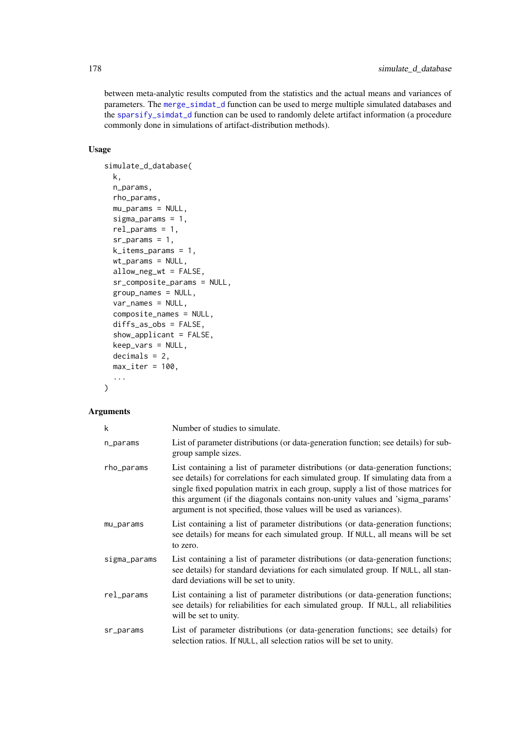between meta-analytic results computed from the statistics and the actual means and variances of parameters. The [merge\\_simdat\\_d](#page-152-0) function can be used to merge multiple simulated databases and the [sparsify\\_simdat\\_d](#page-187-0) function can be used to randomly delete artifact information (a procedure commonly done in simulations of artifact-distribution methods).

# Usage

```
simulate_d_database(
  k,
  n_params,
  rho_params,
  mu\_params = NULL,sigma_params = 1,
  rel_params = 1,
  sr\_params = 1,
  k_items_params = 1,
  wt_params = NULL,
  allow_neg_wt = FALSE,
  sr_composite_params = NULL,
  group_names = NULL,
  var_names = NULL,
  composite_names = NULL,
  diffs as obs = FALSE.
  show_applicant = FALSE,
  keep\_vars = NULL,decimals = 2,max\_iter = 100,
  ...
)
```
# Arguments

| k            | Number of studies to simulate.                                                                                                                                                                                                                                                                                                                                                                                    |
|--------------|-------------------------------------------------------------------------------------------------------------------------------------------------------------------------------------------------------------------------------------------------------------------------------------------------------------------------------------------------------------------------------------------------------------------|
| n_params     | List of parameter distributions (or data-generation function; see details) for sub-<br>group sample sizes.                                                                                                                                                                                                                                                                                                        |
| rho_params   | List containing a list of parameter distributions (or data-generation functions;<br>see details) for correlations for each simulated group. If simulating data from a<br>single fixed population matrix in each group, supply a list of those matrices for<br>this argument (if the diagonals contains non-unity values and 'sigma_params'<br>argument is not specified, those values will be used as variances). |
| mu_params    | List containing a list of parameter distributions (or data-generation functions;<br>see details) for means for each simulated group. If NULL, all means will be set<br>to zero.                                                                                                                                                                                                                                   |
| sigma_params | List containing a list of parameter distributions (or data-generation functions;<br>see details) for standard deviations for each simulated group. If NULL, all stan-<br>dard deviations will be set to unity.                                                                                                                                                                                                    |
| rel_params   | List containing a list of parameter distributions (or data-generation functions;<br>see details) for reliabilities for each simulated group. If NULL, all reliabilities<br>will be set to unity.                                                                                                                                                                                                                  |
| sr_params    | List of parameter distributions (or data-generation functions; see details) for<br>selection ratios. If NULL, all selection ratios will be set to unity.                                                                                                                                                                                                                                                          |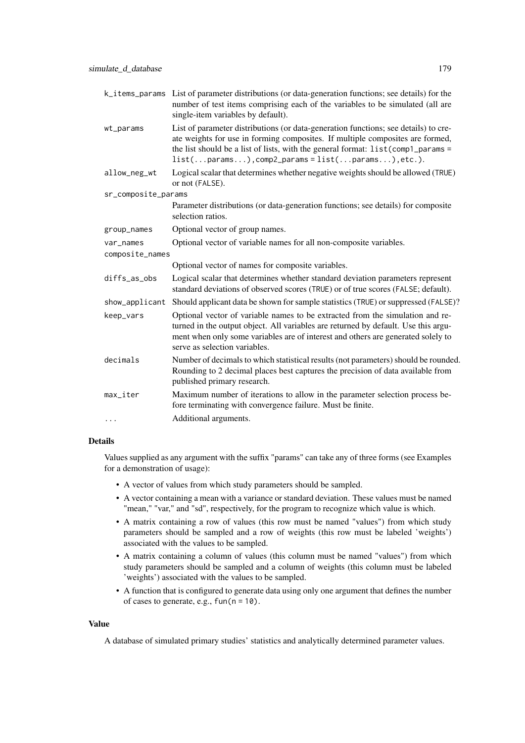|                     | k_items_params List of parameter distributions (or data-generation functions; see details) for the<br>number of test items comprising each of the variables to be simulated (all are<br>single-item variables by default).                                                                                     |
|---------------------|----------------------------------------------------------------------------------------------------------------------------------------------------------------------------------------------------------------------------------------------------------------------------------------------------------------|
| wt_params           | List of parameter distributions (or data-generation functions; see details) to cre-<br>ate weights for use in forming composites. If multiple composites are formed,<br>the list should be a list of lists, with the general format: list(comp1_params =<br>$list(params), comp2params = list(params), etc.).$ |
| allow_neg_wt        | Logical scalar that determines whether negative weights should be allowed (TRUE)<br>or not (FALSE).                                                                                                                                                                                                            |
| sr_composite_params |                                                                                                                                                                                                                                                                                                                |
|                     | Parameter distributions (or data-generation functions; see details) for composite<br>selection ratios.                                                                                                                                                                                                         |
| group_names         | Optional vector of group names.                                                                                                                                                                                                                                                                                |
| var_names           | Optional vector of variable names for all non-composite variables.                                                                                                                                                                                                                                             |
| composite_names     |                                                                                                                                                                                                                                                                                                                |
|                     | Optional vector of names for composite variables.                                                                                                                                                                                                                                                              |
| diffs_as_obs        | Logical scalar that determines whether standard deviation parameters represent<br>standard deviations of observed scores (TRUE) or of true scores (FALSE; default).                                                                                                                                            |
| show_applicant      | Should applicant data be shown for sample statistics (TRUE) or suppressed (FALSE)?                                                                                                                                                                                                                             |
| keep_vars           | Optional vector of variable names to be extracted from the simulation and re-<br>turned in the output object. All variables are returned by default. Use this argu-<br>ment when only some variables are of interest and others are generated solely to<br>serve as selection variables.                       |
| decimals            | Number of decimals to which statistical results (not parameters) should be rounded.<br>Rounding to 2 decimal places best captures the precision of data available from<br>published primary research.                                                                                                          |
| max_iter            | Maximum number of iterations to allow in the parameter selection process be-<br>fore terminating with convergence failure. Must be finite.                                                                                                                                                                     |
| .                   | Additional arguments.                                                                                                                                                                                                                                                                                          |

# Details

Values supplied as any argument with the suffix "params" can take any of three forms (see Examples for a demonstration of usage):

- A vector of values from which study parameters should be sampled.
- A vector containing a mean with a variance or standard deviation. These values must be named "mean," "var," and "sd", respectively, for the program to recognize which value is which.
- A matrix containing a row of values (this row must be named "values") from which study parameters should be sampled and a row of weights (this row must be labeled 'weights') associated with the values to be sampled.
- A matrix containing a column of values (this column must be named "values") from which study parameters should be sampled and a column of weights (this column must be labeled 'weights') associated with the values to be sampled.
- A function that is configured to generate data using only one argument that defines the number of cases to generate, e.g.,  $fun(n = 10)$ .

# Value

A database of simulated primary studies' statistics and analytically determined parameter values.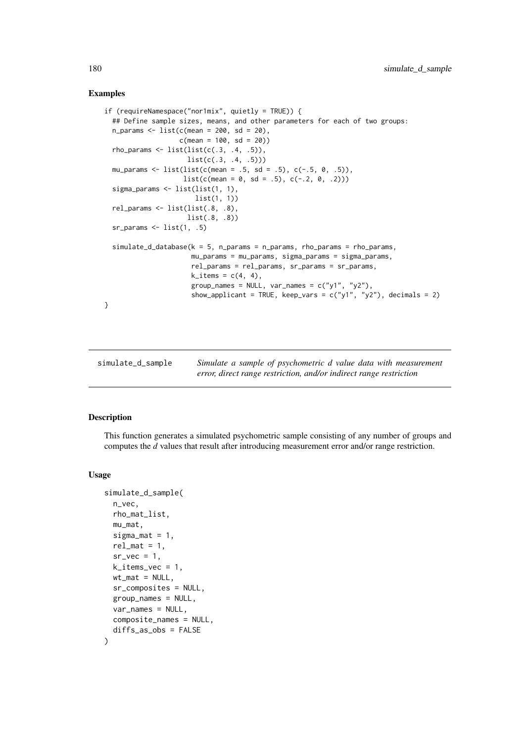## Examples

```
if (requireNamespace("nor1mix", quietly = TRUE)) {
  ## Define sample sizes, means, and other parameters for each of two groups:
  n_{\text{params}} \leftarrow \text{list}(c(\text{mean} = 200, \text{ sd} = 20),c(mean = 100, sd = 20)rho_{params} \leftarrow list(list(c(.3, .4, .5)),list(c(.3, .4, .5)))
  mu_params <- list(list(c(mean = .5, sd = .5), c(-.5, 0, .5)),
                      list(c(mean = 0, sd = .5), c(-.2, 0, .2)))sigma_params <- list(list(1, 1),
                         list(1, 1))
  rel_params <- list(list(.8, .8),
                       list(.8, .8))
  sr_arams \leftarrow list(1, .5)simulate_d_database(k = 5, n_params = n_params, rho_params = rho_params,mu_params = mu_params, sigma_params = sigma_params,
                        rel_params = rel_params, sr_params = sr_params,
                        k<sub>-</sub>items = c(4, 4),
                        group_names = NULL, var_names = c("y1", "y2"),
                        show_applicant = TRUE, keep_vars = c("y1", "y2"), decimals = 2)
}
```
simulate\_d\_sample *Simulate a sample of psychometric d value data with measurement error, direct range restriction, and/or indirect range restriction*

## Description

This function generates a simulated psychometric sample consisting of any number of groups and computes the *d* values that result after introducing measurement error and/or range restriction.

### Usage

```
simulate_d_sample(
  n_vec,
  rho_mat_list,
  mu_mat,
  sigma_mat = 1,
  rel\_mat = 1,
  sr_{\text{v}ee = 1,
  k<sup>-</sup>items<sub>-</sub>vec = 1,
  wt_mat = NULL,
  sr_composites = NULL,
  group_names = NULL,
  var_names = NULL,
  composite_names = NULL,
  diffs_as_obs = FALSE
)
```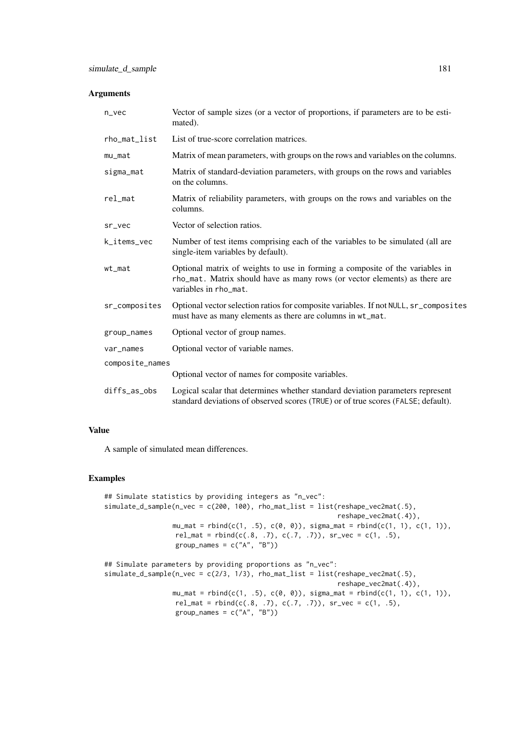| n_vec           | Vector of sample sizes (or a vector of proportions, if parameters are to be esti-<br>mated).                                                                                        |
|-----------------|-------------------------------------------------------------------------------------------------------------------------------------------------------------------------------------|
| rho_mat_list    | List of true-score correlation matrices.                                                                                                                                            |
| mu_mat          | Matrix of mean parameters, with groups on the rows and variables on the columns.                                                                                                    |
| sigma_mat       | Matrix of standard-deviation parameters, with groups on the rows and variables<br>on the columns.                                                                                   |
| rel_mat         | Matrix of reliability parameters, with groups on the rows and variables on the<br>columns.                                                                                          |
| sr_vec          | Vector of selection ratios.                                                                                                                                                         |
| k_items_vec     | Number of test items comprising each of the variables to be simulated (all are<br>single-item variables by default).                                                                |
| wt_mat          | Optional matrix of weights to use in forming a composite of the variables in<br>rho_mat. Matrix should have as many rows (or vector elements) as there are<br>variables in rho_mat. |
| sr_composites   | Optional vector selection ratios for composite variables. If not NULL, sr_composites<br>must have as many elements as there are columns in wt_mat.                                  |
| group_names     | Optional vector of group names.                                                                                                                                                     |
| var_names       | Optional vector of variable names.                                                                                                                                                  |
| composite_names |                                                                                                                                                                                     |
|                 | Optional vector of names for composite variables.                                                                                                                                   |
| diffs_as_obs    | Logical scalar that determines whether standard deviation parameters represent<br>standard deviations of observed scores (TRUE) or of true scores (FALSE; default).                 |

## Value

A sample of simulated mean differences.

# Examples

```
## Simulate statistics by providing integers as "n_vec":
simulate_d_sample(n_vec = c(200, 100), rho_mat_list = list(reshape_vec2mat(.5),
                                                            reshape_vec2mat(.4)),
                 mu_mat = rbind(c(1, .5), c(0, 0)), sigma_mat = rbind(c(1, 1), c(1, 1)),
                  rel_matrix = rbind(c(.8, .7), c(.7, .7)), sr\_vec = c(1, .5),group_names = c("A", "B"))
## Simulate parameters by providing proportions as "n_vec":
simulate_d\_sample(n\_vec = c(2/3, 1/3), rho\_mat\_list = list(reshape\_vec2mat(.5)),reshape_vec2mat(.4)),
                 mu_mat = rbind(c(1, .5), c(0, 0)), sigma_mat = rbind(c(1, 1), c(1, 1)),
```

```
rel_mat = rbind(c(.8, .7), c(.7, .7)), sr\_vec = c(1, .5),
group_names = c("A", "B")
```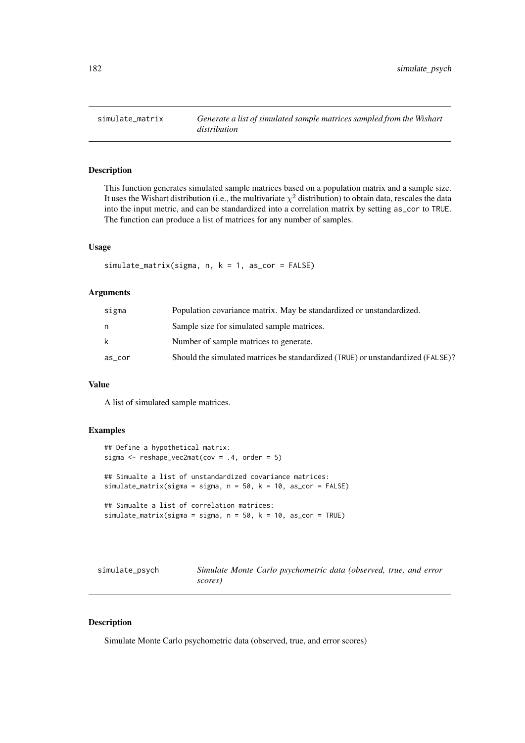<span id="page-181-0"></span>

# Description

This function generates simulated sample matrices based on a population matrix and a sample size. It uses the Wishart distribution (i.e., the multivariate  $\chi^2$  distribution) to obtain data, rescales the data into the input metric, and can be standardized into a correlation matrix by setting as\_cor to TRUE. The function can produce a list of matrices for any number of samples.

## Usage

simulate\_matrix(sigma, n, k = 1, as\_cor = FALSE)

#### Arguments

| sigma  | Population covariance matrix. May be standardized or unstandardized.            |
|--------|---------------------------------------------------------------------------------|
| n      | Sample size for simulated sample matrices.                                      |
| k      | Number of sample matrices to generate.                                          |
| as_cor | Should the simulated matrices be standardized (TRUE) or unstandardized (FALSE)? |

# Value

A list of simulated sample matrices.

## Examples

```
## Define a hypothetical matrix:
sigma <- reshape_vec2mat(cov = .4, order = 5)
## Simualte a list of unstandardized covariance matrices:
simulate_matrix(sigma = sigma, n = 50, k = 10, as_cor = FALSE)
## Simualte a list of correlation matrices:
simulate_matrix(sigma = sigma, n = 50, k = 10, as_cor = TRUE)
```

| simulate_psych |         | Simulate Monte Carlo psychometric data (observed, true, and error |  |  |  |
|----------------|---------|-------------------------------------------------------------------|--|--|--|
|                | scores) |                                                                   |  |  |  |

# Description

Simulate Monte Carlo psychometric data (observed, true, and error scores)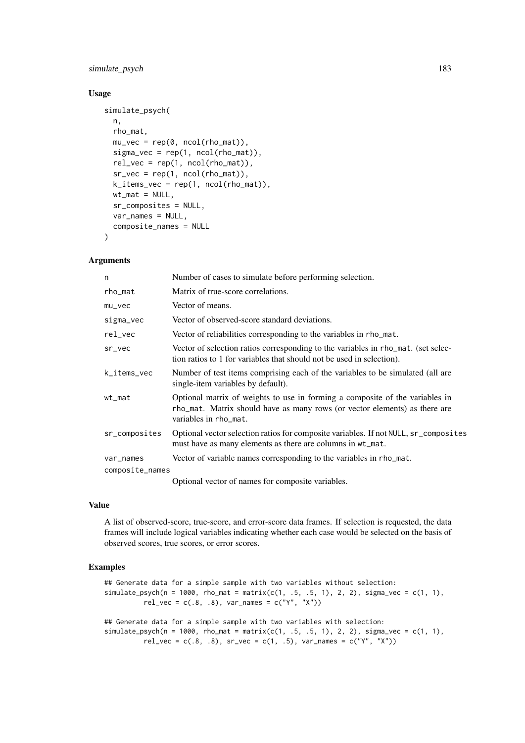## simulate\_psych 183

## Usage

```
simulate_psych(
  n,
  rho_mat,
  mu_vec = rep(0, ncol(rho_mat)),
  sigma\_vec = rep(1, ncol(rho\_mat)),rel\_vec = rep(1, ncol(rho_matrix)),sr\_vec = rep(1, ncol(rho_matrix)),
  k_items_vec = rep(1, ncol(rho_mat)),
  wt\_mat = NULL,sr_composites = NULL,
  var_names = NULL,
  composite_names = NULL
\lambda
```
## Arguments

| n               | Number of cases to simulate before performing selection.                                                                                                                            |
|-----------------|-------------------------------------------------------------------------------------------------------------------------------------------------------------------------------------|
| rho_mat         | Matrix of true-score correlations.                                                                                                                                                  |
| $mu\_vec$       | Vector of means.                                                                                                                                                                    |
| sigma_vec       | Vector of observed-score standard deviations.                                                                                                                                       |
| rel_vec         | Vector of reliabilities corresponding to the variables in rho_mat.                                                                                                                  |
| sr_vec          | Vector of selection ratios corresponding to the variables in rho_mat. (set selec-<br>tion ratios to 1 for variables that should not be used in selection).                          |
| k_items_vec     | Number of test items comprising each of the variables to be simulated (all are<br>single-item variables by default).                                                                |
| wt_mat          | Optional matrix of weights to use in forming a composite of the variables in<br>rho_mat. Matrix should have as many rows (or vector elements) as there are<br>variables in rho_mat. |
| sr_composites   | Optional vector selection ratios for composite variables. If not NULL, sr_composites<br>must have as many elements as there are columns in wt_mat.                                  |
| var_names       | Vector of variable names corresponding to the variables in rho_mat.                                                                                                                 |
| composite_names |                                                                                                                                                                                     |
|                 | $\Omega_{\rm tot}$ and $\Omega_{\rm tot}$ are $\Omega_{\rm tot}$ and $\Omega_{\rm tot}$ are $\Omega_{\rm tot}$ and $\Omega_{\rm tot}$                                               |

Optional vector of names for composite variables.

#### Value

A list of observed-score, true-score, and error-score data frames. If selection is requested, the data frames will include logical variables indicating whether each case would be selected on the basis of observed scores, true scores, or error scores.

## Examples

```
## Generate data for a simple sample with two variables without selection:
simulate\_psych(n = 1000, rho\_mat = matrix(c(1, .5, .5, 1), 2, 2), sigma\_vec = c(1, 1),rel_{vec} = c(.8, .8), var_{names} = c("Y", "X")## Generate data for a simple sample with two variables with selection:
simulate_psych(n = 1000, rho_mat = matrix(c(1, .5, .5, 1), 2, 2), sigma_vec = c(1, 1),
          rel\_vec = c(.8, .8), sr\_vec = c(1, .5), var\_names = c("Y", "X"))
```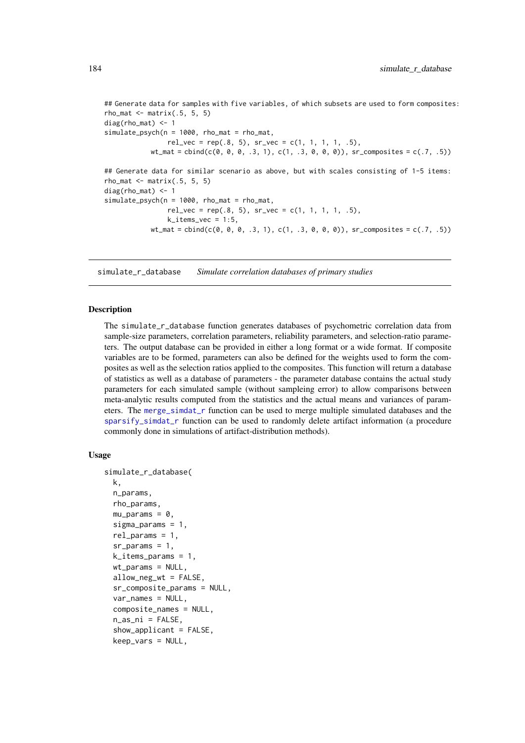```
## Generate data for samples with five variables, of which subsets are used to form composites:
rho_mat \leq- matrix(.5, 5, 5)diag(rho_mat) <- 1
simulate\_psych(n = 1000, rho\_mat = rho\_mat,rel\_vec = rep(.8, 5), sr\_vec = c(1, 1, 1, 1, .5),wt_mat = cbind(c(0, 0, 0, .3, 1), c(1, .3, 0, 0, 0)), sr_composites = c(.7, .5))
## Generate data for similar scenario as above, but with scales consisting of 1-5 items:
rho mat \leq matrix(.5, 5, 5)
diag(rho_mat) <- 1
simulate\_psych(n = 1000, rho\_mat = rho\_mat,rel\_vec = rep(.8, 5), sr\_vec = c(1, 1, 1, 1, .5),k<sub>_items_vec</sub> = 1:5,
            wt_mat = \text{cbind}(c(0, 0, 0, .3, 1), c(1, .3, 0, 0, 0)), sr\_composites = c(.7, .5))
```
<span id="page-183-0"></span>simulate\_r\_database *Simulate correlation databases of primary studies*

#### Description

The simulate\_r\_database function generates databases of psychometric correlation data from sample-size parameters, correlation parameters, reliability parameters, and selection-ratio parameters. The output database can be provided in either a long format or a wide format. If composite variables are to be formed, parameters can also be defined for the weights used to form the composites as well as the selection ratios applied to the composites. This function will return a database of statistics as well as a database of parameters - the parameter database contains the actual study parameters for each simulated sample (without sampleing error) to allow comparisons between meta-analytic results computed from the statistics and the actual means and variances of parameters. The [merge\\_simdat\\_r](#page-153-0) function can be used to merge multiple simulated databases and the sparsify simdat r function can be used to randomly delete artifact information (a procedure commonly done in simulations of artifact-distribution methods).

#### Usage

```
simulate_r_database(
 k,
  n_params,
 rho_params,
 mu_params = \theta,
  sigma_params = 1,
  rel\_params = 1,
  sr\_params = 1,
 k<sup>1</sup> tems params = 1,
 wt_params = NULL,
  allow_neg_wt = FALSE,
  sr_composite_params = NULL,
  var_names = NULL,
  composite_names = NULL,
  n_as_ni = FALSE,
  show_applicant = FALSE,
  keep_vars = NULL,
```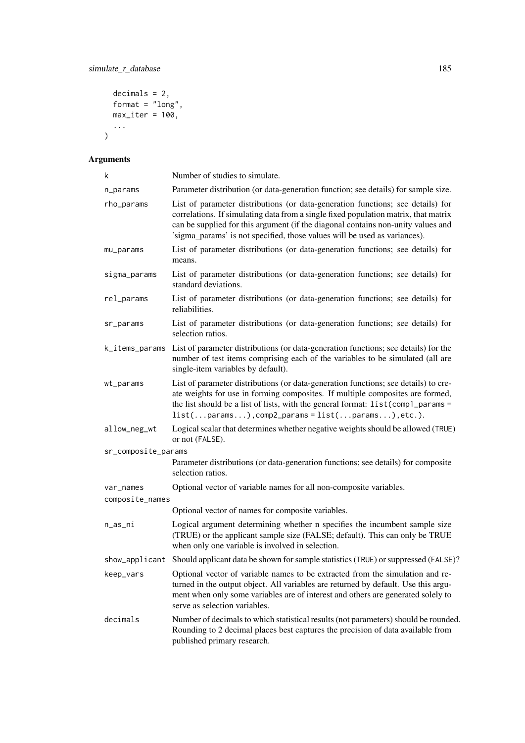```
decimals = 2,format = "long",max_iter = 100,
  ...
\overline{)}
```

| k                   | Number of studies to simulate.                                                                                                                                                                                                                                                                                                          |
|---------------------|-----------------------------------------------------------------------------------------------------------------------------------------------------------------------------------------------------------------------------------------------------------------------------------------------------------------------------------------|
| n_params            | Parameter distribution (or data-generation function; see details) for sample size.                                                                                                                                                                                                                                                      |
| rho_params          | List of parameter distributions (or data-generation functions; see details) for<br>correlations. If simulating data from a single fixed population matrix, that matrix<br>can be supplied for this argument (if the diagonal contains non-unity values and<br>'sigma_params' is not specified, those values will be used as variances). |
| mu_params           | List of parameter distributions (or data-generation functions; see details) for<br>means.                                                                                                                                                                                                                                               |
| sigma_params        | List of parameter distributions (or data-generation functions; see details) for<br>standard deviations.                                                                                                                                                                                                                                 |
| rel_params          | List of parameter distributions (or data-generation functions; see details) for<br>reliabilities.                                                                                                                                                                                                                                       |
| sr_params           | List of parameter distributions (or data-generation functions; see details) for<br>selection ratios.                                                                                                                                                                                                                                    |
| k_items_params      | List of parameter distributions (or data-generation functions; see details) for the<br>number of test items comprising each of the variables to be simulated (all are<br>single-item variables by default).                                                                                                                             |
| wt_params           | List of parameter distributions (or data-generation functions; see details) to cre-<br>ate weights for use in forming composites. If multiple composites are formed,<br>the list should be a list of lists, with the general format: list(comp1_params =<br>$list(params), comp2-params = list(params), etc.).$                         |
| allow_neg_wt        | Logical scalar that determines whether negative weights should be allowed (TRUE)<br>or not (FALSE).                                                                                                                                                                                                                                     |
| sr_composite_params |                                                                                                                                                                                                                                                                                                                                         |
|                     | Parameter distributions (or data-generation functions; see details) for composite<br>selection ratios.                                                                                                                                                                                                                                  |
| var_names           | Optional vector of variable names for all non-composite variables.                                                                                                                                                                                                                                                                      |
| composite_names     |                                                                                                                                                                                                                                                                                                                                         |
|                     | Optional vector of names for composite variables.                                                                                                                                                                                                                                                                                       |
| n_as_ni             | Logical argument determining whether n specifies the incumbent sample size<br>(TRUE) or the applicant sample size (FALSE; default). This can only be TRUE<br>when only one variable is involved in selection.                                                                                                                           |
| show_applicant      | Should applicant data be shown for sample statistics (TRUE) or suppressed (FALSE)?                                                                                                                                                                                                                                                      |
| keep_vars           | Optional vector of variable names to be extracted from the simulation and re-<br>turned in the output object. All variables are returned by default. Use this argu-<br>ment when only some variables are of interest and others are generated solely to<br>serve as selection variables.                                                |
| decimals            | Number of decimals to which statistical results (not parameters) should be rounded.<br>Rounding to 2 decimal places best captures the precision of data available from<br>published primary research.                                                                                                                                   |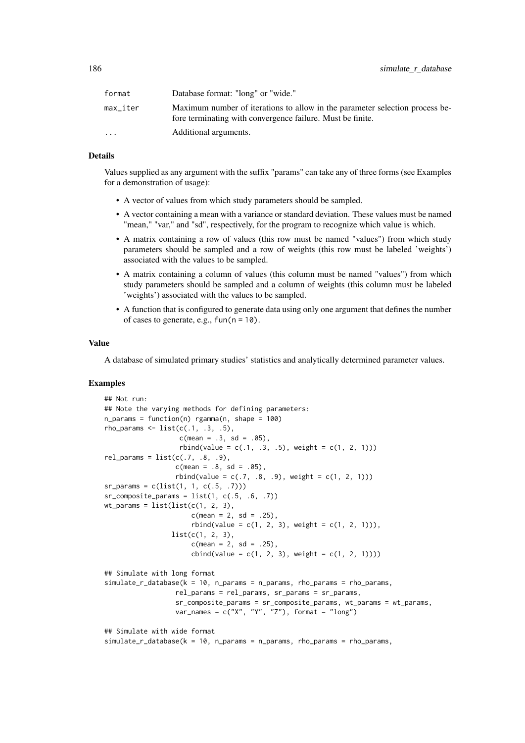| format                  | Database format: "long" or "wide."                                                                                                         |
|-------------------------|--------------------------------------------------------------------------------------------------------------------------------------------|
| max iter                | Maximum number of iterations to allow in the parameter selection process be-<br>fore terminating with convergence failure. Must be finite. |
| $\cdot$ $\cdot$ $\cdot$ | Additional arguments.                                                                                                                      |

#### Details

Values supplied as any argument with the suffix "params" can take any of three forms (see Examples for a demonstration of usage):

- A vector of values from which study parameters should be sampled.
- A vector containing a mean with a variance or standard deviation. These values must be named "mean," "var," and "sd", respectively, for the program to recognize which value is which.
- A matrix containing a row of values (this row must be named "values") from which study parameters should be sampled and a row of weights (this row must be labeled 'weights') associated with the values to be sampled.
- A matrix containing a column of values (this column must be named "values") from which study parameters should be sampled and a column of weights (this column must be labeled 'weights') associated with the values to be sampled.
- A function that is configured to generate data using only one argument that defines the number of cases to generate, e.g.,  $fun(n = 10)$ .

# Value

A database of simulated primary studies' statistics and analytically determined parameter values.

#### Examples

```
## Not run:
## Note the varying methods for defining parameters:
n_{\text{params}} = function(n) rgamma(n, \text{ shape} = 100)rho_params \le list(c(.1, .3, .5),
                   c(mean = .3, sd = .05),
                   rbind(value = c(.1, .3, .5), weight = c(1, 2, 1)))rel\_params = list(c(.7, .8, .9),c(mean = .8, sd = .05),
                  rbind(value = c(.7, .8, .9), weight = c(1, 2, 1)))sr_params = c(list(1, 1, c(.5, .7)))sr\_composite\_params = list(1, c(.5, .6, .7))wt_params = list(list(c(1, 2, 3),c(mean = 2, sd = .25),
                      rbind(value = c(1, 2, 3), weight = c(1, 2, 1)),
                 list(c(1, 2, 3)),c(mean = 2, sd = .25),
                      cbind(value = c(1, 2, 3), weight = c(1, 2, 1))))## Simulate with long format
simulate_r_database(k = 10, n_params = n_params, rho_params = rho_params,rel_params = rel_params, sr_params = sr_params,
                  sr_composite_params = sr_composite_params, wt_params = wt_params,
                  var_names = c("X", "Y", "Z"), format = "long")
## Simulate with wide format
simulate_r_database(k = 10, n_params = n_params, rho_params = rho_params,
```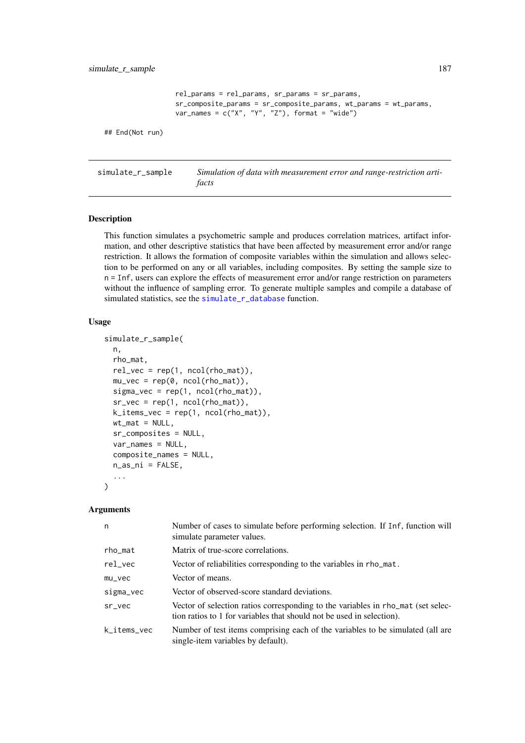```
rel_params = rel_params, sr_params = sr_params,
                  sr_composite_params = sr_composite_params, wt_params = wt_params,
                  var_names = c("X", "Y", "Z"), format = "wide")
## End(Not run)
```
simulate\_r\_sample *Simulation of data with measurement error and range-restriction artifacts*

# Description

This function simulates a psychometric sample and produces correlation matrices, artifact information, and other descriptive statistics that have been affected by measurement error and/or range restriction. It allows the formation of composite variables within the simulation and allows selection to be performed on any or all variables, including composites. By setting the sample size to n = Inf, users can explore the effects of measurement error and/or range restriction on parameters without the influence of sampling error. To generate multiple samples and compile a database of simulated statistics, see the [simulate\\_r\\_database](#page-183-0) function.

#### Usage

```
simulate_r_sample(
  n,
  rho_mat,
  rel\_vec = rep(1, ncol(rho_matrix)),mu\_vec = rep(0, ncol(rho\_mat)),signa\_vec = rep(1, ncol(rho\_mat)),sr\_vec = rep(1, ncol(rho\_mat)),k_items_vec = rep(1, ncol(rho_mat)),
  wt\_mat = NULL,sr_composites = NULL,
  var_names = NULL,
  composite_names = NULL,
  n_as_ni = FALSE,
  ...
\lambda
```

| Number of cases to simulate before performing selection. If Inf, function will<br>simulate parameter values.                                              |
|-----------------------------------------------------------------------------------------------------------------------------------------------------------|
| Matrix of true-score correlations.                                                                                                                        |
| Vector of reliabilities corresponding to the variables in rho_mat.                                                                                        |
| Vector of means.                                                                                                                                          |
| Vector of observed-score standard deviations.                                                                                                             |
| Vector of selection ratios corresponding to the variables in rho_mat (set selec-<br>tion ratios to 1 for variables that should not be used in selection). |
| Number of test items comprising each of the variables to be simulated (all are<br>single-item variables by default).                                      |
|                                                                                                                                                           |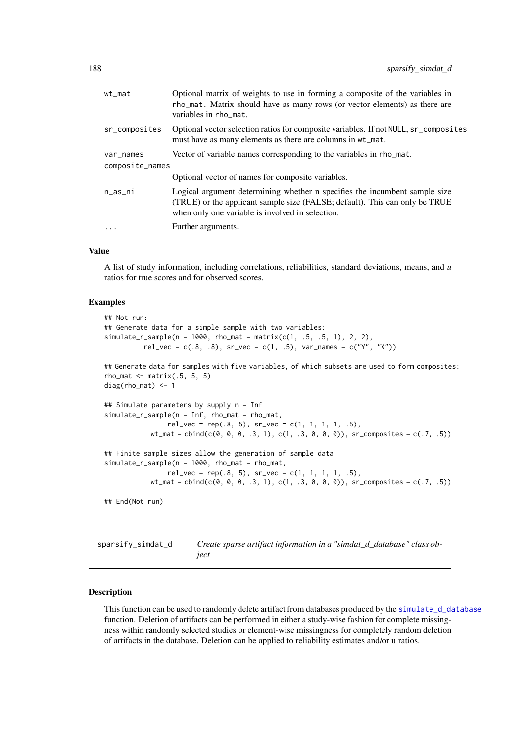<span id="page-187-0"></span>

| $wt_m$ at       | Optional matrix of weights to use in forming a composite of the variables in<br>rho_mat. Matrix should have as many rows (or vector elements) as there are<br>variables in rho_mat.                           |
|-----------------|---------------------------------------------------------------------------------------------------------------------------------------------------------------------------------------------------------------|
| sr_composites   | Optional vector selection ratios for composite variables. If not NULL, sr_composites<br>must have as many elements as there are columns in wt_mat.                                                            |
| var_names       | Vector of variable names corresponding to the variables in rho_mat.                                                                                                                                           |
| composite_names |                                                                                                                                                                                                               |
|                 | Optional vector of names for composite variables.                                                                                                                                                             |
| $n$ _as_ni      | Logical argument determining whether n specifies the incumbent sample size<br>(TRUE) or the applicant sample size (FALSE; default). This can only be TRUE<br>when only one variable is involved in selection. |
| $\cdot$         | Further arguments.                                                                                                                                                                                            |
|                 |                                                                                                                                                                                                               |

# Value

A list of study information, including correlations, reliabilities, standard deviations, means, and *u* ratios for true scores and for observed scores.

#### Examples

```
## Not run:
## Generate data for a simple sample with two variables:
simulate_r\_sample(n = 1000, rho_mat = matrix(c(1, .5, .5, 1), 2, 2),rel\_vec = c(.8, .8), sr\_vec = c(1, .5), var\_names = c("Y", "X")## Generate data for samples with five variables, of which subsets are used to form composites:
rho_mat \leq matrix(.5, 5, 5)
diag(rho_mat) <- 1
## Simulate parameters by supply n = Inf
simulate_r_sample(n = Inf, rho_mat = rho_mat,
                rel\_vec = rep(.8, 5), sr\_vec = c(1, 1, 1, 1, .5),wt_mat = \text{cbind}(c(0, 0, 0, .3, 1), c(1, .3, 0, 0, 0)), sr\_composites = c(.7, .5))## Finite sample sizes allow the generation of sample data
simulate_r_sample(n = 1000, rho_mat = rho_mat,
                rel\_vec = rep(.8, 5), sr\_vec = c(1, 1, 1, 1, .5),wt_mat = \text{cbind}(c(0, 0, 0, 0, 0, 1), c(1, 0.3, 0, 0, 0)), sr\_composites = c(.7, .5))## End(Not run)
```
sparsify\_simdat\_d *Create sparse artifact information in a "simdat\_d\_database" class object*

# Description

This function can be used to randomly delete artifact from databases produced by the [simulate\\_d\\_database](#page-176-0) function. Deletion of artifacts can be performed in either a study-wise fashion for complete missingness within randomly selected studies or element-wise missingness for completely random deletion of artifacts in the database. Deletion can be applied to reliability estimates and/or u ratios.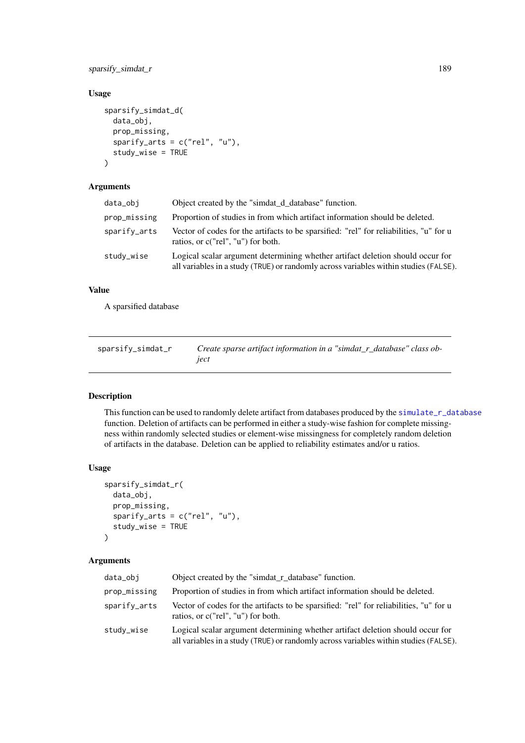## <span id="page-188-1"></span>sparsify\_simdat\_r 189

# Usage

```
sparsify_simdat_d(
  data_obj,
  prop_missing,
  sparify_arts = c("rel", "u"),
  study_wise = TRUE
)
```
# Arguments

| data_obj     | Object created by the "simiat d database" function.                                                                                                                    |
|--------------|------------------------------------------------------------------------------------------------------------------------------------------------------------------------|
| prop_missing | Proportion of studies in from which artifact information should be deleted.                                                                                            |
| sparify_arts | Vector of codes for the artifacts to be sparsified: "rel" for reliabilities, "u" for u<br>ratios, or c("rel", "u") for both.                                           |
| study_wise   | Logical scalar argument determining whether artifact deletion should occur for<br>all variables in a study (TRUE) or randomly across variables within studies (FALSE). |

# Value

A sparsified database

<span id="page-188-0"></span>

| sparsify_simdat_r | Create sparse artifact information in a "simdat_r_database" class ob- |
|-------------------|-----------------------------------------------------------------------|
|                   | iect                                                                  |

# Description

This function can be used to randomly delete artifact from databases produced by the [simulate\\_r\\_database](#page-183-0) function. Deletion of artifacts can be performed in either a study-wise fashion for complete missingness within randomly selected studies or element-wise missingness for completely random deletion of artifacts in the database. Deletion can be applied to reliability estimates and/or u ratios.

## Usage

```
sparsify_simdat_r(
  data_obj,
  prop_missing,
  sparify_arts = c("rel", "u"),
  study_wise = TRUE
)
```

| data_obi     | Object created by the "simdat_r_database" function.                                                                                                                    |
|--------------|------------------------------------------------------------------------------------------------------------------------------------------------------------------------|
| prop_missing | Proportion of studies in from which artifact information should be deleted.                                                                                            |
| sparify_arts | Vector of codes for the artifacts to be sparsified: "rel" for reliabilities, "u" for u<br>ratios, or c("rel", "u") for both.                                           |
| study_wise   | Logical scalar argument determining whether artifact deletion should occur for<br>all variables in a study (TRUE) or randomly across variables within studies (FALSE). |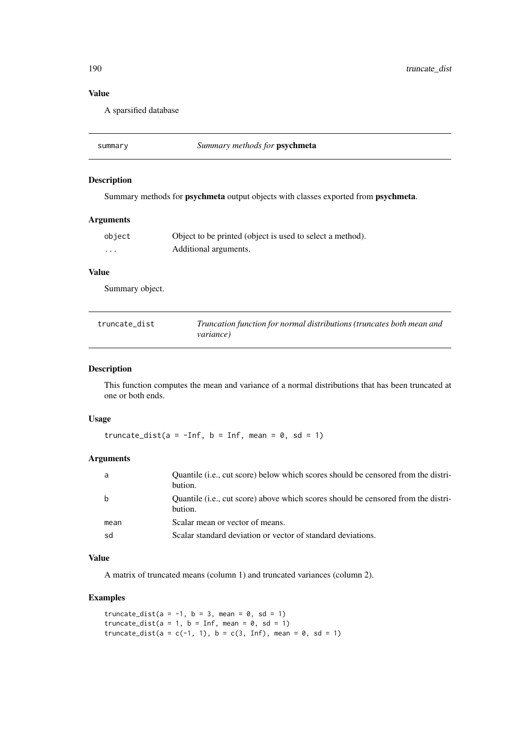# Value

A sparsified database

| summary | Summary methods for <b>psychmeta</b> |  |
|---------|--------------------------------------|--|
|---------|--------------------------------------|--|

# Description

Summary methods for psychmeta output objects with classes exported from psychmeta.

## Arguments

| object | Object to be printed (object is used to select a method). |
|--------|-----------------------------------------------------------|
| .      | Additional arguments.                                     |

#### Value

Summary object.

| truncate dist | Truncation function for normal distributions (truncates both mean and |
|---------------|-----------------------------------------------------------------------|
|               | <i>variance</i> )                                                     |

## Description

This function computes the mean and variance of a normal distributions that has been truncated at one or both ends.

## Usage

truncate\_dist(a =  $-Inf$ , b = Inf, mean = 0, sd = 1)

# Arguments

| a    | Quantile (i.e., cut score) below which scores should be censored from the distri-<br>bution. |
|------|----------------------------------------------------------------------------------------------|
| b    | Quantile (i.e., cut score) above which scores should be censored from the distri-<br>bution. |
| mean | Scalar mean or vector of means.                                                              |
| sd   | Scalar standard deviation or vector of standard deviations.                                  |
|      |                                                                                              |

# Value

A matrix of truncated means (column 1) and truncated variances (column 2).

# Examples

```
truncate_dist(a = -1, b = 3, mean = 0, sd = 1)
truncate_dist(a = 1, b = Inf, mean = 0, sd = 1)
truncate_dist(a = c(-1, 1), b = c(3, Inf), mean = 0, sd = 1)
```
<span id="page-189-0"></span>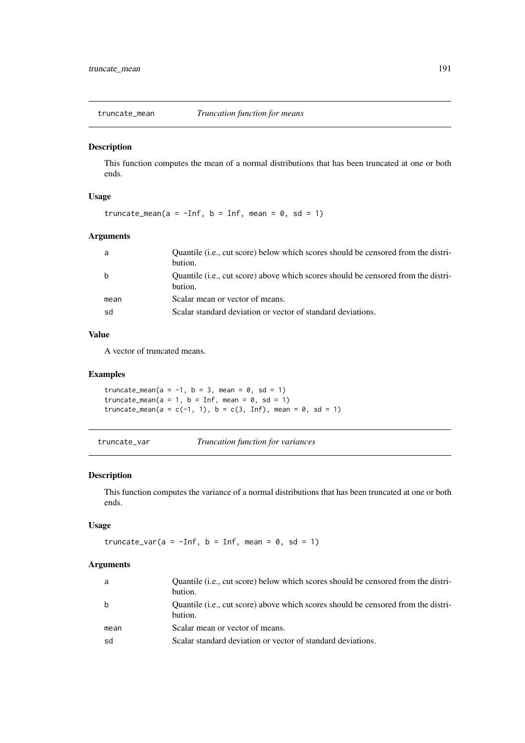<span id="page-190-0"></span>truncate\_mean *Truncation function for means*

# Description

This function computes the mean of a normal distributions that has been truncated at one or both ends.

# Usage

```
truncate_mean(a = -Inf, b = Inf, mean = 0, sd = 1)
```
# Arguments

| a    | Quantile (i.e., cut score) below which scores should be censored from the distri-<br>bution. |
|------|----------------------------------------------------------------------------------------------|
| b    | Quantile (i.e., cut score) above which scores should be censored from the distri-<br>bution. |
| mean | Scalar mean or vector of means.                                                              |
| sd   | Scalar standard deviation or vector of standard deviations.                                  |
|      |                                                                                              |

# Value

A vector of truncated means.

## Examples

truncate\_mean( $a = -1$ ,  $b = 3$ , mean = 0, sd = 1) truncate\_mean( $a = 1$ ,  $b = Inf$ , mean = 0, sd = 1) truncate\_mean(a = c(-1, 1), b = c(3, Inf), mean = 0, sd = 1)

truncate\_var *Truncation function for variances*

## Description

This function computes the variance of a normal distributions that has been truncated at one or both ends.

# Usage

truncate\_var( $a = -Inf$ ,  $b = Inf$ , mean = 0, sd = 1)

| a    | Quantile ( <i>i.e., cut score</i> ) below which scores should be censored from the distri-<br>bution. |
|------|-------------------------------------------------------------------------------------------------------|
| b    | Quantile (i.e., cut score) above which scores should be censored from the distri-<br>bution.          |
| mean | Scalar mean or vector of means.                                                                       |
| sd   | Scalar standard deviation or vector of standard deviations.                                           |
|      |                                                                                                       |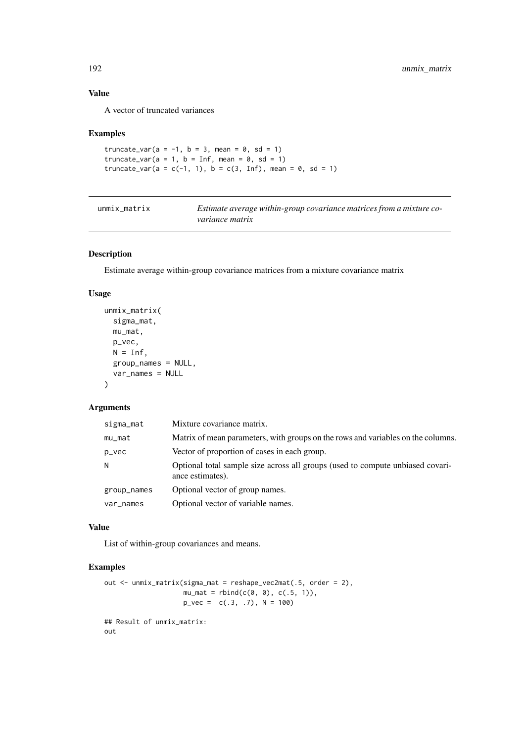#### Value

A vector of truncated variances

## Examples

```
truncate_var(a = -1, b = 3, mean = 0, sd = 1)
truncate_var(a = 1, b = Inf, mean = 0, sd = 1)
truncate_var(a = c(-1, 1), b = c(3, Inf), mean = 0, sd = 1)
```

| unmix matrix | Estimate average within-group covariance matrices from a mixture co- |
|--------------|----------------------------------------------------------------------|
|              | <i>variance matrix</i>                                               |

# Description

Estimate average within-group covariance matrices from a mixture covariance matrix

# Usage

```
unmix_matrix(
  sigma_mat,
  mu_mat,
  p_vec,
  N = Inf,
  group_names = NULL,
  var_names = NULL
\lambda
```
# Arguments

| sigma_mat   | Mixture covariance matrix.                                                                         |
|-------------|----------------------------------------------------------------------------------------------------|
| $mu_m$ at   | Matrix of mean parameters, with groups on the rows and variables on the columns.                   |
| p_vec       | Vector of proportion of cases in each group.                                                       |
| N           | Optional total sample size across all groups (used to compute unbiased covari-<br>ance estimates). |
| group_names | Optional vector of group names.                                                                    |
| var_names   | Optional vector of variable names.                                                                 |

# Value

List of within-group covariances and means.

# Examples

```
out <- unmix_matrix(sigma_mat = reshape_vec2mat(.5, order = 2),
                    mu_mat = rbind(c(0, 0), c(.5, 1)),p_{\text{v}}vec = c(.3, .7), N = 100)
## Result of unmix_matrix:
out
```
<span id="page-191-0"></span>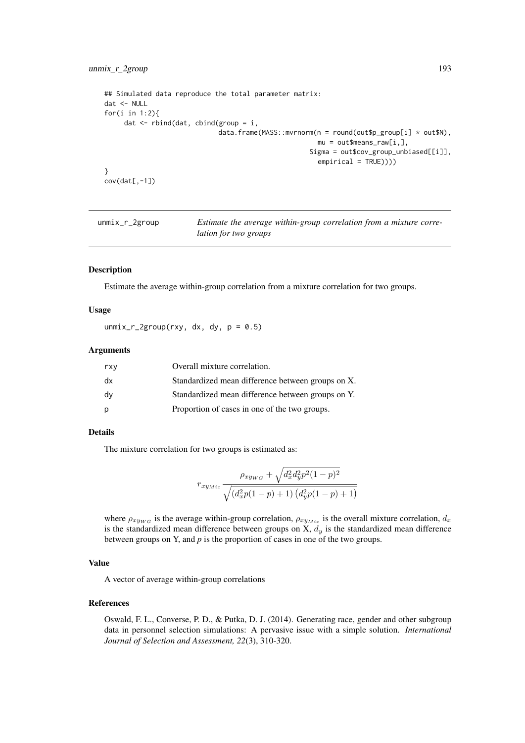```
## Simulated data reproduce the total parameter matrix:
dat <- NULL
for(i in 1:2){
     dat \leq rbind(dat, cbind(group = i,
                             data.frame(MASS::mvrnorm(n = round(out$p_group[i] * out$N),
                                                      mu = out$means_raw[i,],
                                                     Sigma = out$cov_group_unbiased[[i]],
                                                       empirical = TRUE)))
}
cov(data[-1])
```

| unmix_r_2group | Estimate the average within-group correlation from a mixture corre- |
|----------------|---------------------------------------------------------------------|
|                | lation for two groups                                               |

## Description

Estimate the average within-group correlation from a mixture correlation for two groups.

## Usage

 $unmix_r_2group(rxy, dx, dy, p = 0.5)$ 

#### Arguments

| rxy | Overall mixture correlation.                      |
|-----|---------------------------------------------------|
| dx  | Standardized mean difference between groups on X. |
| dy  | Standardized mean difference between groups on Y. |
| p   | Proportion of cases in one of the two groups.     |

# Details

The mixture correlation for two groups is estimated as:

$$
r_{xy_{Mix}} \frac{\rho_{xy_{WG}} + \sqrt{d_x^2 d_y^2 p^2 (1-p)^2}}{\sqrt{(d_x^2 p(1-p) + 1) (d_y^2 p(1-p) + 1)}}
$$

where  $\rho_{xyWG}$  is the average within-group correlation,  $\rho_{xyMix}$  is the overall mixture correlation,  $d_x$ is the standardized mean difference between groups on  $\ddot{X}$ ,  $d_y$  is the standardized mean difference between groups on Y, and *p* is the proportion of cases in one of the two groups.

# Value

A vector of average within-group correlations

## References

Oswald, F. L., Converse, P. D., & Putka, D. J. (2014). Generating race, gender and other subgroup data in personnel selection simulations: A pervasive issue with a simple solution. *International Journal of Selection and Assessment, 22*(3), 310-320.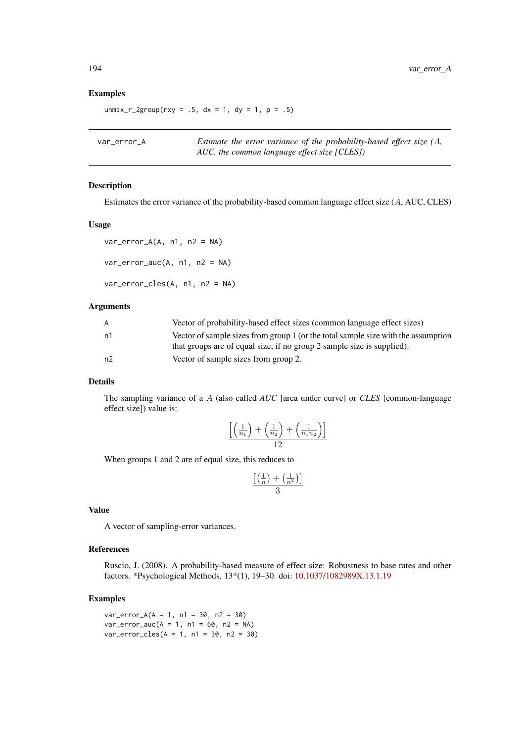## Examples

 $unmix_r_2group(rxy = .5, dx = 1, dy = 1, p = .5)$ 

| var error A | Estimate the error variance of the probability-based effect size $(A,$ |
|-------------|------------------------------------------------------------------------|
|             | AUC, the common language effect size [CLES])                           |

#### Description

Estimates the error variance of the probability-based common language effect size (A, AUC, CLES)

#### Usage

 $var_error_A(A, n1, n2 = NA)$ 

 $var_error_auc(A, n1, n2 = NA)$ 

var\_error\_cles(A, n1, n2 = NA)

# Arguments

| A              | Vector of probability-based effect sizes (common language effect sizes)           |
|----------------|-----------------------------------------------------------------------------------|
| n1             | Vector of sample sizes from group 1 (or the total sample size with the assumption |
|                | that groups are of equal size, if no group 2 sample size is supplied).            |
| n <sub>2</sub> | Vector of sample sizes from group 2.                                              |

## Details

The sampling variance of a A (also called *AUC* [area under curve] or *CLES* [common-language effect size]) value is:

$$
\frac{\left[\left(\frac{1}{n_1}\right)+\left(\frac{1}{n_2}\right)+\left(\frac{1}{n_1n_2}\right)\right]}{12}
$$

When groups 1 and 2 are of equal size, this reduces to

$$
\frac{\left[\left(\frac{1}{n}\right) + \left(\frac{1}{n^2}\right)\right]}{3}
$$

## Value

A vector of sampling-error variances.

#### References

Ruscio, J. (2008). A probability-based measure of effect size: Robustness to base rates and other factors. \*Psychological Methods, 13\*(1), 19–30. doi: [10.1037/1082989X.13.1.19](https://doi.org/10.1037/1082-989X.13.1.19)

## Examples

 $var_error_A(A = 1, n1 = 30, n2 = 30)$  $var_error_auc(A = 1, n1 = 60, n2 = NA)$  $var_error_{cles}(A = 1, n1 = 30, n2 = 30)$ 

<span id="page-193-0"></span>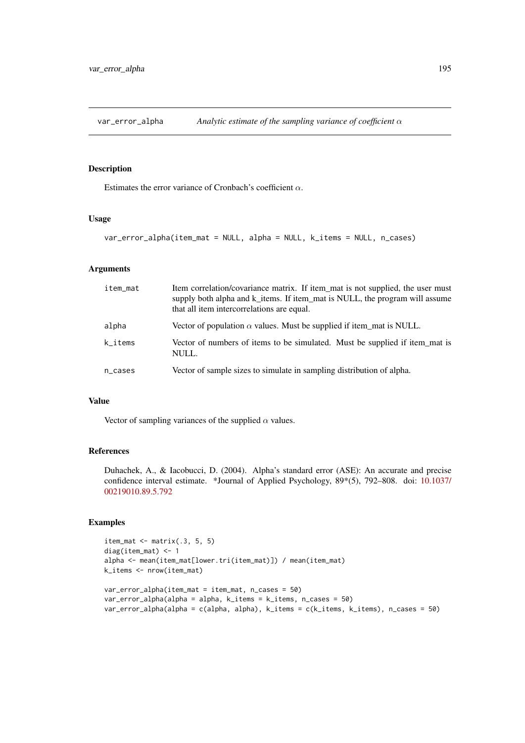<span id="page-194-0"></span>

# Description

Estimates the error variance of Cronbach's coefficient  $\alpha$ .

# Usage

```
var_error_alpha(item_mat = NULL, alpha = NULL, k_items = NULL, n_cases)
```
# Arguments

| item_mat | Item correlation/covariance matrix. If item mat is not supplied, the user must<br>supply both alpha and k_items. If item_mat is NULL, the program will assume<br>that all item intercorrelations are equal. |
|----------|-------------------------------------------------------------------------------------------------------------------------------------------------------------------------------------------------------------|
| alpha    | Vector of population $\alpha$ values. Must be supplied if item mat is NULL.                                                                                                                                 |
| k_items  | Vector of numbers of items to be simulated. Must be supplied if item_mat is<br>NULL.                                                                                                                        |
| n_cases  | Vector of sample sizes to simulate in sampling distribution of alpha.                                                                                                                                       |

## Value

Vector of sampling variances of the supplied  $\alpha$  values.

# References

Duhachek, A., & Iacobucci, D. (2004). Alpha's standard error (ASE): An accurate and precise confidence interval estimate. \*Journal of Applied Psychology, 89\*(5), 792–808. doi: [10.1037/](https://doi.org/10.1037/0021-9010.89.5.792) [00219010.89.5.792](https://doi.org/10.1037/0021-9010.89.5.792)

# Examples

```
item_mat \leq matrix(.3, 5, 5)
diag(item_mat) <- 1
alpha <- mean(item_mat[lower.tri(item_mat)]) / mean(item_mat)
k_items <- nrow(item_mat)
var_error_alpha(item_mat = item_mat, n_cases = 50)
var_error_alpha(alpha = alpha, k_items = k_items, n_cases = 50)
var_error_alpha(alpha = c(alpha, alpha), k_items = c(k_items, k_items), n_cases = 50)
```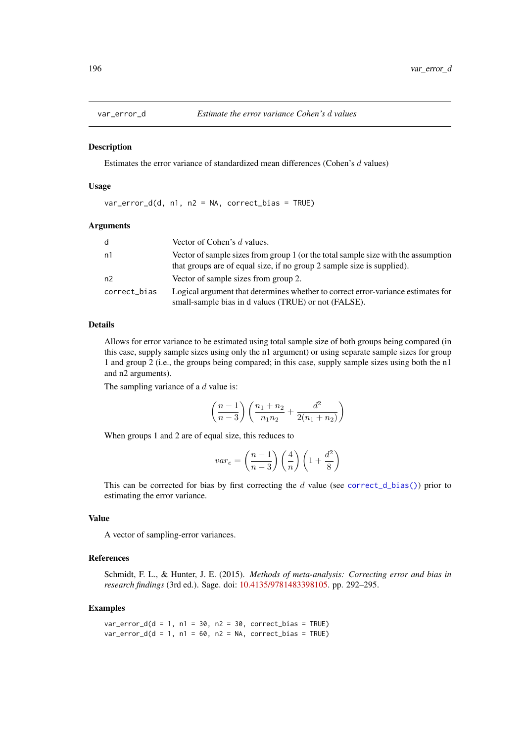<span id="page-195-0"></span>

#### Description

Estimates the error variance of standardized mean differences (Cohen's d values)

## Usage

var\_error\_d(d, n1, n2 = NA, correct\_bias = TRUE)

#### Arguments

| d            | Vector of Cohen's d values.                                                                                                                                 |
|--------------|-------------------------------------------------------------------------------------------------------------------------------------------------------------|
| n1           | Vector of sample sizes from group 1 (or the total sample size with the assumption<br>that groups are of equal size, if no group 2 sample size is supplied). |
| n2           | Vector of sample sizes from group 2.                                                                                                                        |
| correct_bias | Logical argument that determines whether to correct error-variance estimates for<br>small-sample bias in d values (TRUE) or not (FALSE).                    |

# Details

Allows for error variance to be estimated using total sample size of both groups being compared (in this case, supply sample sizes using only the n1 argument) or using separate sample sizes for group 1 and group 2 (i.e., the groups being compared; in this case, supply sample sizes using both the n1 and n2 arguments).

The sampling variance of a  $d$  value is:

$$
\left(\frac{n-1}{n-3}\right)\left(\frac{n_1+n_2}{n_1n_2} + \frac{d^2}{2(n_1+n_2)}\right)
$$

When groups 1 and 2 are of equal size, this reduces to

$$
var_e = \left(\frac{n-1}{n-3}\right) \left(\frac{4}{n}\right) \left(1 + \frac{d^2}{8}\right)
$$

This can be corrected for bias by first correcting the d value (see [correct\\_d\\_bias\(\)](#page-39-0)) prior to estimating the error variance.

# Value

A vector of sampling-error variances.

# References

Schmidt, F. L., & Hunter, J. E. (2015). *Methods of meta-analysis: Correcting error and bias in research findings* (3rd ed.). Sage. doi: [10.4135/9781483398105.](https://doi.org/10.4135/9781483398105) pp. 292–295.

## Examples

 $var_error_d(d = 1, n1 = 30, n2 = 30, correct\_bias = TRUE)$  $var_error_d(d = 1, n1 = 60, n2 = NA, correct_bias = TRUE)$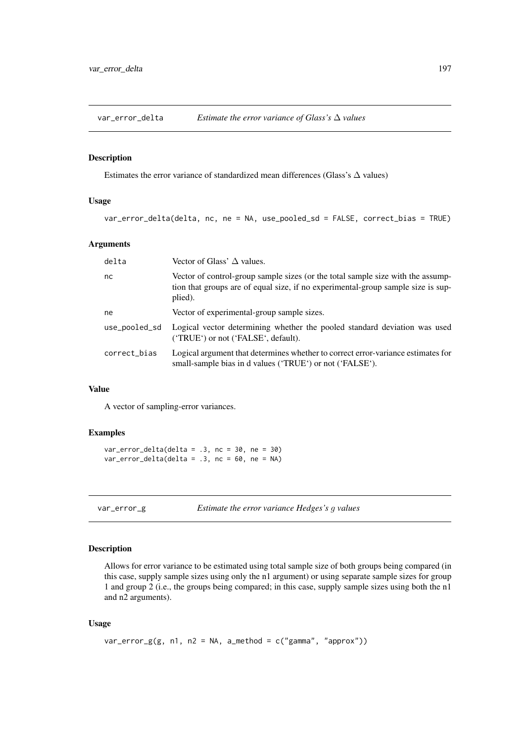<span id="page-196-0"></span>var\_error\_delta *Estimate the error variance of Glass's* ∆ *values*

#### Description

Estimates the error variance of standardized mean differences (Glass's  $\Delta$  values)

# Usage

var\_error\_delta(delta, nc, ne = NA, use\_pooled\_sd = FALSE, correct\_bias = TRUE)

## Arguments

| delta         | Vector of Glass' $\Delta$ values.                                                                                                                                              |
|---------------|--------------------------------------------------------------------------------------------------------------------------------------------------------------------------------|
| nc            | Vector of control-group sample sizes (or the total sample size with the assump-<br>tion that groups are of equal size, if no experimental-group sample size is sup-<br>plied). |
| ne            | Vector of experimental-group sample sizes.                                                                                                                                     |
| use_pooled_sd | Logical vector determining whether the pooled standard deviation was used<br>('TRUE') or not ('FALSE', default).                                                               |
| correct_bias  | Logical argument that determines whether to correct error-variance estimates for<br>small-sample bias in d values ('TRUE') or not ('FALSE').                                   |

# Value

A vector of sampling-error variances.

# Examples

var\_error\_delta(delta = .3, nc = 30, ne = 30)  $var_error$  delta(delta = .3, nc = 60, ne = NA)

var\_error\_g *Estimate the error variance Hedges's* g *values*

# Description

Allows for error variance to be estimated using total sample size of both groups being compared (in this case, supply sample sizes using only the n1 argument) or using separate sample sizes for group 1 and group 2 (i.e., the groups being compared; in this case, supply sample sizes using both the n1 and n2 arguments).

# Usage

```
var_error_g(g, n1, n2 = NA, a_method = c("gamma", "approx"))
```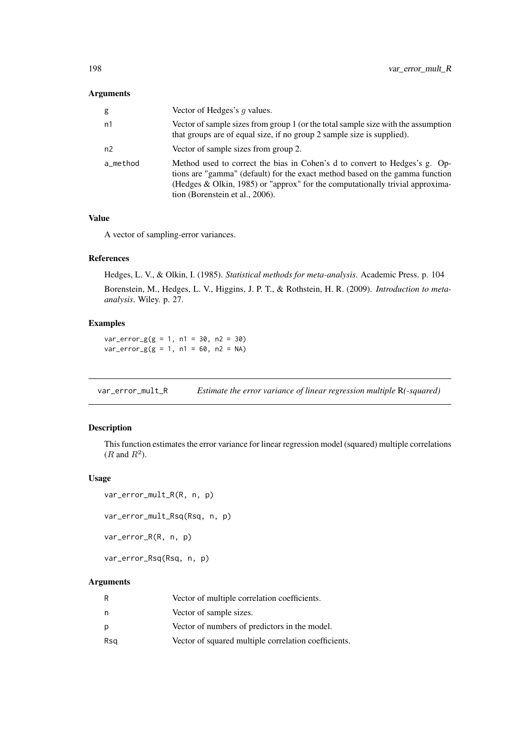<span id="page-197-0"></span>

| g        | Vector of Hedges's q values.                                                                                                                                                                                                                                                   |
|----------|--------------------------------------------------------------------------------------------------------------------------------------------------------------------------------------------------------------------------------------------------------------------------------|
| n1       | Vector of sample sizes from group 1 (or the total sample size with the assumption<br>that groups are of equal size, if no group 2 sample size is supplied).                                                                                                                    |
| n2       | Vector of sample sizes from group 2.                                                                                                                                                                                                                                           |
| a_method | Method used to correct the bias in Cohen's d to convert to Hedges's g. Op-<br>tions are "gamma" (default) for the exact method based on the gamma function<br>(Hedges & Olkin, 1985) or "approx" for the computationally trivial approxima-<br>tion (Borenstein et al., 2006). |

# Value

A vector of sampling-error variances.

# References

Hedges, L. V., & Olkin, I. (1985). *Statistical methods for meta-analysis*. Academic Press. p. 104 Borenstein, M., Hedges, L. V., Higgins, J. P. T., & Rothstein, H. R. (2009). *Introduction to metaanalysis*. Wiley. p. 27.

# Examples

 $var_error_g(g = 1, n1 = 30, n2 = 30)$  $var_error_g(g = 1, n1 = 60, n2 = NA)$ 

var\_error\_mult\_R *Estimate the error variance of linear regression multiple* R*(-squared)*

## Description

This function estimates the error variance for linear regression model (squared) multiple correlations  $(R \text{ and } R^2).$ 

# Usage

```
var_error_mult_R(R, n, p)
var_error_mult_Rsq(Rsq, n, p)
var_error_R(R, n, p)
```

```
var_error_Rsq(Rsq, n, p)
```

| R   | Vector of multiple correlation coefficients.         |
|-----|------------------------------------------------------|
| n   | Vector of sample sizes.                              |
| p   | Vector of numbers of predictors in the model.        |
| Rsg | Vector of squared multiple correlation coefficients. |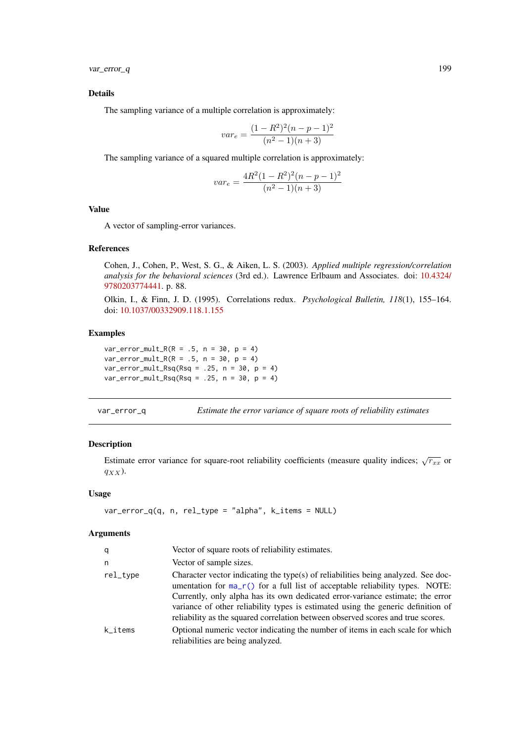<span id="page-198-0"></span>var\_error\_q 199

## Details

The sampling variance of a multiple correlation is approximately:

$$
var_e = \frac{(1 - R^2)^2 (n - p - 1)^2}{(n^2 - 1)(n + 3)}
$$

The sampling variance of a squared multiple correlation is approximately:

$$
var_e = \frac{4R^2(1 - R^2)^2(n - p - 1)^2}{(n^2 - 1)(n + 3)}
$$

# Value

A vector of sampling-error variances.

## References

Cohen, J., Cohen, P., West, S. G., & Aiken, L. S. (2003). *Applied multiple regression/correlation analysis for the behavioral sciences* (3rd ed.). Lawrence Erlbaum and Associates. doi: [10.4324/](https://doi.org/10.4324/9780203774441) [9780203774441.](https://doi.org/10.4324/9780203774441) p. 88.

Olkin, I., & Finn, J. D. (1995). Correlations redux. *Psychological Bulletin, 118*(1), 155–164. doi: [10.1037/00332909.118.1.155](https://doi.org/10.1037/0033-2909.118.1.155)

# Examples

 $var_error_mult_R(R = .5, n = 30, p = 4)$  $var_error_mult_R(R = .5, n = 30, p = 4)$  $var_error_mult_Rsq(Rsq = .25, n = 30, p = 4)$  $var_error_mult_Rsq(Rsq = .25, n = 30, p = 4)$ 

var\_error\_q *Estimate the error variance of square roots of reliability estimates*

# Description

Estimate error variance for square-root reliability coefficients (measure quality indices;  $\sqrt{r_{xx}}$  or  $q_{XX}$ ).

## Usage

```
var_error_q(q, n, rel_type = "alpha", k_items = NULL)
```

| q        | Vector of square roots of reliability estimates.                                                                                                                                                                                                                                                                                                                                                                             |
|----------|------------------------------------------------------------------------------------------------------------------------------------------------------------------------------------------------------------------------------------------------------------------------------------------------------------------------------------------------------------------------------------------------------------------------------|
| n        | Vector of sample sizes.                                                                                                                                                                                                                                                                                                                                                                                                      |
| rel_type | Character vector indicating the type(s) of reliabilities being analyzed. See doc-<br>umentation for $ma_r()$ for a full list of acceptable reliability types. NOTE:<br>Currently, only alpha has its own dedicated error-variance estimate; the error<br>variance of other reliability types is estimated using the generic definition of<br>reliability as the squared correlation between observed scores and true scores. |
| k items  | Optional numeric vector indicating the number of items in each scale for which<br>reliabilities are being analyzed.                                                                                                                                                                                                                                                                                                          |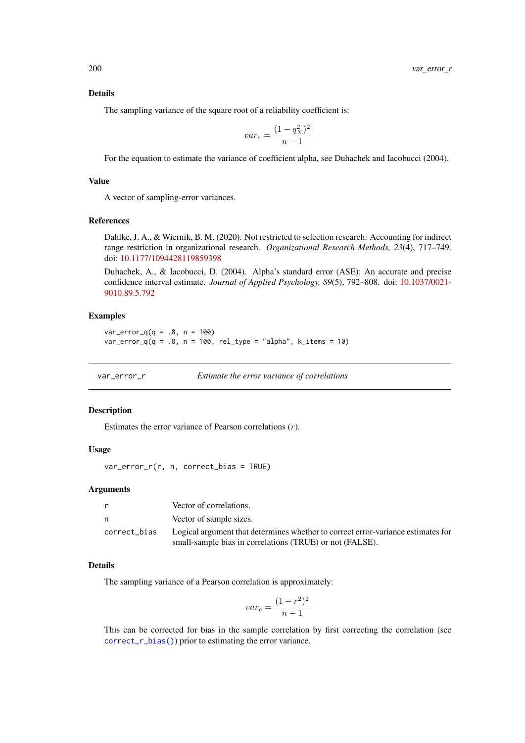#### Details

The sampling variance of the square root of a reliability coefficient is:

$$
var_e = \frac{(1 - q_X^2)^2}{n - 1}
$$

For the equation to estimate the variance of coefficient alpha, see Duhachek and Iacobucci (2004).

# Value

A vector of sampling-error variances.

## References

Dahlke, J. A., & Wiernik, B. M. (2020). Not restricted to selection research: Accounting for indirect range restriction in organizational research. *Organizational Research Methods, 23*(4), 717–749. doi: [10.1177/1094428119859398](https://doi.org/10.1177/1094428119859398)

Duhachek, A., & Iacobucci, D. (2004). Alpha's standard error (ASE): An accurate and precise confidence interval estimate. *Journal of Applied Psychology, 89*(5), 792–808. doi: [10.1037/0021-](https://doi.org/10.1037/0021-9010.89.5.792) [9010.89.5.792](https://doi.org/10.1037/0021-9010.89.5.792)

## Examples

```
var_error_q(q = .8, n = 100)var_error_q(q = .8, n = 100, rel_type = "alpha", k.items = 10)
```
var\_error\_r *Estimate the error variance of correlations*

#### Description

Estimates the error variance of Pearson correlations (r).

## Usage

var\_error\_r(r, n, correct\_bias = TRUE)

#### Arguments

| r.           | Vector of correlations.                                                                                                                      |
|--------------|----------------------------------------------------------------------------------------------------------------------------------------------|
| n.           | Vector of sample sizes.                                                                                                                      |
| correct_bias | Logical argument that determines whether to correct error-variance estimates for<br>small-sample bias in correlations (TRUE) or not (FALSE). |

## Details

The sampling variance of a Pearson correlation is approximately:

$$
var_e = \frac{(1 - r^2)^2}{n - 1}
$$

This can be corrected for bias in the sample correlation by first correcting the correlation (see [correct\\_r\\_bias\(\)](#page-47-0)) prior to estimating the error variance.

<span id="page-199-0"></span>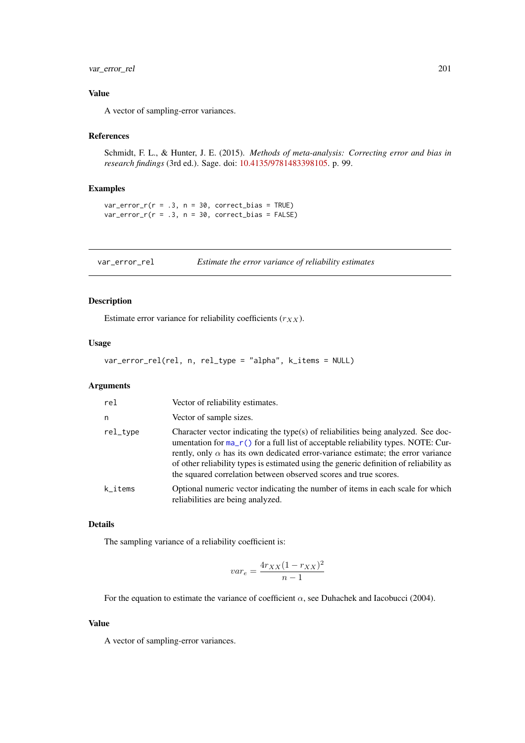#### <span id="page-200-0"></span>var\_error\_rel 201

# Value

A vector of sampling-error variances.

#### References

Schmidt, F. L., & Hunter, J. E. (2015). *Methods of meta-analysis: Correcting error and bias in research findings* (3rd ed.). Sage. doi: [10.4135/9781483398105.](https://doi.org/10.4135/9781483398105) p. 99.

# Examples

 $var_error_r(r = .3, n = 30, correct_bias = TRUE)$  $var_error_r(r = .3, n = 30, correct_bias = FALSE)$ 

var\_error\_rel *Estimate the error variance of reliability estimates*

# Description

Estimate error variance for reliability coefficients  $(r_{XX})$ .

# Usage

```
var_error_rel(rel, n, rel_type = "alpha", k_items = NULL)
```
## Arguments

| rel      | Vector of reliability estimates.                                                                                                                                                                                                                                                                                                                                                                                                  |
|----------|-----------------------------------------------------------------------------------------------------------------------------------------------------------------------------------------------------------------------------------------------------------------------------------------------------------------------------------------------------------------------------------------------------------------------------------|
| n        | Vector of sample sizes.                                                                                                                                                                                                                                                                                                                                                                                                           |
| rel_type | Character vector indicating the type(s) of reliabilities being analyzed. See doc-<br>umentation for $ma_r()$ for a full list of acceptable reliability types. NOTE: Cur-<br>rently, only $\alpha$ has its own dedicated error-variance estimate; the error variance<br>of other reliability types is estimated using the generic definition of reliability as<br>the squared correlation between observed scores and true scores. |
| k_items  | Optional numeric vector indicating the number of items in each scale for which<br>reliabilities are being analyzed.                                                                                                                                                                                                                                                                                                               |

#### Details

The sampling variance of a reliability coefficient is:

$$
var_e = \frac{4r_{XX}(1 - r_{XX})^2}{n - 1}
$$

For the equation to estimate the variance of coefficient  $\alpha$ , see Duhachek and Iacobucci (2004).

# Value

A vector of sampling-error variances.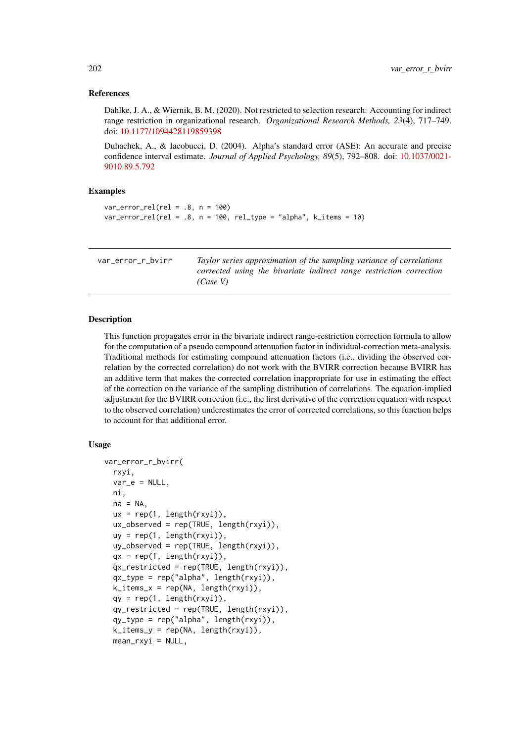#### <span id="page-201-0"></span>References

Dahlke, J. A., & Wiernik, B. M. (2020). Not restricted to selection research: Accounting for indirect range restriction in organizational research. *Organizational Research Methods, 23*(4), 717–749. doi: [10.1177/1094428119859398](https://doi.org/10.1177/1094428119859398)

Duhachek, A., & Iacobucci, D. (2004). Alpha's standard error (ASE): An accurate and precise confidence interval estimate. *Journal of Applied Psychology, 89*(5), 792–808. doi: [10.1037/0021-](https://doi.org/10.1037/0021-9010.89.5.792) [9010.89.5.792](https://doi.org/10.1037/0021-9010.89.5.792)

## Examples

```
var_error_{rel}(rel = .8, n = 100)var_error_{rel}(rel = .8, n = 100, rel_type = "alpha", k_items = 10)
```
var\_error\_r\_bvirr *Taylor series approximation of the sampling variance of correlations corrected using the bivariate indirect range restriction correction (Case V)*

#### Description

This function propagates error in the bivariate indirect range-restriction correction formula to allow for the computation of a pseudo compound attenuation factor in individual-correction meta-analysis. Traditional methods for estimating compound attenuation factors (i.e., dividing the observed correlation by the corrected correlation) do not work with the BVIRR correction because BVIRR has an additive term that makes the corrected correlation inappropriate for use in estimating the effect of the correction on the variance of the sampling distribution of correlations. The equation-implied adjustment for the BVIRR correction (i.e., the first derivative of the correction equation with respect to the observed correlation) underestimates the error of corrected correlations, so this function helps to account for that additional error.

## Usage

```
var_error_r_bvirr(
 rxyi,
 var_e = NULL,
 ni,
 na = NA.
 ux = rep(1, length(rxyi)),ux_observed = rep(TRUE, length(rxyi)),
 uy = rep(1, length(rxyi)),
 uy_observed = rep(TRUE, length(rxyi)),
 qx = rep(1, length(rxyi)),qx_restricted = rep(TRUE, length(rxyi)),qx_type = rep("alpha", length(rxyi)),k_i tems_x = rep(NA, length(rxyi)),
 qy = rep(1, length(rxyi)),qy_restricted = rep(TRUE, length(rxyi)),
 qy_type = rep("alpha", length(rxyi)),
 k_items_y = rep(NA, length(rxyi)),
 mean_rxyi = NULL,
```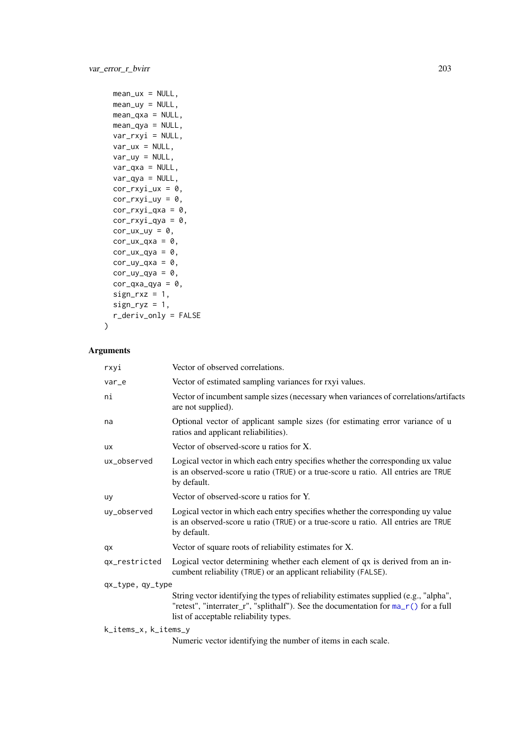```
mean_lux = NULL,mean_uy = NULL,
 mean_qxa = NULL,
  mean_qya = NULL,
  var_rxyi = NULL,
  var_{ux} = NULL,
  var_uy = NULL,
  var_qxa = NULL,
  var_qya = NULL,
  cor_rxyi_lxx = 0,
  cor_rxyi_uy = 0,
  cor_rxyi_qxa = 0,
  cor_rxyi_qya = 0,
  cor_lux_luy = 0,
  cor_lxx_qxa = 0,
  cor_lxx_qya = 0,
  cor_{uy_qxa} = 0,
  cor_{uy_qya} = 0,
  cor_qxa_qya = 0,
  sign_r xz = 1,
  sign_{ryz} = 1,
  r_deriv_only = FALSE
)
```

| rxyi                 | Vector of observed correlations.                                                                                                                                                                                      |
|----------------------|-----------------------------------------------------------------------------------------------------------------------------------------------------------------------------------------------------------------------|
| var_e                | Vector of estimated sampling variances for rxyi values.                                                                                                                                                               |
| ni                   | Vector of incumbent sample sizes (necessary when variances of correlations/artifacts<br>are not supplied).                                                                                                            |
| na                   | Optional vector of applicant sample sizes (for estimating error variance of u<br>ratios and applicant reliabilities).                                                                                                 |
| <b>UX</b>            | Vector of observed-score u ratios for X.                                                                                                                                                                              |
| ux_observed          | Logical vector in which each entry specifies whether the corresponding ux value<br>is an observed-score u ratio (TRUE) or a true-score u ratio. All entries are TRUE<br>by default.                                   |
| uy                   | Vector of observed-score u ratios for Y.                                                                                                                                                                              |
| uy_observed          | Logical vector in which each entry specifies whether the corresponding uy value<br>is an observed-score u ratio (TRUE) or a true-score u ratio. All entries are TRUE<br>by default.                                   |
| qx                   | Vector of square roots of reliability estimates for X.                                                                                                                                                                |
| qx_restricted        | Logical vector determining whether each element of qx is derived from an in-<br>cumbent reliability (TRUE) or an applicant reliability (FALSE).                                                                       |
| qx_type, qy_type     |                                                                                                                                                                                                                       |
|                      | String vector identifying the types of reliability estimates supplied (e.g., "alpha",<br>"retest", "interrater_r", "splithalf"). See the documentation for ma_r() for a full<br>list of acceptable reliability types. |
| k_items_x, k_items_y |                                                                                                                                                                                                                       |

Numeric vector identifying the number of items in each scale.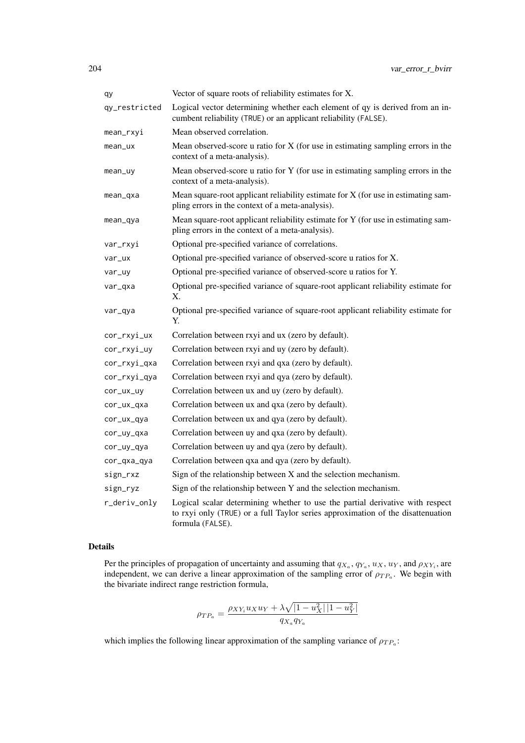| qy            | Vector of square roots of reliability estimates for X.                                                                                                                               |
|---------------|--------------------------------------------------------------------------------------------------------------------------------------------------------------------------------------|
| qy_restricted | Logical vector determining whether each element of qy is derived from an in-<br>cumbent reliability (TRUE) or an applicant reliability (FALSE).                                      |
| mean_rxyi     | Mean observed correlation.                                                                                                                                                           |
| mean_ux       | Mean observed-score $u$ ratio for $X$ (for use in estimating sampling errors in the<br>context of a meta-analysis).                                                                  |
| mean_uy       | Mean observed-score u ratio for Y (for use in estimating sampling errors in the<br>context of a meta-analysis).                                                                      |
| mean_qxa      | Mean square-root applicant reliability estimate for $X$ (for use in estimating sam-<br>pling errors in the context of a meta-analysis).                                              |
| mean_qya      | Mean square-root applicant reliability estimate for Y (for use in estimating sam-<br>pling errors in the context of a meta-analysis).                                                |
| var_rxyi      | Optional pre-specified variance of correlations.                                                                                                                                     |
| var_ux        | Optional pre-specified variance of observed-score u ratios for X.                                                                                                                    |
| var_uy        | Optional pre-specified variance of observed-score u ratios for Y.                                                                                                                    |
| var_qxa       | Optional pre-specified variance of square-root applicant reliability estimate for<br>Χ.                                                                                              |
| var_qya       | Optional pre-specified variance of square-root applicant reliability estimate for<br>Y.                                                                                              |
| cor_rxyi_ux   | Correlation between rxyi and ux (zero by default).                                                                                                                                   |
| cor_rxyi_uy   | Correlation between rxyi and uy (zero by default).                                                                                                                                   |
| cor_rxyi_qxa  | Correlation between rxyi and qxa (zero by default).                                                                                                                                  |
| cor_rxyi_qya  | Correlation between rxyi and qya (zero by default).                                                                                                                                  |
| cor_ux_uy     | Correlation between ux and uy (zero by default).                                                                                                                                     |
| cor_ux_qxa    | Correlation between ux and qxa (zero by default).                                                                                                                                    |
| cor_ux_qya    | Correlation between ux and qya (zero by default).                                                                                                                                    |
| cor_uy_qxa    | Correlation between uy and qxa (zero by default).                                                                                                                                    |
| cor_uy_qya    | Correlation between uy and qya (zero by default).                                                                                                                                    |
| cor_qxa_qya   | Correlation between qxa and qya (zero by default).                                                                                                                                   |
| sign_rxz      | Sign of the relationship between X and the selection mechanism.                                                                                                                      |
| sign_ryz      | Sign of the relationship between Y and the selection mechanism.                                                                                                                      |
| r_deriv_only  | Logical scalar determining whether to use the partial derivative with respect<br>to rxyi only (TRUE) or a full Taylor series approximation of the disattenuation<br>formula (FALSE). |

# Details

Per the principles of propagation of uncertainty and assuming that  $q_{X_a}, q_{Y_a}, u_X, u_Y$ , and  $\rho_{XY_i}$ , are independent, we can derive a linear approximation of the sampling error of  $\rho_{TP_a}$ . We begin with the bivariate indirect range restriction formula,

$$
\rho_{TP_a} = \frac{\rho_{XY_i} u_X u_Y + \lambda \sqrt{|1 - u_X^2| |1 - u_Y^2|}}{q_{X_a} q_{Y_a}}
$$

which implies the following linear approximation of the sampling variance of  $\rho_{TP_a}$ :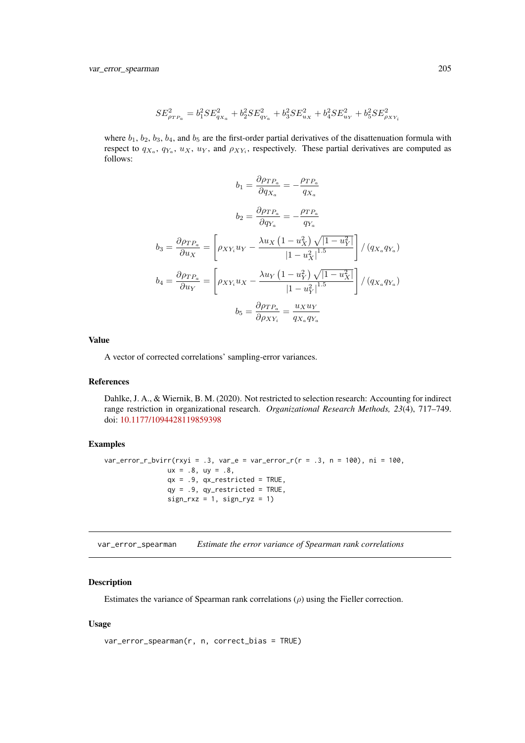<span id="page-204-0"></span>var\_error\_spearman 205

$$
SE_{\rho_{TP_a}}^2 = b_1^2 SE_{q_{X_a}}^2 + b_2^2 SE_{q_{Y_a}}^2 + b_3^2 SE_{u_X}^2 + b_4^2 SE_{u_Y}^2 + b_5^2 SE_{\rho_{XY_i}}^2
$$

where  $b_1$ ,  $b_2$ ,  $b_3$ ,  $b_4$ , and  $b_5$  are the first-order partial derivatives of the disattenuation formula with respect to  $q_{X_a}$ ,  $q_{Y_a}$ ,  $u_X$ ,  $u_Y$ , and  $\rho_{XY_i}$ , respectively. These partial derivatives are computed as follows:

$$
b_1 = \frac{\partial \rho_{TP_a}}{\partial q_{X_a}} = -\frac{\rho_{TP_a}}{q_{X_a}}
$$

$$
b_2 = \frac{\partial \rho_{TP_a}}{\partial q_{Y_a}} = -\frac{\rho_{TP_a}}{q_{Y_a}}
$$

$$
b_3 = \frac{\partial \rho_{TP_a}}{\partial u_X} = \left[\rho_{XY_i}u_Y - \frac{\lambda u_X (1 - u_X^2) \sqrt{|1 - u_Y^2|}}{|1 - u_X^2|^{1.5}}\right] / (q_{X_a}q_{Y_a})
$$

$$
b_4 = \frac{\partial \rho_{TP_a}}{\partial u_Y} = \left[\rho_{XY_i}u_X - \frac{\lambda u_Y (1 - u_Y^2) \sqrt{|1 - u_X^2|}}{|1 - u_Y^2|^{1.5}}\right] / (q_{X_a}q_{Y_a})
$$

$$
b_5 = \frac{\partial \rho_{TP_a}}{\partial \rho_{XY_i}} = \frac{u_Xu_Y}{q_{X_a}q_{Y_a}}
$$

Value

A vector of corrected correlations' sampling-error variances.

#### References

Dahlke, J. A., & Wiernik, B. M. (2020). Not restricted to selection research: Accounting for indirect range restriction in organizational research. *Organizational Research Methods, 23*(4), 717–749. doi: [10.1177/1094428119859398](https://doi.org/10.1177/1094428119859398)

## Examples

```
var_error_r_bvirr(rxyi = .3, var_e = var_error_r(r = .3, n = 100), ni = 100,
                ux = .8, uy = .8,qx = .9, qx\_restricted = TRUE,
                qy = .9, qy_restricted = TRUE,
                sign_r x = 1, sign_r yz = 1)
```
var\_error\_spearman *Estimate the error variance of Spearman rank correlations*

## Description

Estimates the variance of Spearman rank correlations  $(\rho)$  using the Fieller correction.

# Usage

```
var_error_spearman(r, n, correct_bias = TRUE)
```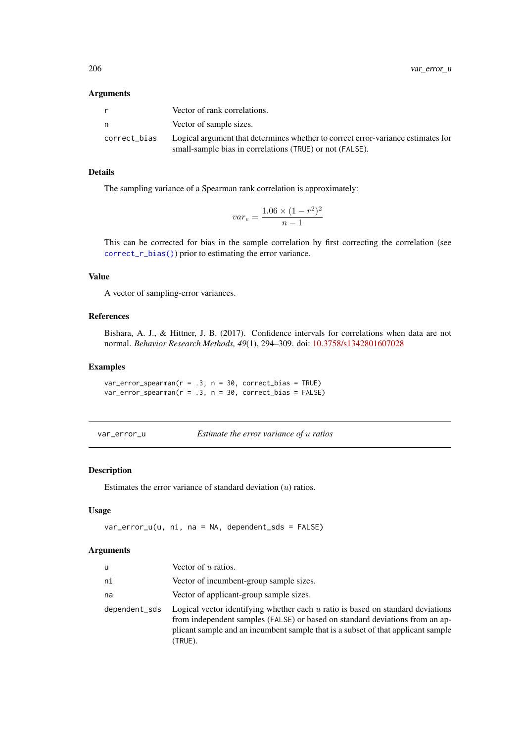|              | Vector of rank correlations.                                                                                                                 |
|--------------|----------------------------------------------------------------------------------------------------------------------------------------------|
| n            | Vector of sample sizes.                                                                                                                      |
| correct bias | Logical argument that determines whether to correct error-variance estimates for<br>small-sample bias in correlations (TRUE) or not (FALSE). |

# Details

The sampling variance of a Spearman rank correlation is approximately:

$$
var_e = \frac{1.06 \times (1 - r^2)^2}{n - 1}
$$

This can be corrected for bias in the sample correlation by first correcting the correlation (see [correct\\_r\\_bias\(\)](#page-47-0)) prior to estimating the error variance.

# Value

A vector of sampling-error variances.

## References

Bishara, A. J., & Hittner, J. B. (2017). Confidence intervals for correlations when data are not normal. *Behavior Research Methods, 49*(1), 294–309. doi: [10.3758/s1342801607028](https://doi.org/10.3758/s13428-016-0702-8)

## Examples

```
var_error_spearman(r = .3, n = 30, correct_bias = TRUE)var_error_spearman(r = .3, n = 30, correct_bias = FALSE)
```
var\_error\_u *Estimate the error variance of* u *ratios*

# Description

Estimates the error variance of standard deviation  $(u)$  ratios.

# Usage

var\_error\_u(u, ni, na = NA, dependent\_sds = FALSE)

| u             | Vector of $u$ ratios.                                                                                                                                                                                                                                            |
|---------------|------------------------------------------------------------------------------------------------------------------------------------------------------------------------------------------------------------------------------------------------------------------|
| ni            | Vector of incumbent-group sample sizes.                                                                                                                                                                                                                          |
| na            | Vector of applicant-group sample sizes.                                                                                                                                                                                                                          |
| dependent_sds | Logical vector identifying whether each $u$ ratio is based on standard deviations<br>from independent samples (FALSE) or based on standard deviations from an ap-<br>plicant sample and an incumbent sample that is a subset of that applicant sample<br>(TRUE). |

<span id="page-205-0"></span>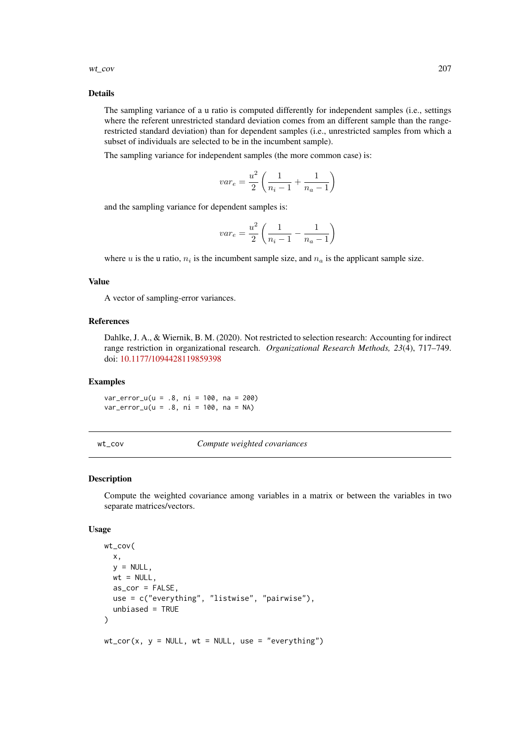#### <span id="page-206-0"></span>wt\_cov 207

#### Details

The sampling variance of a u ratio is computed differently for independent samples (i.e., settings where the referent unrestricted standard deviation comes from an different sample than the rangerestricted standard deviation) than for dependent samples (i.e., unrestricted samples from which a subset of individuals are selected to be in the incumbent sample).

The sampling variance for independent samples (the more common case) is:

$$
var_e = \frac{u^2}{2} \left( \frac{1}{n_i - 1} + \frac{1}{n_a - 1} \right)
$$

and the sampling variance for dependent samples is:

$$
var_e = \frac{u^2}{2} \left( \frac{1}{n_i - 1} - \frac{1}{n_a - 1} \right)
$$

where u is the u ratio,  $n_i$  is the incumbent sample size, and  $n_a$  is the applicant sample size.

#### Value

A vector of sampling-error variances.

#### References

Dahlke, J. A., & Wiernik, B. M. (2020). Not restricted to selection research: Accounting for indirect range restriction in organizational research. *Organizational Research Methods, 23*(4), 717–749. doi: [10.1177/1094428119859398](https://doi.org/10.1177/1094428119859398)

## Examples

var\_error\_u(u = .8, ni = 100, na = 200) var\_error\_u(u = .8, ni = 100, na = NA)

```
wt_cov Compute weighted covariances
```
## Description

Compute the weighted covariance among variables in a matrix or between the variables in two separate matrices/vectors.

# Usage

```
wt_cov(
  x,
  y = NULL,
  wt = NULL,as\_cor = FALSE,use = c("everything", "listwise", "pairwise"),
  unbiased = TRUE
)
wt\_cor(x, y = NULL, wt = NULL, use = "everything")
```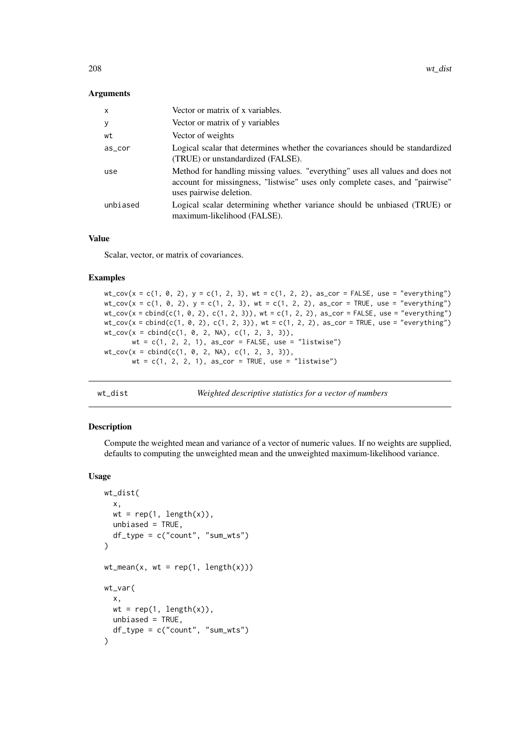<span id="page-207-0"></span>

| $\mathsf{x}$ | Vector or matrix of x variables.                                                                                                                                                         |
|--------------|------------------------------------------------------------------------------------------------------------------------------------------------------------------------------------------|
| У            | Vector or matrix of y variables                                                                                                                                                          |
| wt           | Vector of weights                                                                                                                                                                        |
| as_cor       | Logical scalar that determines whether the covariances should be standardized<br>(TRUE) or unstandardized (FALSE).                                                                       |
| use          | Method for handling missing values. "everything" uses all values and does not<br>account for missingness, "listwise" uses only complete cases, and "pairwise"<br>uses pairwise deletion. |
| unbiased     | Logical scalar determining whether variance should be unbiased (TRUE) or<br>maximum-likelihood (FALSE).                                                                                  |

# Value

Scalar, vector, or matrix of covariances.

## Examples

```
wt_{\texttt{cov}}(x = c(1, 0, 2), y = c(1, 2, 3), wt = c(1, 2, 2), as_{\texttt{cov}} = FALSE, use = "everything")wt_{cov}(x = c(1, 0, 2), y = c(1, 2, 3), wt = c(1, 2, 2), as_{corr} = TRUE, use = "everything")wt_{cov}(x = \text{cbind}(c(1, 0, 2), c(1, 2, 3)), wt = c(1, 2, 2), as_{corr} = FALSE, use = "everything")wt\_cov(x = child(c(1, 0, 2), c(1, 2, 3)), wt = c(1, 2, 2), as\_cor = TRUE, use = "everything")
wt_{cov}(x = \text{cbind}(c(1, 0, 2, NA), c(1, 2, 3, 3)),wt = c(1, 2, 2, 1), as_cor = FALSE, use = "listwise")
wt_{cov}(x = \text{cbind}(c(1, 0, 2, NA), c(1, 2, 3, 3)),wt = c(1, 2, 2, 1), as_cor = TRUE, use = "listwise")
```
wt\_dist *Weighted descriptive statistics for a vector of numbers*

## Description

Compute the weighted mean and variance of a vector of numeric values. If no weights are supplied, defaults to computing the unweighted mean and the unweighted maximum-likelihood variance.

## Usage

```
wt_dist(
 x,
 wt = rep(1, length(x)),unbiased = TRUE,
 df_type = c("count", "sum_wts")
)
wt_mean(x, wt = rep(1, length(x)))wt_var(
 x,
 wt = rep(1, length(x)),unbiased = TRUE,
 df_type = c("count", "sum_wts"))
```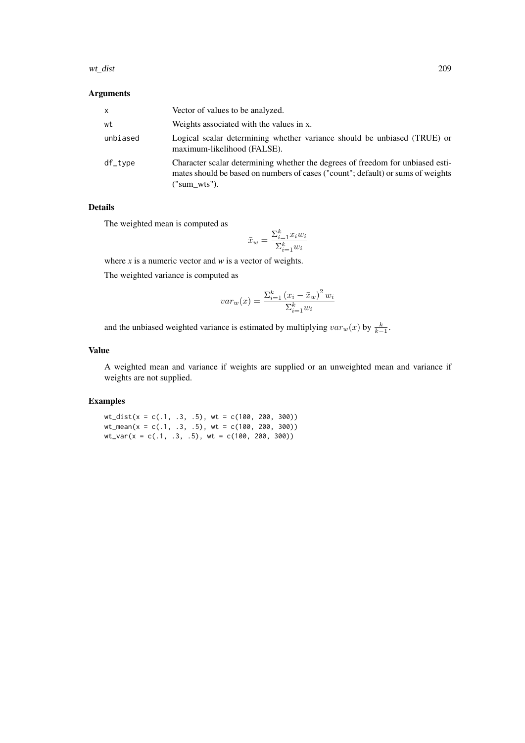| x        | Vector of values to be analyzed.                                                                                                                                                     |
|----------|--------------------------------------------------------------------------------------------------------------------------------------------------------------------------------------|
| wt       | Weights associated with the values in x.                                                                                                                                             |
| unbiased | Logical scalar determining whether variance should be unbiased (TRUE) or<br>maximum-likelihood (FALSE).                                                                              |
| df_type  | Character scalar determining whether the degrees of freedom for unbiased esti-<br>mates should be based on numbers of cases ("count"; default) or sums of weights<br>$("sum_wuts").$ |

# Details

The weighted mean is computed as

$$
\bar{x}_w = \frac{\sum_{i=1}^k x_i w_i}{\sum_{i=1}^k w_i}
$$

where *x* is a numeric vector and *w* is a vector of weights.

The weighted variance is computed as

$$
var_w(x) = \frac{\sum_{i=1}^{k} (x_i - \bar{x}_w)^2 w_i}{\sum_{i=1}^{k} w_i}
$$

and the unbiased weighted variance is estimated by multiplying  $var_w(x)$  by  $\frac{k}{k-1}$ .

## Value

A weighted mean and variance if weights are supplied or an unweighted mean and variance if weights are not supplied.

## Examples

 $wt\_dist(x = c(.1, .3, .5), wt = c(100, 200, 300))$ wt\_mean(x = c(.1, .3, .5), wt = c(100, 200, 300)) wt\_var(x = c(.1, .3, .5), wt = c(100, 200, 300))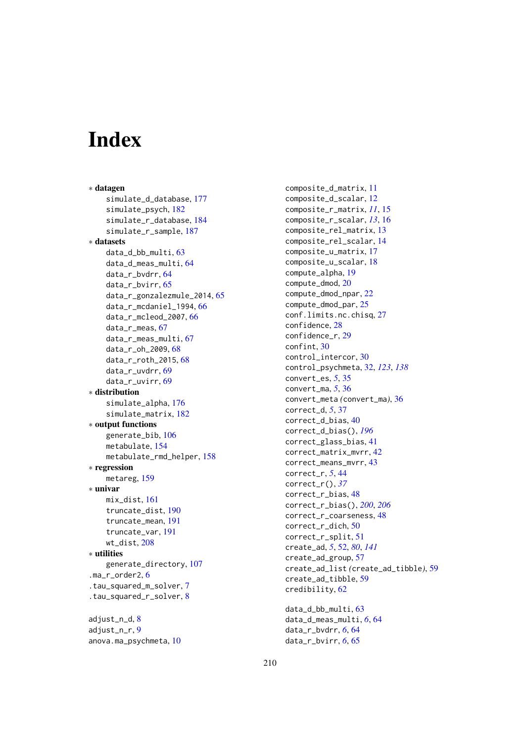# Index

∗ datagen simulate\_d\_database, [177](#page-176-1) simulate\_psych, [182](#page-181-0) simulate r database, [184](#page-183-1) simulate\_r\_sample, [187](#page-186-0) ∗ datasets data\_d\_bb\_multi, [63](#page-62-0) data\_d\_meas\_multi, [64](#page-63-0) data\_r\_bvdrr, [64](#page-63-0) data\_r\_bvirr, [65](#page-64-0) data\_r\_gonzalezmule\_2014, [65](#page-64-0) data\_r\_mcdaniel\_1994, [66](#page-65-0) data  $r$  mcleod 2007,  $66$ data\_r\_meas, [67](#page-66-0) data\_r\_meas\_multi, [67](#page-66-0) data\_r\_oh\_2009, [68](#page-67-0) data\_r\_roth\_2015, [68](#page-67-0) data\_r\_uvdrr, [69](#page-68-0) data\_r\_uvirr, [69](#page-68-0) ∗ distribution simulate\_alpha, [176](#page-175-0) simulate\_matrix, [182](#page-181-0) ∗ output functions generate\_bib, [106](#page-105-0) metabulate, [154](#page-153-1) metabulate\_rmd\_helper, [158](#page-157-0) ∗ regression metareg, [159](#page-158-0) ∗ univar mix\_dist, [161](#page-160-0) truncate\_dist, [190](#page-189-0) truncate\_mean, [191](#page-190-0) truncate\_var, [191](#page-190-0) wt\_dist, [208](#page-207-0) ∗ utilities generate\_directory, [107](#page-106-0) .ma\_r\_order2, [6](#page-5-0) .tau\_squared\_m\_solver, [7](#page-6-0) .tau\_squared\_r\_solver, [8](#page-7-0) adjust\_n\_d, [8](#page-7-0)

adjust\_n\_r, [9](#page-8-0) anova.ma\_psychmeta, [10](#page-9-0) composite\_d\_matrix, [11](#page-10-0) composite\_d\_scalar, [12](#page-11-0) composite\_r\_matrix, *[11](#page-10-0)*, [15](#page-14-0) composite\_r\_scalar, *[13](#page-12-0)*, [16](#page-15-0) composite\_rel\_matrix, [13](#page-12-0) composite\_rel\_scalar, [14](#page-13-0) composite\_u\_matrix, [17](#page-16-0) composite\_u\_scalar, [18](#page-17-0) compute\_alpha, [19](#page-18-0) compute\_dmod, [20](#page-19-0) compute\_dmod\_npar, [22](#page-21-0) compute\_dmod\_par, [25](#page-24-0) conf.limits.nc.chisq, [27](#page-26-0) confidence, [28](#page-27-0) confidence\_r, [29](#page-28-0) confint, [30](#page-29-0) control\_intercor, [30](#page-29-0) control\_psychmeta, [32,](#page-31-0) *[123](#page-122-0)*, *[138](#page-137-0)* convert\_es, *[5](#page-4-0)*, [35](#page-34-0) convert\_ma, *[5](#page-4-0)*, [36](#page-35-0) convert\_meta *(*convert\_ma*)*, [36](#page-35-0) correct\_d, *[5](#page-4-0)*, [37](#page-36-0) correct\_d\_bias, [40](#page-39-1) correct\_d\_bias(), *[196](#page-195-0)* correct\_glass\_bias, [41](#page-40-0) correct\_matrix\_mvrr, [42](#page-41-0) correct\_means\_mvrr, [43](#page-42-0) correct\_r, *[5](#page-4-0)*, [44](#page-43-0) correct\_r(), *[37](#page-36-0)* correct\_r\_bias, [48](#page-47-1) correct\_r\_bias(), *[200](#page-199-0)*, *[206](#page-205-0)* correct\_r\_coarseness, [48](#page-47-1) correct\_r\_dich, [50](#page-49-0) correct r split. [51](#page-50-0) create\_ad, *[5](#page-4-0)*, [52,](#page-51-0) *[80](#page-79-0)*, *[141](#page-140-0)* create\_ad\_group, [57](#page-56-0) create\_ad\_list *(*create\_ad\_tibble*)*, [59](#page-58-0) create\_ad\_tibble, [59](#page-58-0) credibility, [62](#page-61-0) data\_d\_bb\_multi, [63](#page-62-0)

data\_d\_meas\_multi, *[6](#page-5-0)*, [64](#page-63-0) data\_r\_bvdrr, *[6](#page-5-0)*, [64](#page-63-0) data\_r\_bvirr, *[6](#page-5-0)*, [65](#page-64-0)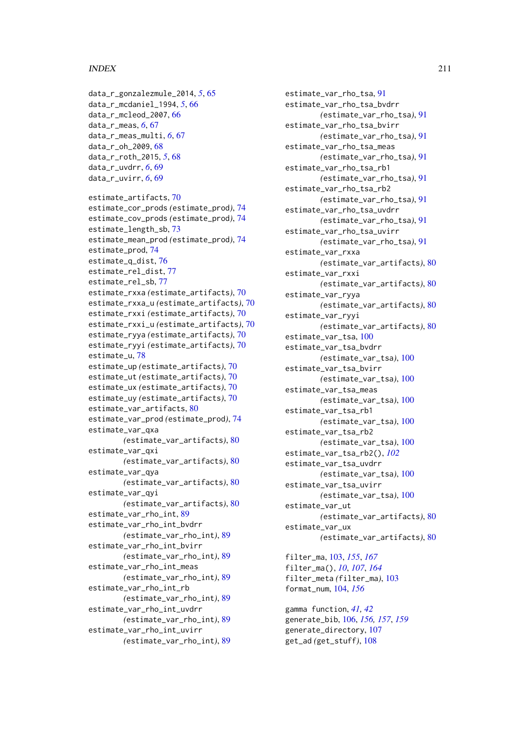## INDEX 211

```
data_r_gonzalezmule_2014, 5, 65
data_r_mcdaniel_1994, 5, 66
data_r_mcleod_2007, 66
data_r_meas, 6, 67
data_r_meas_multi, 6, 67
data_r_oh_2009, 68
data_r_roth_2015, 5, 68
data_r_uvdrr, 6, 69
data_r_uvirr, 6, 69
estimate_artifacts, 70
estimate_cor_prods (estimate_prod), 74
estimate_cov_prods (estimate_prod), 74
estimate_length_sb, 73
estimate_mean_prod (estimate_prod), 74
74
estimate_q_dist, 76
estimate_rel_dist, 77
estimate_rel_sb, 77
estimate_rxxa (estimate_artifacts), 70
estimate_rxxa_u (estimate_artifacts), 70
estimate_rxxi (estimate_artifacts), 70
estimate_rxxi_u (estimate_artifacts), 70
estimate_ryya (estimate_artifacts), 70
estimate_ryyi (estimate_artifacts), 70
estimate_u, 78
estimate_up (estimate_artifacts), 70
estimate_ut (estimate_artifacts), 70
estimate_ux (estimate_artifacts), 70
estimate_uy (estimate_artifacts), 70
estimate_var_artifacts, 80
estimate_var_prod (estimate_prod), 74
estimate_var_qxa
        (estimate_var_artifacts), 80
estimate_var_qxi
        (estimate_var_artifacts), 80
estimate_var_qya
        (estimate_var_artifacts), 80
estimate_var_qyi
        (estimate_var_artifacts), 80
estimate_var_rho_int, 89
estimate_var_rho_int_bvdrr
        (estimate_var_rho_int), 89
estimate_var_rho_int_bvirr
        (estimate_var_rho_int), 89
estimate_var_rho_int_meas
        (estimate_var_rho_int), 89
estimate_var_rho_int_rb
        (estimate_var_rho_int), 89
estimate_var_rho_int_uvdrr
        (estimate_var_rho_int), 89
estimate_var_rho_int_uvirr
        (estimate_var_rho_int), 89
```

```
estimate_var_rho_tsa, 91
estimate_var_rho_tsa_bvdrr
        (estimate_var_rho_tsa), 91
estimate_var_rho_tsa_bvirr
        (estimate_var_rho_tsa), 91
estimate_var_rho_tsa_meas
        (estimate_var_rho_tsa), 91
estimate_var_rho_tsa_rb1
        (estimate_var_rho_tsa), 91
estimate_var_rho_tsa_rb2
        (estimate_var_rho_tsa), 91
estimate_var_rho_tsa_uvdrr
        (estimate_var_rho_tsa), 91
estimate_var_rho_tsa_uvirr
        (estimate_var_rho_tsa), 91
estimate_var_rxxa
        (estimate_var_artifacts), 80
estimate_var_rxxi
        (estimate_var_artifacts), 80
estimate_var_ryya
        (estimate_var_artifacts), 80
estimate_var_ryyi
        (estimate_var_artifacts), 80
estimate_var_tsa, 100
estimate_var_tsa_bvdrr
        (estimate_var_tsa), 100
estimate_var_tsa_bvirr
        (estimate_var_tsa), 100
estimate_var_tsa_meas
        (estimate_var_tsa), 100
estimate_var_tsa_rb1
        (estimate_var_tsa), 100
estimate_var_tsa_rb2
        (estimate_var_tsa), 100
estimate_var_tsa_rb2(), 102
estimate_var_tsa_uvdrr
        (estimate_var_tsa), 100
estimate_var_tsa_uvirr
        (estimate_var_tsa), 100
estimate_var_ut
        (estimate_var_artifacts), 80
estimate_var_ux
        (estimate_var_artifacts), 80
filter_ma, 103, 155, 167
filter_ma(), 10, 107, 164
```
filter\_meta *(*filter\_ma*)*, [103](#page-102-0) format\_num, [104,](#page-103-0) *[156](#page-155-0)*

gamma function, *[41,](#page-40-0) [42](#page-41-0)* generate\_bib, [106,](#page-105-0) *[156,](#page-155-0) [157](#page-156-0)*, *[159](#page-158-0)* generate\_directory, [107](#page-106-0) get\_ad *(*get\_stuff*)*, [108](#page-107-0)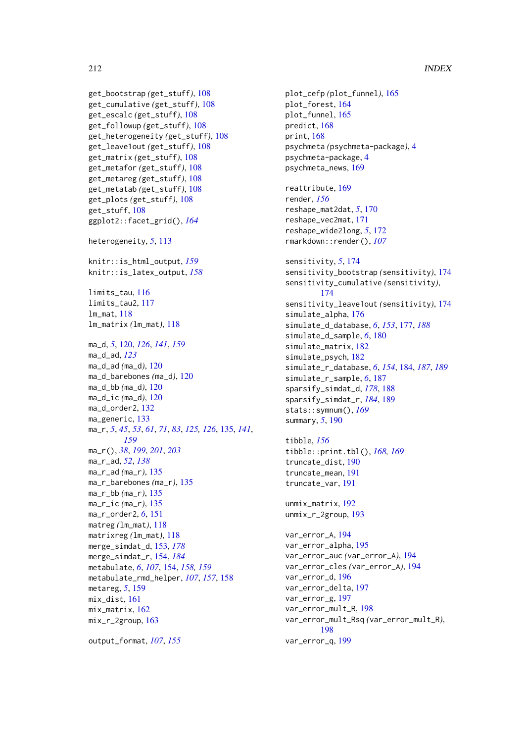## 212 INDEX

```
get_bootstrap (get_stuff), 108
get_cumulative (get_stuff), 108
get_escalc (get_stuff), 108
get_followup (get_stuff), 108
get_heterogeneity (get_stuff), 108
get_leave1out (get_stuff), 108
get_matrix (get_stuff), 108
get_metafor (get_stuff), 108
get_metareg (get_stuff), 108
get_metatab (get_stuff), 108
get_plots (get_stuff), 108
get_stuff, 108
ggplot2::facet_grid(), 164
heterogeneity, 5, 113
knitr::is_html_output, 159
knitr::is_latex_output, 158
116
limits_tau2, 117
lm_mat, 118
lm_matrix (lm_mat), 118
ma_d, 5, 120, 126, 141, 159
ma_d_ad, 123
ma_d_ad (ma_d), 120
ma_d_barebones (ma_d), 120
ma_d_bb (ma_d), 120
ma_d_ic (ma_d), 120
ma_d_order2, 132
133
ma_r, 5, 45, 53, 61, 71, 83, 125, 126, 135, 141,
        159
ma_r(), 38, 199, 201, 203
ma_r_ad, 52, 138
ma_r_ad (ma_r), 135
ma_r_barebones (ma_r), 135
ma_r_bb (ma_r), 135
ma_r_ic (ma_r), 135
ma_r_order2, 6, 151
matreg (lm_mat), 118
matrixreg (lm_mat), 118
merge_simdat_d, 153, 178
merge_simdat_r, 154, 184
metabulate, 6, 107, 154, 158, 159
metabulate_rmd_helper, 107, 157, 158
metareg, 5, 159
mix_dist, 161
mix_matrix, 162
mix_r_2group, 163
```
output\_format, *[107](#page-106-0)*, *[155](#page-154-0)*

plot\_cefp *(*plot\_funnel*)*, [165](#page-164-0) plot\_forest, [164](#page-163-0) plot\_funnel, [165](#page-164-0) predict, [168](#page-167-0) print, [168](#page-167-0) psychmeta *(*psychmeta-package*)*, [4](#page-3-0) psychmeta-package, [4](#page-3-0) psychmeta\_news, [169](#page-168-0) reattribute, [169](#page-168-0) render, *[156](#page-155-0)* reshape\_mat2dat, *[5](#page-4-0)*, [170](#page-169-0) reshape\_vec2mat, [171](#page-170-0) reshape\_wide2long, *[5](#page-4-0)*, [172](#page-171-0) rmarkdown::render(), *[107](#page-106-0)* sensitivity, *[5](#page-4-0)*, [174](#page-173-0) sensitivity\_bootstrap *(*sensitivity*)*, [174](#page-173-0) sensitivity\_cumulative *(*sensitivity*)*, [174](#page-173-0) sensitivity\_leave1out *(*sensitivity*)*, [174](#page-173-0) simulate\_alpha, [176](#page-175-0) simulate\_d\_database, *[6](#page-5-0)*, *[153](#page-152-0)*, [177,](#page-176-1) *[188](#page-187-0)* simulate\_d\_sample, *[6](#page-5-0)*, [180](#page-179-0) simulate\_matrix, [182](#page-181-0) simulate\_psych, [182](#page-181-0) simulate\_r\_database, *[6](#page-5-0)*, *[154](#page-153-1)*, [184,](#page-183-1) *[187](#page-186-0)*, *[189](#page-188-1)* simulate\_r\_sample, *[6](#page-5-0)*, [187](#page-186-0) sparsify\_simdat\_d, *[178](#page-177-0)*, [188](#page-187-0) sparsify\_simdat\_r, *[184](#page-183-1)*, [189](#page-188-1) stats::symnum(), *[169](#page-168-0)* summary, *[5](#page-4-0)*, [190](#page-189-0) tibble, *[156](#page-155-0)* tibble::print.tbl(), *[168,](#page-167-0) [169](#page-168-0)*

truncate\_dist, [190](#page-189-0) truncate\_mean, [191](#page-190-0) truncate\_var, [191](#page-190-0)

```
unmix_matrix, 192
unmix_r_2group, 193
```
var\_error\_A, [194](#page-193-0) var\_error\_alpha, [195](#page-194-0) var\_error\_auc *(*var\_error\_A*)*, [194](#page-193-0) var\_error\_cles *(*var\_error\_A*)*, [194](#page-193-0) var error d. [196](#page-195-0) var\_error\_delta, [197](#page-196-0) var\_error\_g, [197](#page-196-0) var\_error\_mult\_R, [198](#page-197-0) var\_error\_mult\_Rsq *(*var\_error\_mult\_R*)*, [198](#page-197-0) var\_error\_q, [199](#page-198-0)